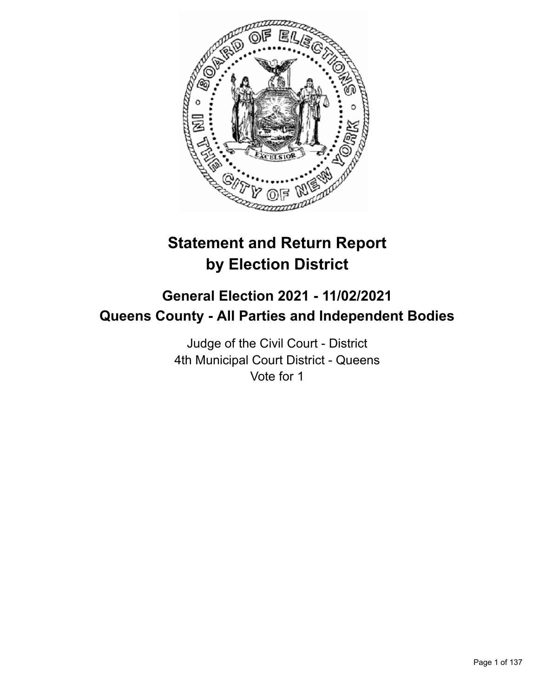

# **Statement and Return Report by Election District**

# **General Election 2021 - 11/02/2021 Queens County - All Parties and Independent Bodies**

Judge of the Civil Court - District 4th Municipal Court District - Queens Vote for 1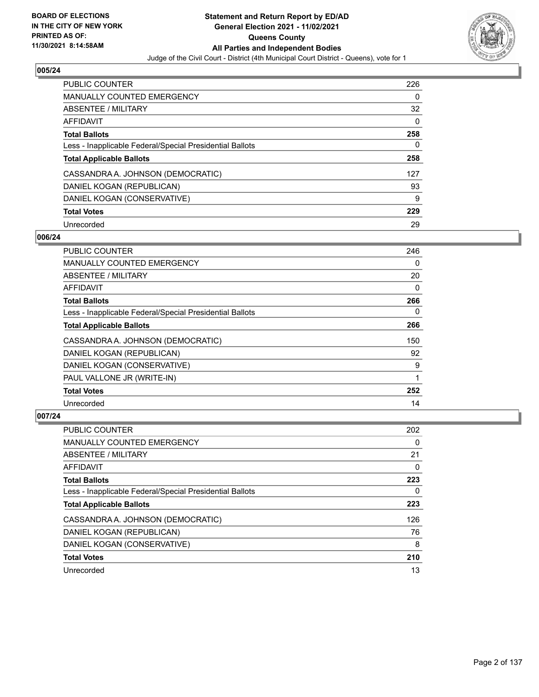

| <b>PUBLIC COUNTER</b>                                    | 226 |
|----------------------------------------------------------|-----|
| <b>MANUALLY COUNTED EMERGENCY</b>                        | 0   |
| ABSENTEE / MILITARY                                      | 32  |
| AFFIDAVIT                                                | 0   |
| <b>Total Ballots</b>                                     | 258 |
| Less - Inapplicable Federal/Special Presidential Ballots | 0   |
| <b>Total Applicable Ballots</b>                          | 258 |
|                                                          |     |
| CASSANDRA A. JOHNSON (DEMOCRATIC)                        | 127 |
| DANIEL KOGAN (REPUBLICAN)                                | 93  |
| DANIEL KOGAN (CONSERVATIVE)                              | 9   |
| <b>Total Votes</b>                                       | 229 |

#### **006/24**

| PUBLIC COUNTER                                           | 246      |
|----------------------------------------------------------|----------|
| <b>MANUALLY COUNTED EMERGENCY</b>                        | 0        |
| ABSENTEE / MILITARY                                      | 20       |
| AFFIDAVIT                                                | $\Omega$ |
| <b>Total Ballots</b>                                     | 266      |
| Less - Inapplicable Federal/Special Presidential Ballots | $\Omega$ |
| <b>Total Applicable Ballots</b>                          | 266      |
| CASSANDRA A. JOHNSON (DEMOCRATIC)                        | 150      |
| DANIEL KOGAN (REPUBLICAN)                                | 92       |
| DANIEL KOGAN (CONSERVATIVE)                              | 9        |
| PAUL VALLONE JR (WRITE-IN)                               | 1        |
| <b>Total Votes</b>                                       | 252      |
| Unrecorded                                               | 14       |

| <b>PUBLIC COUNTER</b>                                    | 202      |
|----------------------------------------------------------|----------|
| <b>MANUALLY COUNTED EMERGENCY</b>                        | 0        |
| ABSENTEE / MILITARY                                      | 21       |
| AFFIDAVIT                                                | $\Omega$ |
| <b>Total Ballots</b>                                     | 223      |
| Less - Inapplicable Federal/Special Presidential Ballots | 0        |
| <b>Total Applicable Ballots</b>                          | 223      |
| CASSANDRA A. JOHNSON (DEMOCRATIC)                        | 126      |
| DANIEL KOGAN (REPUBLICAN)                                | 76       |
| DANIEL KOGAN (CONSERVATIVE)                              | 8        |
| <b>Total Votes</b>                                       | 210      |
| Unrecorded                                               | 13       |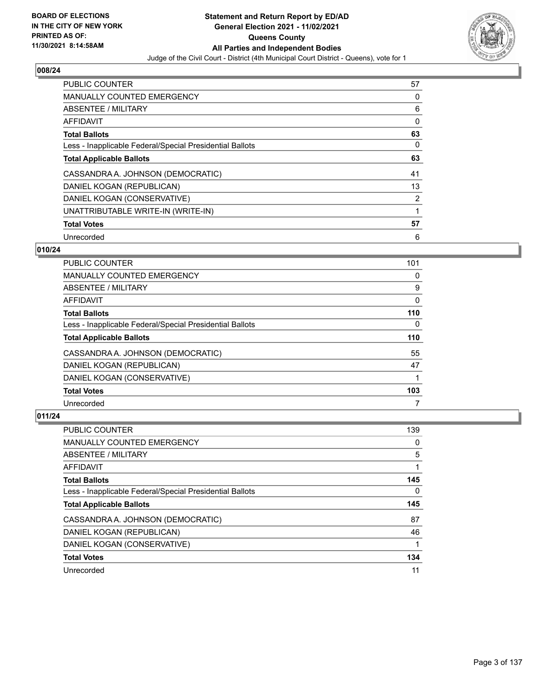

| <b>PUBLIC COUNTER</b>                                    | 57 |
|----------------------------------------------------------|----|
| <b>MANUALLY COUNTED EMERGENCY</b>                        | 0  |
| ABSENTEE / MILITARY                                      | 6  |
| AFFIDAVIT                                                | 0  |
| <b>Total Ballots</b>                                     | 63 |
| Less - Inapplicable Federal/Special Presidential Ballots | 0  |
| <b>Total Applicable Ballots</b>                          | 63 |
| CASSANDRA A. JOHNSON (DEMOCRATIC)                        | 41 |
| DANIEL KOGAN (REPUBLICAN)                                | 13 |
| DANIEL KOGAN (CONSERVATIVE)                              | 2  |
| UNATTRIBUTABLE WRITE-IN (WRITE-IN)                       | 1  |
| <b>Total Votes</b>                                       | 57 |
| Unrecorded                                               | 6  |

## **010/24**

| <b>PUBLIC COUNTER</b>                                    | 101      |
|----------------------------------------------------------|----------|
| <b>MANUALLY COUNTED EMERGENCY</b>                        | 0        |
| ABSENTEE / MILITARY                                      | 9        |
| AFFIDAVIT                                                | $\Omega$ |
| <b>Total Ballots</b>                                     | 110      |
| Less - Inapplicable Federal/Special Presidential Ballots | 0        |
| <b>Total Applicable Ballots</b>                          | 110      |
| CASSANDRA A. JOHNSON (DEMOCRATIC)                        | 55       |
| DANIEL KOGAN (REPUBLICAN)                                | 47       |
| DANIEL KOGAN (CONSERVATIVE)                              |          |
| <b>Total Votes</b>                                       | 103      |
| Unrecorded                                               | 7        |

| <b>PUBLIC COUNTER</b>                                    | 139 |
|----------------------------------------------------------|-----|
| <b>MANUALLY COUNTED EMERGENCY</b>                        | 0   |
| ABSENTEE / MILITARY                                      | 5   |
| AFFIDAVIT                                                |     |
| <b>Total Ballots</b>                                     | 145 |
| Less - Inapplicable Federal/Special Presidential Ballots | 0   |
|                                                          |     |
| <b>Total Applicable Ballots</b>                          | 145 |
| CASSANDRA A. JOHNSON (DEMOCRATIC)                        | 87  |
| DANIEL KOGAN (REPUBLICAN)                                | 46  |
| DANIEL KOGAN (CONSERVATIVE)                              |     |
| <b>Total Votes</b>                                       | 134 |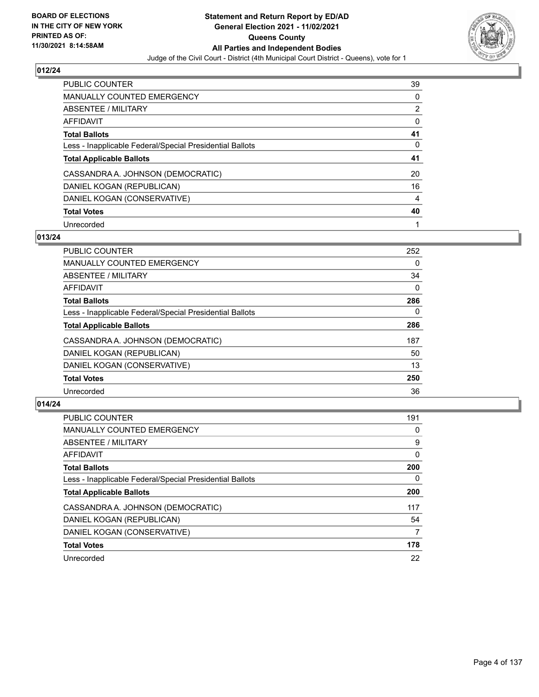

| <b>PUBLIC COUNTER</b>                                    | 39             |
|----------------------------------------------------------|----------------|
| MANUALLY COUNTED EMERGENCY                               | 0              |
| ABSENTEE / MILITARY                                      | 2              |
| AFFIDAVIT                                                | 0              |
| <b>Total Ballots</b>                                     | 41             |
| Less - Inapplicable Federal/Special Presidential Ballots | 0              |
| <b>Total Applicable Ballots</b>                          | 41             |
| CASSANDRA A. JOHNSON (DEMOCRATIC)                        | 20             |
| DANIEL KOGAN (REPUBLICAN)                                | 16             |
| DANIEL KOGAN (CONSERVATIVE)                              | $\overline{4}$ |
| <b>Total Votes</b>                                       | 40             |
| Unrecorded                                               |                |

# **013/24**

| <b>PUBLIC COUNTER</b>                                    | 252      |
|----------------------------------------------------------|----------|
| <b>MANUALLY COUNTED EMERGENCY</b>                        | 0        |
| ABSENTEE / MILITARY                                      | 34       |
| <b>AFFIDAVIT</b>                                         | $\Omega$ |
| <b>Total Ballots</b>                                     | 286      |
| Less - Inapplicable Federal/Special Presidential Ballots | $\Omega$ |
| <b>Total Applicable Ballots</b>                          | 286      |
| CASSANDRA A. JOHNSON (DEMOCRATIC)                        | 187      |
| DANIEL KOGAN (REPUBLICAN)                                | 50       |
| DANIEL KOGAN (CONSERVATIVE)                              | 13       |
| <b>Total Votes</b>                                       | 250      |
| Unrecorded                                               | 36       |

| <b>PUBLIC COUNTER</b>                                    | 191      |
|----------------------------------------------------------|----------|
| MANUALLY COUNTED EMERGENCY                               | 0        |
| ABSENTEE / MILITARY                                      | 9        |
| AFFIDAVIT                                                | $\Omega$ |
| <b>Total Ballots</b>                                     | 200      |
| Less - Inapplicable Federal/Special Presidential Ballots | 0        |
| <b>Total Applicable Ballots</b>                          | 200      |
| CASSANDRA A. JOHNSON (DEMOCRATIC)                        | 117      |
| DANIEL KOGAN (REPUBLICAN)                                | 54       |
| DANIEL KOGAN (CONSERVATIVE)                              | 7        |
| <b>Total Votes</b>                                       | 178      |
| Unrecorded                                               | 22       |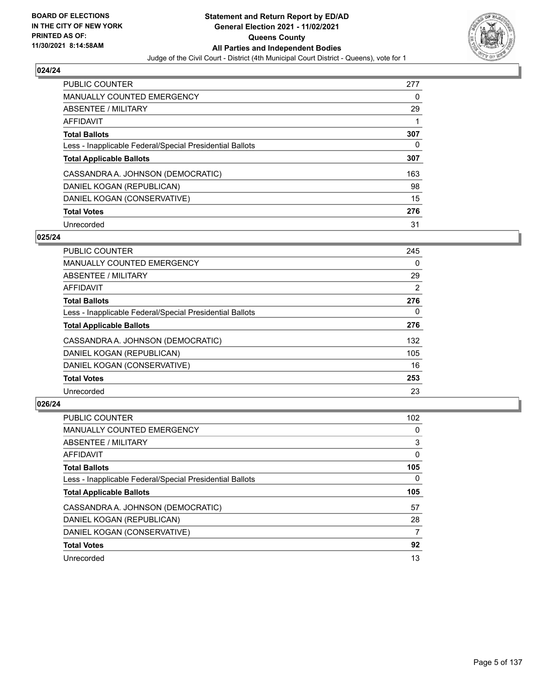

| <b>PUBLIC COUNTER</b>                                    | 277 |
|----------------------------------------------------------|-----|
| <b>MANUALLY COUNTED EMERGENCY</b>                        | 0   |
| ABSENTEE / MILITARY                                      | 29  |
| AFFIDAVIT                                                |     |
| <b>Total Ballots</b>                                     | 307 |
| Less - Inapplicable Federal/Special Presidential Ballots | 0   |
| <b>Total Applicable Ballots</b>                          | 307 |
| CASSANDRA A. JOHNSON (DEMOCRATIC)                        | 163 |
| DANIEL KOGAN (REPUBLICAN)                                | 98  |
| DANIEL KOGAN (CONSERVATIVE)                              | 15  |
| <b>Total Votes</b>                                       | 276 |
| Unrecorded                                               | 31  |

#### **025/24**

| <b>PUBLIC COUNTER</b>                                    | 245      |
|----------------------------------------------------------|----------|
| <b>MANUALLY COUNTED EMERGENCY</b>                        | 0        |
| ABSENTEE / MILITARY                                      | 29       |
| <b>AFFIDAVIT</b>                                         | 2        |
| <b>Total Ballots</b>                                     | 276      |
| Less - Inapplicable Federal/Special Presidential Ballots | $\Omega$ |
| <b>Total Applicable Ballots</b>                          | 276      |
| CASSANDRA A. JOHNSON (DEMOCRATIC)                        | 132      |
| DANIEL KOGAN (REPUBLICAN)                                | 105      |
| DANIEL KOGAN (CONSERVATIVE)                              | 16       |
| <b>Total Votes</b>                                       | 253      |
| Unrecorded                                               | 23       |

| <b>PUBLIC COUNTER</b>                                    | 102 |
|----------------------------------------------------------|-----|
| <b>MANUALLY COUNTED EMERGENCY</b>                        | 0   |
| ABSENTEE / MILITARY                                      | 3   |
| AFFIDAVIT                                                | 0   |
| <b>Total Ballots</b>                                     | 105 |
| Less - Inapplicable Federal/Special Presidential Ballots | 0   |
| <b>Total Applicable Ballots</b>                          | 105 |
| CASSANDRA A. JOHNSON (DEMOCRATIC)                        | 57  |
| DANIEL KOGAN (REPUBLICAN)                                | 28  |
| DANIEL KOGAN (CONSERVATIVE)                              | 7   |
| <b>Total Votes</b>                                       | 92  |
| Unrecorded                                               | 13  |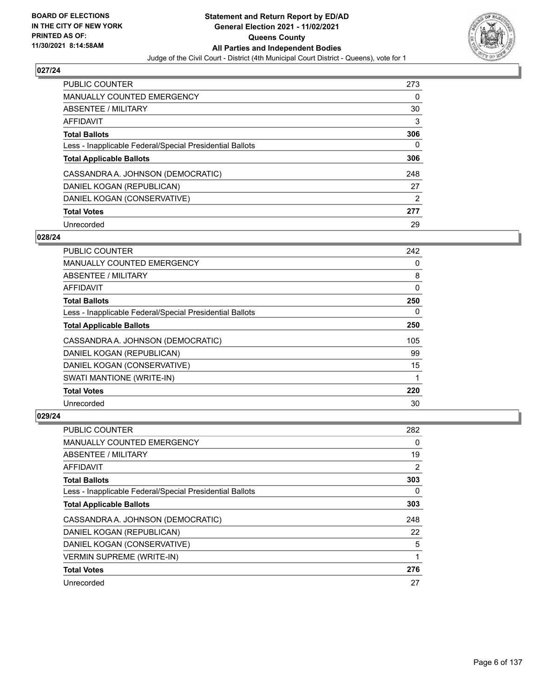

| <b>PUBLIC COUNTER</b>                                    | 273 |
|----------------------------------------------------------|-----|
| <b>MANUALLY COUNTED EMERGENCY</b>                        | 0   |
| ABSENTEE / MILITARY                                      | 30  |
| AFFIDAVIT                                                | 3   |
| <b>Total Ballots</b>                                     | 306 |
| Less - Inapplicable Federal/Special Presidential Ballots | 0   |
| <b>Total Applicable Ballots</b>                          | 306 |
| CASSANDRA A. JOHNSON (DEMOCRATIC)                        | 248 |
| DANIEL KOGAN (REPUBLICAN)                                | 27  |
| DANIEL KOGAN (CONSERVATIVE)                              | 2   |
|                                                          |     |
| <b>Total Votes</b>                                       | 277 |

#### **028/24**

| PUBLIC COUNTER                                           | 242      |
|----------------------------------------------------------|----------|
| <b>MANUALLY COUNTED EMERGENCY</b>                        | $\Omega$ |
| ABSENTEE / MILITARY                                      | 8        |
| AFFIDAVIT                                                | 0        |
| <b>Total Ballots</b>                                     | 250      |
| Less - Inapplicable Federal/Special Presidential Ballots | $\Omega$ |
| <b>Total Applicable Ballots</b>                          | 250      |
| CASSANDRA A. JOHNSON (DEMOCRATIC)                        | 105      |
| DANIEL KOGAN (REPUBLICAN)                                | 99       |
| DANIEL KOGAN (CONSERVATIVE)                              | 15       |
| SWATI MANTIONE (WRITE-IN)                                | 1        |
| <b>Total Votes</b>                                       | 220      |
| Unrecorded                                               | 30       |

| <b>PUBLIC COUNTER</b>                                    | 282      |
|----------------------------------------------------------|----------|
| MANUALLY COUNTED EMERGENCY                               | 0        |
| ABSENTEE / MILITARY                                      | 19       |
| AFFIDAVIT                                                | 2        |
| <b>Total Ballots</b>                                     | 303      |
| Less - Inapplicable Federal/Special Presidential Ballots | $\Omega$ |
| <b>Total Applicable Ballots</b>                          | 303      |
| CASSANDRA A. JOHNSON (DEMOCRATIC)                        | 248      |
| DANIEL KOGAN (REPUBLICAN)                                | 22       |
| DANIEL KOGAN (CONSERVATIVE)                              | 5        |
| <b>VERMIN SUPREME (WRITE-IN)</b>                         |          |
| <b>Total Votes</b>                                       | 276      |
| Unrecorded                                               | 27       |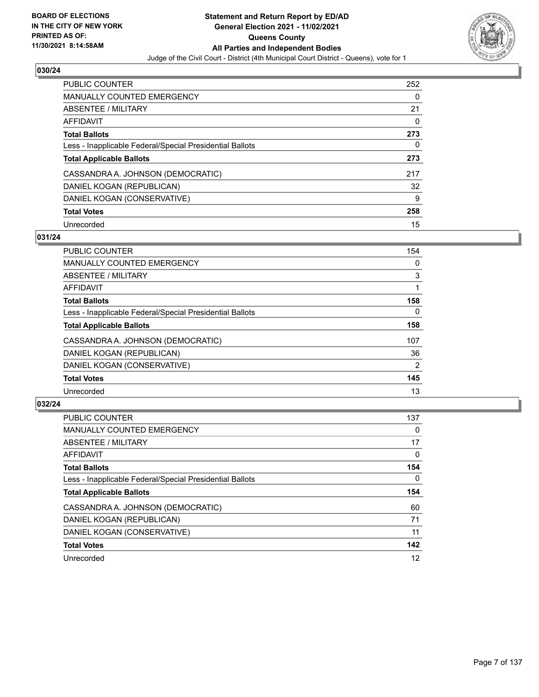

| PUBLIC COUNTER                                           | 252 |
|----------------------------------------------------------|-----|
| <b>MANUALLY COUNTED EMERGENCY</b>                        | 0   |
| ABSENTEE / MILITARY                                      | 21  |
| AFFIDAVIT                                                | 0   |
| <b>Total Ballots</b>                                     | 273 |
| Less - Inapplicable Federal/Special Presidential Ballots | 0   |
| <b>Total Applicable Ballots</b>                          | 273 |
| CASSANDRA A. JOHNSON (DEMOCRATIC)                        | 217 |
| DANIEL KOGAN (REPUBLICAN)                                | 32  |
| DANIEL KOGAN (CONSERVATIVE)                              | 9   |
| <b>Total Votes</b>                                       | 258 |
| Unrecorded                                               | 15  |

#### **031/24**

| <b>PUBLIC COUNTER</b>                                    | 154            |
|----------------------------------------------------------|----------------|
| <b>MANUALLY COUNTED EMERGENCY</b>                        | 0              |
| ABSENTEE / MILITARY                                      | 3              |
| <b>AFFIDAVIT</b>                                         |                |
| <b>Total Ballots</b>                                     | 158            |
| Less - Inapplicable Federal/Special Presidential Ballots | $\Omega$       |
| <b>Total Applicable Ballots</b>                          | 158            |
| CASSANDRA A. JOHNSON (DEMOCRATIC)                        | 107            |
| DANIEL KOGAN (REPUBLICAN)                                | 36             |
| DANIEL KOGAN (CONSERVATIVE)                              | $\overline{2}$ |
| <b>Total Votes</b>                                       | 145            |
| Unrecorded                                               | 13             |

| <b>PUBLIC COUNTER</b>                                    | 137      |
|----------------------------------------------------------|----------|
| <b>MANUALLY COUNTED EMERGENCY</b>                        | $\Omega$ |
| ABSENTEE / MILITARY                                      | 17       |
| AFFIDAVIT                                                | $\Omega$ |
| <b>Total Ballots</b>                                     | 154      |
| Less - Inapplicable Federal/Special Presidential Ballots | 0        |
| <b>Total Applicable Ballots</b>                          | 154      |
| CASSANDRA A. JOHNSON (DEMOCRATIC)                        | 60       |
| DANIEL KOGAN (REPUBLICAN)                                | 71       |
| DANIEL KOGAN (CONSERVATIVE)                              | 11       |
| <b>Total Votes</b>                                       | 142      |
| Unrecorded                                               | 12       |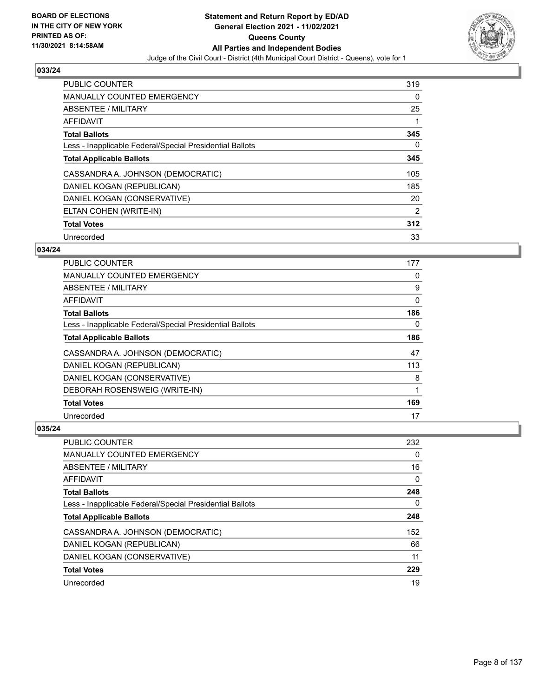

| <b>PUBLIC COUNTER</b>                                    | 319            |
|----------------------------------------------------------|----------------|
| <b>MANUALLY COUNTED EMERGENCY</b>                        | 0              |
| ABSENTEE / MILITARY                                      | 25             |
| <b>AFFIDAVIT</b>                                         |                |
| <b>Total Ballots</b>                                     | 345            |
| Less - Inapplicable Federal/Special Presidential Ballots | 0              |
| <b>Total Applicable Ballots</b>                          | 345            |
| CASSANDRA A. JOHNSON (DEMOCRATIC)                        | 105            |
| DANIEL KOGAN (REPUBLICAN)                                | 185            |
| DANIEL KOGAN (CONSERVATIVE)                              | 20             |
| ELTAN COHEN (WRITE-IN)                                   | $\overline{2}$ |
| <b>Total Votes</b>                                       | 312            |
| Unrecorded                                               | 33             |

## **034/24**

| PUBLIC COUNTER                                           | 177 |
|----------------------------------------------------------|-----|
| MANUALLY COUNTED EMERGENCY                               | 0   |
| ABSENTEE / MILITARY                                      | 9   |
| AFFIDAVIT                                                | 0   |
| <b>Total Ballots</b>                                     | 186 |
| Less - Inapplicable Federal/Special Presidential Ballots | 0   |
| <b>Total Applicable Ballots</b>                          | 186 |
| CASSANDRA A. JOHNSON (DEMOCRATIC)                        | 47  |
| DANIEL KOGAN (REPUBLICAN)                                | 113 |
| DANIEL KOGAN (CONSERVATIVE)                              | 8   |
| DEBORAH ROSENSWEIG (WRITE-IN)                            | 1   |
| <b>Total Votes</b>                                       | 169 |
| Unrecorded                                               | 17  |

| PUBLIC COUNTER                                           | 232 |
|----------------------------------------------------------|-----|
| MANUALLY COUNTED EMERGENCY                               | 0   |
| ABSENTEE / MILITARY                                      | 16  |
| AFFIDAVIT                                                | 0   |
| <b>Total Ballots</b>                                     | 248 |
| Less - Inapplicable Federal/Special Presidential Ballots | 0   |
| <b>Total Applicable Ballots</b>                          | 248 |
| CASSANDRA A. JOHNSON (DEMOCRATIC)                        | 152 |
| DANIEL KOGAN (REPUBLICAN)                                | 66  |
| DANIEL KOGAN (CONSERVATIVE)                              | 11  |
| <b>Total Votes</b>                                       | 229 |
| Unrecorded                                               | 19  |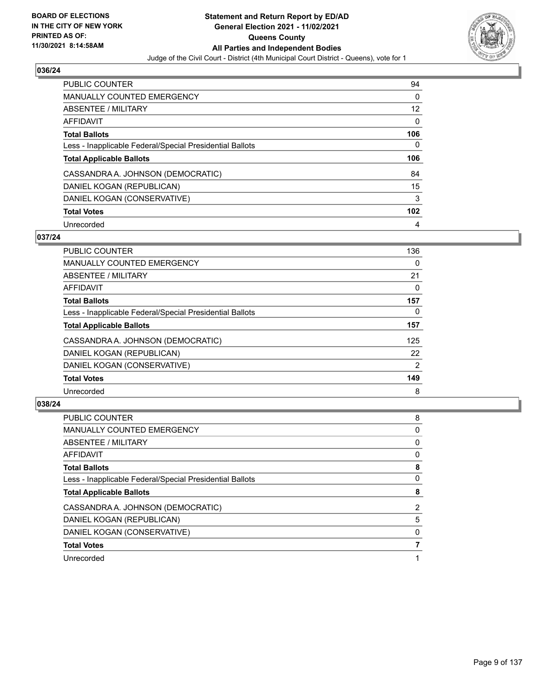

| <b>PUBLIC COUNTER</b>                                    | 94       |
|----------------------------------------------------------|----------|
| <b>MANUALLY COUNTED EMERGENCY</b>                        | $\Omega$ |
| ABSENTEE / MILITARY                                      | 12       |
| AFFIDAVIT                                                | 0        |
| <b>Total Ballots</b>                                     | 106      |
| Less - Inapplicable Federal/Special Presidential Ballots | 0        |
|                                                          |          |
| <b>Total Applicable Ballots</b>                          | 106      |
| CASSANDRA A. JOHNSON (DEMOCRATIC)                        | 84       |
| DANIEL KOGAN (REPUBLICAN)                                | 15       |
| DANIEL KOGAN (CONSERVATIVE)                              | 3        |
| <b>Total Votes</b>                                       | 102      |

#### **037/24**

| <b>PUBLIC COUNTER</b>                                    | 136 |
|----------------------------------------------------------|-----|
| MANUALLY COUNTED EMERGENCY                               | 0   |
| ABSENTEE / MILITARY                                      | 21  |
| <b>AFFIDAVIT</b>                                         | 0   |
| <b>Total Ballots</b>                                     | 157 |
| Less - Inapplicable Federal/Special Presidential Ballots | 0   |
| <b>Total Applicable Ballots</b>                          | 157 |
| CASSANDRA A. JOHNSON (DEMOCRATIC)                        | 125 |
| DANIEL KOGAN (REPUBLICAN)                                | 22  |
| DANIEL KOGAN (CONSERVATIVE)                              | 2   |
| <b>Total Votes</b>                                       | 149 |
| Unrecorded                                               | 8   |

| <b>PUBLIC COUNTER</b>                                    | 8              |
|----------------------------------------------------------|----------------|
| <b>MANUALLY COUNTED EMERGENCY</b>                        | 0              |
| ABSENTEE / MILITARY                                      | 0              |
| AFFIDAVIT                                                | 0              |
| <b>Total Ballots</b>                                     | 8              |
| Less - Inapplicable Federal/Special Presidential Ballots | 0              |
| <b>Total Applicable Ballots</b>                          | 8              |
| CASSANDRA A. JOHNSON (DEMOCRATIC)                        | $\overline{2}$ |
| DANIEL KOGAN (REPUBLICAN)                                | 5              |
| DANIEL KOGAN (CONSERVATIVE)                              | 0              |
| <b>Total Votes</b>                                       |                |
| Unrecorded                                               |                |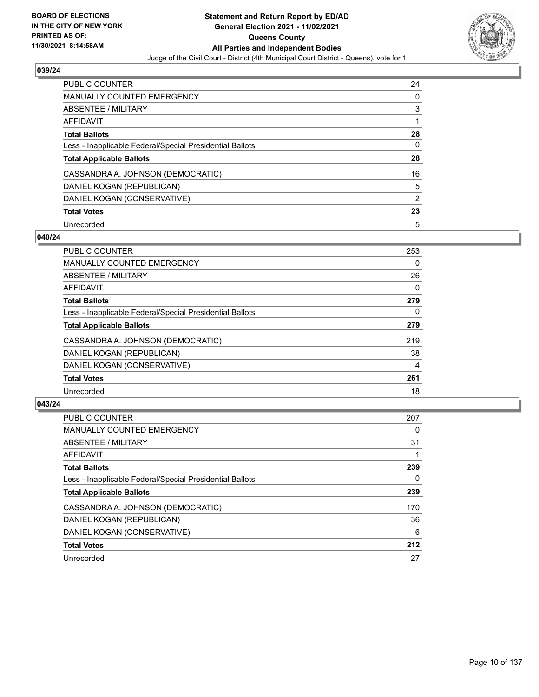

| PUBLIC COUNTER                                           | 24 |
|----------------------------------------------------------|----|
| MANUALLY COUNTED EMERGENCY                               | 0  |
| ABSENTEE / MILITARY                                      | 3  |
| AFFIDAVIT                                                |    |
| <b>Total Ballots</b>                                     | 28 |
| Less - Inapplicable Federal/Special Presidential Ballots | 0  |
| <b>Total Applicable Ballots</b>                          | 28 |
| CASSANDRA A. JOHNSON (DEMOCRATIC)                        | 16 |
| DANIEL KOGAN (REPUBLICAN)                                | 5  |
| DANIEL KOGAN (CONSERVATIVE)                              | 2  |
| <b>Total Votes</b>                                       | 23 |
| Unrecorded                                               | 5  |

#### **040/24**

| <b>PUBLIC COUNTER</b>                                    | 253      |
|----------------------------------------------------------|----------|
| <b>MANUALLY COUNTED EMERGENCY</b>                        | 0        |
| ABSENTEE / MILITARY                                      | 26       |
| <b>AFFIDAVIT</b>                                         | 0        |
| <b>Total Ballots</b>                                     | 279      |
| Less - Inapplicable Federal/Special Presidential Ballots | $\Omega$ |
| <b>Total Applicable Ballots</b>                          | 279      |
| CASSANDRA A. JOHNSON (DEMOCRATIC)                        | 219      |
| DANIEL KOGAN (REPUBLICAN)                                | 38       |
| DANIEL KOGAN (CONSERVATIVE)                              | 4        |
| <b>Total Votes</b>                                       | 261      |
| Unrecorded                                               | 18       |

| <b>PUBLIC COUNTER</b>                                    | 207 |
|----------------------------------------------------------|-----|
| <b>MANUALLY COUNTED EMERGENCY</b>                        | 0   |
| ABSENTEE / MILITARY                                      | 31  |
| AFFIDAVIT                                                |     |
| <b>Total Ballots</b>                                     | 239 |
| Less - Inapplicable Federal/Special Presidential Ballots | 0   |
| <b>Total Applicable Ballots</b>                          | 239 |
| CASSANDRA A. JOHNSON (DEMOCRATIC)                        | 170 |
| DANIEL KOGAN (REPUBLICAN)                                | 36  |
| DANIEL KOGAN (CONSERVATIVE)                              | 6   |
| <b>Total Votes</b>                                       | 212 |
| Unrecorded                                               | 27  |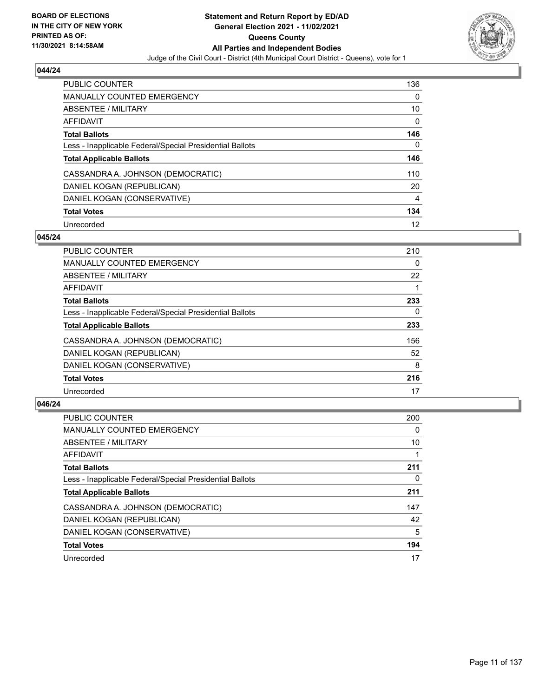

| <b>PUBLIC COUNTER</b>                                    | 136      |
|----------------------------------------------------------|----------|
| MANUALLY COUNTED EMERGENCY                               | $\Omega$ |
| ABSENTEE / MILITARY                                      | 10       |
| AFFIDAVIT                                                | 0        |
| <b>Total Ballots</b>                                     | 146      |
| Less - Inapplicable Federal/Special Presidential Ballots | 0        |
| <b>Total Applicable Ballots</b>                          | 146      |
| CASSANDRA A. JOHNSON (DEMOCRATIC)                        | 110      |
| DANIEL KOGAN (REPUBLICAN)                                | 20       |
| DANIEL KOGAN (CONSERVATIVE)                              | 4        |
| <b>Total Votes</b>                                       | 134      |
| Unrecorded                                               | 12       |

#### **045/24**

| <b>PUBLIC COUNTER</b>                                    | 210 |
|----------------------------------------------------------|-----|
| <b>MANUALLY COUNTED EMERGENCY</b>                        | 0   |
| ABSENTEE / MILITARY                                      | 22  |
| <b>AFFIDAVIT</b>                                         |     |
| <b>Total Ballots</b>                                     | 233 |
| Less - Inapplicable Federal/Special Presidential Ballots | 0   |
| <b>Total Applicable Ballots</b>                          | 233 |
| CASSANDRA A. JOHNSON (DEMOCRATIC)                        | 156 |
| DANIEL KOGAN (REPUBLICAN)                                | 52  |
| DANIEL KOGAN (CONSERVATIVE)                              | 8   |
| <b>Total Votes</b>                                       | 216 |
| Unrecorded                                               | 17  |

| <b>PUBLIC COUNTER</b>                                    | 200 |
|----------------------------------------------------------|-----|
| <b>MANUALLY COUNTED EMERGENCY</b>                        | 0   |
| <b>ABSENTEE / MILITARY</b>                               | 10  |
| <b>AFFIDAVIT</b>                                         |     |
| <b>Total Ballots</b>                                     | 211 |
| Less - Inapplicable Federal/Special Presidential Ballots | 0   |
| <b>Total Applicable Ballots</b>                          | 211 |
| CASSANDRA A. JOHNSON (DEMOCRATIC)                        | 147 |
| DANIEL KOGAN (REPUBLICAN)                                | 42  |
| DANIEL KOGAN (CONSERVATIVE)                              | 5   |
| <b>Total Votes</b>                                       | 194 |
| Unrecorded                                               | 17  |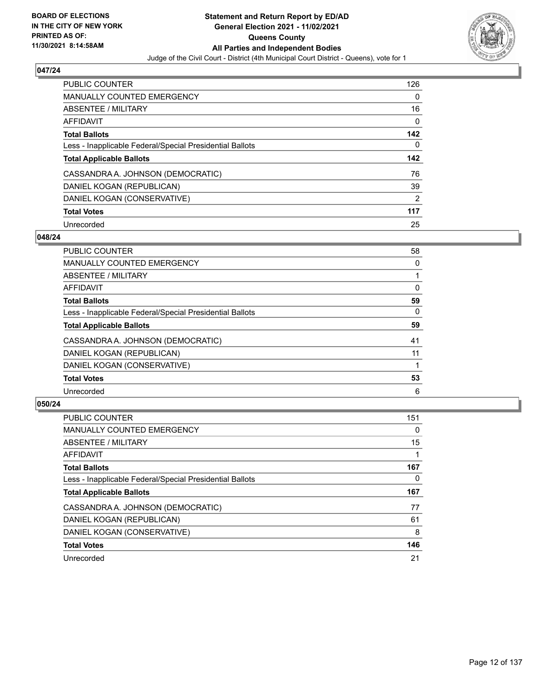

| <b>PUBLIC COUNTER</b>                                    | 126            |
|----------------------------------------------------------|----------------|
| <b>MANUALLY COUNTED EMERGENCY</b>                        | 0              |
| ABSENTEE / MILITARY                                      | 16             |
| AFFIDAVIT                                                | 0              |
| <b>Total Ballots</b>                                     | 142            |
| Less - Inapplicable Federal/Special Presidential Ballots | 0              |
|                                                          |                |
| <b>Total Applicable Ballots</b>                          |                |
| CASSANDRA A. JOHNSON (DEMOCRATIC)                        | 142<br>76      |
| DANIEL KOGAN (REPUBLICAN)                                | 39             |
| DANIEL KOGAN (CONSERVATIVE)                              | $\overline{2}$ |
| <b>Total Votes</b>                                       | 117            |

#### **048/24**

| <b>PUBLIC COUNTER</b>                                    | 58 |
|----------------------------------------------------------|----|
| MANUALLY COUNTED EMERGENCY                               | 0  |
| ABSENTEE / MILITARY                                      |    |
| <b>AFFIDAVIT</b>                                         | 0  |
| <b>Total Ballots</b>                                     | 59 |
| Less - Inapplicable Federal/Special Presidential Ballots | 0  |
| <b>Total Applicable Ballots</b>                          | 59 |
| CASSANDRA A. JOHNSON (DEMOCRATIC)                        | 41 |
| DANIEL KOGAN (REPUBLICAN)                                | 11 |
| DANIEL KOGAN (CONSERVATIVE)                              |    |
| <b>Total Votes</b>                                       | 53 |
| Unrecorded                                               | 6  |

| <b>PUBLIC COUNTER</b>                                    | 151      |
|----------------------------------------------------------|----------|
| <b>MANUALLY COUNTED EMERGENCY</b>                        | $\Omega$ |
| ABSENTEE / MILITARY                                      | 15       |
| <b>AFFIDAVIT</b>                                         |          |
| <b>Total Ballots</b>                                     | 167      |
| Less - Inapplicable Federal/Special Presidential Ballots | 0        |
| <b>Total Applicable Ballots</b>                          | 167      |
| CASSANDRA A. JOHNSON (DEMOCRATIC)                        | 77       |
| DANIEL KOGAN (REPUBLICAN)                                | 61       |
| DANIEL KOGAN (CONSERVATIVE)                              | 8        |
| <b>Total Votes</b>                                       | 146      |
| Unrecorded                                               | 21       |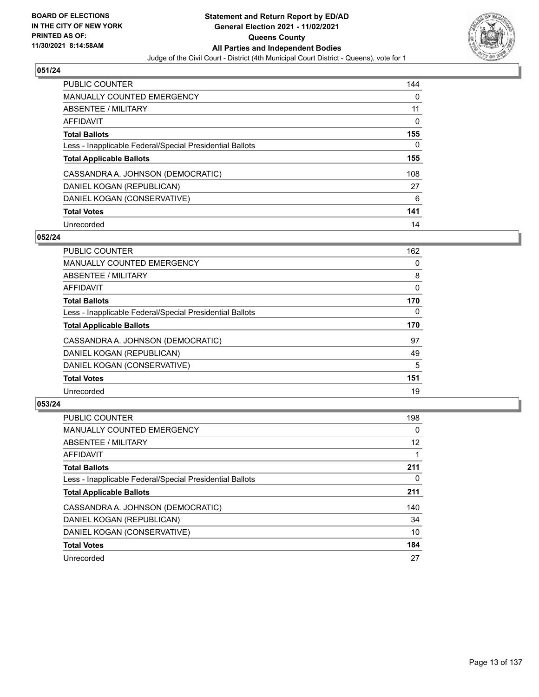

| <b>PUBLIC COUNTER</b>                                    | 144 |
|----------------------------------------------------------|-----|
| <b>MANUALLY COUNTED EMERGENCY</b>                        | 0   |
| ABSENTEE / MILITARY                                      | 11  |
| AFFIDAVIT                                                | 0   |
| <b>Total Ballots</b>                                     | 155 |
| Less - Inapplicable Federal/Special Presidential Ballots | 0   |
| <b>Total Applicable Ballots</b>                          | 155 |
| CASSANDRA A. JOHNSON (DEMOCRATIC)                        | 108 |
| DANIEL KOGAN (REPUBLICAN)                                | 27  |
| DANIEL KOGAN (CONSERVATIVE)                              | 6   |
|                                                          |     |
| <b>Total Votes</b>                                       | 141 |

#### **052/24**

| <b>PUBLIC COUNTER</b>                                    | 162      |
|----------------------------------------------------------|----------|
| <b>MANUALLY COUNTED EMERGENCY</b>                        | 0        |
| ABSENTEE / MILITARY                                      | 8        |
| <b>AFFIDAVIT</b>                                         | $\Omega$ |
| <b>Total Ballots</b>                                     | 170      |
| Less - Inapplicable Federal/Special Presidential Ballots | $\Omega$ |
| <b>Total Applicable Ballots</b>                          | 170      |
| CASSANDRA A. JOHNSON (DEMOCRATIC)                        | 97       |
| DANIEL KOGAN (REPUBLICAN)                                | 49       |
| DANIEL KOGAN (CONSERVATIVE)                              | 5        |
| <b>Total Votes</b>                                       | 151      |
| Unrecorded                                               | 19       |

| <b>PUBLIC COUNTER</b>                                    | 198      |
|----------------------------------------------------------|----------|
| <b>MANUALLY COUNTED EMERGENCY</b>                        | $\Omega$ |
| ABSENTEE / MILITARY                                      | 12       |
| <b>AFFIDAVIT</b>                                         |          |
| <b>Total Ballots</b>                                     | 211      |
| Less - Inapplicable Federal/Special Presidential Ballots | 0        |
| <b>Total Applicable Ballots</b>                          | 211      |
| CASSANDRA A. JOHNSON (DEMOCRATIC)                        | 140      |
| DANIEL KOGAN (REPUBLICAN)                                | 34       |
| DANIEL KOGAN (CONSERVATIVE)                              | 10       |
| <b>Total Votes</b>                                       | 184      |
| Unrecorded                                               | 27       |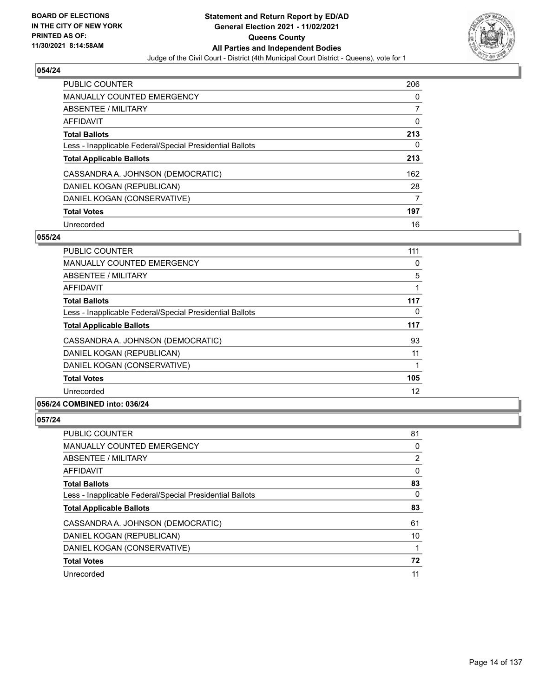

| <b>PUBLIC COUNTER</b>                                    | 206 |
|----------------------------------------------------------|-----|
| <b>MANUALLY COUNTED EMERGENCY</b>                        | 0   |
| ABSENTEE / MILITARY                                      | 7   |
| AFFIDAVIT                                                | 0   |
| <b>Total Ballots</b>                                     | 213 |
| Less - Inapplicable Federal/Special Presidential Ballots | 0   |
| <b>Total Applicable Ballots</b>                          | 213 |
| CASSANDRA A. JOHNSON (DEMOCRATIC)                        | 162 |
| DANIEL KOGAN (REPUBLICAN)                                | 28  |
| DANIEL KOGAN (CONSERVATIVE)                              | 7   |
| <b>Total Votes</b>                                       | 197 |
| Unrecorded                                               | 16  |

#### **055/24**

| PUBLIC COUNTER                                           | 111 |
|----------------------------------------------------------|-----|
| <b>MANUALLY COUNTED EMERGENCY</b>                        | 0   |
| ABSENTEE / MILITARY                                      | 5   |
| <b>AFFIDAVIT</b>                                         |     |
| <b>Total Ballots</b>                                     | 117 |
| Less - Inapplicable Federal/Special Presidential Ballots | 0   |
| <b>Total Applicable Ballots</b>                          | 117 |
| CASSANDRA A. JOHNSON (DEMOCRATIC)                        | 93  |
| DANIEL KOGAN (REPUBLICAN)                                | 11  |
| DANIEL KOGAN (CONSERVATIVE)                              |     |
| <b>Total Votes</b>                                       | 105 |
| Unrecorded                                               | 12  |
| A                                                        |     |

## **056/24 COMBINED into: 036/24**

| <b>PUBLIC COUNTER</b>                                    | 81 |
|----------------------------------------------------------|----|
| <b>MANUALLY COUNTED EMERGENCY</b>                        | 0  |
| ABSENTEE / MILITARY                                      | 2  |
| AFFIDAVIT                                                | 0  |
| <b>Total Ballots</b>                                     | 83 |
| Less - Inapplicable Federal/Special Presidential Ballots | 0  |
| <b>Total Applicable Ballots</b>                          | 83 |
|                                                          | 61 |
| CASSANDRA A. JOHNSON (DEMOCRATIC)                        |    |
| DANIEL KOGAN (REPUBLICAN)                                | 10 |
| DANIEL KOGAN (CONSERVATIVE)                              |    |
| <b>Total Votes</b>                                       | 72 |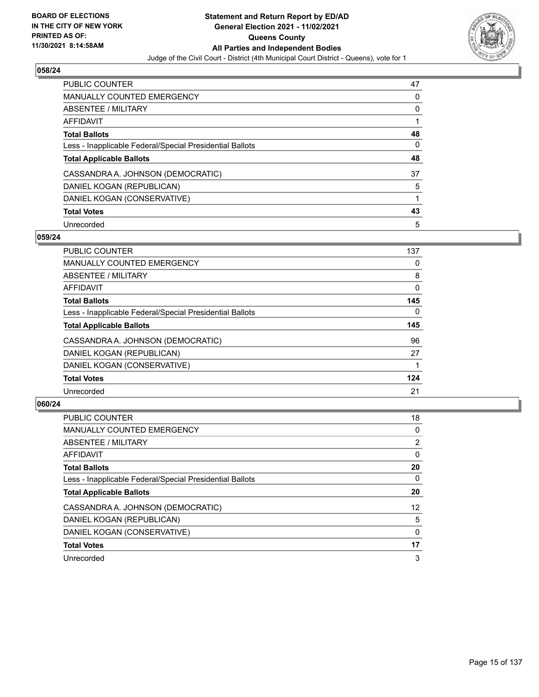

| <b>PUBLIC COUNTER</b>                                    | 47 |
|----------------------------------------------------------|----|
| <b>MANUALLY COUNTED EMERGENCY</b>                        | 0  |
| ABSENTEE / MILITARY                                      | 0  |
| AFFIDAVIT                                                |    |
| <b>Total Ballots</b>                                     | 48 |
| Less - Inapplicable Federal/Special Presidential Ballots | 0  |
| <b>Total Applicable Ballots</b>                          | 48 |
| CASSANDRA A. JOHNSON (DEMOCRATIC)                        | 37 |
| DANIEL KOGAN (REPUBLICAN)                                | 5  |
| DANIEL KOGAN (CONSERVATIVE)                              |    |
| <b>Total Votes</b>                                       | 43 |
| Unrecorded                                               | 5  |

#### **059/24**

| <b>PUBLIC COUNTER</b>                                    | 137      |
|----------------------------------------------------------|----------|
| <b>MANUALLY COUNTED EMERGENCY</b>                        | 0        |
| ABSENTEE / MILITARY                                      | 8        |
| <b>AFFIDAVIT</b>                                         | $\Omega$ |
| <b>Total Ballots</b>                                     | 145      |
| Less - Inapplicable Federal/Special Presidential Ballots | $\Omega$ |
| <b>Total Applicable Ballots</b>                          | 145      |
| CASSANDRA A. JOHNSON (DEMOCRATIC)                        | 96       |
| DANIEL KOGAN (REPUBLICAN)                                | 27       |
| DANIEL KOGAN (CONSERVATIVE)                              |          |
| <b>Total Votes</b>                                       | 124      |
| Unrecorded                                               | 21       |

| <b>PUBLIC COUNTER</b>                                    | 18              |
|----------------------------------------------------------|-----------------|
| <b>MANUALLY COUNTED EMERGENCY</b>                        | 0               |
| ABSENTEE / MILITARY                                      | $\overline{2}$  |
| AFFIDAVIT                                                | 0               |
| <b>Total Ballots</b>                                     | 20              |
| Less - Inapplicable Federal/Special Presidential Ballots | 0               |
| <b>Total Applicable Ballots</b>                          | 20              |
| CASSANDRA A. JOHNSON (DEMOCRATIC)                        | 12 <sup>2</sup> |
| DANIEL KOGAN (REPUBLICAN)                                | 5               |
| DANIEL KOGAN (CONSERVATIVE)                              | $\Omega$        |
| <b>Total Votes</b>                                       | 17              |
| Unrecorded                                               | 3               |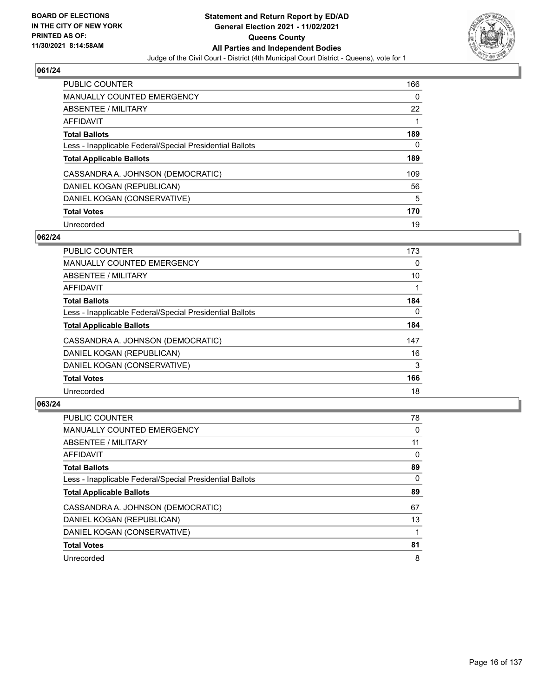

| <b>PUBLIC COUNTER</b>                                    | 166      |
|----------------------------------------------------------|----------|
| <b>MANUALLY COUNTED EMERGENCY</b>                        | $\Omega$ |
| ABSENTEE / MILITARY                                      | 22       |
| AFFIDAVIT                                                |          |
| <b>Total Ballots</b>                                     | 189      |
| Less - Inapplicable Federal/Special Presidential Ballots | 0        |
| <b>Total Applicable Ballots</b>                          | 189      |
| CASSANDRA A. JOHNSON (DEMOCRATIC)                        | 109      |
| DANIEL KOGAN (REPUBLICAN)                                | 56       |
| DANIEL KOGAN (CONSERVATIVE)                              | 5        |
| <b>Total Votes</b>                                       | 170      |
| Unrecorded                                               | 19       |

#### **062/24**

| <b>PUBLIC COUNTER</b>                                    | 173      |
|----------------------------------------------------------|----------|
| <b>MANUALLY COUNTED EMERGENCY</b>                        | 0        |
| ABSENTEE / MILITARY                                      | 10       |
| <b>AFFIDAVIT</b>                                         |          |
| <b>Total Ballots</b>                                     | 184      |
| Less - Inapplicable Federal/Special Presidential Ballots | $\Omega$ |
| <b>Total Applicable Ballots</b>                          | 184      |
| CASSANDRA A. JOHNSON (DEMOCRATIC)                        | 147      |
| DANIEL KOGAN (REPUBLICAN)                                | 16       |
| DANIEL KOGAN (CONSERVATIVE)                              | 3        |
| <b>Total Votes</b>                                       | 166      |
| Unrecorded                                               | 18       |

| <b>PUBLIC COUNTER</b>                                    | 78       |
|----------------------------------------------------------|----------|
| <b>MANUALLY COUNTED EMERGENCY</b>                        | $\Omega$ |
| ABSENTEE / MILITARY                                      | 11       |
| AFFIDAVIT                                                | 0        |
| <b>Total Ballots</b>                                     | 89       |
| Less - Inapplicable Federal/Special Presidential Ballots | 0        |
| <b>Total Applicable Ballots</b>                          | 89       |
| CASSANDRA A. JOHNSON (DEMOCRATIC)                        | 67       |
| DANIEL KOGAN (REPUBLICAN)                                | 13       |
| DANIEL KOGAN (CONSERVATIVE)                              |          |
| <b>Total Votes</b>                                       | 81       |
| Unrecorded                                               | 8        |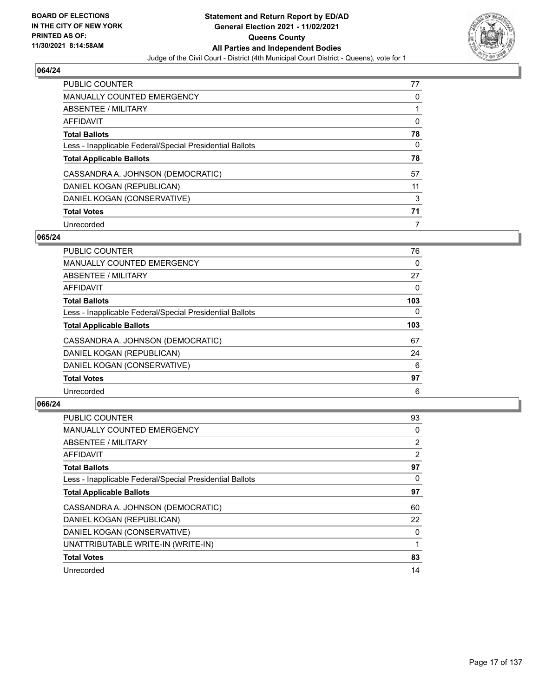

| <b>PUBLIC COUNTER</b>                                    | 77 |
|----------------------------------------------------------|----|
| MANUALLY COUNTED EMERGENCY                               | 0  |
| ABSENTEE / MILITARY                                      |    |
| AFFIDAVIT                                                | 0  |
| <b>Total Ballots</b>                                     | 78 |
| Less - Inapplicable Federal/Special Presidential Ballots | 0  |
|                                                          |    |
| <b>Total Applicable Ballots</b>                          | 78 |
| CASSANDRA A. JOHNSON (DEMOCRATIC)                        | 57 |
| DANIEL KOGAN (REPUBLICAN)                                | 11 |
| DANIEL KOGAN (CONSERVATIVE)                              | 3  |
| <b>Total Votes</b>                                       | 71 |

#### **065/24**

| PUBLIC COUNTER                                           | 76       |
|----------------------------------------------------------|----------|
| <b>MANUALLY COUNTED EMERGENCY</b>                        | 0        |
| ABSENTEE / MILITARY                                      | 27       |
| <b>AFFIDAVIT</b>                                         | 0        |
| <b>Total Ballots</b>                                     | 103      |
| Less - Inapplicable Federal/Special Presidential Ballots | $\Omega$ |
| <b>Total Applicable Ballots</b>                          | 103      |
| CASSANDRA A. JOHNSON (DEMOCRATIC)                        | 67       |
| DANIEL KOGAN (REPUBLICAN)                                | 24       |
| DANIEL KOGAN (CONSERVATIVE)                              | 6        |
| <b>Total Votes</b>                                       | 97       |
| Unrecorded                                               | 6        |

| <b>PUBLIC COUNTER</b>                                    | 93             |
|----------------------------------------------------------|----------------|
| <b>MANUALLY COUNTED EMERGENCY</b>                        | 0              |
| ABSENTEE / MILITARY                                      | $\overline{2}$ |
| AFFIDAVIT                                                | 2              |
| <b>Total Ballots</b>                                     | 97             |
| Less - Inapplicable Federal/Special Presidential Ballots | 0              |
| <b>Total Applicable Ballots</b>                          | 97             |
| CASSANDRA A. JOHNSON (DEMOCRATIC)                        | 60             |
| DANIEL KOGAN (REPUBLICAN)                                | 22             |
| DANIEL KOGAN (CONSERVATIVE)                              | 0              |
| UNATTRIBUTABLE WRITE-IN (WRITE-IN)                       |                |
| <b>Total Votes</b>                                       | 83             |
| Unrecorded                                               | 14             |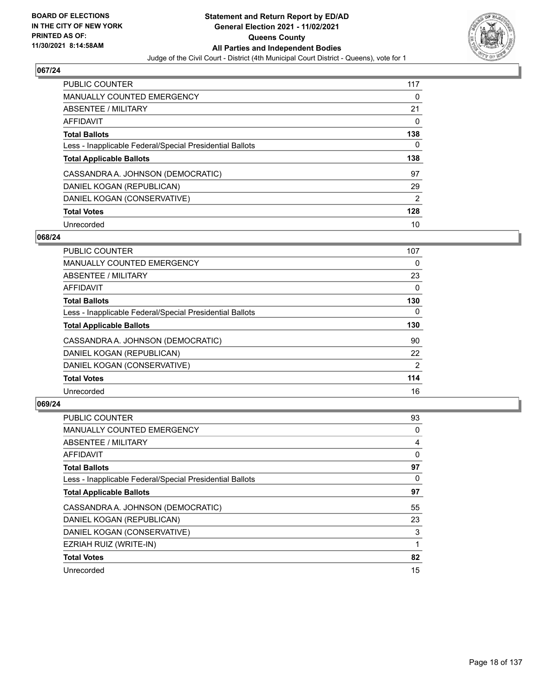

| <b>PUBLIC COUNTER</b>                                    | 117            |
|----------------------------------------------------------|----------------|
| <b>MANUALLY COUNTED EMERGENCY</b>                        | 0              |
| ABSENTEE / MILITARY                                      | 21             |
| AFFIDAVIT                                                | 0              |
| <b>Total Ballots</b>                                     | 138            |
| Less - Inapplicable Federal/Special Presidential Ballots | 0              |
|                                                          |                |
| <b>Total Applicable Ballots</b>                          | 138            |
| CASSANDRA A. JOHNSON (DEMOCRATIC)                        | 97             |
| DANIEL KOGAN (REPUBLICAN)                                | 29             |
| DANIEL KOGAN (CONSERVATIVE)                              | $\overline{2}$ |
| <b>Total Votes</b>                                       | 128            |

#### **068/24**

| <b>PUBLIC COUNTER</b>                                    | 107            |
|----------------------------------------------------------|----------------|
| <b>MANUALLY COUNTED EMERGENCY</b>                        | 0              |
| ABSENTEE / MILITARY                                      | 23             |
| <b>AFFIDAVIT</b>                                         | $\Omega$       |
| <b>Total Ballots</b>                                     | 130            |
| Less - Inapplicable Federal/Special Presidential Ballots | $\Omega$       |
| <b>Total Applicable Ballots</b>                          | 130            |
| CASSANDRA A. JOHNSON (DEMOCRATIC)                        | 90             |
| DANIEL KOGAN (REPUBLICAN)                                | 22             |
| DANIEL KOGAN (CONSERVATIVE)                              | $\overline{2}$ |
| <b>Total Votes</b>                                       | 114            |
| Unrecorded                                               | 16             |

| <b>PUBLIC COUNTER</b>                                    | 93 |
|----------------------------------------------------------|----|
| <b>MANUALLY COUNTED EMERGENCY</b>                        | 0  |
| ABSENTEE / MILITARY                                      | 4  |
| AFFIDAVIT                                                | 0  |
| <b>Total Ballots</b>                                     | 97 |
| Less - Inapplicable Federal/Special Presidential Ballots | 0  |
| <b>Total Applicable Ballots</b>                          | 97 |
| CASSANDRA A. JOHNSON (DEMOCRATIC)                        | 55 |
| DANIEL KOGAN (REPUBLICAN)                                | 23 |
| DANIEL KOGAN (CONSERVATIVE)                              | 3  |
| EZRIAH RUIZ (WRITE-IN)                                   |    |
| <b>Total Votes</b>                                       | 82 |
| Unrecorded                                               | 15 |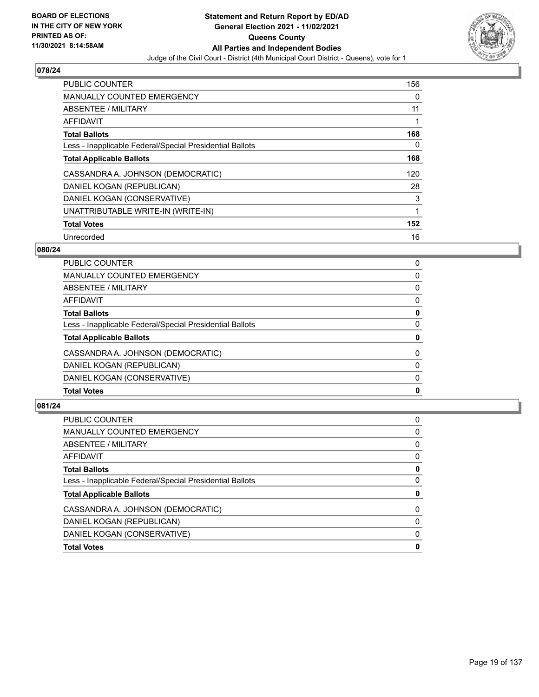

| <b>PUBLIC COUNTER</b>                                    | 156 |
|----------------------------------------------------------|-----|
| <b>MANUALLY COUNTED EMERGENCY</b>                        | 0   |
| ABSENTEE / MILITARY                                      | 11  |
| <b>AFFIDAVIT</b>                                         |     |
| <b>Total Ballots</b>                                     | 168 |
| Less - Inapplicable Federal/Special Presidential Ballots | 0   |
| <b>Total Applicable Ballots</b>                          | 168 |
| CASSANDRA A. JOHNSON (DEMOCRATIC)                        | 120 |
| DANIEL KOGAN (REPUBLICAN)                                | 28  |
| DANIEL KOGAN (CONSERVATIVE)                              | 3   |
| UNATTRIBUTABLE WRITE-IN (WRITE-IN)                       | 1   |
| <b>Total Votes</b>                                       | 152 |
| Unrecorded                                               | 16  |

## **080/24**

| <b>Total Votes</b>                                       | 0        |
|----------------------------------------------------------|----------|
|                                                          |          |
| DANIEL KOGAN (CONSERVATIVE)                              | $\Omega$ |
| DANIEL KOGAN (REPUBLICAN)                                | $\Omega$ |
| CASSANDRA A. JOHNSON (DEMOCRATIC)                        | $\Omega$ |
| <b>Total Applicable Ballots</b>                          | 0        |
| Less - Inapplicable Federal/Special Presidential Ballots | $\Omega$ |
| <b>Total Ballots</b>                                     | 0        |
| <b>AFFIDAVIT</b>                                         | 0        |
| <b>ABSENTEE / MILITARY</b>                               | $\Omega$ |
| <b>MANUALLY COUNTED EMERGENCY</b>                        | 0        |
| PUBLIC COUNTER                                           | 0        |

| 0<br>0<br>0<br>0<br>0<br>0<br>$\Omega$<br>0<br>$\Omega$<br>0 | PUBLIC COUNTER                                           | 0 |
|--------------------------------------------------------------|----------------------------------------------------------|---|
|                                                              | MANUALLY COUNTED EMERGENCY                               |   |
|                                                              | ABSENTEE / MILITARY                                      |   |
|                                                              | AFFIDAVIT                                                |   |
|                                                              | <b>Total Ballots</b>                                     |   |
|                                                              | Less - Inapplicable Federal/Special Presidential Ballots |   |
|                                                              | <b>Total Applicable Ballots</b>                          |   |
|                                                              | CASSANDRA A. JOHNSON (DEMOCRATIC)                        |   |
|                                                              | DANIEL KOGAN (REPUBLICAN)                                |   |
|                                                              | DANIEL KOGAN (CONSERVATIVE)                              |   |
|                                                              | <b>Total Votes</b>                                       |   |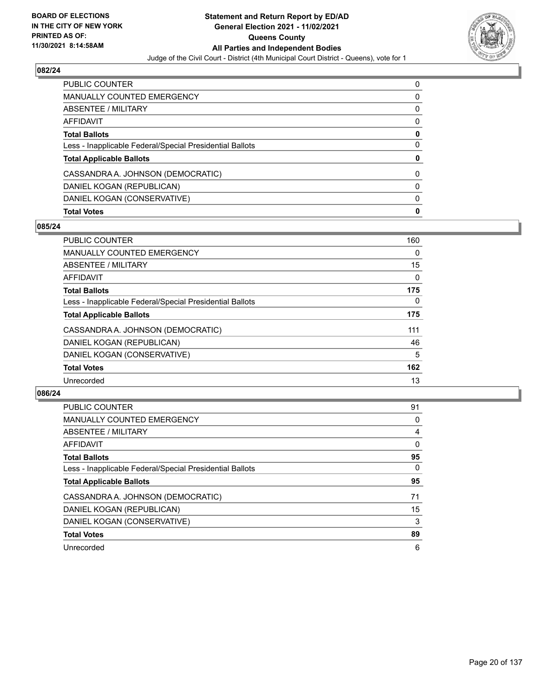

| <b>Total Votes</b>                                       | 0 |
|----------------------------------------------------------|---|
| DANIEL KOGAN (CONSERVATIVE)                              | 0 |
| DANIEL KOGAN (REPUBLICAN)                                | 0 |
| CASSANDRA A. JOHNSON (DEMOCRATIC)                        | 0 |
| <b>Total Applicable Ballots</b>                          | 0 |
| Less - Inapplicable Federal/Special Presidential Ballots | 0 |
| <b>Total Ballots</b>                                     | 0 |
| AFFIDAVIT                                                | 0 |
| <b>ABSENTEE / MILITARY</b>                               | 0 |
| <b>MANUALLY COUNTED EMERGENCY</b>                        | 0 |
| <b>PUBLIC COUNTER</b>                                    | 0 |

## **085/24**

| PUBLIC COUNTER                                           | 160      |
|----------------------------------------------------------|----------|
| <b>MANUALLY COUNTED EMERGENCY</b>                        | $\Omega$ |
| ABSENTEE / MILITARY                                      | 15       |
| <b>AFFIDAVIT</b>                                         | $\Omega$ |
| <b>Total Ballots</b>                                     | 175      |
| Less - Inapplicable Federal/Special Presidential Ballots | $\Omega$ |
| <b>Total Applicable Ballots</b>                          | 175      |
| CASSANDRA A. JOHNSON (DEMOCRATIC)                        | 111      |
| DANIEL KOGAN (REPUBLICAN)                                | 46       |
| DANIEL KOGAN (CONSERVATIVE)                              | 5        |
| <b>Total Votes</b>                                       | 162      |
| Unrecorded                                               | 13       |

| <b>PUBLIC COUNTER</b>                                    | 91       |
|----------------------------------------------------------|----------|
| <b>MANUALLY COUNTED EMERGENCY</b>                        | 0        |
| ABSENTEE / MILITARY                                      | 4        |
| AFFIDAVIT                                                | $\Omega$ |
| <b>Total Ballots</b>                                     | 95       |
| Less - Inapplicable Federal/Special Presidential Ballots | $\Omega$ |
| <b>Total Applicable Ballots</b>                          | 95       |
| CASSANDRA A. JOHNSON (DEMOCRATIC)                        | 71       |
| DANIEL KOGAN (REPUBLICAN)                                | 15       |
| DANIEL KOGAN (CONSERVATIVE)                              | 3        |
| <b>Total Votes</b>                                       | 89       |
| Unrecorded                                               | 6        |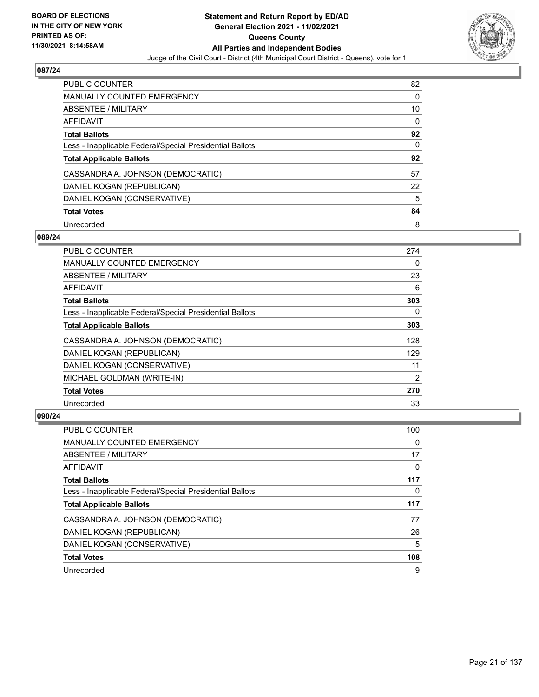

| <b>PUBLIC COUNTER</b>                                    | 82 |
|----------------------------------------------------------|----|
| <b>MANUALLY COUNTED EMERGENCY</b>                        | 0  |
| ABSENTEE / MILITARY                                      | 10 |
| AFFIDAVIT                                                | 0  |
| <b>Total Ballots</b>                                     | 92 |
| Less - Inapplicable Federal/Special Presidential Ballots | 0  |
| <b>Total Applicable Ballots</b>                          | 92 |
| CASSANDRA A. JOHNSON (DEMOCRATIC)                        | 57 |
| DANIEL KOGAN (REPUBLICAN)                                | 22 |
| DANIEL KOGAN (CONSERVATIVE)                              | 5  |
| <b>Total Votes</b>                                       | 84 |
| Unrecorded                                               | 8  |

#### **089/24**

| <b>PUBLIC COUNTER</b>                                    | 274      |
|----------------------------------------------------------|----------|
| <b>MANUALLY COUNTED EMERGENCY</b>                        | 0        |
| ABSENTEE / MILITARY                                      | 23       |
| <b>AFFIDAVIT</b>                                         | 6        |
| <b>Total Ballots</b>                                     | 303      |
| Less - Inapplicable Federal/Special Presidential Ballots | $\Omega$ |
| <b>Total Applicable Ballots</b>                          | 303      |
| CASSANDRA A. JOHNSON (DEMOCRATIC)                        | 128      |
| DANIEL KOGAN (REPUBLICAN)                                | 129      |
| DANIEL KOGAN (CONSERVATIVE)                              | 11       |
| MICHAEL GOLDMAN (WRITE-IN)                               | 2        |
| <b>Total Votes</b>                                       | 270      |
| Unrecorded                                               | 33       |

| <b>PUBLIC COUNTER</b>                                    | 100 |
|----------------------------------------------------------|-----|
| <b>MANUALLY COUNTED EMERGENCY</b>                        | 0   |
| ABSENTEE / MILITARY                                      | 17  |
| AFFIDAVIT                                                | 0   |
| <b>Total Ballots</b>                                     | 117 |
| Less - Inapplicable Federal/Special Presidential Ballots | 0   |
| <b>Total Applicable Ballots</b>                          | 117 |
|                                                          |     |
| CASSANDRA A. JOHNSON (DEMOCRATIC)                        | 77  |
| DANIEL KOGAN (REPUBLICAN)                                | 26  |
| DANIEL KOGAN (CONSERVATIVE)                              | 5   |
| <b>Total Votes</b>                                       | 108 |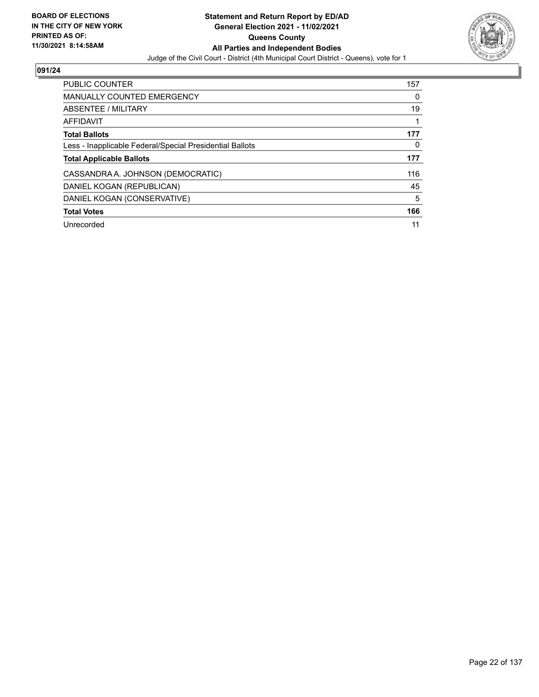

| PUBLIC COUNTER                                           | 157 |
|----------------------------------------------------------|-----|
| <b>MANUALLY COUNTED EMERGENCY</b>                        | 0   |
| ABSENTEE / MILITARY                                      | 19  |
| AFFIDAVIT                                                |     |
| <b>Total Ballots</b>                                     | 177 |
| Less - Inapplicable Federal/Special Presidential Ballots | 0   |
| <b>Total Applicable Ballots</b>                          | 177 |
| CASSANDRA A. JOHNSON (DEMOCRATIC)                        | 116 |
| DANIEL KOGAN (REPUBLICAN)                                | 45  |
| DANIEL KOGAN (CONSERVATIVE)                              | 5   |
| <b>Total Votes</b>                                       | 166 |
| Unrecorded                                               | 11  |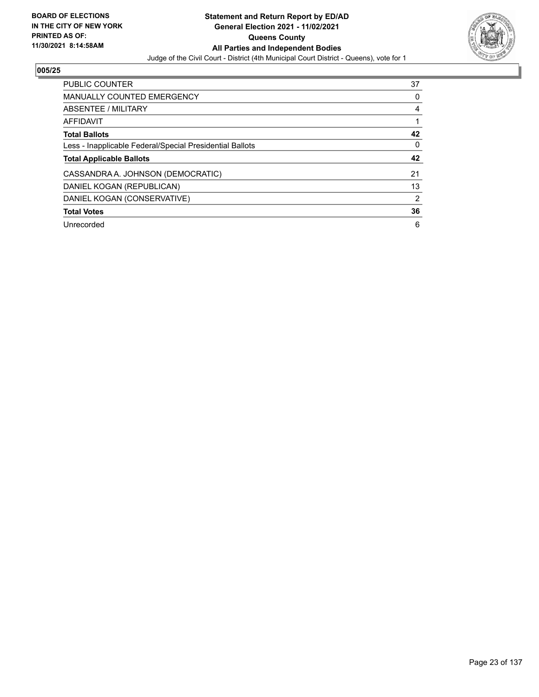

| PUBLIC COUNTER                                           | 37             |
|----------------------------------------------------------|----------------|
| <b>MANUALLY COUNTED EMERGENCY</b>                        | 0              |
| ABSENTEE / MILITARY                                      | 4              |
| <b>AFFIDAVIT</b>                                         |                |
| <b>Total Ballots</b>                                     | 42             |
| Less - Inapplicable Federal/Special Presidential Ballots | 0              |
|                                                          |                |
| <b>Total Applicable Ballots</b>                          | 42             |
| CASSANDRA A. JOHNSON (DEMOCRATIC)                        | 21             |
| DANIEL KOGAN (REPUBLICAN)                                | 13             |
| DANIEL KOGAN (CONSERVATIVE)                              | $\overline{2}$ |
| <b>Total Votes</b>                                       | 36             |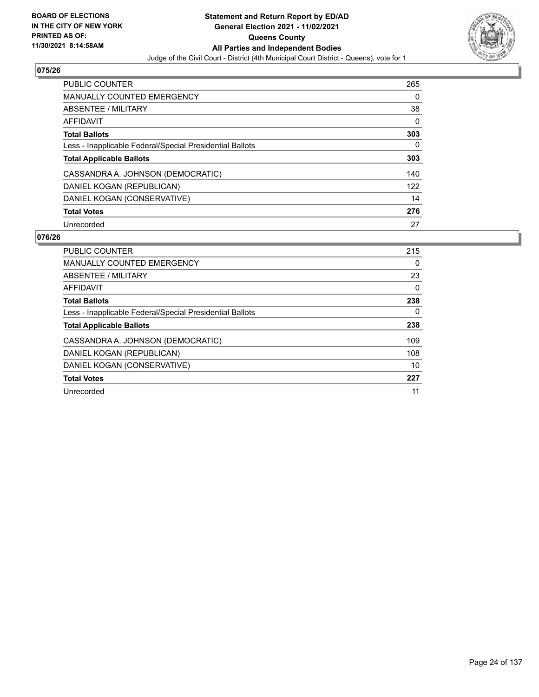

| <b>PUBLIC COUNTER</b>                                    | 265 |
|----------------------------------------------------------|-----|
| <b>MANUALLY COUNTED EMERGENCY</b>                        | 0   |
| ABSENTEE / MILITARY                                      | 38  |
| AFFIDAVIT                                                | 0   |
| <b>Total Ballots</b>                                     | 303 |
| Less - Inapplicable Federal/Special Presidential Ballots | 0   |
| <b>Total Applicable Ballots</b>                          | 303 |
| CASSANDRA A. JOHNSON (DEMOCRATIC)                        | 140 |
| DANIEL KOGAN (REPUBLICAN)                                | 122 |
| DANIEL KOGAN (CONSERVATIVE)                              | 14  |
| <b>Total Votes</b>                                       | 276 |
| Unrecorded                                               | 27  |

| <b>PUBLIC COUNTER</b>                                    | 215 |
|----------------------------------------------------------|-----|
| <b>MANUALLY COUNTED EMERGENCY</b>                        | 0   |
| ABSENTEE / MILITARY                                      | 23  |
| AFFIDAVIT                                                | 0   |
| <b>Total Ballots</b>                                     | 238 |
| Less - Inapplicable Federal/Special Presidential Ballots | 0   |
| <b>Total Applicable Ballots</b>                          | 238 |
| CASSANDRA A. JOHNSON (DEMOCRATIC)                        | 109 |
| DANIEL KOGAN (REPUBLICAN)                                | 108 |
| DANIEL KOGAN (CONSERVATIVE)                              | 10  |
| <b>Total Votes</b>                                       | 227 |
| Unrecorded                                               | 11  |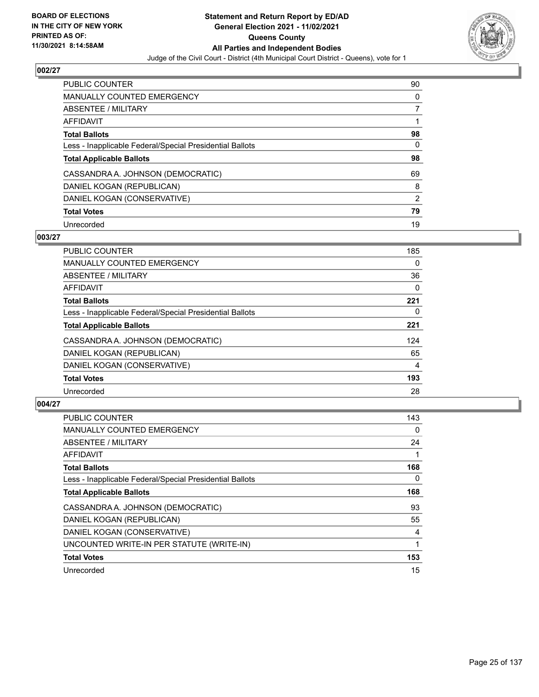

| PUBLIC COUNTER                                           | 90       |
|----------------------------------------------------------|----------|
| <b>MANUALLY COUNTED EMERGENCY</b>                        | $\Omega$ |
| ABSENTEE / MILITARY                                      |          |
| AFFIDAVIT                                                |          |
| <b>Total Ballots</b>                                     | 98       |
| Less - Inapplicable Federal/Special Presidential Ballots | 0        |
| <b>Total Applicable Ballots</b>                          | 98       |
| CASSANDRA A. JOHNSON (DEMOCRATIC)                        | 69       |
| DANIEL KOGAN (REPUBLICAN)                                | 8        |
| DANIEL KOGAN (CONSERVATIVE)                              | 2        |
| <b>Total Votes</b>                                       | 79       |
| Unrecorded                                               | 19       |

## **003/27**

| <b>PUBLIC COUNTER</b>                                    | 185      |
|----------------------------------------------------------|----------|
| <b>MANUALLY COUNTED EMERGENCY</b>                        | 0        |
| ABSENTEE / MILITARY                                      | 36       |
| AFFIDAVIT                                                | $\Omega$ |
| <b>Total Ballots</b>                                     | 221      |
| Less - Inapplicable Federal/Special Presidential Ballots | 0        |
| <b>Total Applicable Ballots</b>                          | 221      |
| CASSANDRA A. JOHNSON (DEMOCRATIC)                        | 124      |
| DANIEL KOGAN (REPUBLICAN)                                | 65       |
| DANIEL KOGAN (CONSERVATIVE)                              | 4        |
| <b>Total Votes</b>                                       | 193      |
| Unrecorded                                               | 28       |

| <b>PUBLIC COUNTER</b>                                    | 143 |
|----------------------------------------------------------|-----|
| MANUALLY COUNTED EMERGENCY                               | 0   |
| ABSENTEE / MILITARY                                      | 24  |
| AFFIDAVIT                                                |     |
| <b>Total Ballots</b>                                     | 168 |
| Less - Inapplicable Federal/Special Presidential Ballots | 0   |
| <b>Total Applicable Ballots</b>                          | 168 |
| CASSANDRA A. JOHNSON (DEMOCRATIC)                        | 93  |
| DANIEL KOGAN (REPUBLICAN)                                | 55  |
| DANIEL KOGAN (CONSERVATIVE)                              | 4   |
| UNCOUNTED WRITE-IN PER STATUTE (WRITE-IN)                |     |
| <b>Total Votes</b>                                       | 153 |
| Unrecorded                                               | 15  |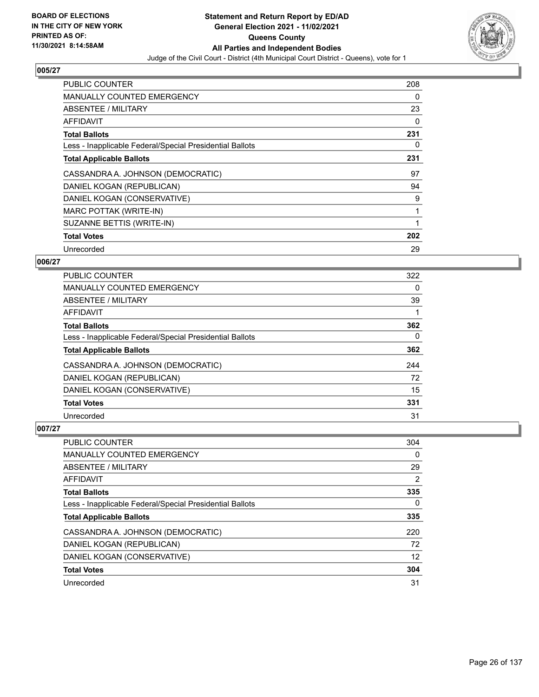

| <b>PUBLIC COUNTER</b>                                    | 208 |
|----------------------------------------------------------|-----|
| <b>MANUALLY COUNTED EMERGENCY</b>                        | 0   |
| <b>ABSENTEE / MILITARY</b>                               | 23  |
| AFFIDAVIT                                                | 0   |
| <b>Total Ballots</b>                                     | 231 |
| Less - Inapplicable Federal/Special Presidential Ballots | 0   |
| <b>Total Applicable Ballots</b>                          | 231 |
| CASSANDRA A. JOHNSON (DEMOCRATIC)                        | 97  |
| DANIEL KOGAN (REPUBLICAN)                                | 94  |
| DANIEL KOGAN (CONSERVATIVE)                              | 9   |
| MARC POTTAK (WRITE-IN)                                   | 1   |
| SUZANNE BETTIS (WRITE-IN)                                |     |
| <b>Total Votes</b>                                       | 202 |
| Unrecorded                                               | 29  |

## **006/27**

| PUBLIC COUNTER                                           | 322 |
|----------------------------------------------------------|-----|
| <b>MANUALLY COUNTED EMERGENCY</b>                        | 0   |
| ABSENTEE / MILITARY                                      | 39  |
| AFFIDAVIT                                                |     |
| <b>Total Ballots</b>                                     | 362 |
| Less - Inapplicable Federal/Special Presidential Ballots | 0   |
| <b>Total Applicable Ballots</b>                          | 362 |
| CASSANDRA A. JOHNSON (DEMOCRATIC)                        | 244 |
| DANIEL KOGAN (REPUBLICAN)                                | 72  |
| DANIEL KOGAN (CONSERVATIVE)                              | 15  |
| <b>Total Votes</b>                                       | 331 |
| Unrecorded                                               | 31  |

| <b>PUBLIC COUNTER</b>                                    | 304 |
|----------------------------------------------------------|-----|
| <b>MANUALLY COUNTED EMERGENCY</b>                        | 0   |
| ABSENTEE / MILITARY                                      | 29  |
| AFFIDAVIT                                                | 2   |
| <b>Total Ballots</b>                                     | 335 |
| Less - Inapplicable Federal/Special Presidential Ballots | 0   |
| <b>Total Applicable Ballots</b>                          | 335 |
| CASSANDRA A. JOHNSON (DEMOCRATIC)                        | 220 |
| DANIEL KOGAN (REPUBLICAN)                                | 72  |
| DANIEL KOGAN (CONSERVATIVE)                              | 12  |
| <b>Total Votes</b>                                       | 304 |
| Unrecorded                                               | 31  |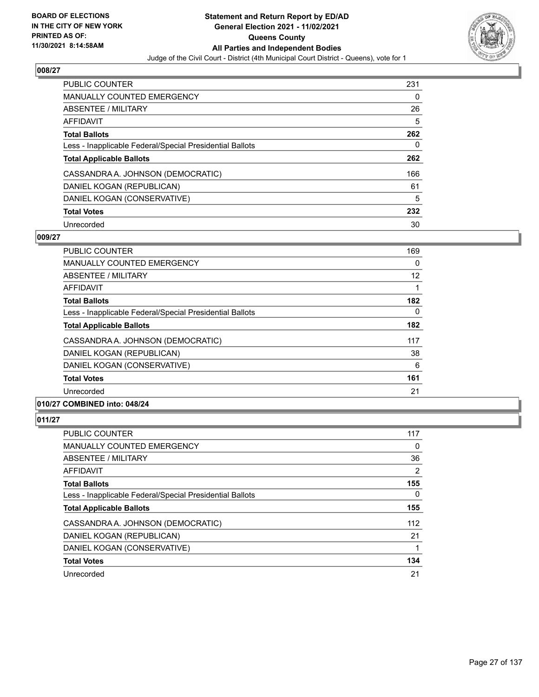

| <b>PUBLIC COUNTER</b>                                    | 231      |
|----------------------------------------------------------|----------|
| <b>MANUALLY COUNTED EMERGENCY</b>                        | $\Omega$ |
| ABSENTEE / MILITARY                                      | 26       |
| AFFIDAVIT                                                | 5        |
| <b>Total Ballots</b>                                     | 262      |
| Less - Inapplicable Federal/Special Presidential Ballots | 0        |
| <b>Total Applicable Ballots</b>                          | 262      |
| CASSANDRA A. JOHNSON (DEMOCRATIC)                        | 166      |
| DANIEL KOGAN (REPUBLICAN)                                | 61       |
| DANIEL KOGAN (CONSERVATIVE)                              | 5        |
| <b>Total Votes</b>                                       | 232      |
| Unrecorded                                               | 30       |

#### **009/27**

| PUBLIC COUNTER                                           | 169 |
|----------------------------------------------------------|-----|
| <b>MANUALLY COUNTED EMERGENCY</b>                        | 0   |
| ABSENTEE / MILITARY                                      | 12  |
| AFFIDAVIT                                                |     |
| <b>Total Ballots</b>                                     | 182 |
| Less - Inapplicable Federal/Special Presidential Ballots | 0   |
| <b>Total Applicable Ballots</b>                          | 182 |
| CASSANDRA A. JOHNSON (DEMOCRATIC)                        | 117 |
| DANIEL KOGAN (REPUBLICAN)                                | 38  |
| DANIEL KOGAN (CONSERVATIVE)                              | 6   |
| <b>Total Votes</b>                                       | 161 |
| Unrecorded                                               | 21  |
| 0.011011000111001                                        |     |

# **010/27 COMBINED into: 048/24**

| <b>PUBLIC COUNTER</b>                                    | 117 |
|----------------------------------------------------------|-----|
| <b>MANUALLY COUNTED EMERGENCY</b>                        | 0   |
| ABSENTEE / MILITARY                                      | 36  |
| AFFIDAVIT                                                | 2   |
| <b>Total Ballots</b>                                     | 155 |
| Less - Inapplicable Federal/Special Presidential Ballots | 0   |
| <b>Total Applicable Ballots</b>                          | 155 |
| CASSANDRA A. JOHNSON (DEMOCRATIC)                        | 112 |
| DANIEL KOGAN (REPUBLICAN)                                | 21  |
| DANIEL KOGAN (CONSERVATIVE)                              |     |
| <b>Total Votes</b>                                       | 134 |
| Unrecorded                                               | 21  |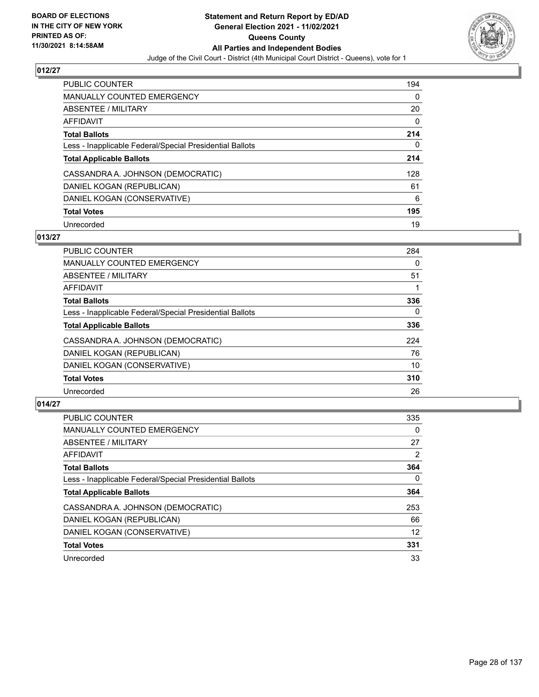

| <b>PUBLIC COUNTER</b>                                    | 194      |
|----------------------------------------------------------|----------|
| <b>MANUALLY COUNTED EMERGENCY</b>                        | $\Omega$ |
| ABSENTEE / MILITARY                                      | 20       |
| AFFIDAVIT                                                | 0        |
| <b>Total Ballots</b>                                     | 214      |
| Less - Inapplicable Federal/Special Presidential Ballots | 0        |
| <b>Total Applicable Ballots</b>                          | 214      |
| CASSANDRA A. JOHNSON (DEMOCRATIC)                        | 128      |
| DANIEL KOGAN (REPUBLICAN)                                | 61       |
| DANIEL KOGAN (CONSERVATIVE)                              | 6        |
| <b>Total Votes</b>                                       | 195      |
| Unrecorded                                               | 19       |

## **013/27**

| <b>PUBLIC COUNTER</b>                                    | 284      |
|----------------------------------------------------------|----------|
| <b>MANUALLY COUNTED EMERGENCY</b>                        | 0        |
| ABSENTEE / MILITARY                                      | 51       |
| <b>AFFIDAVIT</b>                                         |          |
| <b>Total Ballots</b>                                     | 336      |
| Less - Inapplicable Federal/Special Presidential Ballots | $\Omega$ |
| <b>Total Applicable Ballots</b>                          | 336      |
| CASSANDRA A. JOHNSON (DEMOCRATIC)                        | 224      |
| DANIEL KOGAN (REPUBLICAN)                                | 76       |
| DANIEL KOGAN (CONSERVATIVE)                              | 10       |
| <b>Total Votes</b>                                       | 310      |
| Unrecorded                                               | 26       |

| <b>PUBLIC COUNTER</b>                                    | 335      |
|----------------------------------------------------------|----------|
| <b>MANUALLY COUNTED EMERGENCY</b>                        | $\Omega$ |
| ABSENTEE / MILITARY                                      | 27       |
| AFFIDAVIT                                                | 2        |
| <b>Total Ballots</b>                                     | 364      |
| Less - Inapplicable Federal/Special Presidential Ballots | $\Omega$ |
| <b>Total Applicable Ballots</b>                          | 364      |
| CASSANDRA A. JOHNSON (DEMOCRATIC)                        | 253      |
| DANIEL KOGAN (REPUBLICAN)                                | 66       |
| DANIEL KOGAN (CONSERVATIVE)                              | 12       |
| <b>Total Votes</b>                                       | 331      |
| Unrecorded                                               | 33       |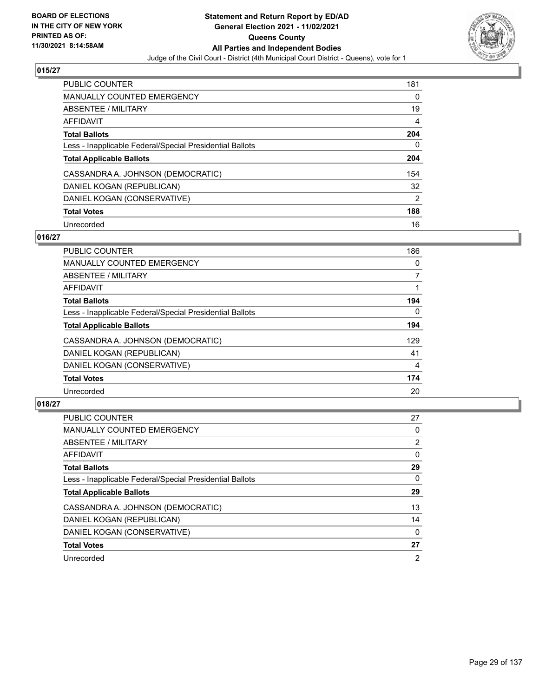

| <b>PUBLIC COUNTER</b>                                    | 181            |
|----------------------------------------------------------|----------------|
| <b>MANUALLY COUNTED EMERGENCY</b>                        | $\Omega$       |
| ABSENTEE / MILITARY                                      | 19             |
| AFFIDAVIT                                                | 4              |
| <b>Total Ballots</b>                                     | 204            |
| Less - Inapplicable Federal/Special Presidential Ballots | 0              |
| <b>Total Applicable Ballots</b>                          | 204            |
| CASSANDRA A. JOHNSON (DEMOCRATIC)                        | 154            |
| DANIEL KOGAN (REPUBLICAN)                                | 32             |
| DANIEL KOGAN (CONSERVATIVE)                              | $\overline{2}$ |
| <b>Total Votes</b>                                       | 188            |
| Unrecorded                                               | 16             |

## **016/27**

| <b>PUBLIC COUNTER</b>                                    | 186      |
|----------------------------------------------------------|----------|
| <b>MANUALLY COUNTED EMERGENCY</b>                        | 0        |
| ABSENTEE / MILITARY                                      | 7        |
| <b>AFFIDAVIT</b>                                         |          |
| <b>Total Ballots</b>                                     | 194      |
| Less - Inapplicable Federal/Special Presidential Ballots | $\Omega$ |
| <b>Total Applicable Ballots</b>                          | 194      |
| CASSANDRA A. JOHNSON (DEMOCRATIC)                        | 129      |
| DANIEL KOGAN (REPUBLICAN)                                | 41       |
| DANIEL KOGAN (CONSERVATIVE)                              | 4        |
| <b>Total Votes</b>                                       | 174      |
| Unrecorded                                               | 20       |

| <b>PUBLIC COUNTER</b>                                    | 27             |
|----------------------------------------------------------|----------------|
| <b>MANUALLY COUNTED EMERGENCY</b>                        | 0              |
| ABSENTEE / MILITARY                                      | 2              |
| <b>AFFIDAVIT</b>                                         | 0              |
| <b>Total Ballots</b>                                     | 29             |
| Less - Inapplicable Federal/Special Presidential Ballots | 0              |
| <b>Total Applicable Ballots</b>                          | 29             |
| CASSANDRA A. JOHNSON (DEMOCRATIC)                        | 13             |
| DANIEL KOGAN (REPUBLICAN)                                | 14             |
| DANIEL KOGAN (CONSERVATIVE)                              | $\Omega$       |
| <b>Total Votes</b>                                       | 27             |
| Unrecorded                                               | $\overline{2}$ |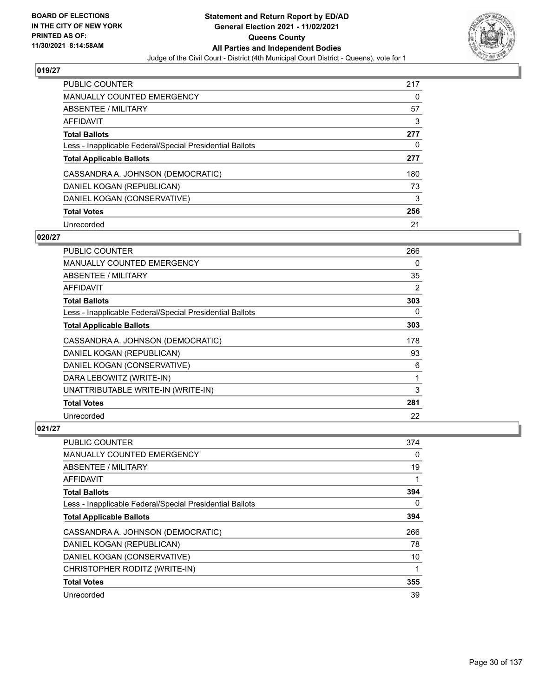

| <b>PUBLIC COUNTER</b>                                    | 217 |
|----------------------------------------------------------|-----|
| <b>MANUALLY COUNTED EMERGENCY</b>                        | 0   |
| ABSENTEE / MILITARY                                      | 57  |
| AFFIDAVIT                                                | 3   |
| <b>Total Ballots</b>                                     | 277 |
| Less - Inapplicable Federal/Special Presidential Ballots | 0   |
| <b>Total Applicable Ballots</b>                          | 277 |
| CASSANDRA A. JOHNSON (DEMOCRATIC)                        | 180 |
| DANIEL KOGAN (REPUBLICAN)                                | 73  |
| DANIEL KOGAN (CONSERVATIVE)                              | 3   |
| <b>Total Votes</b>                                       | 256 |
| Unrecorded                                               | 21  |

#### **020/27**

| PUBLIC COUNTER                                           | 266 |
|----------------------------------------------------------|-----|
| <b>MANUALLY COUNTED EMERGENCY</b>                        | 0   |
| ABSENTEE / MILITARY                                      | 35  |
| AFFIDAVIT                                                | 2   |
| <b>Total Ballots</b>                                     | 303 |
| Less - Inapplicable Federal/Special Presidential Ballots | 0   |
| <b>Total Applicable Ballots</b>                          | 303 |
| CASSANDRA A. JOHNSON (DEMOCRATIC)                        | 178 |
| DANIEL KOGAN (REPUBLICAN)                                | 93  |
| DANIEL KOGAN (CONSERVATIVE)                              | 6   |
| DARA LEBOWITZ (WRITE-IN)                                 | 1   |
| UNATTRIBUTABLE WRITE-IN (WRITE-IN)                       | 3   |
| <b>Total Votes</b>                                       | 281 |
| Unrecorded                                               | 22  |

| <b>PUBLIC COUNTER</b>                                    | 374 |
|----------------------------------------------------------|-----|
| MANUALLY COUNTED EMERGENCY                               | 0   |
| ABSENTEE / MILITARY                                      | 19  |
| AFFIDAVIT                                                | 1   |
| <b>Total Ballots</b>                                     | 394 |
| Less - Inapplicable Federal/Special Presidential Ballots | 0   |
| <b>Total Applicable Ballots</b>                          | 394 |
| CASSANDRA A. JOHNSON (DEMOCRATIC)                        | 266 |
| DANIEL KOGAN (REPUBLICAN)                                | 78  |
| DANIEL KOGAN (CONSERVATIVE)                              | 10  |
| CHRISTOPHER RODITZ (WRITE-IN)                            | 1   |
| <b>Total Votes</b>                                       | 355 |
| Unrecorded                                               | 39  |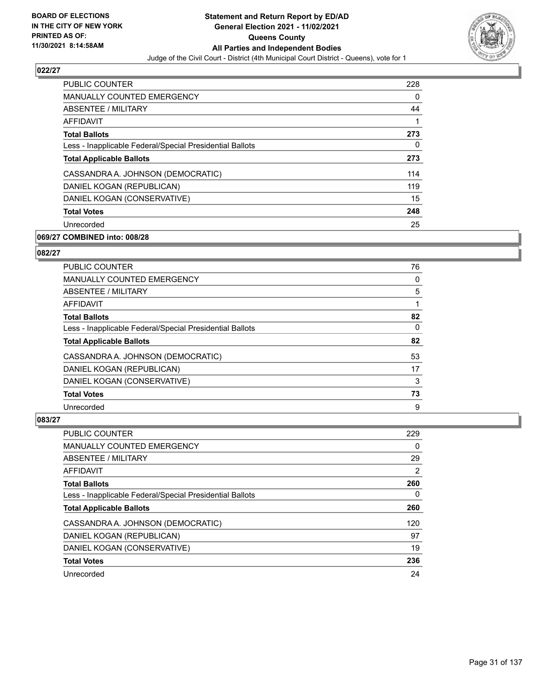

| <b>PUBLIC COUNTER</b>                                    | 228 |
|----------------------------------------------------------|-----|
| <b>MANUALLY COUNTED EMERGENCY</b>                        | 0   |
| ABSENTEE / MILITARY                                      | 44  |
| <b>AFFIDAVIT</b>                                         | 1   |
| <b>Total Ballots</b>                                     | 273 |
| Less - Inapplicable Federal/Special Presidential Ballots | 0   |
| <b>Total Applicable Ballots</b>                          | 273 |
| CASSANDRA A. JOHNSON (DEMOCRATIC)                        | 114 |
| DANIEL KOGAN (REPUBLICAN)                                | 119 |
| DANIEL KOGAN (CONSERVATIVE)                              | 15  |
| <b>Total Votes</b>                                       | 248 |
| Unrecorded                                               | 25  |

## **069/27 COMBINED into: 008/28**

## **082/27**

| <b>PUBLIC COUNTER</b>                                    | 76       |
|----------------------------------------------------------|----------|
| <b>MANUALLY COUNTED EMERGENCY</b>                        | 0        |
| <b>ABSENTEE / MILITARY</b>                               | 5        |
| AFFIDAVIT                                                |          |
| <b>Total Ballots</b>                                     | 82       |
| Less - Inapplicable Federal/Special Presidential Ballots | $\Omega$ |
| <b>Total Applicable Ballots</b>                          | 82       |
| CASSANDRA A. JOHNSON (DEMOCRATIC)                        | 53       |
| DANIEL KOGAN (REPUBLICAN)                                | 17       |
| DANIEL KOGAN (CONSERVATIVE)                              | 3        |
| <b>Total Votes</b>                                       | 73       |
| Unrecorded                                               | 9        |

| PUBLIC COUNTER                                           | 229 |
|----------------------------------------------------------|-----|
| <b>MANUALLY COUNTED EMERGENCY</b>                        | 0   |
| <b>ABSENTEE / MILITARY</b>                               | 29  |
| AFFIDAVIT                                                | 2   |
| <b>Total Ballots</b>                                     | 260 |
| Less - Inapplicable Federal/Special Presidential Ballots | 0   |
| <b>Total Applicable Ballots</b>                          | 260 |
| CASSANDRA A. JOHNSON (DEMOCRATIC)                        | 120 |
| DANIEL KOGAN (REPUBLICAN)                                | 97  |
| DANIEL KOGAN (CONSERVATIVE)                              | 19  |
| <b>Total Votes</b>                                       | 236 |
| Unrecorded                                               | 24  |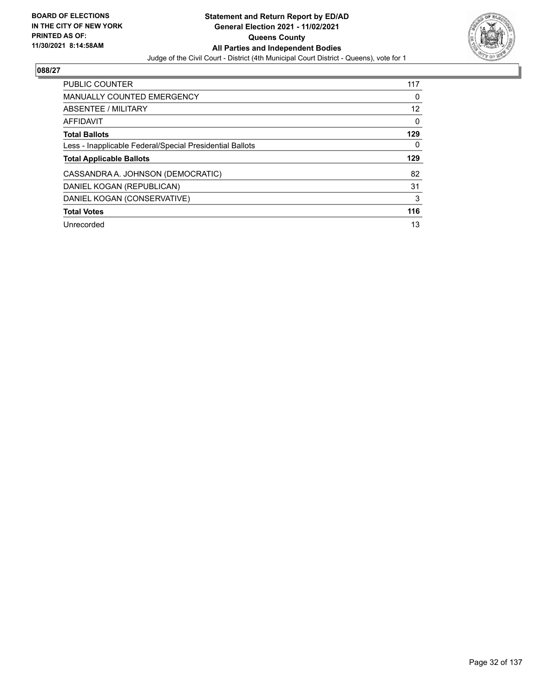

| PUBLIC COUNTER                                           | 117 |
|----------------------------------------------------------|-----|
| <b>MANUALLY COUNTED EMERGENCY</b>                        | 0   |
| ABSENTEE / MILITARY                                      | 12  |
| AFFIDAVIT                                                | 0   |
| <b>Total Ballots</b>                                     | 129 |
| Less - Inapplicable Federal/Special Presidential Ballots | 0   |
| <b>Total Applicable Ballots</b>                          | 129 |
| CASSANDRA A. JOHNSON (DEMOCRATIC)                        | 82  |
| DANIEL KOGAN (REPUBLICAN)                                | 31  |
| DANIEL KOGAN (CONSERVATIVE)                              | 3   |
| <b>Total Votes</b>                                       | 116 |
| Unrecorded                                               | 13  |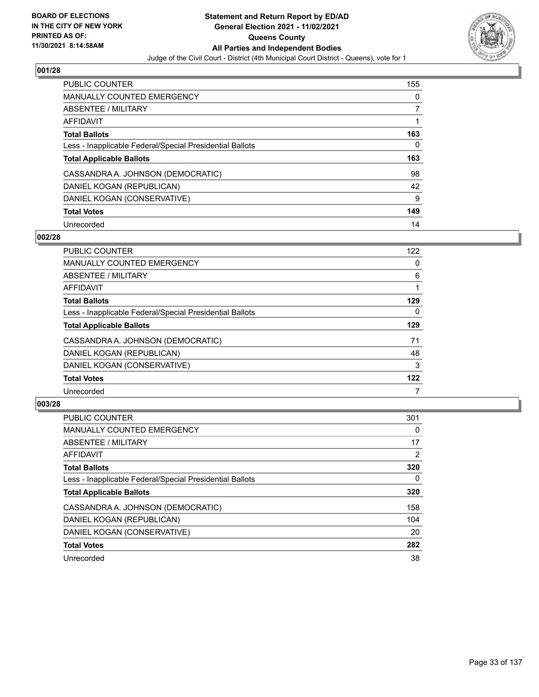

| <b>PUBLIC COUNTER</b>                                    | 155 |
|----------------------------------------------------------|-----|
| MANUALLY COUNTED EMERGENCY                               | 0   |
| ABSENTEE / MILITARY                                      |     |
| AFFIDAVIT                                                |     |
| <b>Total Ballots</b>                                     | 163 |
| Less - Inapplicable Federal/Special Presidential Ballots | 0   |
|                                                          |     |
| <b>Total Applicable Ballots</b>                          | 163 |
| CASSANDRA A. JOHNSON (DEMOCRATIC)                        | 98  |
| DANIEL KOGAN (REPUBLICAN)                                | 42  |
| DANIEL KOGAN (CONSERVATIVE)                              | 9   |
| <b>Total Votes</b>                                       | 149 |

#### **002/28**

| PUBLIC COUNTER                                           | 122 |
|----------------------------------------------------------|-----|
| <b>MANUALLY COUNTED EMERGENCY</b>                        | 0   |
| ABSENTEE / MILITARY                                      | 6   |
| <b>AFFIDAVIT</b>                                         |     |
| <b>Total Ballots</b>                                     | 129 |
| Less - Inapplicable Federal/Special Presidential Ballots | 0   |
| <b>Total Applicable Ballots</b>                          | 129 |
| CASSANDRA A. JOHNSON (DEMOCRATIC)                        | 71  |
| DANIEL KOGAN (REPUBLICAN)                                | 48  |
| DANIEL KOGAN (CONSERVATIVE)                              | 3   |
| <b>Total Votes</b>                                       | 122 |
| Unrecorded                                               |     |

| <b>PUBLIC COUNTER</b>                                    | 301            |
|----------------------------------------------------------|----------------|
| <b>MANUALLY COUNTED EMERGENCY</b>                        | 0              |
| ABSENTEE / MILITARY                                      | 17             |
| AFFIDAVIT                                                | $\overline{2}$ |
| <b>Total Ballots</b>                                     | 320            |
| Less - Inapplicable Federal/Special Presidential Ballots | 0              |
| <b>Total Applicable Ballots</b>                          | 320            |
| CASSANDRA A. JOHNSON (DEMOCRATIC)                        | 158            |
| DANIEL KOGAN (REPUBLICAN)                                | 104            |
| DANIEL KOGAN (CONSERVATIVE)                              | 20             |
| <b>Total Votes</b>                                       | 282            |
| Unrecorded                                               | 38             |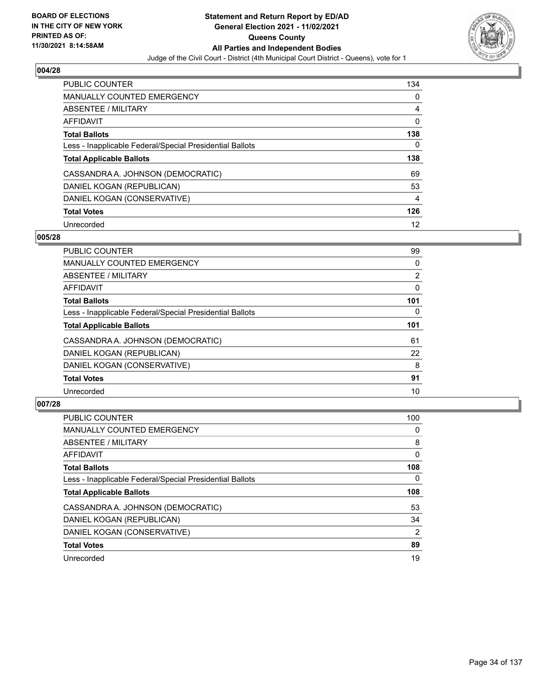

| <b>PUBLIC COUNTER</b>                                    | 134 |
|----------------------------------------------------------|-----|
| <b>MANUALLY COUNTED EMERGENCY</b>                        | 0   |
| ABSENTEE / MILITARY                                      | 4   |
| AFFIDAVIT                                                | 0   |
| <b>Total Ballots</b>                                     | 138 |
| Less - Inapplicable Federal/Special Presidential Ballots | 0   |
|                                                          |     |
| <b>Total Applicable Ballots</b>                          | 138 |
| CASSANDRA A. JOHNSON (DEMOCRATIC)                        | 69  |
| DANIEL KOGAN (REPUBLICAN)                                | 53  |
| DANIEL KOGAN (CONSERVATIVE)                              | 4   |
| <b>Total Votes</b>                                       | 126 |

#### **005/28**

| <b>PUBLIC COUNTER</b>                                    | 99             |
|----------------------------------------------------------|----------------|
| <b>MANUALLY COUNTED EMERGENCY</b>                        | 0              |
| ABSENTEE / MILITARY                                      | $\overline{2}$ |
| <b>AFFIDAVIT</b>                                         | 0              |
| <b>Total Ballots</b>                                     | 101            |
| Less - Inapplicable Federal/Special Presidential Ballots | 0              |
| <b>Total Applicable Ballots</b>                          | 101            |
| CASSANDRA A. JOHNSON (DEMOCRATIC)                        | 61             |
| DANIEL KOGAN (REPUBLICAN)                                | 22             |
| DANIEL KOGAN (CONSERVATIVE)                              | 8              |
| <b>Total Votes</b>                                       | 91             |
| Unrecorded                                               | 10             |

| PUBLIC COUNTER                                           | 100      |
|----------------------------------------------------------|----------|
| <b>MANUALLY COUNTED EMERGENCY</b>                        | 0        |
| ABSENTEE / MILITARY                                      | 8        |
| <b>AFFIDAVIT</b>                                         | $\Omega$ |
| <b>Total Ballots</b>                                     | 108      |
| Less - Inapplicable Federal/Special Presidential Ballots | $\Omega$ |
| <b>Total Applicable Ballots</b>                          | 108      |
| CASSANDRA A. JOHNSON (DEMOCRATIC)                        | 53       |
| DANIEL KOGAN (REPUBLICAN)                                | 34       |
| DANIEL KOGAN (CONSERVATIVE)                              | 2        |
| <b>Total Votes</b>                                       | 89       |
| Unrecorded                                               | 19       |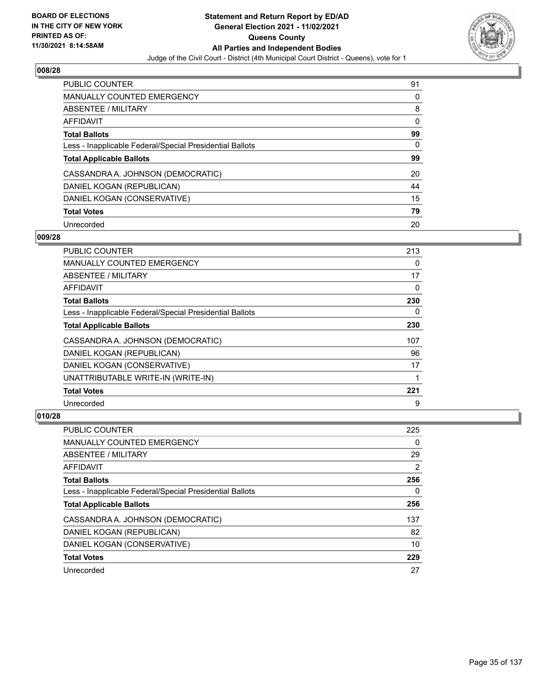

| PUBLIC COUNTER                                           | 91 |
|----------------------------------------------------------|----|
| <b>MANUALLY COUNTED EMERGENCY</b>                        | 0  |
| ABSENTEE / MILITARY                                      | 8  |
| AFFIDAVIT                                                | 0  |
| <b>Total Ballots</b>                                     | 99 |
| Less - Inapplicable Federal/Special Presidential Ballots | 0  |
| <b>Total Applicable Ballots</b>                          | 99 |
| CASSANDRA A. JOHNSON (DEMOCRATIC)                        | 20 |
| DANIEL KOGAN (REPUBLICAN)                                | 44 |
| DANIEL KOGAN (CONSERVATIVE)                              | 15 |
| <b>Total Votes</b>                                       | 79 |
| Unrecorded                                               | 20 |

#### **009/28**

| <b>PUBLIC COUNTER</b>                                    | 213 |
|----------------------------------------------------------|-----|
| <b>MANUALLY COUNTED EMERGENCY</b>                        | 0   |
| ABSENTEE / MILITARY                                      | 17  |
| AFFIDAVIT                                                | 0   |
| <b>Total Ballots</b>                                     | 230 |
| Less - Inapplicable Federal/Special Presidential Ballots | 0   |
| <b>Total Applicable Ballots</b>                          | 230 |
| CASSANDRA A. JOHNSON (DEMOCRATIC)                        | 107 |
| DANIEL KOGAN (REPUBLICAN)                                | 96  |
| DANIEL KOGAN (CONSERVATIVE)                              | 17  |
| UNATTRIBUTABLE WRITE-IN (WRITE-IN)                       |     |
| <b>Total Votes</b>                                       | 221 |
| Unrecorded                                               | 9   |

| PUBLIC COUNTER                                           | 225 |
|----------------------------------------------------------|-----|
| <b>MANUALLY COUNTED EMERGENCY</b>                        | 0   |
| ABSENTEE / MILITARY                                      | 29  |
| AFFIDAVIT                                                | 2   |
| <b>Total Ballots</b>                                     | 256 |
| Less - Inapplicable Federal/Special Presidential Ballots | 0   |
| <b>Total Applicable Ballots</b>                          | 256 |
| CASSANDRA A. JOHNSON (DEMOCRATIC)                        | 137 |
| DANIEL KOGAN (REPUBLICAN)                                | 82  |
| DANIEL KOGAN (CONSERVATIVE)                              | 10  |
| <b>Total Votes</b>                                       | 229 |
| Unrecorded                                               | 27  |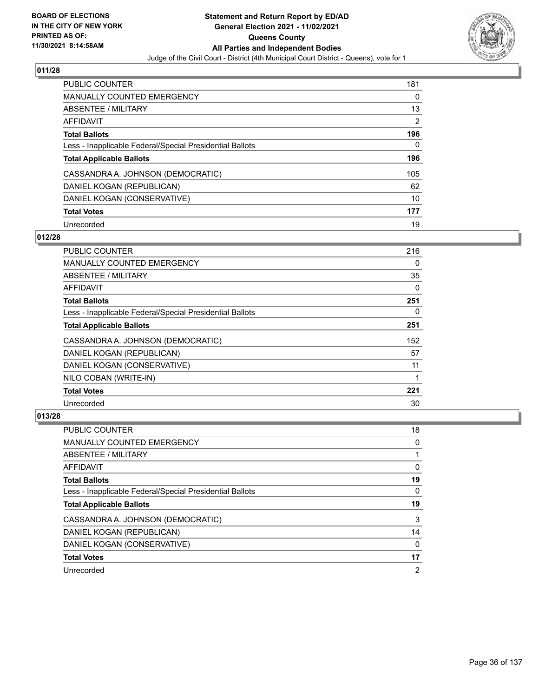

| <b>PUBLIC COUNTER</b>                                    | 181 |
|----------------------------------------------------------|-----|
| <b>MANUALLY COUNTED EMERGENCY</b>                        | 0   |
| ABSENTEE / MILITARY                                      | 13  |
| AFFIDAVIT                                                | 2   |
| <b>Total Ballots</b>                                     | 196 |
| Less - Inapplicable Federal/Special Presidential Ballots | 0   |
| <b>Total Applicable Ballots</b>                          | 196 |
| CASSANDRA A. JOHNSON (DEMOCRATIC)                        | 105 |
| DANIEL KOGAN (REPUBLICAN)                                | 62  |
| DANIEL KOGAN (CONSERVATIVE)                              | 10  |
| <b>Total Votes</b>                                       | 177 |
| Unrecorded                                               | 19  |

#### **012/28**

| PUBLIC COUNTER                                           | 216      |
|----------------------------------------------------------|----------|
| <b>MANUALLY COUNTED EMERGENCY</b>                        | $\Omega$ |
| ABSENTEE / MILITARY                                      | 35       |
| AFFIDAVIT                                                | 0        |
| <b>Total Ballots</b>                                     | 251      |
| Less - Inapplicable Federal/Special Presidential Ballots | $\Omega$ |
| <b>Total Applicable Ballots</b>                          | 251      |
| CASSANDRA A. JOHNSON (DEMOCRATIC)                        | 152      |
| DANIEL KOGAN (REPUBLICAN)                                | 57       |
| DANIEL KOGAN (CONSERVATIVE)                              | 11       |
| NILO COBAN (WRITE-IN)                                    | 1        |
| <b>Total Votes</b>                                       | 221      |
| Unrecorded                                               | 30       |

| PUBLIC COUNTER                                           | 18 |
|----------------------------------------------------------|----|
| <b>MANUALLY COUNTED EMERGENCY</b>                        | 0  |
| ABSENTEE / MILITARY                                      |    |
| AFFIDAVIT                                                | 0  |
| <b>Total Ballots</b>                                     | 19 |
| Less - Inapplicable Federal/Special Presidential Ballots | 0  |
| <b>Total Applicable Ballots</b>                          | 19 |
|                                                          |    |
| CASSANDRA A. JOHNSON (DEMOCRATIC)                        | 3  |
| DANIEL KOGAN (REPUBLICAN)                                | 14 |
| DANIEL KOGAN (CONSERVATIVE)                              | 0  |
| <b>Total Votes</b>                                       | 17 |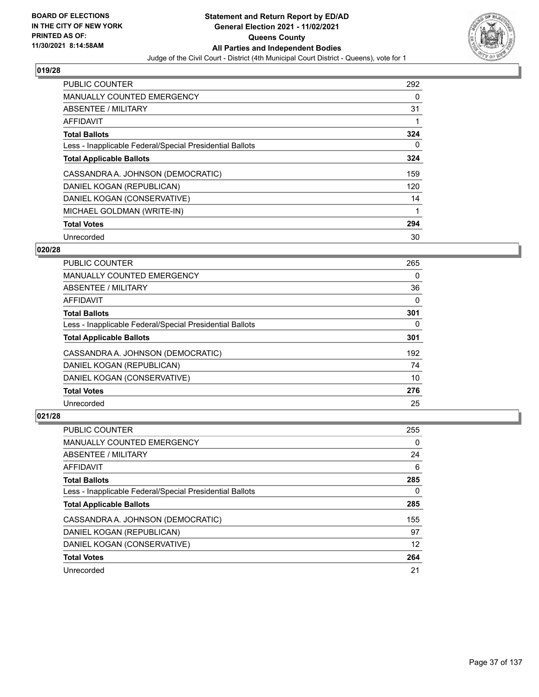

| PUBLIC COUNTER                                           | 292 |
|----------------------------------------------------------|-----|
| <b>MANUALLY COUNTED EMERGENCY</b>                        | 0   |
| ABSENTEE / MILITARY                                      | 31  |
| <b>AFFIDAVIT</b>                                         |     |
| <b>Total Ballots</b>                                     | 324 |
| Less - Inapplicable Federal/Special Presidential Ballots | 0   |
| <b>Total Applicable Ballots</b>                          | 324 |
| CASSANDRA A. JOHNSON (DEMOCRATIC)                        | 159 |
| DANIEL KOGAN (REPUBLICAN)                                | 120 |
| DANIEL KOGAN (CONSERVATIVE)                              | 14  |
| MICHAEL GOLDMAN (WRITE-IN)                               |     |
| <b>Total Votes</b>                                       | 294 |
| Unrecorded                                               | 30  |

### **020/28**

| <b>PUBLIC COUNTER</b>                                    | 265 |
|----------------------------------------------------------|-----|
| <b>MANUALLY COUNTED EMERGENCY</b>                        | 0   |
| ABSENTEE / MILITARY                                      | 36  |
| AFFIDAVIT                                                | 0   |
| <b>Total Ballots</b>                                     | 301 |
| Less - Inapplicable Federal/Special Presidential Ballots | 0   |
| <b>Total Applicable Ballots</b>                          | 301 |
| CASSANDRA A. JOHNSON (DEMOCRATIC)                        | 192 |
| DANIEL KOGAN (REPUBLICAN)                                | 74  |
| DANIEL KOGAN (CONSERVATIVE)                              | 10  |
| <b>Total Votes</b>                                       | 276 |
| Unrecorded                                               | 25  |

| PUBLIC COUNTER                                           | 255 |
|----------------------------------------------------------|-----|
| <b>MANUALLY COUNTED EMERGENCY</b>                        | 0   |
| ABSENTEE / MILITARY                                      | 24  |
| AFFIDAVIT                                                | 6   |
| <b>Total Ballots</b>                                     | 285 |
| Less - Inapplicable Federal/Special Presidential Ballots | 0   |
| <b>Total Applicable Ballots</b>                          | 285 |
| CASSANDRA A. JOHNSON (DEMOCRATIC)                        | 155 |
| DANIEL KOGAN (REPUBLICAN)                                | 97  |
| DANIEL KOGAN (CONSERVATIVE)                              | 12  |
| <b>Total Votes</b>                                       | 264 |
| Unrecorded                                               | 21  |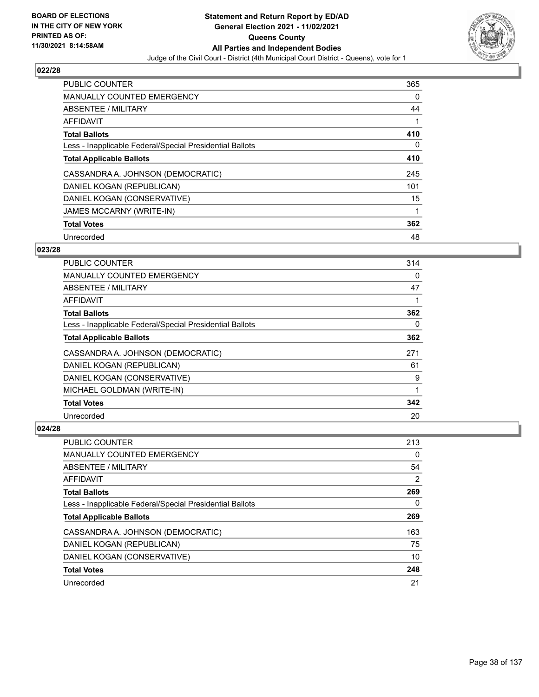

| <b>PUBLIC COUNTER</b>                                    | 365      |
|----------------------------------------------------------|----------|
| MANUALLY COUNTED EMERGENCY                               | $\Omega$ |
| ABSENTEE / MILITARY                                      | 44       |
| AFFIDAVIT                                                |          |
| <b>Total Ballots</b>                                     | 410      |
| Less - Inapplicable Federal/Special Presidential Ballots | $\Omega$ |
| <b>Total Applicable Ballots</b>                          | 410      |
| CASSANDRA A. JOHNSON (DEMOCRATIC)                        | 245      |
| DANIEL KOGAN (REPUBLICAN)                                | 101      |
| DANIEL KOGAN (CONSERVATIVE)                              | 15       |
| <b>JAMES MCCARNY (WRITE-IN)</b>                          | 1        |
| <b>Total Votes</b>                                       | 362      |
| Unrecorded                                               | 48       |

# **023/28**

| PUBLIC COUNTER                                           | 314 |
|----------------------------------------------------------|-----|
| <b>MANUALLY COUNTED EMERGENCY</b>                        | 0   |
| ABSENTEE / MILITARY                                      | 47  |
| AFFIDAVIT                                                |     |
| <b>Total Ballots</b>                                     | 362 |
| Less - Inapplicable Federal/Special Presidential Ballots | 0   |
| <b>Total Applicable Ballots</b>                          | 362 |
| CASSANDRA A. JOHNSON (DEMOCRATIC)                        | 271 |
| DANIEL KOGAN (REPUBLICAN)                                | 61  |
| DANIEL KOGAN (CONSERVATIVE)                              | 9   |
| MICHAEL GOLDMAN (WRITE-IN)                               | 1   |
| <b>Total Votes</b>                                       | 342 |
| Unrecorded                                               | 20  |

| PUBLIC COUNTER                                           | 213 |
|----------------------------------------------------------|-----|
| <b>MANUALLY COUNTED EMERGENCY</b>                        | 0   |
| ABSENTEE / MILITARY                                      | 54  |
| AFFIDAVIT                                                | 2   |
| <b>Total Ballots</b>                                     | 269 |
| Less - Inapplicable Federal/Special Presidential Ballots | 0   |
| <b>Total Applicable Ballots</b>                          | 269 |
| CASSANDRA A. JOHNSON (DEMOCRATIC)                        | 163 |
| DANIEL KOGAN (REPUBLICAN)                                | 75  |
| DANIEL KOGAN (CONSERVATIVE)                              | 10  |
| <b>Total Votes</b>                                       | 248 |
| Unrecorded                                               | 21  |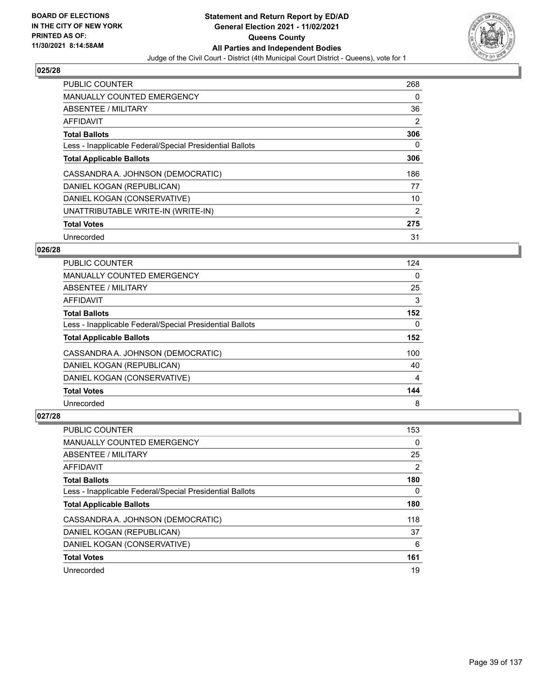

| <b>PUBLIC COUNTER</b>                                    | 268 |
|----------------------------------------------------------|-----|
| MANUALLY COUNTED EMERGENCY                               | 0   |
| ABSENTEE / MILITARY                                      | 36  |
| AFFIDAVIT                                                | 2   |
| <b>Total Ballots</b>                                     | 306 |
| Less - Inapplicable Federal/Special Presidential Ballots | 0   |
| <b>Total Applicable Ballots</b>                          | 306 |
| CASSANDRA A. JOHNSON (DEMOCRATIC)                        | 186 |
| DANIEL KOGAN (REPUBLICAN)                                | 77  |
| DANIEL KOGAN (CONSERVATIVE)                              | 10  |
| UNATTRIBUTABLE WRITE-IN (WRITE-IN)                       | 2   |
| <b>Total Votes</b>                                       | 275 |
| Unrecorded                                               | 31  |

### **026/28**

| <b>PUBLIC COUNTER</b>                                    | 124 |
|----------------------------------------------------------|-----|
| <b>MANUALLY COUNTED EMERGENCY</b>                        | 0   |
| ABSENTEE / MILITARY                                      | 25  |
| AFFIDAVIT                                                | 3   |
| <b>Total Ballots</b>                                     | 152 |
| Less - Inapplicable Federal/Special Presidential Ballots | 0   |
| <b>Total Applicable Ballots</b>                          | 152 |
| CASSANDRA A. JOHNSON (DEMOCRATIC)                        | 100 |
| DANIEL KOGAN (REPUBLICAN)                                | 40  |
| DANIEL KOGAN (CONSERVATIVE)                              | 4   |
| <b>Total Votes</b>                                       | 144 |
| Unrecorded                                               | 8   |

| <b>PUBLIC COUNTER</b>                                    | 153 |
|----------------------------------------------------------|-----|
| <b>MANUALLY COUNTED EMERGENCY</b>                        | 0   |
| ABSENTEE / MILITARY                                      | 25  |
| AFFIDAVIT                                                | 2   |
| <b>Total Ballots</b>                                     | 180 |
| Less - Inapplicable Federal/Special Presidential Ballots | 0   |
| <b>Total Applicable Ballots</b>                          | 180 |
| CASSANDRA A. JOHNSON (DEMOCRATIC)                        | 118 |
| DANIEL KOGAN (REPUBLICAN)                                | 37  |
| DANIEL KOGAN (CONSERVATIVE)                              | 6   |
| <b>Total Votes</b>                                       | 161 |
| Unrecorded                                               | 19  |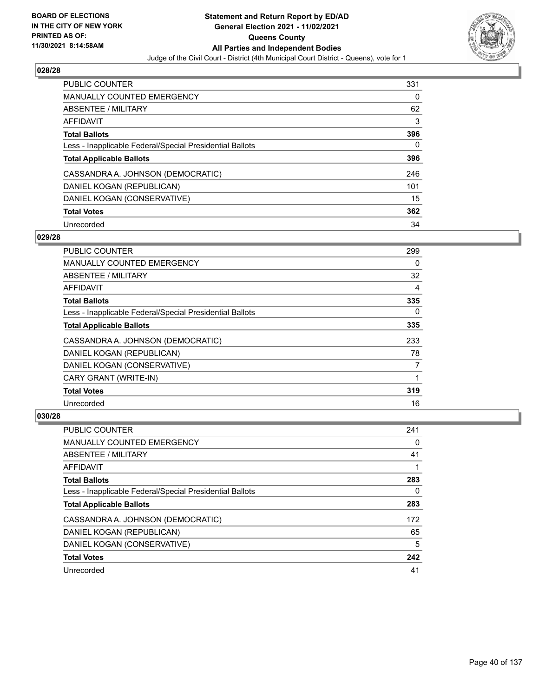

| PUBLIC COUNTER                                           | 331 |
|----------------------------------------------------------|-----|
| <b>MANUALLY COUNTED EMERGENCY</b>                        | 0   |
| ABSENTEE / MILITARY                                      | 62  |
| AFFIDAVIT                                                | 3   |
| <b>Total Ballots</b>                                     | 396 |
| Less - Inapplicable Federal/Special Presidential Ballots | 0   |
| <b>Total Applicable Ballots</b>                          | 396 |
| CASSANDRA A. JOHNSON (DEMOCRATIC)                        | 246 |
| DANIEL KOGAN (REPUBLICAN)                                | 101 |
| DANIEL KOGAN (CONSERVATIVE)                              | 15  |
| <b>Total Votes</b>                                       | 362 |
| Unrecorded                                               | 34  |

### **029/28**

| <b>PUBLIC COUNTER</b>                                    | 299            |
|----------------------------------------------------------|----------------|
| <b>MANUALLY COUNTED EMERGENCY</b>                        | 0              |
| ABSENTEE / MILITARY                                      | 32             |
| AFFIDAVIT                                                | 4              |
| <b>Total Ballots</b>                                     | 335            |
| Less - Inapplicable Federal/Special Presidential Ballots | $\Omega$       |
| <b>Total Applicable Ballots</b>                          | 335            |
| CASSANDRA A. JOHNSON (DEMOCRATIC)                        | 233            |
| DANIEL KOGAN (REPUBLICAN)                                | 78             |
| DANIEL KOGAN (CONSERVATIVE)                              | $\overline{7}$ |
| CARY GRANT (WRITE-IN)                                    |                |
| <b>Total Votes</b>                                       | 319            |
| Unrecorded                                               | 16             |

| <b>PUBLIC COUNTER</b>                                    | 241 |
|----------------------------------------------------------|-----|
| <b>MANUALLY COUNTED EMERGENCY</b>                        | 0   |
| ABSENTEE / MILITARY                                      | 41  |
| AFFIDAVIT                                                |     |
| <b>Total Ballots</b>                                     | 283 |
| Less - Inapplicable Federal/Special Presidential Ballots | 0   |
| <b>Total Applicable Ballots</b>                          | 283 |
| CASSANDRA A. JOHNSON (DEMOCRATIC)                        | 172 |
| DANIEL KOGAN (REPUBLICAN)                                | 65  |
| DANIEL KOGAN (CONSERVATIVE)                              | 5   |
| <b>Total Votes</b>                                       | 242 |
| Unrecorded                                               | 41  |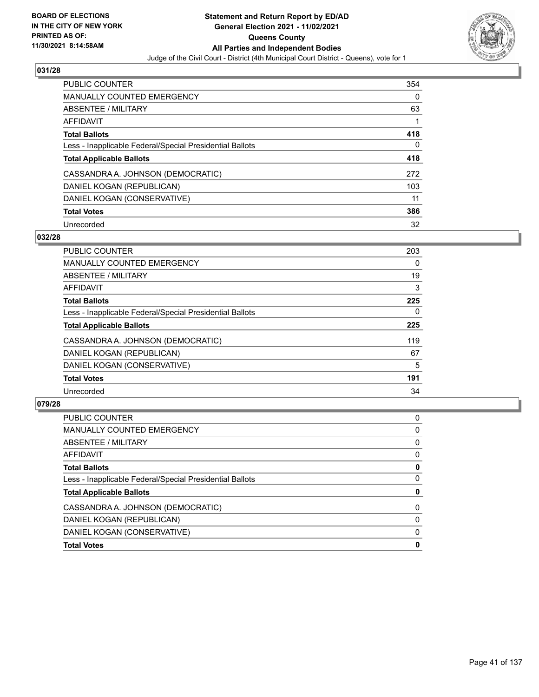

| <b>PUBLIC COUNTER</b>                                    | 354 |
|----------------------------------------------------------|-----|
| <b>MANUALLY COUNTED EMERGENCY</b>                        | 0   |
| ABSENTEE / MILITARY                                      | 63  |
| AFFIDAVIT                                                |     |
| <b>Total Ballots</b>                                     | 418 |
| Less - Inapplicable Federal/Special Presidential Ballots | 0   |
| <b>Total Applicable Ballots</b>                          | 418 |
| CASSANDRA A. JOHNSON (DEMOCRATIC)                        | 272 |
| DANIEL KOGAN (REPUBLICAN)                                | 103 |
| DANIEL KOGAN (CONSERVATIVE)                              | 11  |
| <b>Total Votes</b>                                       | 386 |
| Unrecorded                                               | 32  |

### **032/28**

| PUBLIC COUNTER                                           | 203 |
|----------------------------------------------------------|-----|
| MANUALLY COUNTED EMERGENCY                               | 0   |
| ABSENTEE / MILITARY                                      | 19  |
| <b>AFFIDAVIT</b>                                         | 3   |
| <b>Total Ballots</b>                                     | 225 |
| Less - Inapplicable Federal/Special Presidential Ballots | 0   |
| <b>Total Applicable Ballots</b>                          | 225 |
| CASSANDRA A. JOHNSON (DEMOCRATIC)                        | 119 |
| DANIEL KOGAN (REPUBLICAN)                                | 67  |
| DANIEL KOGAN (CONSERVATIVE)                              | 5   |
| <b>Total Votes</b>                                       | 191 |
| Unrecorded                                               | 34  |

| PUBLIC COUNTER                                           | 0 |
|----------------------------------------------------------|---|
| <b>MANUALLY COUNTED EMERGENCY</b>                        | 0 |
| ABSENTEE / MILITARY                                      | 0 |
| AFFIDAVIT                                                | 0 |
| <b>Total Ballots</b>                                     | 0 |
| Less - Inapplicable Federal/Special Presidential Ballots | 0 |
| <b>Total Applicable Ballots</b>                          | 0 |
| CASSANDRA A. JOHNSON (DEMOCRATIC)                        | 0 |
| DANIEL KOGAN (REPUBLICAN)                                | 0 |
| DANIEL KOGAN (CONSERVATIVE)                              | 0 |
| <b>Total Votes</b>                                       | 0 |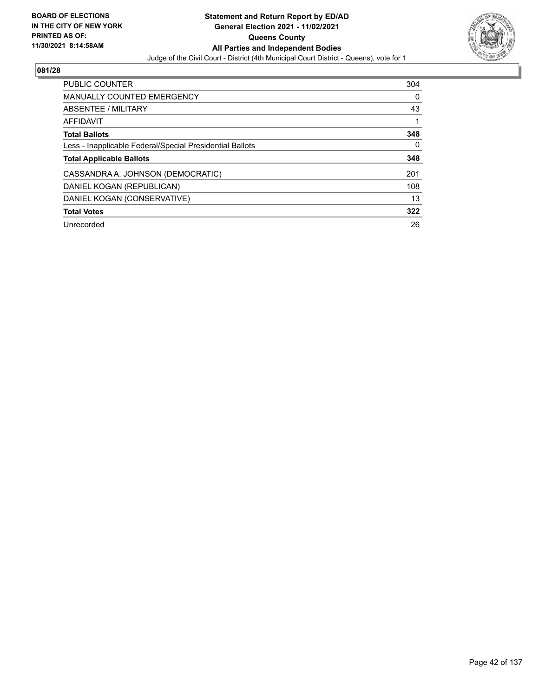

| PUBLIC COUNTER                                           | 304 |
|----------------------------------------------------------|-----|
| <b>MANUALLY COUNTED EMERGENCY</b>                        | 0   |
| ABSENTEE / MILITARY                                      | 43  |
| AFFIDAVIT                                                |     |
| <b>Total Ballots</b>                                     | 348 |
| Less - Inapplicable Federal/Special Presidential Ballots | 0   |
| <b>Total Applicable Ballots</b>                          | 348 |
| CASSANDRA A. JOHNSON (DEMOCRATIC)                        | 201 |
| DANIEL KOGAN (REPUBLICAN)                                | 108 |
| DANIEL KOGAN (CONSERVATIVE)                              | 13  |
| <b>Total Votes</b>                                       | 322 |
| Unrecorded                                               | 26  |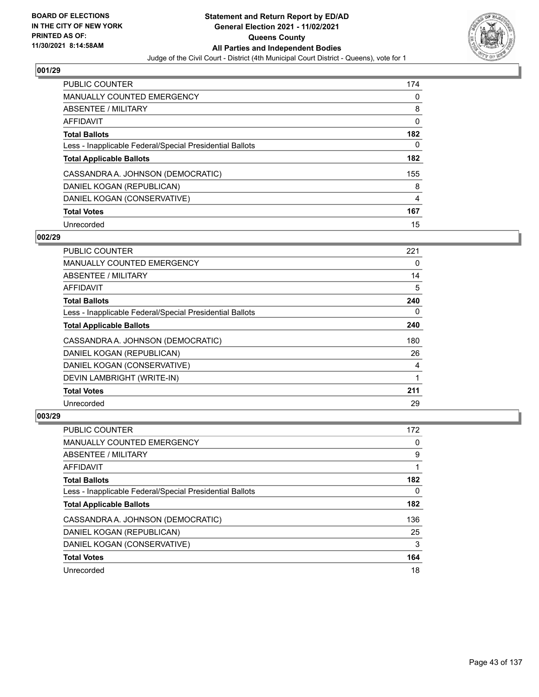

| PUBLIC COUNTER                                           | 174 |
|----------------------------------------------------------|-----|
| <b>MANUALLY COUNTED EMERGENCY</b>                        | 0   |
| ABSENTEE / MILITARY                                      | 8   |
| AFFIDAVIT                                                | 0   |
| <b>Total Ballots</b>                                     | 182 |
| Less - Inapplicable Federal/Special Presidential Ballots | 0   |
| <b>Total Applicable Ballots</b>                          | 182 |
| CASSANDRA A. JOHNSON (DEMOCRATIC)                        | 155 |
| DANIEL KOGAN (REPUBLICAN)                                | 8   |
| DANIEL KOGAN (CONSERVATIVE)                              | 4   |
| <b>Total Votes</b>                                       | 167 |
| Unrecorded                                               | 15  |

### **002/29**

| <b>PUBLIC COUNTER</b>                                    | 221      |
|----------------------------------------------------------|----------|
| <b>MANUALLY COUNTED EMERGENCY</b>                        | $\Omega$ |
| ABSENTEE / MILITARY                                      | 14       |
| AFFIDAVIT                                                | 5        |
| <b>Total Ballots</b>                                     | 240      |
| Less - Inapplicable Federal/Special Presidential Ballots | $\Omega$ |
| <b>Total Applicable Ballots</b>                          | 240      |
| CASSANDRA A. JOHNSON (DEMOCRATIC)                        | 180      |
| DANIEL KOGAN (REPUBLICAN)                                | 26       |
| DANIEL KOGAN (CONSERVATIVE)                              | 4        |
| DEVIN LAMBRIGHT (WRITE-IN)                               | 1        |
| <b>Total Votes</b>                                       | 211      |
| Unrecorded                                               | 29       |

| <b>PUBLIC COUNTER</b>                                    | 172 |
|----------------------------------------------------------|-----|
| <b>MANUALLY COUNTED EMERGENCY</b>                        | 0   |
| ABSENTEE / MILITARY                                      | 9   |
| AFFIDAVIT                                                |     |
| <b>Total Ballots</b>                                     | 182 |
| Less - Inapplicable Federal/Special Presidential Ballots | 0   |
| <b>Total Applicable Ballots</b>                          | 182 |
| CASSANDRA A. JOHNSON (DEMOCRATIC)                        | 136 |
| DANIEL KOGAN (REPUBLICAN)                                | 25  |
| DANIEL KOGAN (CONSERVATIVE)                              | 3   |
| <b>Total Votes</b>                                       | 164 |
| Unrecorded                                               | 18  |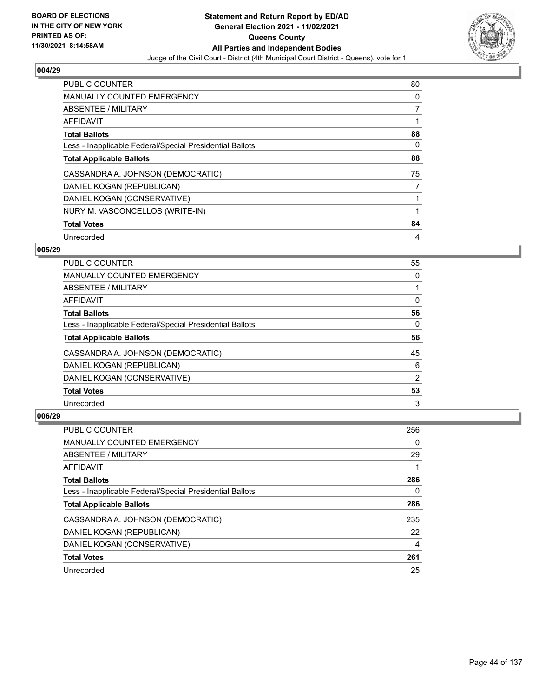

| <b>PUBLIC COUNTER</b>                                    | 80 |
|----------------------------------------------------------|----|
| <b>MANUALLY COUNTED EMERGENCY</b>                        | 0  |
| ABSENTEE / MILITARY                                      | 7  |
| <b>AFFIDAVIT</b>                                         |    |
| <b>Total Ballots</b>                                     | 88 |
| Less - Inapplicable Federal/Special Presidential Ballots | 0  |
| <b>Total Applicable Ballots</b>                          | 88 |
| CASSANDRA A. JOHNSON (DEMOCRATIC)                        | 75 |
| DANIEL KOGAN (REPUBLICAN)                                | 7  |
| DANIEL KOGAN (CONSERVATIVE)                              |    |
| NURY M. VASCONCELLOS (WRITE-IN)                          | 1  |
| <b>Total Votes</b>                                       | 84 |
| Unrecorded                                               | 4  |

### **005/29**

| <b>PUBLIC COUNTER</b>                                    | 55             |
|----------------------------------------------------------|----------------|
| <b>MANUALLY COUNTED EMERGENCY</b>                        | 0              |
| ABSENTEE / MILITARY                                      |                |
| AFFIDAVIT                                                | $\Omega$       |
| <b>Total Ballots</b>                                     | 56             |
| Less - Inapplicable Federal/Special Presidential Ballots | 0              |
| <b>Total Applicable Ballots</b>                          | 56             |
| CASSANDRA A. JOHNSON (DEMOCRATIC)                        | 45             |
| DANIEL KOGAN (REPUBLICAN)                                | 6              |
| DANIEL KOGAN (CONSERVATIVE)                              | $\overline{2}$ |
| <b>Total Votes</b>                                       | 53             |
| Unrecorded                                               | 3              |

| PUBLIC COUNTER                                           | 256 |
|----------------------------------------------------------|-----|
| <b>MANUALLY COUNTED EMERGENCY</b>                        | 0   |
| ABSENTEE / MILITARY                                      | 29  |
| AFFIDAVIT                                                |     |
| <b>Total Ballots</b>                                     | 286 |
| Less - Inapplicable Federal/Special Presidential Ballots | 0   |
| <b>Total Applicable Ballots</b>                          | 286 |
| CASSANDRA A. JOHNSON (DEMOCRATIC)                        | 235 |
| DANIEL KOGAN (REPUBLICAN)                                | 22  |
| DANIEL KOGAN (CONSERVATIVE)                              | 4   |
| <b>Total Votes</b>                                       | 261 |
| Unrecorded                                               | 25  |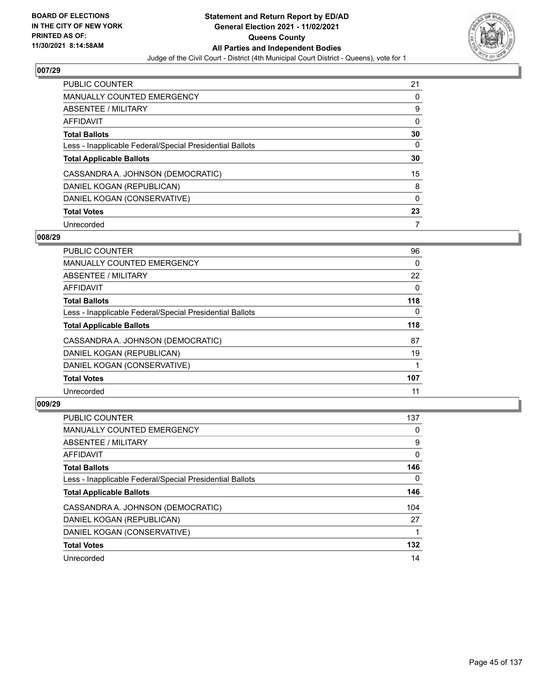

| <b>PUBLIC COUNTER</b>                                    | 21 |
|----------------------------------------------------------|----|
| <b>MANUALLY COUNTED EMERGENCY</b>                        | 0  |
| ABSENTEE / MILITARY                                      | 9  |
| AFFIDAVIT                                                | 0  |
| <b>Total Ballots</b>                                     | 30 |
| Less - Inapplicable Federal/Special Presidential Ballots | 0  |
| <b>Total Applicable Ballots</b>                          | 30 |
|                                                          |    |
| CASSANDRA A. JOHNSON (DEMOCRATIC)                        | 15 |
| DANIEL KOGAN (REPUBLICAN)                                | 8  |
| DANIEL KOGAN (CONSERVATIVE)                              | 0  |
| <b>Total Votes</b>                                       | 23 |

### **008/29**

| <b>PUBLIC COUNTER</b>                                    | 96       |
|----------------------------------------------------------|----------|
| <b>MANUALLY COUNTED EMERGENCY</b>                        | 0        |
| ABSENTEE / MILITARY                                      | 22       |
| <b>AFFIDAVIT</b>                                         | $\Omega$ |
| <b>Total Ballots</b>                                     | 118      |
| Less - Inapplicable Federal/Special Presidential Ballots | $\Omega$ |
| <b>Total Applicable Ballots</b>                          | 118      |
| CASSANDRA A. JOHNSON (DEMOCRATIC)                        | 87       |
| DANIEL KOGAN (REPUBLICAN)                                | 19       |
| DANIEL KOGAN (CONSERVATIVE)                              |          |
| <b>Total Votes</b>                                       | 107      |
| Unrecorded                                               | 11       |

| <b>PUBLIC COUNTER</b>                                    | 137 |
|----------------------------------------------------------|-----|
| <b>MANUALLY COUNTED EMERGENCY</b>                        | 0   |
| ABSENTEE / MILITARY                                      | 9   |
| <b>AFFIDAVIT</b>                                         | 0   |
| <b>Total Ballots</b>                                     | 146 |
| Less - Inapplicable Federal/Special Presidential Ballots | 0   |
| <b>Total Applicable Ballots</b>                          | 146 |
| CASSANDRA A. JOHNSON (DEMOCRATIC)                        | 104 |
| DANIEL KOGAN (REPUBLICAN)                                | 27  |
| DANIEL KOGAN (CONSERVATIVE)                              |     |
| <b>Total Votes</b>                                       | 132 |
| Unrecorded                                               | 14  |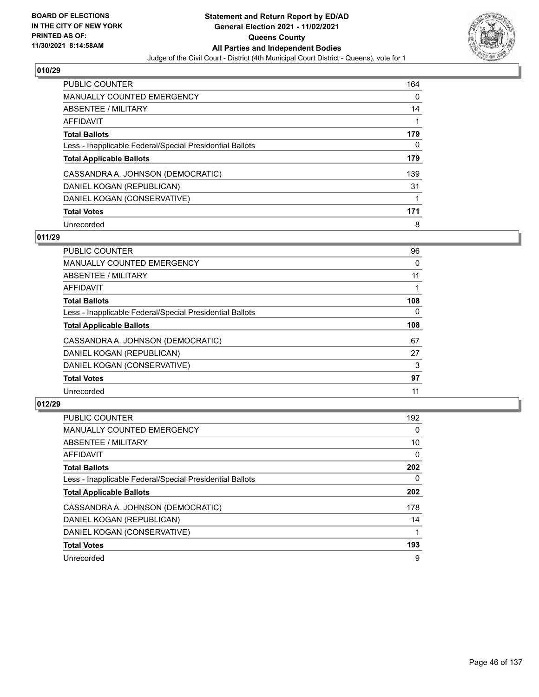

| <b>PUBLIC COUNTER</b>                                    | 164 |
|----------------------------------------------------------|-----|
| MANUALLY COUNTED EMERGENCY                               | 0   |
| ABSENTEE / MILITARY                                      | 14  |
| AFFIDAVIT                                                |     |
| <b>Total Ballots</b>                                     | 179 |
| Less - Inapplicable Federal/Special Presidential Ballots | 0   |
| <b>Total Applicable Ballots</b>                          | 179 |
| CASSANDRA A. JOHNSON (DEMOCRATIC)                        | 139 |
| DANIEL KOGAN (REPUBLICAN)                                | 31  |
| DANIEL KOGAN (CONSERVATIVE)                              |     |
| <b>Total Votes</b>                                       | 171 |
|                                                          |     |

### **011/29**

| <b>PUBLIC COUNTER</b>                                    | 96       |
|----------------------------------------------------------|----------|
| <b>MANUALLY COUNTED EMERGENCY</b>                        | 0        |
| <b>ABSENTEE / MILITARY</b>                               | 11       |
| <b>AFFIDAVIT</b>                                         |          |
| <b>Total Ballots</b>                                     | 108      |
| Less - Inapplicable Federal/Special Presidential Ballots | $\Omega$ |
| <b>Total Applicable Ballots</b>                          | 108      |
| CASSANDRA A. JOHNSON (DEMOCRATIC)                        | 67       |
| DANIEL KOGAN (REPUBLICAN)                                | 27       |
| DANIEL KOGAN (CONSERVATIVE)                              | 3        |
| <b>Total Votes</b>                                       | 97       |
| Unrecorded                                               | 11       |

| PUBLIC COUNTER                                           | 192      |
|----------------------------------------------------------|----------|
| <b>MANUALLY COUNTED EMERGENCY</b>                        | 0        |
| ABSENTEE / MILITARY                                      | 10       |
| <b>AFFIDAVIT</b>                                         | $\Omega$ |
| <b>Total Ballots</b>                                     | 202      |
| Less - Inapplicable Federal/Special Presidential Ballots | 0        |
| <b>Total Applicable Ballots</b>                          | 202      |
| CASSANDRA A. JOHNSON (DEMOCRATIC)                        | 178      |
| DANIEL KOGAN (REPUBLICAN)                                | 14       |
| DANIEL KOGAN (CONSERVATIVE)                              |          |
| <b>Total Votes</b>                                       | 193      |
| Unrecorded                                               | 9        |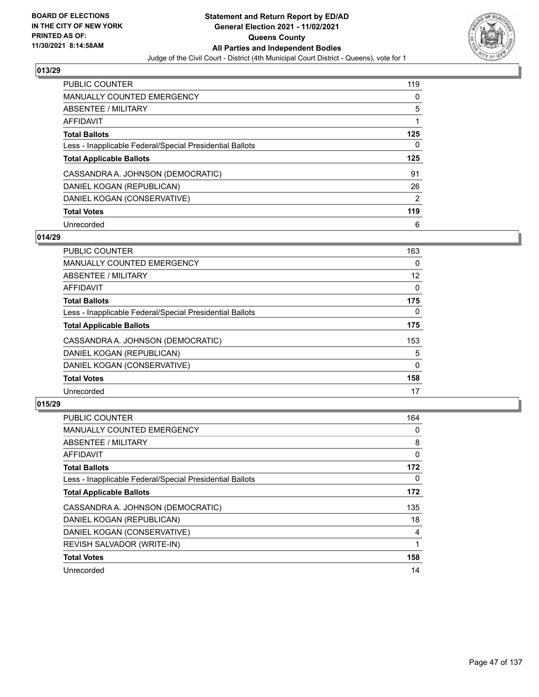

| <b>PUBLIC COUNTER</b>                                    | 119            |
|----------------------------------------------------------|----------------|
| MANUALLY COUNTED EMERGENCY                               | 0              |
| ABSENTEE / MILITARY                                      | 5              |
| AFFIDAVIT                                                |                |
| <b>Total Ballots</b>                                     | 125            |
| Less - Inapplicable Federal/Special Presidential Ballots | 0              |
| <b>Total Applicable Ballots</b>                          | 125            |
| CASSANDRA A. JOHNSON (DEMOCRATIC)                        |                |
|                                                          | 91             |
| DANIEL KOGAN (REPUBLICAN)                                | 26             |
| DANIEL KOGAN (CONSERVATIVE)                              | $\overline{2}$ |
| <b>Total Votes</b>                                       | 119            |

# **014/29**

| <b>PUBLIC COUNTER</b>                                    | 163          |
|----------------------------------------------------------|--------------|
| <b>MANUALLY COUNTED EMERGENCY</b>                        | 0            |
| ABSENTEE / MILITARY                                      | 12           |
| <b>AFFIDAVIT</b>                                         | $\Omega$     |
| <b>Total Ballots</b>                                     | 175          |
| Less - Inapplicable Federal/Special Presidential Ballots | $\Omega$     |
| <b>Total Applicable Ballots</b>                          | 175          |
| CASSANDRA A. JOHNSON (DEMOCRATIC)                        | 153          |
| DANIEL KOGAN (REPUBLICAN)                                | 5            |
| DANIEL KOGAN (CONSERVATIVE)                              | $\mathbf{0}$ |
| <b>Total Votes</b>                                       | 158          |
| Unrecorded                                               | 17           |

| <b>PUBLIC COUNTER</b>                                    | 164 |
|----------------------------------------------------------|-----|
| <b>MANUALLY COUNTED EMERGENCY</b>                        | 0   |
| ABSENTEE / MILITARY                                      | 8   |
| AFFIDAVIT                                                | 0   |
| <b>Total Ballots</b>                                     | 172 |
| Less - Inapplicable Federal/Special Presidential Ballots | 0   |
| <b>Total Applicable Ballots</b>                          | 172 |
| CASSANDRA A. JOHNSON (DEMOCRATIC)                        | 135 |
| DANIEL KOGAN (REPUBLICAN)                                | 18  |
| DANIEL KOGAN (CONSERVATIVE)                              | 4   |
| REVISH SALVADOR (WRITE-IN)                               |     |
| <b>Total Votes</b>                                       | 158 |
| Unrecorded                                               | 14  |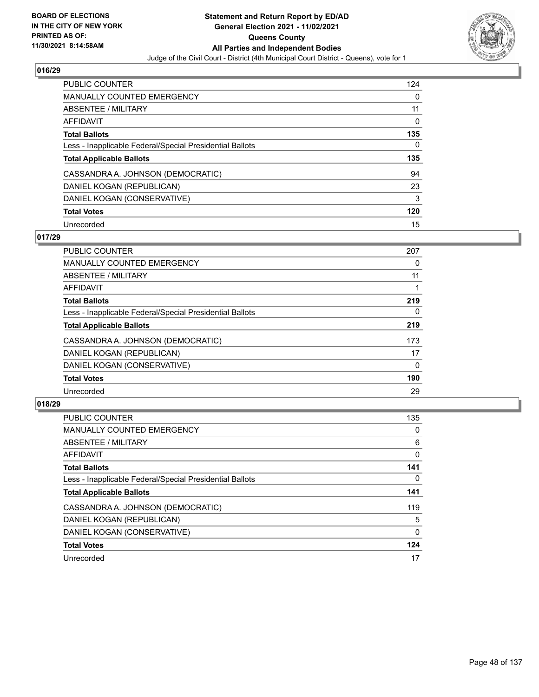

| <b>PUBLIC COUNTER</b>                                    | 124 |
|----------------------------------------------------------|-----|
| MANUALLY COUNTED EMERGENCY                               | 0   |
| ABSENTEE / MILITARY                                      | 11  |
| AFFIDAVIT                                                | 0   |
| <b>Total Ballots</b>                                     | 135 |
| Less - Inapplicable Federal/Special Presidential Ballots | 0   |
|                                                          |     |
| <b>Total Applicable Ballots</b>                          | 135 |
| CASSANDRA A. JOHNSON (DEMOCRATIC)                        | 94  |
| DANIEL KOGAN (REPUBLICAN)                                | 23  |
| DANIEL KOGAN (CONSERVATIVE)                              | 3   |
| <b>Total Votes</b>                                       | 120 |

### **017/29**

| <b>PUBLIC COUNTER</b>                                    | 207      |
|----------------------------------------------------------|----------|
| <b>MANUALLY COUNTED EMERGENCY</b>                        | 0        |
| ABSENTEE / MILITARY                                      | 11       |
| <b>AFFIDAVIT</b>                                         |          |
| <b>Total Ballots</b>                                     | 219      |
| Less - Inapplicable Federal/Special Presidential Ballots | 0        |
| <b>Total Applicable Ballots</b>                          | 219      |
| CASSANDRA A. JOHNSON (DEMOCRATIC)                        | 173      |
| DANIEL KOGAN (REPUBLICAN)                                | 17       |
| DANIEL KOGAN (CONSERVATIVE)                              | $\Omega$ |
| <b>Total Votes</b>                                       | 190      |
| Unrecorded                                               | 29       |

| <b>PUBLIC COUNTER</b>                                    | 135      |
|----------------------------------------------------------|----------|
| <b>MANUALLY COUNTED EMERGENCY</b>                        | $\Omega$ |
| ABSENTEE / MILITARY                                      | 6        |
| <b>AFFIDAVIT</b>                                         | 0        |
| <b>Total Ballots</b>                                     | 141      |
| Less - Inapplicable Federal/Special Presidential Ballots | 0        |
| <b>Total Applicable Ballots</b>                          | 141      |
| CASSANDRA A. JOHNSON (DEMOCRATIC)                        | 119      |
| DANIEL KOGAN (REPUBLICAN)                                | 5        |
| DANIEL KOGAN (CONSERVATIVE)                              | $\Omega$ |
| <b>Total Votes</b>                                       | 124      |
| Unrecorded                                               | 17       |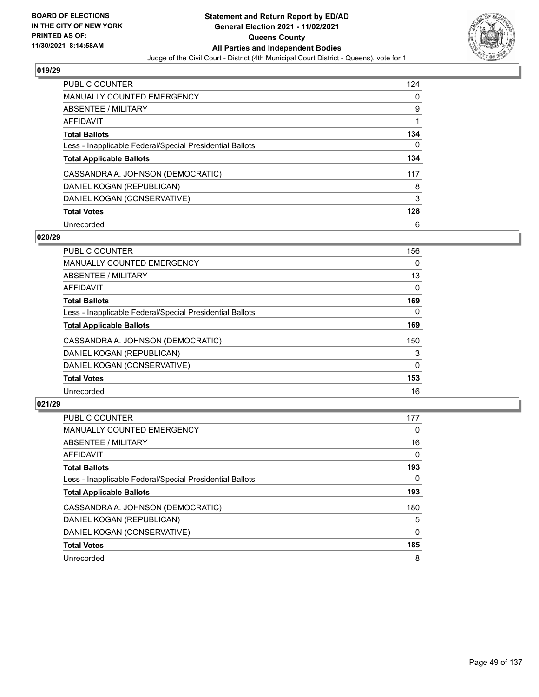

| PUBLIC COUNTER                                           | 124 |
|----------------------------------------------------------|-----|
| MANUALLY COUNTED EMERGENCY                               | 0   |
| ABSENTEE / MILITARY                                      | 9   |
| AFFIDAVIT                                                |     |
| <b>Total Ballots</b>                                     | 134 |
| Less - Inapplicable Federal/Special Presidential Ballots | 0   |
| <b>Total Applicable Ballots</b>                          | 134 |
| CASSANDRA A. JOHNSON (DEMOCRATIC)                        | 117 |
| DANIEL KOGAN (REPUBLICAN)                                | 8   |
| DANIEL KOGAN (CONSERVATIVE)                              | 3   |
| <b>Total Votes</b>                                       | 128 |
| Unrecorded                                               | 6   |

### **020/29**

| <b>PUBLIC COUNTER</b>                                    | 156          |
|----------------------------------------------------------|--------------|
| <b>MANUALLY COUNTED EMERGENCY</b>                        | 0            |
| ABSENTEE / MILITARY                                      | 13           |
| <b>AFFIDAVIT</b>                                         | $\Omega$     |
| <b>Total Ballots</b>                                     | 169          |
| Less - Inapplicable Federal/Special Presidential Ballots | $\Omega$     |
| <b>Total Applicable Ballots</b>                          | 169          |
| CASSANDRA A. JOHNSON (DEMOCRATIC)                        | 150          |
| DANIEL KOGAN (REPUBLICAN)                                | 3            |
| DANIEL KOGAN (CONSERVATIVE)                              | $\mathbf{0}$ |
| <b>Total Votes</b>                                       | 153          |
| Unrecorded                                               | 16           |

| <b>PUBLIC COUNTER</b>                                    | 177      |
|----------------------------------------------------------|----------|
| <b>MANUALLY COUNTED EMERGENCY</b>                        | 0        |
| ABSENTEE / MILITARY                                      | 16       |
| <b>AFFIDAVIT</b>                                         | $\Omega$ |
| <b>Total Ballots</b>                                     | 193      |
| Less - Inapplicable Federal/Special Presidential Ballots | 0        |
| <b>Total Applicable Ballots</b>                          | 193      |
| CASSANDRA A. JOHNSON (DEMOCRATIC)                        | 180      |
| DANIEL KOGAN (REPUBLICAN)                                | 5        |
| DANIEL KOGAN (CONSERVATIVE)                              | $\Omega$ |
| <b>Total Votes</b>                                       | 185      |
| Unrecorded                                               | 8        |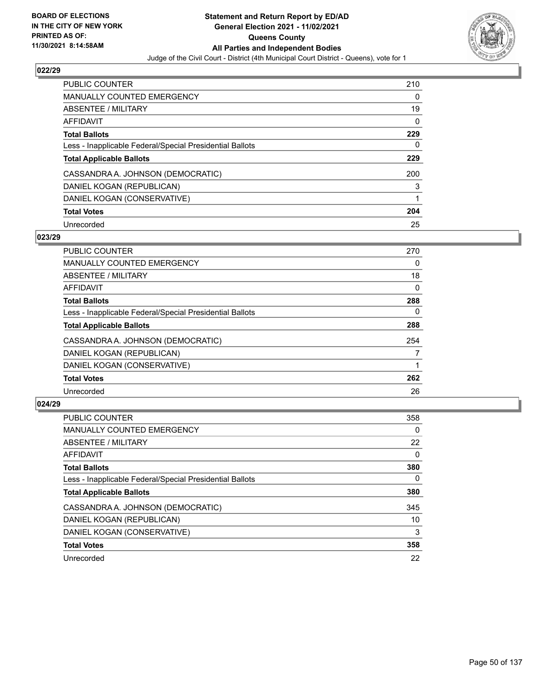

| PUBLIC COUNTER                                           | 210 |
|----------------------------------------------------------|-----|
| <b>MANUALLY COUNTED EMERGENCY</b>                        | 0   |
| ABSENTEE / MILITARY                                      | 19  |
| AFFIDAVIT                                                | 0   |
| <b>Total Ballots</b>                                     | 229 |
| Less - Inapplicable Federal/Special Presidential Ballots | 0   |
| <b>Total Applicable Ballots</b>                          | 229 |
| CASSANDRA A. JOHNSON (DEMOCRATIC)                        | 200 |
| DANIEL KOGAN (REPUBLICAN)                                | 3   |
| DANIEL KOGAN (CONSERVATIVE)                              |     |
| <b>Total Votes</b>                                       | 204 |
| Unrecorded                                               | 25  |

### **023/29**

| <b>PUBLIC COUNTER</b>                                    | 270      |
|----------------------------------------------------------|----------|
| MANUALLY COUNTED EMERGENCY                               | $\Omega$ |
| ABSENTEE / MILITARY                                      | 18       |
| AFFIDAVIT                                                | $\Omega$ |
| <b>Total Ballots</b>                                     | 288      |
| Less - Inapplicable Federal/Special Presidential Ballots | 0        |
| <b>Total Applicable Ballots</b>                          | 288      |
| CASSANDRA A. JOHNSON (DEMOCRATIC)                        | 254      |
| DANIEL KOGAN (REPUBLICAN)                                | 7        |
| DANIEL KOGAN (CONSERVATIVE)                              |          |
| <b>Total Votes</b>                                       | 262      |
| Unrecorded                                               | 26       |

| <b>PUBLIC COUNTER</b>                                    | 358      |
|----------------------------------------------------------|----------|
| <b>MANUALLY COUNTED EMERGENCY</b>                        | 0        |
| ABSENTEE / MILITARY                                      | 22       |
| <b>AFFIDAVIT</b>                                         | $\Omega$ |
| <b>Total Ballots</b>                                     | 380      |
| Less - Inapplicable Federal/Special Presidential Ballots | 0        |
| <b>Total Applicable Ballots</b>                          | 380      |
| CASSANDRA A. JOHNSON (DEMOCRATIC)                        | 345      |
| DANIEL KOGAN (REPUBLICAN)                                | 10       |
| DANIEL KOGAN (CONSERVATIVE)                              | 3        |
| <b>Total Votes</b>                                       | 358      |
| Unrecorded                                               | 22       |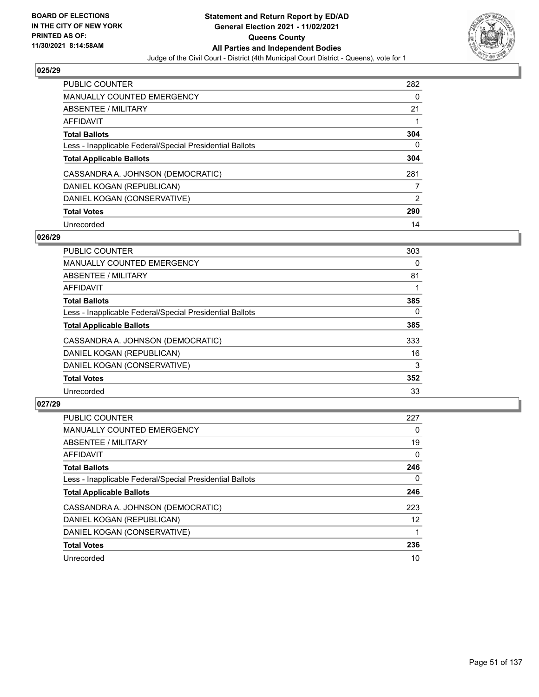

| <b>PUBLIC COUNTER</b>                                    | 282 |
|----------------------------------------------------------|-----|
| MANUALLY COUNTED EMERGENCY                               | 0   |
| ABSENTEE / MILITARY                                      | 21  |
| AFFIDAVIT                                                |     |
| <b>Total Ballots</b>                                     | 304 |
| Less - Inapplicable Federal/Special Presidential Ballots | 0   |
| <b>Total Applicable Ballots</b>                          | 304 |
| CASSANDRA A. JOHNSON (DEMOCRATIC)                        | 281 |
| DANIEL KOGAN (REPUBLICAN)                                |     |
|                                                          |     |
| DANIEL KOGAN (CONSERVATIVE)                              | 2   |
| <b>Total Votes</b>                                       | 290 |

### **026/29**

| <b>PUBLIC COUNTER</b>                                    | 303      |
|----------------------------------------------------------|----------|
| MANUALLY COUNTED EMERGENCY                               | 0        |
| ABSENTEE / MILITARY                                      | 81       |
| AFFIDAVIT                                                |          |
| <b>Total Ballots</b>                                     | 385      |
| Less - Inapplicable Federal/Special Presidential Ballots | $\Omega$ |
| <b>Total Applicable Ballots</b>                          | 385      |
| CASSANDRA A. JOHNSON (DEMOCRATIC)                        | 333      |
| DANIEL KOGAN (REPUBLICAN)                                | 16       |
| DANIEL KOGAN (CONSERVATIVE)                              | 3        |
| <b>Total Votes</b>                                       | 352      |
| Unrecorded                                               | 33       |

| <b>PUBLIC COUNTER</b>                                    | 227      |
|----------------------------------------------------------|----------|
| <b>MANUALLY COUNTED EMERGENCY</b>                        | 0        |
| ABSENTEE / MILITARY                                      | 19       |
| AFFIDAVIT                                                | $\Omega$ |
| <b>Total Ballots</b>                                     | 246      |
| Less - Inapplicable Federal/Special Presidential Ballots | 0        |
| <b>Total Applicable Ballots</b>                          | 246      |
| CASSANDRA A. JOHNSON (DEMOCRATIC)                        | 223      |
| DANIEL KOGAN (REPUBLICAN)                                | 12       |
| DANIEL KOGAN (CONSERVATIVE)                              |          |
| <b>Total Votes</b>                                       | 236      |
| Unrecorded                                               | 10       |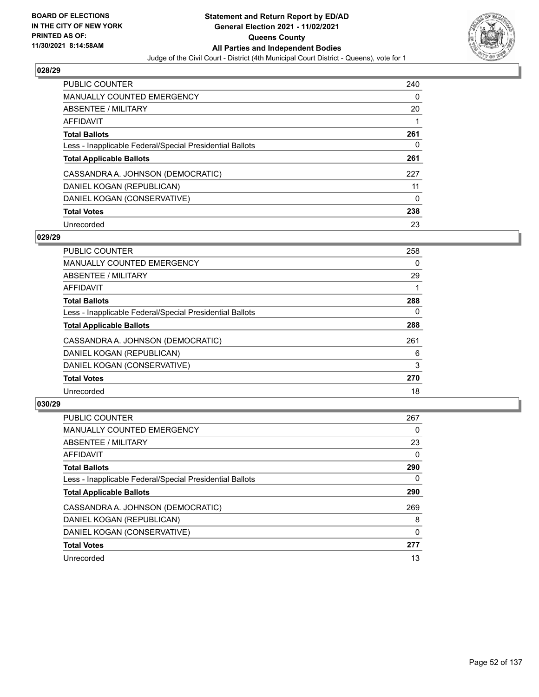

| PUBLIC COUNTER                                           | 240 |
|----------------------------------------------------------|-----|
| <b>MANUALLY COUNTED EMERGENCY</b>                        | 0   |
| ABSENTEE / MILITARY                                      | 20  |
| AFFIDAVIT                                                |     |
| <b>Total Ballots</b>                                     | 261 |
| Less - Inapplicable Federal/Special Presidential Ballots | 0   |
| <b>Total Applicable Ballots</b>                          | 261 |
| CASSANDRA A. JOHNSON (DEMOCRATIC)                        | 227 |
| DANIEL KOGAN (REPUBLICAN)                                | 11  |
| DANIEL KOGAN (CONSERVATIVE)                              | 0   |
| <b>Total Votes</b>                                       | 238 |
| Unrecorded                                               | 23  |

### **029/29**

| <b>PUBLIC COUNTER</b>                                    | 258 |
|----------------------------------------------------------|-----|
| <b>MANUALLY COUNTED EMERGENCY</b>                        | 0   |
| ABSENTEE / MILITARY                                      | 29  |
| AFFIDAVIT                                                |     |
| <b>Total Ballots</b>                                     | 288 |
| Less - Inapplicable Federal/Special Presidential Ballots | 0   |
| <b>Total Applicable Ballots</b>                          | 288 |
| CASSANDRA A. JOHNSON (DEMOCRATIC)                        | 261 |
| DANIEL KOGAN (REPUBLICAN)                                | 6   |
| DANIEL KOGAN (CONSERVATIVE)                              | 3   |
| <b>Total Votes</b>                                       | 270 |
| Unrecorded                                               | 18  |

| <b>PUBLIC COUNTER</b>                                    | 267      |
|----------------------------------------------------------|----------|
| <b>MANUALLY COUNTED EMERGENCY</b>                        | 0        |
| ABSENTEE / MILITARY                                      | 23       |
| <b>AFFIDAVIT</b>                                         | $\Omega$ |
| <b>Total Ballots</b>                                     | 290      |
| Less - Inapplicable Federal/Special Presidential Ballots | 0        |
| <b>Total Applicable Ballots</b>                          | 290      |
| CASSANDRA A. JOHNSON (DEMOCRATIC)                        | 269      |
| DANIEL KOGAN (REPUBLICAN)                                | 8        |
| DANIEL KOGAN (CONSERVATIVE)                              | 0        |
| <b>Total Votes</b>                                       | 277      |
| Unrecorded                                               | 13       |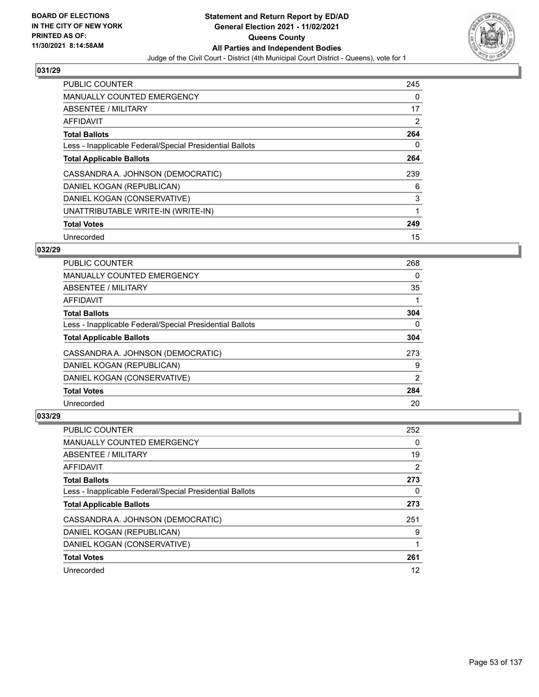

| <b>PUBLIC COUNTER</b>                                    | 245 |
|----------------------------------------------------------|-----|
| <b>MANUALLY COUNTED EMERGENCY</b>                        | 0   |
| ABSENTEE / MILITARY                                      | 17  |
| <b>AFFIDAVIT</b>                                         | 2   |
| <b>Total Ballots</b>                                     | 264 |
| Less - Inapplicable Federal/Special Presidential Ballots | 0   |
| <b>Total Applicable Ballots</b>                          | 264 |
| CASSANDRA A. JOHNSON (DEMOCRATIC)                        | 239 |
| DANIEL KOGAN (REPUBLICAN)                                | 6   |
| DANIEL KOGAN (CONSERVATIVE)                              | 3   |
| UNATTRIBUTABLE WRITE-IN (WRITE-IN)                       | 1   |
| <b>Total Votes</b>                                       | 249 |
| Unrecorded                                               | 15  |

### **032/29**

| <b>PUBLIC COUNTER</b>                                    | 268      |
|----------------------------------------------------------|----------|
| <b>MANUALLY COUNTED EMERGENCY</b>                        | 0        |
| ABSENTEE / MILITARY                                      | 35       |
| AFFIDAVIT                                                |          |
| <b>Total Ballots</b>                                     | 304      |
| Less - Inapplicable Federal/Special Presidential Ballots | $\Omega$ |
| <b>Total Applicable Ballots</b>                          | 304      |
| CASSANDRA A. JOHNSON (DEMOCRATIC)                        | 273      |
| DANIEL KOGAN (REPUBLICAN)                                | 9        |
| DANIEL KOGAN (CONSERVATIVE)                              | 2        |
| <b>Total Votes</b>                                       | 284      |
| Unrecorded                                               | 20       |

| <b>PUBLIC COUNTER</b>                                    | 252 |
|----------------------------------------------------------|-----|
| <b>MANUALLY COUNTED EMERGENCY</b>                        | 0   |
| ABSENTEE / MILITARY                                      | 19  |
| AFFIDAVIT                                                | 2   |
| <b>Total Ballots</b>                                     | 273 |
| Less - Inapplicable Federal/Special Presidential Ballots | 0   |
| <b>Total Applicable Ballots</b>                          | 273 |
| CASSANDRA A. JOHNSON (DEMOCRATIC)                        | 251 |
| DANIEL KOGAN (REPUBLICAN)                                | 9   |
| DANIEL KOGAN (CONSERVATIVE)                              |     |
| <b>Total Votes</b>                                       | 261 |
| Unrecorded                                               | 12  |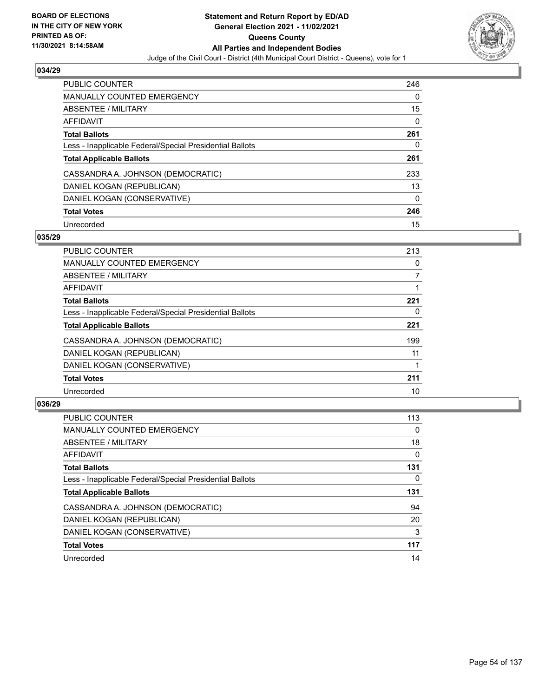

| <b>PUBLIC COUNTER</b>                                    | 246 |
|----------------------------------------------------------|-----|
| <b>MANUALLY COUNTED EMERGENCY</b>                        | 0   |
| ABSENTEE / MILITARY                                      | 15  |
| AFFIDAVIT                                                | 0   |
| <b>Total Ballots</b>                                     | 261 |
| Less - Inapplicable Federal/Special Presidential Ballots | 0   |
| <b>Total Applicable Ballots</b>                          | 261 |
| CASSANDRA A. JOHNSON (DEMOCRATIC)                        | 233 |
| DANIEL KOGAN (REPUBLICAN)                                | 13  |
| DANIEL KOGAN (CONSERVATIVE)                              | 0   |
| <b>Total Votes</b>                                       | 246 |
| Unrecorded                                               | 15  |

### **035/29**

| <b>PUBLIC COUNTER</b>                                    | 213 |
|----------------------------------------------------------|-----|
| MANUALLY COUNTED EMERGENCY                               | 0   |
| ABSENTEE / MILITARY                                      | 7   |
| <b>AFFIDAVIT</b>                                         |     |
| <b>Total Ballots</b>                                     | 221 |
| Less - Inapplicable Federal/Special Presidential Ballots | 0   |
| <b>Total Applicable Ballots</b>                          | 221 |
| CASSANDRA A. JOHNSON (DEMOCRATIC)                        | 199 |
| DANIEL KOGAN (REPUBLICAN)                                | 11  |
| DANIEL KOGAN (CONSERVATIVE)                              |     |
| <b>Total Votes</b>                                       | 211 |
| Unrecorded                                               | 10  |

| <b>PUBLIC COUNTER</b>                                    | 113      |
|----------------------------------------------------------|----------|
| <b>MANUALLY COUNTED EMERGENCY</b>                        | $\Omega$ |
| ABSENTEE / MILITARY                                      | 18       |
| <b>AFFIDAVIT</b>                                         | $\Omega$ |
| <b>Total Ballots</b>                                     | 131      |
| Less - Inapplicable Federal/Special Presidential Ballots | 0        |
| <b>Total Applicable Ballots</b>                          | 131      |
| CASSANDRA A. JOHNSON (DEMOCRATIC)                        | 94       |
| DANIEL KOGAN (REPUBLICAN)                                | 20       |
| DANIEL KOGAN (CONSERVATIVE)                              | 3        |
| <b>Total Votes</b>                                       | 117      |
| Unrecorded                                               | 14       |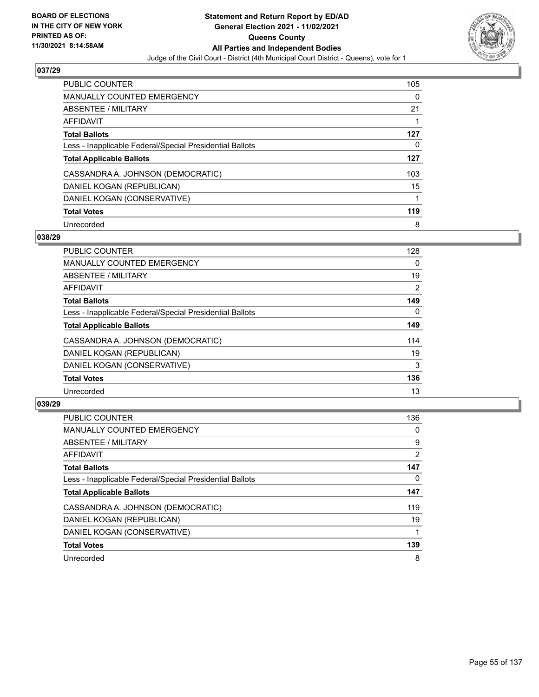

| <b>PUBLIC COUNTER</b>                                    | 105 |
|----------------------------------------------------------|-----|
| <b>MANUALLY COUNTED EMERGENCY</b>                        | 0   |
| ABSENTEE / MILITARY                                      | 21  |
| AFFIDAVIT                                                |     |
| <b>Total Ballots</b>                                     | 127 |
| Less - Inapplicable Federal/Special Presidential Ballots | 0   |
| <b>Total Applicable Ballots</b>                          | 127 |
| CASSANDRA A. JOHNSON (DEMOCRATIC)                        | 103 |
| DANIEL KOGAN (REPUBLICAN)                                | 15  |
| DANIEL KOGAN (CONSERVATIVE)                              | 1   |
| <b>Total Votes</b>                                       | 119 |
| Unrecorded                                               | 8   |

### **038/29**

| <b>PUBLIC COUNTER</b>                                    | 128      |
|----------------------------------------------------------|----------|
| <b>MANUALLY COUNTED EMERGENCY</b>                        | $\Omega$ |
| <b>ABSENTEE / MILITARY</b>                               | 19       |
| <b>AFFIDAVIT</b>                                         | 2        |
| <b>Total Ballots</b>                                     | 149      |
| Less - Inapplicable Federal/Special Presidential Ballots | $\Omega$ |
| <b>Total Applicable Ballots</b>                          | 149      |
| CASSANDRA A. JOHNSON (DEMOCRATIC)                        | 114      |
| DANIEL KOGAN (REPUBLICAN)                                | 19       |
| DANIEL KOGAN (CONSERVATIVE)                              | 3        |
| <b>Total Votes</b>                                       | 136      |
| Unrecorded                                               | 13       |

| <b>PUBLIC COUNTER</b>                                    | 136            |
|----------------------------------------------------------|----------------|
| <b>MANUALLY COUNTED EMERGENCY</b>                        | 0              |
| ABSENTEE / MILITARY                                      | 9              |
| <b>AFFIDAVIT</b>                                         | $\overline{2}$ |
| <b>Total Ballots</b>                                     | 147            |
| Less - Inapplicable Federal/Special Presidential Ballots | 0              |
| <b>Total Applicable Ballots</b>                          | 147            |
| CASSANDRA A. JOHNSON (DEMOCRATIC)                        | 119            |
| DANIEL KOGAN (REPUBLICAN)                                | 19             |
| DANIEL KOGAN (CONSERVATIVE)                              |                |
| <b>Total Votes</b>                                       | 139            |
| Unrecorded                                               | 8              |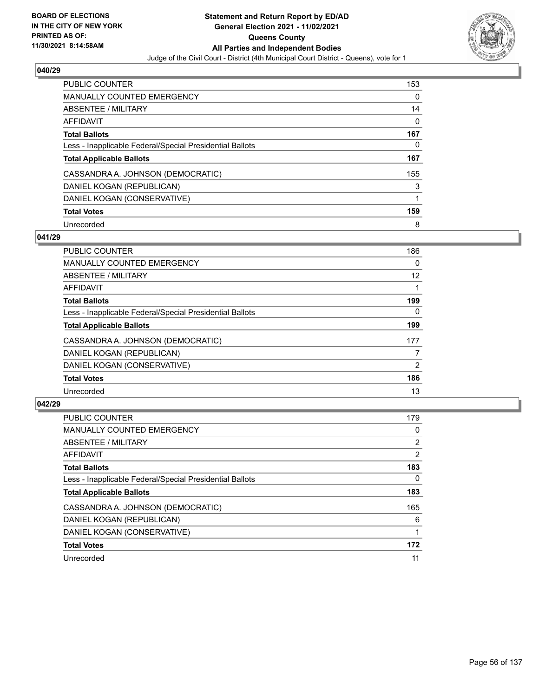

| <b>PUBLIC COUNTER</b>                                    | 153 |
|----------------------------------------------------------|-----|
| MANUALLY COUNTED EMERGENCY                               | 0   |
| ABSENTEE / MILITARY                                      | 14  |
| AFFIDAVIT                                                | 0   |
| <b>Total Ballots</b>                                     | 167 |
| Less - Inapplicable Federal/Special Presidential Ballots | 0   |
| <b>Total Applicable Ballots</b>                          | 167 |
| CASSANDRA A. JOHNSON (DEMOCRATIC)                        | 155 |
| DANIEL KOGAN (REPUBLICAN)                                | 3   |
| DANIEL KOGAN (CONSERVATIVE)                              |     |
| <b>Total Votes</b>                                       | 159 |
| Unrecorded                                               | 8   |

### **041/29**

| <b>PUBLIC COUNTER</b>                                    | 186      |
|----------------------------------------------------------|----------|
| <b>MANUALLY COUNTED EMERGENCY</b>                        | 0        |
| ABSENTEE / MILITARY                                      | 12       |
| <b>AFFIDAVIT</b>                                         |          |
| <b>Total Ballots</b>                                     | 199      |
| Less - Inapplicable Federal/Special Presidential Ballots | $\Omega$ |
| <b>Total Applicable Ballots</b>                          | 199      |
| CASSANDRA A. JOHNSON (DEMOCRATIC)                        | 177      |
| DANIEL KOGAN (REPUBLICAN)                                | 7        |
| DANIEL KOGAN (CONSERVATIVE)                              | 2        |
| <b>Total Votes</b>                                       | 186      |
| Unrecorded                                               | 13       |

| <b>PUBLIC COUNTER</b>                                    | 179            |
|----------------------------------------------------------|----------------|
| <b>MANUALLY COUNTED EMERGENCY</b>                        | 0              |
| ABSENTEE / MILITARY                                      | $\overline{2}$ |
| AFFIDAVIT                                                | 2              |
| <b>Total Ballots</b>                                     | 183            |
| Less - Inapplicable Federal/Special Presidential Ballots | 0              |
| <b>Total Applicable Ballots</b>                          | 183            |
| CASSANDRA A. JOHNSON (DEMOCRATIC)                        | 165            |
| DANIEL KOGAN (REPUBLICAN)                                | 6              |
| DANIEL KOGAN (CONSERVATIVE)                              |                |
| <b>Total Votes</b>                                       | 172            |
| Unrecorded                                               | 11             |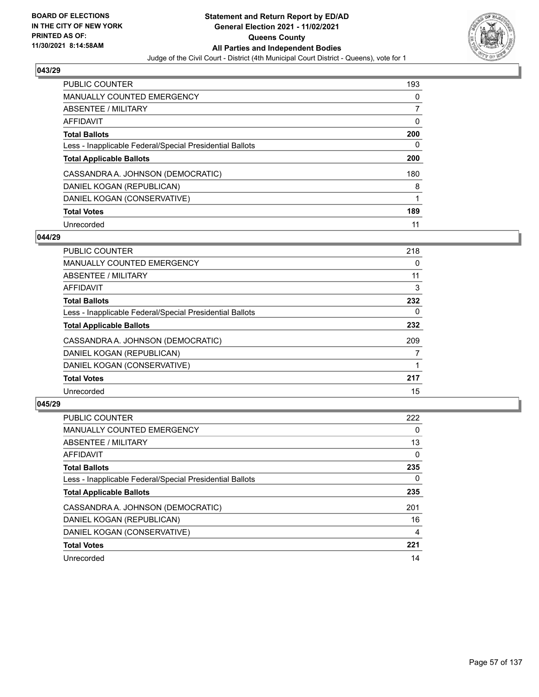

| <b>PUBLIC COUNTER</b>                                    | 193 |
|----------------------------------------------------------|-----|
| <b>MANUALLY COUNTED EMERGENCY</b>                        | 0   |
| ABSENTEE / MILITARY                                      |     |
| AFFIDAVIT                                                | 0   |
| <b>Total Ballots</b>                                     | 200 |
| Less - Inapplicable Federal/Special Presidential Ballots | 0   |
| <b>Total Applicable Ballots</b>                          | 200 |
| CASSANDRA A. JOHNSON (DEMOCRATIC)                        | 180 |
| DANIEL KOGAN (REPUBLICAN)                                | 8   |
| DANIEL KOGAN (CONSERVATIVE)                              |     |
|                                                          |     |
| <b>Total Votes</b>                                       | 189 |

### **044/29**

| <b>PUBLIC COUNTER</b>                                    | 218 |
|----------------------------------------------------------|-----|
| <b>MANUALLY COUNTED EMERGENCY</b>                        | 0   |
| ABSENTEE / MILITARY                                      | 11  |
| <b>AFFIDAVIT</b>                                         | 3   |
| <b>Total Ballots</b>                                     | 232 |
| Less - Inapplicable Federal/Special Presidential Ballots | 0   |
| <b>Total Applicable Ballots</b>                          | 232 |
| CASSANDRA A. JOHNSON (DEMOCRATIC)                        | 209 |
| DANIEL KOGAN (REPUBLICAN)                                | 7   |
| DANIEL KOGAN (CONSERVATIVE)                              |     |
| <b>Total Votes</b>                                       | 217 |
| Unrecorded                                               | 15  |

| <b>PUBLIC COUNTER</b>                                    | 222      |
|----------------------------------------------------------|----------|
| <b>MANUALLY COUNTED EMERGENCY</b>                        | $\Omega$ |
| ABSENTEE / MILITARY                                      | 13       |
| AFFIDAVIT                                                | $\Omega$ |
| <b>Total Ballots</b>                                     | 235      |
| Less - Inapplicable Federal/Special Presidential Ballots | 0        |
| <b>Total Applicable Ballots</b>                          | 235      |
| CASSANDRA A. JOHNSON (DEMOCRATIC)                        | 201      |
| DANIEL KOGAN (REPUBLICAN)                                | 16       |
| DANIEL KOGAN (CONSERVATIVE)                              | 4        |
| <b>Total Votes</b>                                       | 221      |
| Unrecorded                                               | 14       |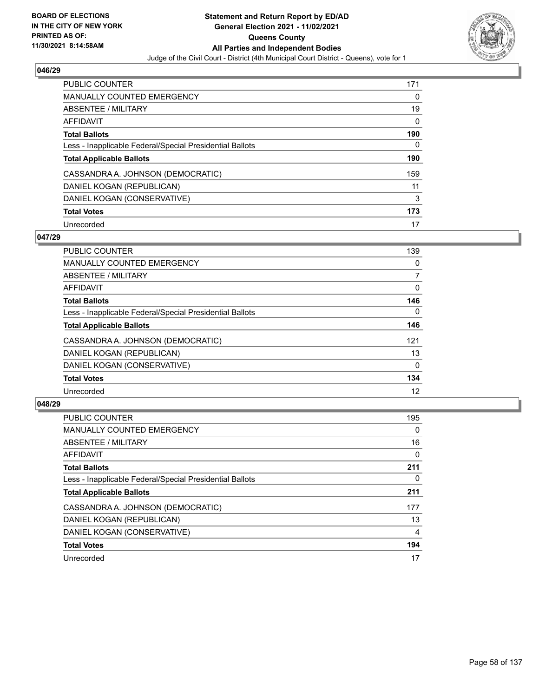

| <b>PUBLIC COUNTER</b>                                    | 171 |
|----------------------------------------------------------|-----|
| <b>MANUALLY COUNTED EMERGENCY</b>                        | 0   |
| ABSENTEE / MILITARY                                      | 19  |
| AFFIDAVIT                                                | 0   |
| <b>Total Ballots</b>                                     | 190 |
| Less - Inapplicable Federal/Special Presidential Ballots | 0   |
| <b>Total Applicable Ballots</b>                          | 190 |
| CASSANDRA A. JOHNSON (DEMOCRATIC)                        | 159 |
| DANIEL KOGAN (REPUBLICAN)                                | 11  |
| DANIEL KOGAN (CONSERVATIVE)                              | 3   |
| <b>Total Votes</b>                                       | 173 |
| Unrecorded                                               | 17  |

### **047/29**

| <b>PUBLIC COUNTER</b>                                    | 139      |
|----------------------------------------------------------|----------|
| <b>MANUALLY COUNTED EMERGENCY</b>                        | 0        |
| ABSENTEE / MILITARY                                      | 7        |
| <b>AFFIDAVIT</b>                                         | $\Omega$ |
| <b>Total Ballots</b>                                     | 146      |
| Less - Inapplicable Federal/Special Presidential Ballots | $\Omega$ |
| <b>Total Applicable Ballots</b>                          | 146      |
| CASSANDRA A. JOHNSON (DEMOCRATIC)                        | 121      |
| DANIEL KOGAN (REPUBLICAN)                                | 13       |
| DANIEL KOGAN (CONSERVATIVE)                              | $\Omega$ |
| <b>Total Votes</b>                                       | 134      |
| Unrecorded                                               | 12       |

| <b>PUBLIC COUNTER</b>                                    | 195      |
|----------------------------------------------------------|----------|
| <b>MANUALLY COUNTED EMERGENCY</b>                        | $\Omega$ |
| ABSENTEE / MILITARY                                      | 16       |
| <b>AFFIDAVIT</b>                                         | $\Omega$ |
| <b>Total Ballots</b>                                     | 211      |
| Less - Inapplicable Federal/Special Presidential Ballots | 0        |
| <b>Total Applicable Ballots</b>                          | 211      |
| CASSANDRA A. JOHNSON (DEMOCRATIC)                        | 177      |
| DANIEL KOGAN (REPUBLICAN)                                | 13       |
| DANIEL KOGAN (CONSERVATIVE)                              | 4        |
| <b>Total Votes</b>                                       | 194      |
| Unrecorded                                               | 17       |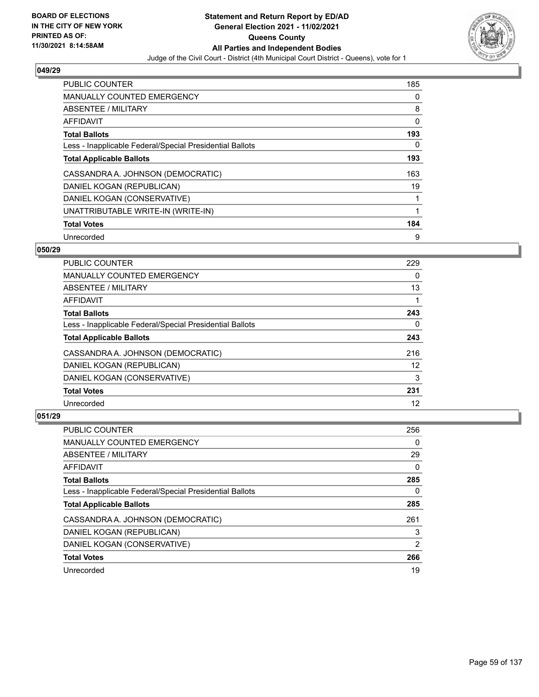

| <b>PUBLIC COUNTER</b>                                    | 185 |
|----------------------------------------------------------|-----|
| <b>MANUALLY COUNTED EMERGENCY</b>                        | 0   |
| ABSENTEE / MILITARY                                      | 8   |
| AFFIDAVIT                                                | 0   |
| <b>Total Ballots</b>                                     | 193 |
| Less - Inapplicable Federal/Special Presidential Ballots | 0   |
| <b>Total Applicable Ballots</b>                          | 193 |
| CASSANDRA A. JOHNSON (DEMOCRATIC)                        | 163 |
| DANIEL KOGAN (REPUBLICAN)                                | 19  |
| DANIEL KOGAN (CONSERVATIVE)                              |     |
| UNATTRIBUTABLE WRITE-IN (WRITE-IN)                       | 1   |
| <b>Total Votes</b>                                       | 184 |
| Unrecorded                                               | 9   |

### **050/29**

| <b>PUBLIC COUNTER</b>                                    | 229 |
|----------------------------------------------------------|-----|
| <b>MANUALLY COUNTED EMERGENCY</b>                        | 0   |
| ABSENTEE / MILITARY                                      | 13  |
| AFFIDAVIT                                                |     |
| <b>Total Ballots</b>                                     | 243 |
| Less - Inapplicable Federal/Special Presidential Ballots | 0   |
| <b>Total Applicable Ballots</b>                          | 243 |
| CASSANDRA A. JOHNSON (DEMOCRATIC)                        | 216 |
| DANIEL KOGAN (REPUBLICAN)                                | 12  |
| DANIEL KOGAN (CONSERVATIVE)                              | 3   |
| <b>Total Votes</b>                                       | 231 |
| Unrecorded                                               | 12  |

| <b>PUBLIC COUNTER</b>                                    | 256 |
|----------------------------------------------------------|-----|
| <b>MANUALLY COUNTED EMERGENCY</b>                        | 0   |
| ABSENTEE / MILITARY                                      | 29  |
| AFFIDAVIT                                                | 0   |
| <b>Total Ballots</b>                                     | 285 |
| Less - Inapplicable Federal/Special Presidential Ballots | 0   |
| <b>Total Applicable Ballots</b>                          | 285 |
| CASSANDRA A. JOHNSON (DEMOCRATIC)                        | 261 |
| DANIEL KOGAN (REPUBLICAN)                                | 3   |
| DANIEL KOGAN (CONSERVATIVE)                              | 2   |
| <b>Total Votes</b>                                       | 266 |
| Unrecorded                                               | 19  |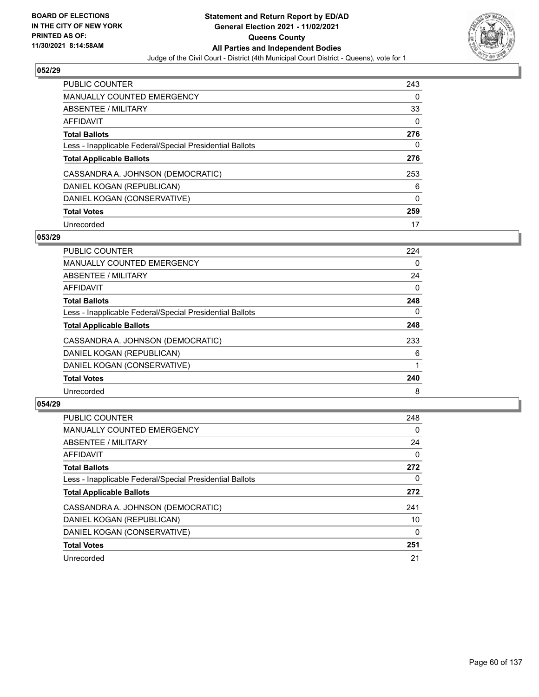

| <b>PUBLIC COUNTER</b>                                    | 243 |
|----------------------------------------------------------|-----|
| <b>MANUALLY COUNTED EMERGENCY</b>                        | 0   |
| ABSENTEE / MILITARY                                      | 33  |
| AFFIDAVIT                                                | 0   |
| <b>Total Ballots</b>                                     | 276 |
| Less - Inapplicable Federal/Special Presidential Ballots | 0   |
|                                                          | 276 |
| <b>Total Applicable Ballots</b>                          |     |
| CASSANDRA A. JOHNSON (DEMOCRATIC)                        | 253 |
| DANIEL KOGAN (REPUBLICAN)                                | 6   |
| DANIEL KOGAN (CONSERVATIVE)                              | 0   |
| <b>Total Votes</b>                                       | 259 |

### **053/29**

| PUBLIC COUNTER                                           | 224      |
|----------------------------------------------------------|----------|
| MANUALLY COUNTED EMERGENCY                               | 0        |
| ABSENTEE / MILITARY                                      | 24       |
| <b>AFFIDAVIT</b>                                         | $\Omega$ |
| <b>Total Ballots</b>                                     | 248      |
| Less - Inapplicable Federal/Special Presidential Ballots | 0        |
| <b>Total Applicable Ballots</b>                          | 248      |
| CASSANDRA A. JOHNSON (DEMOCRATIC)                        | 233      |
| DANIEL KOGAN (REPUBLICAN)                                | 6        |
| DANIEL KOGAN (CONSERVATIVE)                              |          |
| <b>Total Votes</b>                                       | 240      |
| Unrecorded                                               | 8        |

| <b>PUBLIC COUNTER</b>                                    | 248 |
|----------------------------------------------------------|-----|
| <b>MANUALLY COUNTED EMERGENCY</b>                        | 0   |
| ABSENTEE / MILITARY                                      | 24  |
| <b>AFFIDAVIT</b>                                         | 0   |
| <b>Total Ballots</b>                                     | 272 |
| Less - Inapplicable Federal/Special Presidential Ballots | 0   |
| <b>Total Applicable Ballots</b>                          | 272 |
| CASSANDRA A. JOHNSON (DEMOCRATIC)                        | 241 |
| DANIEL KOGAN (REPUBLICAN)                                | 10  |
| DANIEL KOGAN (CONSERVATIVE)                              | 0   |
| <b>Total Votes</b>                                       | 251 |
| Unrecorded                                               | 21  |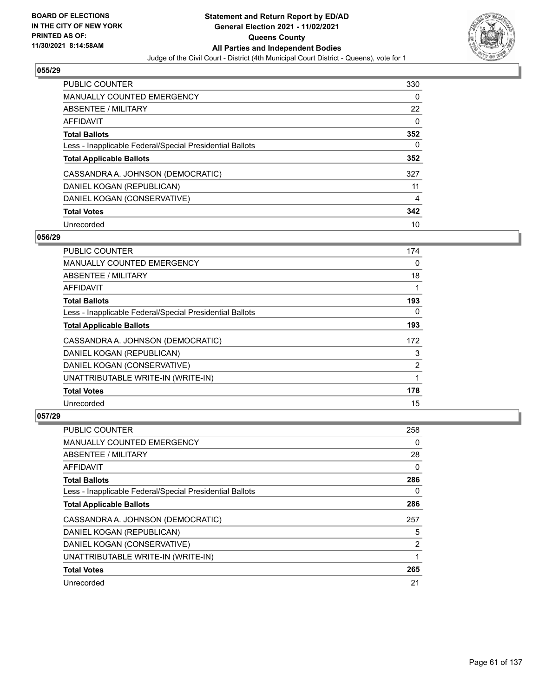

| <b>PUBLIC COUNTER</b>                                    | 330 |
|----------------------------------------------------------|-----|
| MANUALLY COUNTED EMERGENCY                               | 0   |
| ABSENTEE / MILITARY                                      | 22  |
| AFFIDAVIT                                                | 0   |
| <b>Total Ballots</b>                                     | 352 |
| Less - Inapplicable Federal/Special Presidential Ballots | 0   |
| <b>Total Applicable Ballots</b>                          | 352 |
| CASSANDRA A. JOHNSON (DEMOCRATIC)                        | 327 |
|                                                          |     |
| DANIEL KOGAN (REPUBLICAN)                                | 11  |
| DANIEL KOGAN (CONSERVATIVE)                              | 4   |
| <b>Total Votes</b>                                       | 342 |

### **056/29**

| <b>PUBLIC COUNTER</b>                                    | 174 |
|----------------------------------------------------------|-----|
| MANUALLY COUNTED EMERGENCY                               | 0   |
| ABSENTEE / MILITARY                                      | 18  |
| AFFIDAVIT                                                |     |
| <b>Total Ballots</b>                                     | 193 |
| Less - Inapplicable Federal/Special Presidential Ballots | 0   |
| <b>Total Applicable Ballots</b>                          | 193 |
| CASSANDRA A. JOHNSON (DEMOCRATIC)                        | 172 |
| DANIEL KOGAN (REPUBLICAN)                                | 3   |
| DANIEL KOGAN (CONSERVATIVE)                              | 2   |
| UNATTRIBUTABLE WRITE-IN (WRITE-IN)                       |     |
| <b>Total Votes</b>                                       | 178 |
| Unrecorded                                               | 15  |

| <b>PUBLIC COUNTER</b>                                    | 258 |
|----------------------------------------------------------|-----|
| MANUALLY COUNTED EMERGENCY                               | 0   |
| ABSENTEE / MILITARY                                      | 28  |
| AFFIDAVIT                                                | 0   |
| <b>Total Ballots</b>                                     | 286 |
| Less - Inapplicable Federal/Special Presidential Ballots | 0   |
| <b>Total Applicable Ballots</b>                          | 286 |
| CASSANDRA A. JOHNSON (DEMOCRATIC)                        | 257 |
| DANIEL KOGAN (REPUBLICAN)                                | 5   |
| DANIEL KOGAN (CONSERVATIVE)                              | 2   |
| UNATTRIBUTABLE WRITE-IN (WRITE-IN)                       |     |
| <b>Total Votes</b>                                       | 265 |
| Unrecorded                                               | 21  |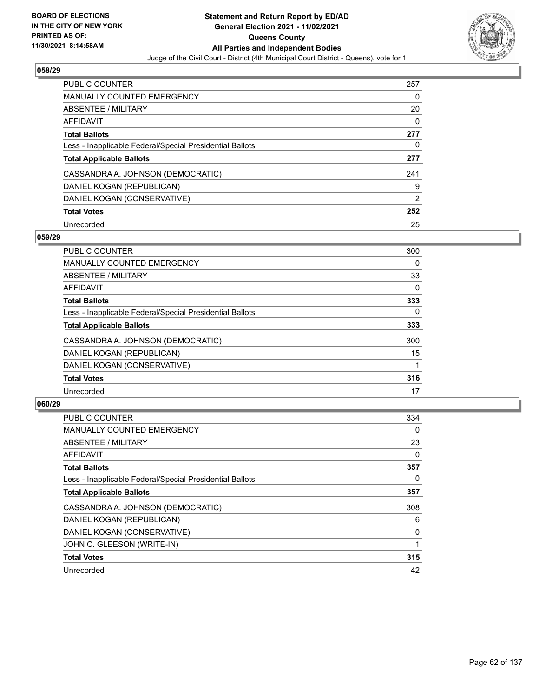

| <b>PUBLIC COUNTER</b>                                    | 257            |
|----------------------------------------------------------|----------------|
| <b>MANUALLY COUNTED EMERGENCY</b>                        | 0              |
| ABSENTEE / MILITARY                                      | 20             |
| AFFIDAVIT                                                | 0              |
| <b>Total Ballots</b>                                     | 277            |
| Less - Inapplicable Federal/Special Presidential Ballots | 0              |
| <b>Total Applicable Ballots</b>                          | 277            |
| CASSANDRA A. JOHNSON (DEMOCRATIC)                        | 241            |
| DANIEL KOGAN (REPUBLICAN)                                | 9              |
| DANIEL KOGAN (CONSERVATIVE)                              | $\overline{2}$ |
| <b>Total Votes</b>                                       | 252            |
| Unrecorded                                               | 25             |

### **059/29**

| <b>PUBLIC COUNTER</b>                                    | 300      |
|----------------------------------------------------------|----------|
| MANUALLY COUNTED EMERGENCY                               | 0        |
| ABSENTEE / MILITARY                                      | 33       |
| AFFIDAVIT                                                | $\Omega$ |
| <b>Total Ballots</b>                                     | 333      |
| Less - Inapplicable Federal/Special Presidential Ballots | $\Omega$ |
| <b>Total Applicable Ballots</b>                          | 333      |
| CASSANDRA A. JOHNSON (DEMOCRATIC)                        | 300      |
| DANIEL KOGAN (REPUBLICAN)                                | 15       |
| DANIEL KOGAN (CONSERVATIVE)                              |          |
| <b>Total Votes</b>                                       | 316      |
| Unrecorded                                               | 17       |

| <b>PUBLIC COUNTER</b>                                    | 334 |
|----------------------------------------------------------|-----|
| <b>MANUALLY COUNTED EMERGENCY</b>                        | 0   |
| ABSENTEE / MILITARY                                      | 23  |
| AFFIDAVIT                                                | 0   |
| <b>Total Ballots</b>                                     | 357 |
| Less - Inapplicable Federal/Special Presidential Ballots | 0   |
| <b>Total Applicable Ballots</b>                          | 357 |
| CASSANDRA A. JOHNSON (DEMOCRATIC)                        | 308 |
| DANIEL KOGAN (REPUBLICAN)                                | 6   |
| DANIEL KOGAN (CONSERVATIVE)                              | 0   |
| JOHN C. GLEESON (WRITE-IN)                               |     |
| <b>Total Votes</b>                                       | 315 |
| Unrecorded                                               | 42  |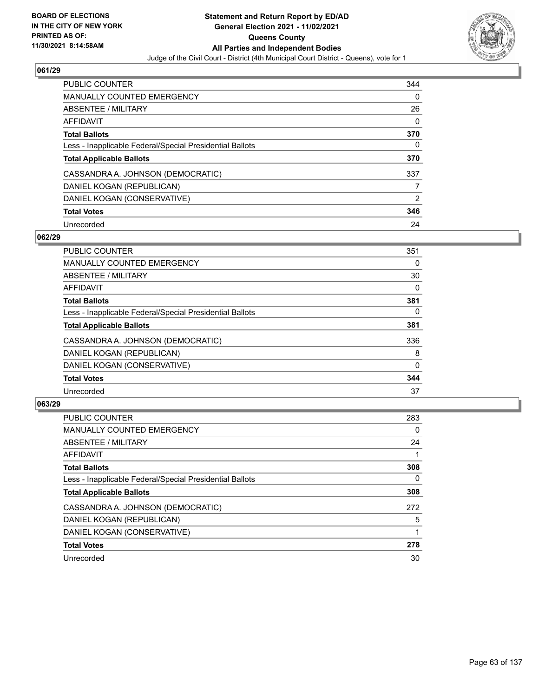

| <b>PUBLIC COUNTER</b>                                    | 344           |
|----------------------------------------------------------|---------------|
| <b>MANUALLY COUNTED EMERGENCY</b>                        | 0             |
| ABSENTEE / MILITARY                                      | 26            |
| AFFIDAVIT                                                | 0             |
| <b>Total Ballots</b>                                     | 370           |
| Less - Inapplicable Federal/Special Presidential Ballots | 0             |
| <b>Total Applicable Ballots</b>                          | 370           |
| CASSANDRA A. JOHNSON (DEMOCRATIC)                        | 337           |
| DANIEL KOGAN (REPUBLICAN)                                |               |
| DANIEL KOGAN (CONSERVATIVE)                              | $\mathcal{P}$ |
| <b>Total Votes</b>                                       | 346           |
| Unrecorded                                               | 24            |

### **062/29**

| <b>PUBLIC COUNTER</b>                                    | 351          |
|----------------------------------------------------------|--------------|
| <b>MANUALLY COUNTED EMERGENCY</b>                        | 0            |
| ABSENTEE / MILITARY                                      | 30           |
| <b>AFFIDAVIT</b>                                         | 0            |
| <b>Total Ballots</b>                                     | 381          |
| Less - Inapplicable Federal/Special Presidential Ballots | $\Omega$     |
| <b>Total Applicable Ballots</b>                          | 381          |
| CASSANDRA A. JOHNSON (DEMOCRATIC)                        | 336          |
| DANIEL KOGAN (REPUBLICAN)                                | 8            |
| DANIEL KOGAN (CONSERVATIVE)                              | $\mathbf{0}$ |
| <b>Total Votes</b>                                       | 344          |
| Unrecorded                                               | 37           |

| <b>PUBLIC COUNTER</b>                                    | 283 |
|----------------------------------------------------------|-----|
| <b>MANUALLY COUNTED EMERGENCY</b>                        | 0   |
| ABSENTEE / MILITARY                                      | 24  |
| AFFIDAVIT                                                |     |
| <b>Total Ballots</b>                                     | 308 |
| Less - Inapplicable Federal/Special Presidential Ballots | 0   |
| <b>Total Applicable Ballots</b>                          | 308 |
| CASSANDRA A. JOHNSON (DEMOCRATIC)                        | 272 |
| DANIEL KOGAN (REPUBLICAN)                                | 5   |
| DANIEL KOGAN (CONSERVATIVE)                              |     |
| <b>Total Votes</b>                                       | 278 |
| Unrecorded                                               | 30  |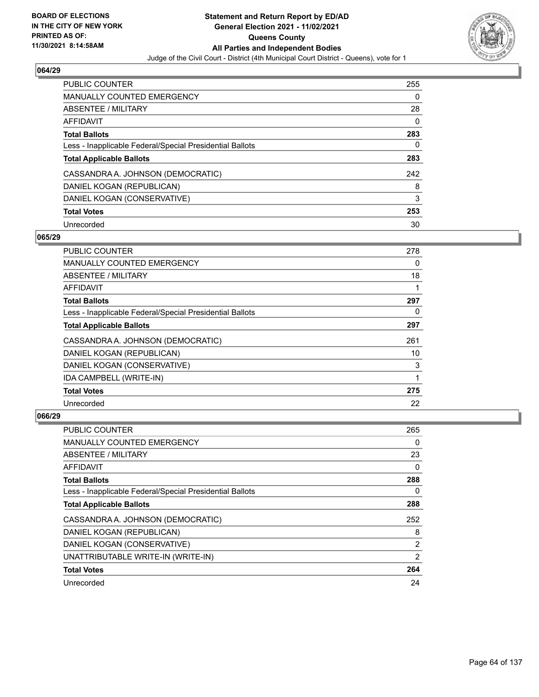

| <b>PUBLIC COUNTER</b>                                    | 255 |
|----------------------------------------------------------|-----|
| MANUALLY COUNTED EMERGENCY                               | 0   |
| ABSENTEE / MILITARY                                      | 28  |
| AFFIDAVIT                                                | 0   |
| <b>Total Ballots</b>                                     | 283 |
| Less - Inapplicable Federal/Special Presidential Ballots | 0   |
| <b>Total Applicable Ballots</b>                          | 283 |
| CASSANDRA A. JOHNSON (DEMOCRATIC)                        | 242 |
| DANIEL KOGAN (REPUBLICAN)                                | 8   |
|                                                          |     |
| DANIEL KOGAN (CONSERVATIVE)                              | 3   |
| <b>Total Votes</b>                                       | 253 |

### **065/29**

| <b>PUBLIC COUNTER</b>                                    | 278 |
|----------------------------------------------------------|-----|
| <b>MANUALLY COUNTED EMERGENCY</b>                        | 0   |
| ABSENTEE / MILITARY                                      | 18  |
| AFFIDAVIT                                                |     |
| <b>Total Ballots</b>                                     | 297 |
| Less - Inapplicable Federal/Special Presidential Ballots | 0   |
| <b>Total Applicable Ballots</b>                          | 297 |
| CASSANDRA A. JOHNSON (DEMOCRATIC)                        | 261 |
| DANIEL KOGAN (REPUBLICAN)                                | 10  |
| DANIEL KOGAN (CONSERVATIVE)                              | 3   |
| IDA CAMPBELL (WRITE-IN)                                  |     |
| <b>Total Votes</b>                                       | 275 |
| Unrecorded                                               | 22  |

| <b>PUBLIC COUNTER</b>                                    | 265      |
|----------------------------------------------------------|----------|
| MANUALLY COUNTED EMERGENCY                               | 0        |
| ABSENTEE / MILITARY                                      | 23       |
| AFFIDAVIT                                                | 0        |
| <b>Total Ballots</b>                                     | 288      |
| Less - Inapplicable Federal/Special Presidential Ballots | $\Omega$ |
| <b>Total Applicable Ballots</b>                          | 288      |
| CASSANDRA A. JOHNSON (DEMOCRATIC)                        | 252      |
| DANIEL KOGAN (REPUBLICAN)                                | 8        |
| DANIEL KOGAN (CONSERVATIVE)                              | 2        |
| UNATTRIBUTABLE WRITE-IN (WRITE-IN)                       | 2        |
| <b>Total Votes</b>                                       | 264      |
| Unrecorded                                               | 24       |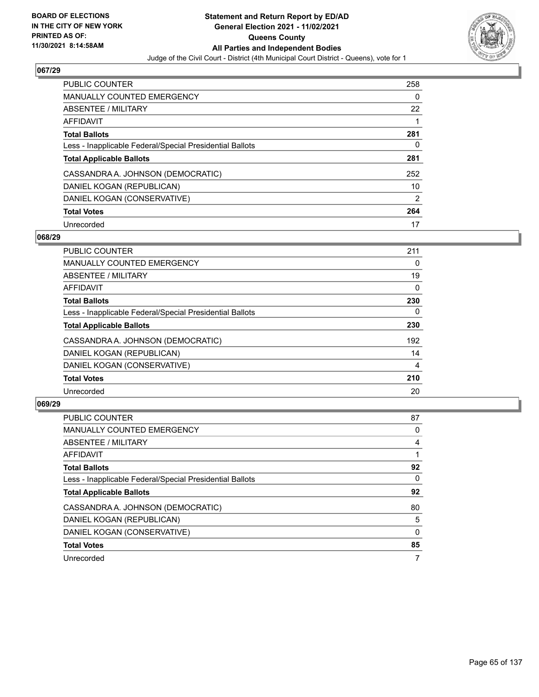

| <b>PUBLIC COUNTER</b>                                    | 258           |
|----------------------------------------------------------|---------------|
| <b>MANUALLY COUNTED EMERGENCY</b>                        | 0             |
| ABSENTEE / MILITARY                                      | 22            |
| AFFIDAVIT                                                |               |
| <b>Total Ballots</b>                                     | 281           |
| Less - Inapplicable Federal/Special Presidential Ballots | 0             |
| <b>Total Applicable Ballots</b>                          | 281           |
| CASSANDRA A. JOHNSON (DEMOCRATIC)                        | 252           |
| DANIEL KOGAN (REPUBLICAN)                                | 10            |
| DANIEL KOGAN (CONSERVATIVE)                              | $\mathcal{P}$ |
| <b>Total Votes</b>                                       | 264           |
| Unrecorded                                               | 17            |

### **068/29**

| <b>PUBLIC COUNTER</b>                                    | 211      |
|----------------------------------------------------------|----------|
| MANUALLY COUNTED EMERGENCY                               | 0        |
| ABSENTEE / MILITARY                                      | 19       |
| <b>AFFIDAVIT</b>                                         | $\Omega$ |
| <b>Total Ballots</b>                                     | 230      |
| Less - Inapplicable Federal/Special Presidential Ballots | $\Omega$ |
| <b>Total Applicable Ballots</b>                          | 230      |
| CASSANDRA A. JOHNSON (DEMOCRATIC)                        | 192      |
| DANIEL KOGAN (REPUBLICAN)                                | 14       |
| DANIEL KOGAN (CONSERVATIVE)                              | 4        |
| <b>Total Votes</b>                                       | 210      |
| Unrecorded                                               | 20       |

| <b>PUBLIC COUNTER</b>                                    | 87 |
|----------------------------------------------------------|----|
| <b>MANUALLY COUNTED EMERGENCY</b>                        | 0  |
| ABSENTEE / MILITARY                                      | 4  |
| <b>AFFIDAVIT</b>                                         |    |
| <b>Total Ballots</b>                                     | 92 |
| Less - Inapplicable Federal/Special Presidential Ballots | 0  |
| <b>Total Applicable Ballots</b>                          | 92 |
| CASSANDRA A. JOHNSON (DEMOCRATIC)                        | 80 |
| DANIEL KOGAN (REPUBLICAN)                                | 5  |
| DANIEL KOGAN (CONSERVATIVE)                              | 0  |
| <b>Total Votes</b>                                       | 85 |
| Unrecorded                                               |    |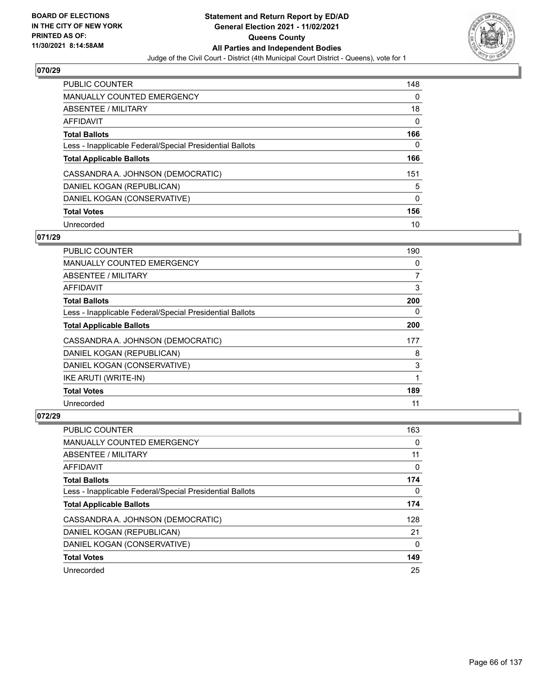

| <b>PUBLIC COUNTER</b>                                    | 148 |
|----------------------------------------------------------|-----|
| <b>MANUALLY COUNTED EMERGENCY</b>                        | 0   |
| ABSENTEE / MILITARY                                      | 18  |
| AFFIDAVIT                                                | 0   |
| <b>Total Ballots</b>                                     | 166 |
| Less - Inapplicable Federal/Special Presidential Ballots | 0   |
| <b>Total Applicable Ballots</b>                          | 166 |
| CASSANDRA A. JOHNSON (DEMOCRATIC)                        | 151 |
| DANIEL KOGAN (REPUBLICAN)                                | 5   |
| DANIEL KOGAN (CONSERVATIVE)                              | 0   |
| <b>Total Votes</b>                                       | 156 |
| Unrecorded                                               | 10  |

### **071/29**

| PUBLIC COUNTER                                           | 190 |
|----------------------------------------------------------|-----|
| <b>MANUALLY COUNTED EMERGENCY</b>                        | 0   |
| ABSENTEE / MILITARY                                      | 7   |
| <b>AFFIDAVIT</b>                                         | 3   |
| <b>Total Ballots</b>                                     | 200 |
| Less - Inapplicable Federal/Special Presidential Ballots | 0   |
| <b>Total Applicable Ballots</b>                          | 200 |
| CASSANDRA A. JOHNSON (DEMOCRATIC)                        | 177 |
| DANIEL KOGAN (REPUBLICAN)                                | 8   |
| DANIEL KOGAN (CONSERVATIVE)                              | 3   |
| IKE ARUTI (WRITE-IN)                                     |     |
| <b>Total Votes</b>                                       | 189 |
| Unrecorded                                               | 11  |

| <b>PUBLIC COUNTER</b>                                    | 163 |
|----------------------------------------------------------|-----|
| <b>MANUALLY COUNTED EMERGENCY</b>                        | 0   |
| ABSENTEE / MILITARY                                      | 11  |
| AFFIDAVIT                                                | 0   |
| <b>Total Ballots</b>                                     | 174 |
| Less - Inapplicable Federal/Special Presidential Ballots | 0   |
| <b>Total Applicable Ballots</b>                          | 174 |
| CASSANDRA A. JOHNSON (DEMOCRATIC)                        | 128 |
| DANIEL KOGAN (REPUBLICAN)                                | 21  |
| DANIEL KOGAN (CONSERVATIVE)                              | 0   |
| <b>Total Votes</b>                                       | 149 |
| Unrecorded                                               | 25  |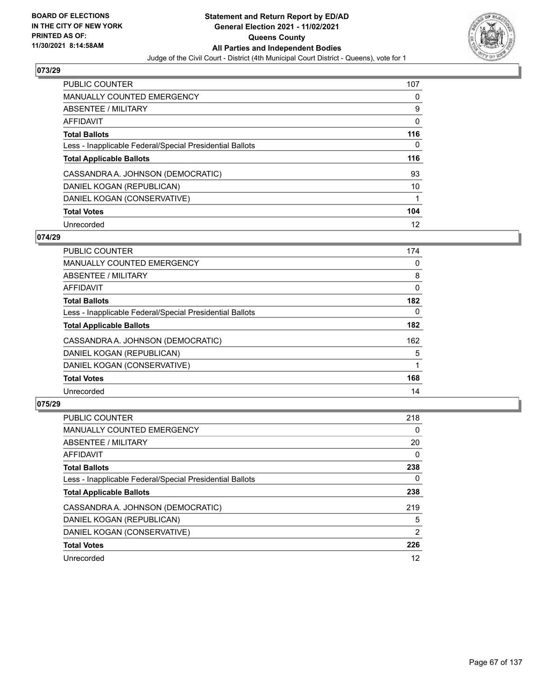

| <b>PUBLIC COUNTER</b>                                    | 107 |
|----------------------------------------------------------|-----|
| <b>MANUALLY COUNTED EMERGENCY</b>                        | 0   |
| ABSENTEE / MILITARY                                      | 9   |
| AFFIDAVIT                                                | 0   |
| <b>Total Ballots</b>                                     | 116 |
| Less - Inapplicable Federal/Special Presidential Ballots | 0   |
| <b>Total Applicable Ballots</b>                          | 116 |
| CASSANDRA A. JOHNSON (DEMOCRATIC)                        | 93  |
| DANIEL KOGAN (REPUBLICAN)                                | 10  |
| DANIEL KOGAN (CONSERVATIVE)                              |     |
| <b>Total Votes</b>                                       | 104 |
| Unrecorded                                               | 12  |

### **074/29**

| <b>PUBLIC COUNTER</b>                                    | 174      |
|----------------------------------------------------------|----------|
| <b>MANUALLY COUNTED EMERGENCY</b>                        | 0        |
| ABSENTEE / MILITARY                                      | 8        |
| <b>AFFIDAVIT</b>                                         | $\Omega$ |
| <b>Total Ballots</b>                                     | 182      |
| Less - Inapplicable Federal/Special Presidential Ballots | $\Omega$ |
| <b>Total Applicable Ballots</b>                          | 182      |
| CASSANDRA A. JOHNSON (DEMOCRATIC)                        | 162      |
| DANIEL KOGAN (REPUBLICAN)                                | 5        |
| DANIEL KOGAN (CONSERVATIVE)                              |          |
| <b>Total Votes</b>                                       | 168      |
| Unrecorded                                               | 14       |

| <b>PUBLIC COUNTER</b>                                    | 218      |
|----------------------------------------------------------|----------|
| <b>MANUALLY COUNTED EMERGENCY</b>                        | $\Omega$ |
| ABSENTEE / MILITARY                                      | 20       |
| <b>AFFIDAVIT</b>                                         | $\Omega$ |
| <b>Total Ballots</b>                                     | 238      |
| Less - Inapplicable Federal/Special Presidential Ballots | 0        |
| <b>Total Applicable Ballots</b>                          | 238      |
| CASSANDRA A. JOHNSON (DEMOCRATIC)                        | 219      |
| DANIEL KOGAN (REPUBLICAN)                                | 5        |
| DANIEL KOGAN (CONSERVATIVE)                              | 2        |
| <b>Total Votes</b>                                       | 226      |
| Unrecorded                                               | 12       |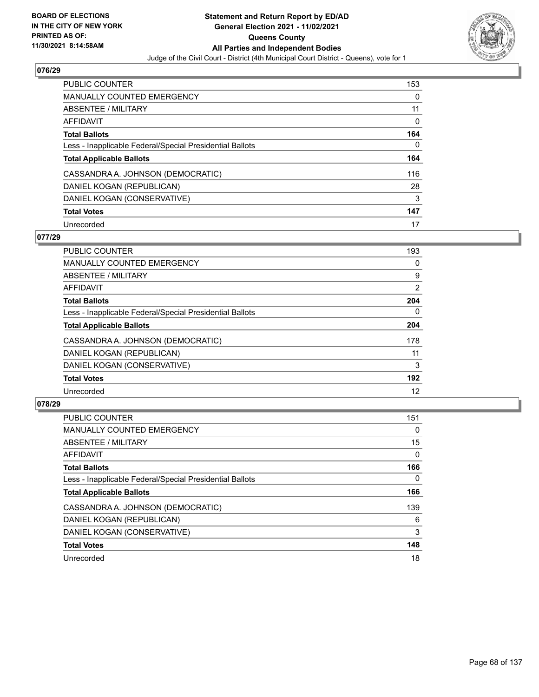

| <b>PUBLIC COUNTER</b>                                    | 153 |
|----------------------------------------------------------|-----|
| <b>MANUALLY COUNTED EMERGENCY</b>                        | 0   |
| ABSENTEE / MILITARY                                      | 11  |
| AFFIDAVIT                                                | 0   |
| <b>Total Ballots</b>                                     | 164 |
| Less - Inapplicable Federal/Special Presidential Ballots | 0   |
| <b>Total Applicable Ballots</b>                          | 164 |
| CASSANDRA A. JOHNSON (DEMOCRATIC)                        | 116 |
| DANIEL KOGAN (REPUBLICAN)                                | 28  |
| DANIEL KOGAN (CONSERVATIVE)                              | 3   |
|                                                          |     |
| <b>Total Votes</b>                                       | 147 |

### **077/29**

| <b>PUBLIC COUNTER</b>                                    | 193      |
|----------------------------------------------------------|----------|
| <b>MANUALLY COUNTED EMERGENCY</b>                        | 0        |
| ABSENTEE / MILITARY                                      | 9        |
| <b>AFFIDAVIT</b>                                         | 2        |
| <b>Total Ballots</b>                                     | 204      |
| Less - Inapplicable Federal/Special Presidential Ballots | $\Omega$ |
| <b>Total Applicable Ballots</b>                          | 204      |
| CASSANDRA A. JOHNSON (DEMOCRATIC)                        | 178      |
| DANIEL KOGAN (REPUBLICAN)                                | 11       |
| DANIEL KOGAN (CONSERVATIVE)                              | 3        |
| <b>Total Votes</b>                                       | 192      |
| Unrecorded                                               | 12       |

| <b>PUBLIC COUNTER</b>                                    | 151      |
|----------------------------------------------------------|----------|
| <b>MANUALLY COUNTED EMERGENCY</b>                        | $\Omega$ |
| ABSENTEE / MILITARY                                      | 15       |
| <b>AFFIDAVIT</b>                                         | $\Omega$ |
| <b>Total Ballots</b>                                     | 166      |
| Less - Inapplicable Federal/Special Presidential Ballots | 0        |
| <b>Total Applicable Ballots</b>                          | 166      |
| CASSANDRA A. JOHNSON (DEMOCRATIC)                        | 139      |
| DANIEL KOGAN (REPUBLICAN)                                | 6        |
| DANIEL KOGAN (CONSERVATIVE)                              | 3        |
| <b>Total Votes</b>                                       | 148      |
| Unrecorded                                               | 18       |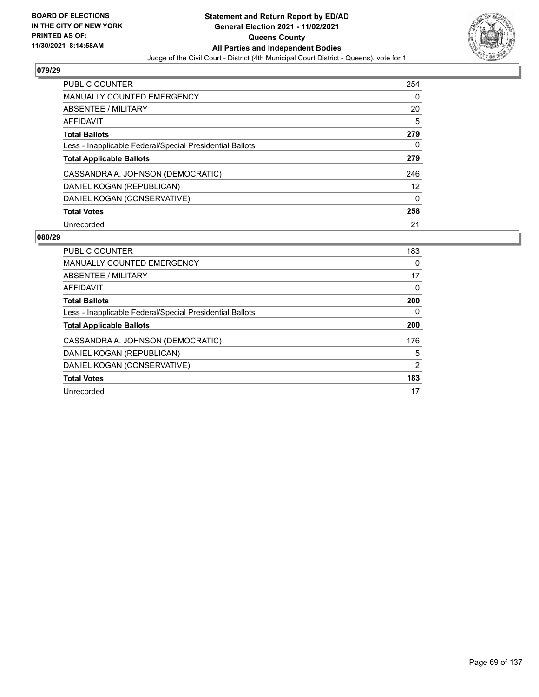

| <b>PUBLIC COUNTER</b>                                    | 254 |
|----------------------------------------------------------|-----|
| <b>MANUALLY COUNTED EMERGENCY</b>                        | 0   |
| ABSENTEE / MILITARY                                      | 20  |
| AFFIDAVIT                                                | 5   |
| <b>Total Ballots</b>                                     | 279 |
| Less - Inapplicable Federal/Special Presidential Ballots | 0   |
| <b>Total Applicable Ballots</b>                          | 279 |
| CASSANDRA A. JOHNSON (DEMOCRATIC)                        | 246 |
| DANIEL KOGAN (REPUBLICAN)                                | 12  |
| DANIEL KOGAN (CONSERVATIVE)                              | 0   |
| <b>Total Votes</b>                                       | 258 |
| Unrecorded                                               | 21  |

| <b>PUBLIC COUNTER</b>                                    | 183            |
|----------------------------------------------------------|----------------|
| MANUALLY COUNTED EMERGENCY                               | 0              |
| ABSENTEE / MILITARY                                      | 17             |
| AFFIDAVIT                                                | 0              |
| <b>Total Ballots</b>                                     | 200            |
| Less - Inapplicable Federal/Special Presidential Ballots | 0              |
| <b>Total Applicable Ballots</b>                          | 200            |
| CASSANDRA A. JOHNSON (DEMOCRATIC)                        | 176            |
| DANIEL KOGAN (REPUBLICAN)                                | 5              |
|                                                          | $\overline{2}$ |
| DANIEL KOGAN (CONSERVATIVE)                              |                |
| <b>Total Votes</b>                                       | 183            |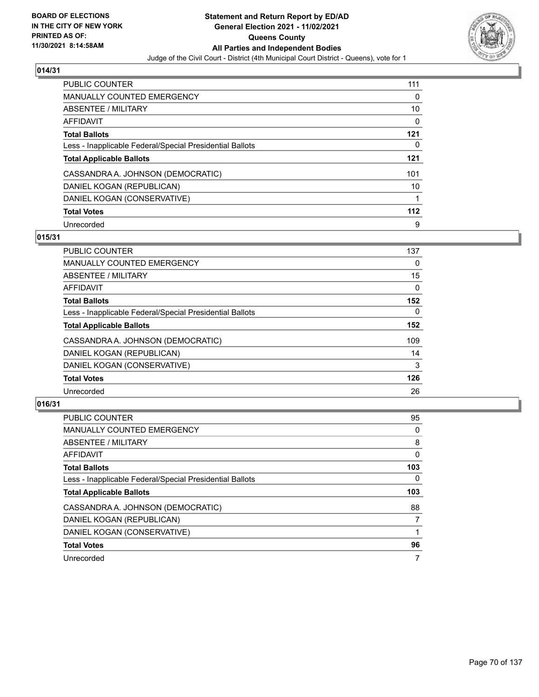

| <b>PUBLIC COUNTER</b>                                    | 111 |
|----------------------------------------------------------|-----|
| <b>MANUALLY COUNTED EMERGENCY</b>                        | 0   |
| ABSENTEE / MILITARY                                      | 10  |
| AFFIDAVIT                                                | 0   |
| <b>Total Ballots</b>                                     | 121 |
| Less - Inapplicable Federal/Special Presidential Ballots | 0   |
| <b>Total Applicable Ballots</b>                          | 121 |
| CASSANDRA A. JOHNSON (DEMOCRATIC)                        | 101 |
| DANIEL KOGAN (REPUBLICAN)                                | 10  |
| DANIEL KOGAN (CONSERVATIVE)                              |     |
| <b>Total Votes</b>                                       | 112 |
| Unrecorded                                               | 9   |

### **015/31**

| <b>PUBLIC COUNTER</b>                                    | 137      |
|----------------------------------------------------------|----------|
| <b>MANUALLY COUNTED EMERGENCY</b>                        | 0        |
| ABSENTEE / MILITARY                                      | 15       |
| <b>AFFIDAVIT</b>                                         | $\Omega$ |
| <b>Total Ballots</b>                                     | 152      |
| Less - Inapplicable Federal/Special Presidential Ballots | $\Omega$ |
| <b>Total Applicable Ballots</b>                          | 152      |
| CASSANDRA A. JOHNSON (DEMOCRATIC)                        | 109      |
| DANIEL KOGAN (REPUBLICAN)                                | 14       |
| DANIEL KOGAN (CONSERVATIVE)                              | 3        |
| <b>Total Votes</b>                                       | 126      |
| Unrecorded                                               | 26       |

| PUBLIC COUNTER                                           | 95  |
|----------------------------------------------------------|-----|
| <b>MANUALLY COUNTED EMERGENCY</b>                        | 0   |
| ABSENTEE / MILITARY                                      | 8   |
| <b>AFFIDAVIT</b>                                         | 0   |
| <b>Total Ballots</b>                                     | 103 |
| Less - Inapplicable Federal/Special Presidential Ballots | 0   |
| <b>Total Applicable Ballots</b>                          | 103 |
| CASSANDRA A. JOHNSON (DEMOCRATIC)                        | 88  |
| DANIEL KOGAN (REPUBLICAN)                                | 7   |
| DANIEL KOGAN (CONSERVATIVE)                              |     |
| <b>Total Votes</b>                                       | 96  |
| Unrecorded                                               |     |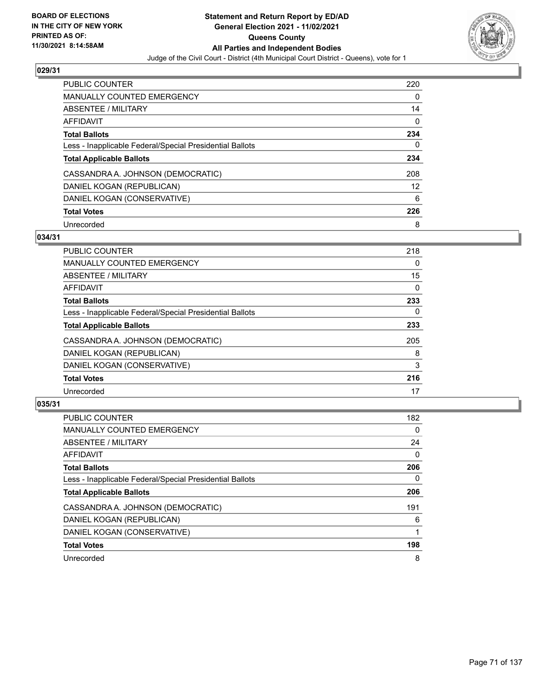

| <b>PUBLIC COUNTER</b>                                    | 220      |
|----------------------------------------------------------|----------|
| <b>MANUALLY COUNTED EMERGENCY</b>                        | 0        |
| ABSENTEE / MILITARY                                      | 14       |
| AFFIDAVIT                                                | $\Omega$ |
| <b>Total Ballots</b>                                     | 234      |
| Less - Inapplicable Federal/Special Presidential Ballots | 0        |
| <b>Total Applicable Ballots</b>                          | 234      |
| CASSANDRA A. JOHNSON (DEMOCRATIC)                        | 208      |
| DANIEL KOGAN (REPUBLICAN)                                | 12       |
| DANIEL KOGAN (CONSERVATIVE)                              | 6        |
| <b>Total Votes</b>                                       | 226      |
| Unrecorded                                               | 8        |

### **034/31**

| <b>PUBLIC COUNTER</b>                                    | 218 |
|----------------------------------------------------------|-----|
| <b>MANUALLY COUNTED EMERGENCY</b>                        | 0   |
| ABSENTEE / MILITARY                                      | 15  |
| <b>AFFIDAVIT</b>                                         | 0   |
| <b>Total Ballots</b>                                     | 233 |
| Less - Inapplicable Federal/Special Presidential Ballots | 0   |
| <b>Total Applicable Ballots</b>                          | 233 |
| CASSANDRA A. JOHNSON (DEMOCRATIC)                        | 205 |
| DANIEL KOGAN (REPUBLICAN)                                | 8   |
| DANIEL KOGAN (CONSERVATIVE)                              | 3   |
| <b>Total Votes</b>                                       | 216 |
| Unrecorded                                               | 17  |

| <b>PUBLIC COUNTER</b>                                    | 182      |
|----------------------------------------------------------|----------|
| <b>MANUALLY COUNTED EMERGENCY</b>                        | $\Omega$ |
| ABSENTEE / MILITARY                                      | 24       |
| <b>AFFIDAVIT</b>                                         | $\Omega$ |
| <b>Total Ballots</b>                                     | 206      |
| Less - Inapplicable Federal/Special Presidential Ballots | $\Omega$ |
| <b>Total Applicable Ballots</b>                          | 206      |
| CASSANDRA A. JOHNSON (DEMOCRATIC)                        | 191      |
| DANIEL KOGAN (REPUBLICAN)                                | 6        |
| DANIEL KOGAN (CONSERVATIVE)                              |          |
| <b>Total Votes</b>                                       | 198      |
| Unrecorded                                               | 8        |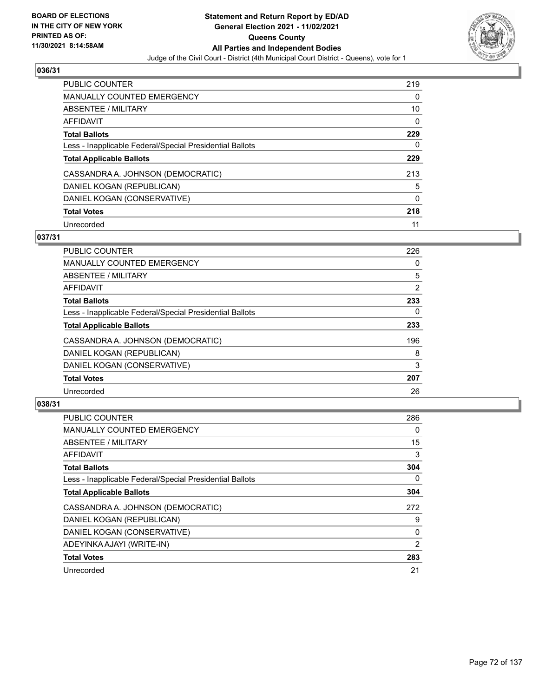

| <b>PUBLIC COUNTER</b>                                    | 219          |
|----------------------------------------------------------|--------------|
| <b>MANUALLY COUNTED EMERGENCY</b>                        | 0            |
| ABSENTEE / MILITARY                                      | 10           |
| AFFIDAVIT                                                | 0            |
| <b>Total Ballots</b>                                     | 229          |
| Less - Inapplicable Federal/Special Presidential Ballots | 0            |
| <b>Total Applicable Ballots</b>                          | 229          |
| CASSANDRA A. JOHNSON (DEMOCRATIC)                        | 213          |
| DANIEL KOGAN (REPUBLICAN)                                | 5            |
| DANIEL KOGAN (CONSERVATIVE)                              | $\mathbf{0}$ |
| <b>Total Votes</b>                                       | 218          |
| Unrecorded                                               | 11           |

### **037/31**

| <b>PUBLIC COUNTER</b>                                    | 226 |
|----------------------------------------------------------|-----|
| <b>MANUALLY COUNTED EMERGENCY</b>                        | 0   |
| ABSENTEE / MILITARY                                      | 5   |
| <b>AFFIDAVIT</b>                                         | 2   |
| <b>Total Ballots</b>                                     | 233 |
| Less - Inapplicable Federal/Special Presidential Ballots | 0   |
| <b>Total Applicable Ballots</b>                          | 233 |
| CASSANDRA A. JOHNSON (DEMOCRATIC)                        | 196 |
| DANIEL KOGAN (REPUBLICAN)                                | 8   |
| DANIEL KOGAN (CONSERVATIVE)                              | 3   |
| <b>Total Votes</b>                                       | 207 |
| Unrecorded                                               | 26  |

| <b>PUBLIC COUNTER</b>                                    | 286 |
|----------------------------------------------------------|-----|
| <b>MANUALLY COUNTED EMERGENCY</b>                        | 0   |
| ABSENTEE / MILITARY                                      | 15  |
| AFFIDAVIT                                                | 3   |
| <b>Total Ballots</b>                                     | 304 |
| Less - Inapplicable Federal/Special Presidential Ballots | 0   |
| <b>Total Applicable Ballots</b>                          | 304 |
| CASSANDRA A. JOHNSON (DEMOCRATIC)                        | 272 |
| DANIEL KOGAN (REPUBLICAN)                                | 9   |
| DANIEL KOGAN (CONSERVATIVE)                              | 0   |
| ADEYINKA AJAYI (WRITE-IN)                                | 2   |
| <b>Total Votes</b>                                       | 283 |
| Unrecorded                                               | 21  |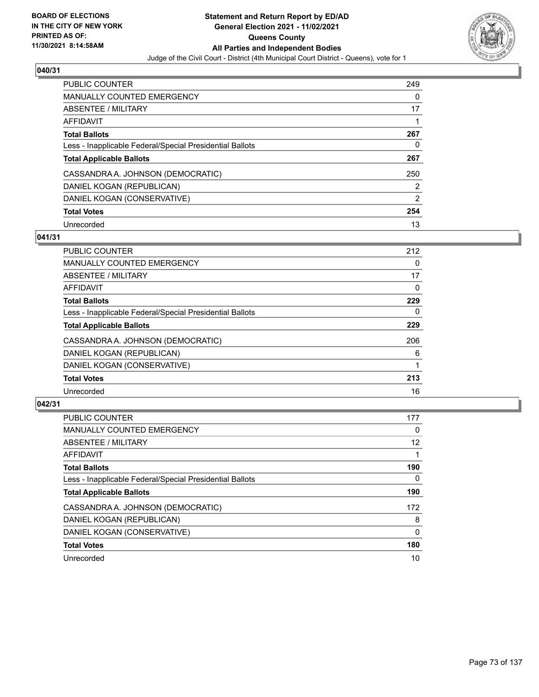

| <b>PUBLIC COUNTER</b>                                    | 249      |
|----------------------------------------------------------|----------|
| <b>MANUALLY COUNTED EMERGENCY</b>                        | $\Omega$ |
| ABSENTEE / MILITARY                                      | 17       |
| AFFIDAVIT                                                |          |
| <b>Total Ballots</b>                                     | 267      |
| Less - Inapplicable Federal/Special Presidential Ballots | 0        |
| <b>Total Applicable Ballots</b>                          | 267      |
| CASSANDRA A. JOHNSON (DEMOCRATIC)                        | 250      |
| DANIEL KOGAN (REPUBLICAN)                                | 2        |
| DANIEL KOGAN (CONSERVATIVE)                              | 2        |
| <b>Total Votes</b>                                       | 254      |
| Unrecorded                                               | 13       |

### **041/31**

| <b>PUBLIC COUNTER</b>                                    | 212 |
|----------------------------------------------------------|-----|
| <b>MANUALLY COUNTED EMERGENCY</b>                        | 0   |
| ABSENTEE / MILITARY                                      | 17  |
| <b>AFFIDAVIT</b>                                         | 0   |
| <b>Total Ballots</b>                                     | 229 |
| Less - Inapplicable Federal/Special Presidential Ballots | 0   |
| <b>Total Applicable Ballots</b>                          | 229 |
| CASSANDRA A. JOHNSON (DEMOCRATIC)                        | 206 |
| DANIEL KOGAN (REPUBLICAN)                                | 6   |
| DANIEL KOGAN (CONSERVATIVE)                              |     |
| <b>Total Votes</b>                                       | 213 |
| Unrecorded                                               | 16  |

| <b>PUBLIC COUNTER</b>                                    | 177 |
|----------------------------------------------------------|-----|
| <b>MANUALLY COUNTED EMERGENCY</b>                        | 0   |
| ABSENTEE / MILITARY                                      | 12  |
| <b>AFFIDAVIT</b>                                         |     |
| <b>Total Ballots</b>                                     | 190 |
| Less - Inapplicable Federal/Special Presidential Ballots | 0   |
| <b>Total Applicable Ballots</b>                          | 190 |
| CASSANDRA A. JOHNSON (DEMOCRATIC)                        | 172 |
| DANIEL KOGAN (REPUBLICAN)                                | 8   |
| DANIEL KOGAN (CONSERVATIVE)                              | 0   |
| <b>Total Votes</b>                                       | 180 |
| Unrecorded                                               | 10  |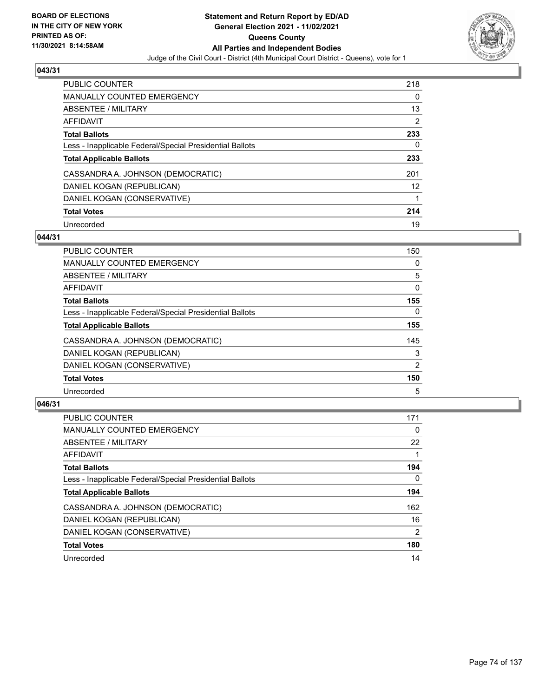

| <b>PUBLIC COUNTER</b>                                    | 218               |
|----------------------------------------------------------|-------------------|
| <b>MANUALLY COUNTED EMERGENCY</b>                        | 0                 |
| ABSENTEE / MILITARY                                      | 13                |
| AFFIDAVIT                                                | 2                 |
| <b>Total Ballots</b>                                     | 233               |
| Less - Inapplicable Federal/Special Presidential Ballots | 0                 |
| <b>Total Applicable Ballots</b>                          | 233               |
| CASSANDRA A. JOHNSON (DEMOCRATIC)                        | 201               |
| DANIEL KOGAN (REPUBLICAN)                                | $12 \overline{ }$ |
| DANIEL KOGAN (CONSERVATIVE)                              |                   |
| <b>Total Votes</b>                                       | 214               |
| Unrecorded                                               | 19                |

### **044/31**

| <b>PUBLIC COUNTER</b>                                    | 150      |
|----------------------------------------------------------|----------|
| MANUALLY COUNTED EMERGENCY                               | 0        |
| ABSENTEE / MILITARY                                      | 5        |
| <b>AFFIDAVIT</b>                                         | 0        |
| <b>Total Ballots</b>                                     | 155      |
| Less - Inapplicable Federal/Special Presidential Ballots | $\Omega$ |
| <b>Total Applicable Ballots</b>                          | 155      |
| CASSANDRA A. JOHNSON (DEMOCRATIC)                        | 145      |
| DANIEL KOGAN (REPUBLICAN)                                | 3        |
| DANIEL KOGAN (CONSERVATIVE)                              | 2        |
| <b>Total Votes</b>                                       | 150      |
| Unrecorded                                               | 5        |

| <b>PUBLIC COUNTER</b>                                    | 171            |
|----------------------------------------------------------|----------------|
| <b>MANUALLY COUNTED EMERGENCY</b>                        | 0              |
| ABSENTEE / MILITARY                                      | 22             |
| <b>AFFIDAVIT</b>                                         |                |
| <b>Total Ballots</b>                                     | 194            |
| Less - Inapplicable Federal/Special Presidential Ballots | 0              |
| <b>Total Applicable Ballots</b>                          | 194            |
| CASSANDRA A. JOHNSON (DEMOCRATIC)                        | 162            |
| DANIEL KOGAN (REPUBLICAN)                                | 16             |
| DANIEL KOGAN (CONSERVATIVE)                              | $\overline{2}$ |
| <b>Total Votes</b>                                       | 180            |
| Unrecorded                                               | 14             |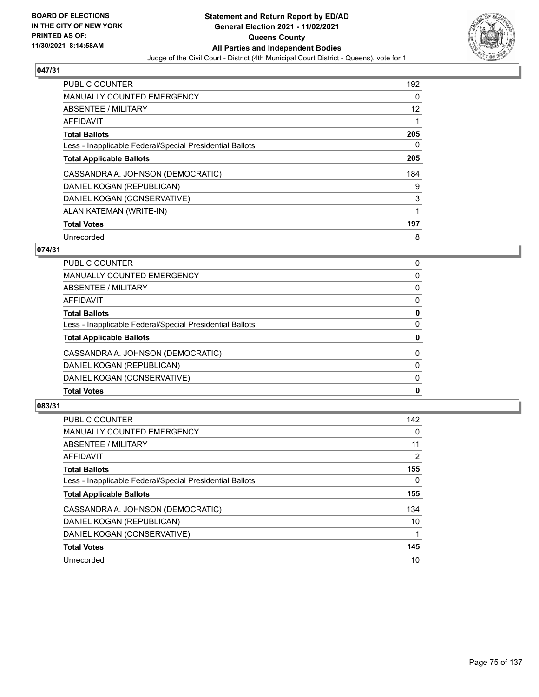

| <b>PUBLIC COUNTER</b>                                    | 192               |
|----------------------------------------------------------|-------------------|
| <b>MANUALLY COUNTED EMERGENCY</b>                        | 0                 |
| ABSENTEE / MILITARY                                      | $12 \overline{ }$ |
| <b>AFFIDAVIT</b>                                         | 1                 |
| <b>Total Ballots</b>                                     | 205               |
| Less - Inapplicable Federal/Special Presidential Ballots | 0                 |
| <b>Total Applicable Ballots</b>                          | 205               |
| CASSANDRA A. JOHNSON (DEMOCRATIC)                        | 184               |
| DANIEL KOGAN (REPUBLICAN)                                | 9                 |
| DANIEL KOGAN (CONSERVATIVE)                              | 3                 |
| ALAN KATEMAN (WRITE-IN)                                  | 1                 |
| <b>Total Votes</b>                                       | 197               |
| Unrecorded                                               | 8                 |

# **074/31**

| <b>Total Votes</b>                                       | 0        |
|----------------------------------------------------------|----------|
|                                                          |          |
| DANIEL KOGAN (CONSERVATIVE)                              | $\Omega$ |
| DANIEL KOGAN (REPUBLICAN)                                | $\Omega$ |
| CASSANDRA A. JOHNSON (DEMOCRATIC)                        | $\Omega$ |
| <b>Total Applicable Ballots</b>                          | 0        |
| Less - Inapplicable Federal/Special Presidential Ballots | $\Omega$ |
| <b>Total Ballots</b>                                     | 0        |
| <b>AFFIDAVIT</b>                                         | 0        |
| <b>ABSENTEE / MILITARY</b>                               | $\Omega$ |
| <b>MANUALLY COUNTED EMERGENCY</b>                        | 0        |
| PUBLIC COUNTER                                           | 0        |

| <b>PUBLIC COUNTER</b>                                    | 142 |
|----------------------------------------------------------|-----|
| <b>MANUALLY COUNTED EMERGENCY</b>                        | 0   |
| ABSENTEE / MILITARY                                      | 11  |
| <b>AFFIDAVIT</b>                                         | 2   |
| <b>Total Ballots</b>                                     | 155 |
| Less - Inapplicable Federal/Special Presidential Ballots | 0   |
| <b>Total Applicable Ballots</b>                          | 155 |
| CASSANDRA A. JOHNSON (DEMOCRATIC)                        | 134 |
| DANIEL KOGAN (REPUBLICAN)                                | 10  |
| DANIEL KOGAN (CONSERVATIVE)                              |     |
| <b>Total Votes</b>                                       | 145 |
| Unrecorded                                               | 10  |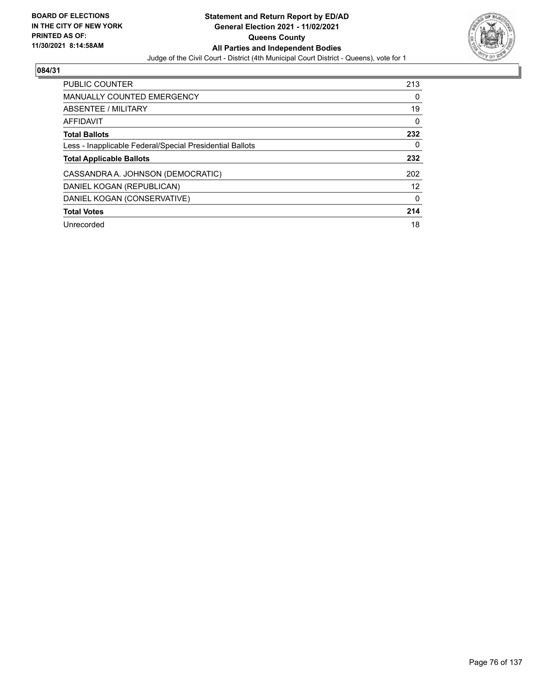

| PUBLIC COUNTER                                           | 213 |
|----------------------------------------------------------|-----|
| <b>MANUALLY COUNTED EMERGENCY</b>                        | 0   |
| ABSENTEE / MILITARY                                      | 19  |
| AFFIDAVIT                                                | 0   |
| <b>Total Ballots</b>                                     | 232 |
| Less - Inapplicable Federal/Special Presidential Ballots | 0   |
| <b>Total Applicable Ballots</b>                          | 232 |
| CASSANDRA A. JOHNSON (DEMOCRATIC)                        | 202 |
| DANIEL KOGAN (REPUBLICAN)                                | 12  |
| DANIEL KOGAN (CONSERVATIVE)                              | 0   |
| <b>Total Votes</b>                                       | 214 |
| Unrecorded                                               | 18  |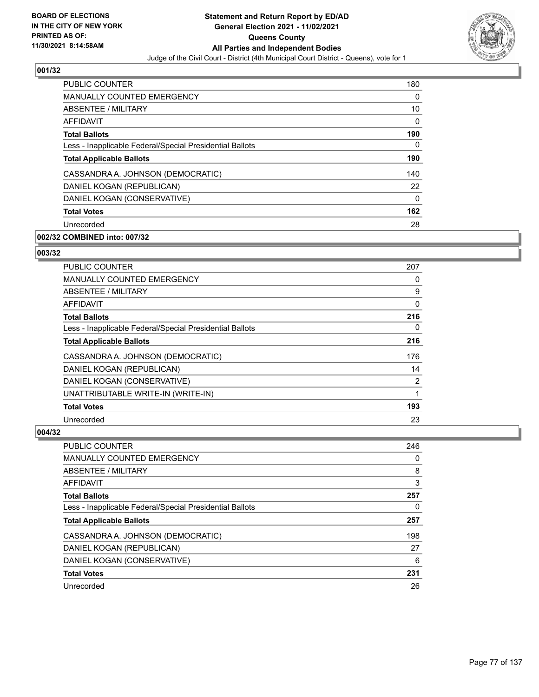

| <b>PUBLIC COUNTER</b>                                    | 180 |
|----------------------------------------------------------|-----|
| <b>MANUALLY COUNTED EMERGENCY</b>                        | 0   |
| <b>ABSENTEE / MILITARY</b>                               | 10  |
| <b>AFFIDAVIT</b>                                         | 0   |
| <b>Total Ballots</b>                                     | 190 |
| Less - Inapplicable Federal/Special Presidential Ballots | 0   |
| <b>Total Applicable Ballots</b>                          | 190 |
| CASSANDRA A. JOHNSON (DEMOCRATIC)                        | 140 |
| DANIEL KOGAN (REPUBLICAN)                                | 22  |
| DANIEL KOGAN (CONSERVATIVE)                              | 0   |
| <b>Total Votes</b>                                       | 162 |
| Unrecorded                                               | 28  |

# **002/32 COMBINED into: 007/32**

## **003/32**

| <b>PUBLIC COUNTER</b>                                    | 207 |
|----------------------------------------------------------|-----|
| <b>MANUALLY COUNTED EMERGENCY</b>                        | 0   |
| ABSENTEE / MILITARY                                      | 9   |
| <b>AFFIDAVIT</b>                                         | 0   |
| <b>Total Ballots</b>                                     | 216 |
| Less - Inapplicable Federal/Special Presidential Ballots | 0   |
| <b>Total Applicable Ballots</b>                          | 216 |
| CASSANDRA A. JOHNSON (DEMOCRATIC)                        | 176 |
| DANIEL KOGAN (REPUBLICAN)                                | 14  |
| DANIEL KOGAN (CONSERVATIVE)                              | 2   |
| UNATTRIBUTABLE WRITE-IN (WRITE-IN)                       | 1   |
| <b>Total Votes</b>                                       | 193 |
| Unrecorded                                               | 23  |

| PUBLIC COUNTER                                           | 246 |
|----------------------------------------------------------|-----|
| <b>MANUALLY COUNTED EMERGENCY</b>                        | 0   |
| ABSENTEE / MILITARY                                      | 8   |
| AFFIDAVIT                                                | 3   |
| <b>Total Ballots</b>                                     | 257 |
| Less - Inapplicable Federal/Special Presidential Ballots | 0   |
| <b>Total Applicable Ballots</b>                          | 257 |
| CASSANDRA A. JOHNSON (DEMOCRATIC)                        | 198 |
| DANIEL KOGAN (REPUBLICAN)                                | 27  |
| DANIEL KOGAN (CONSERVATIVE)                              | 6   |
| <b>Total Votes</b>                                       | 231 |
| Unrecorded                                               | 26  |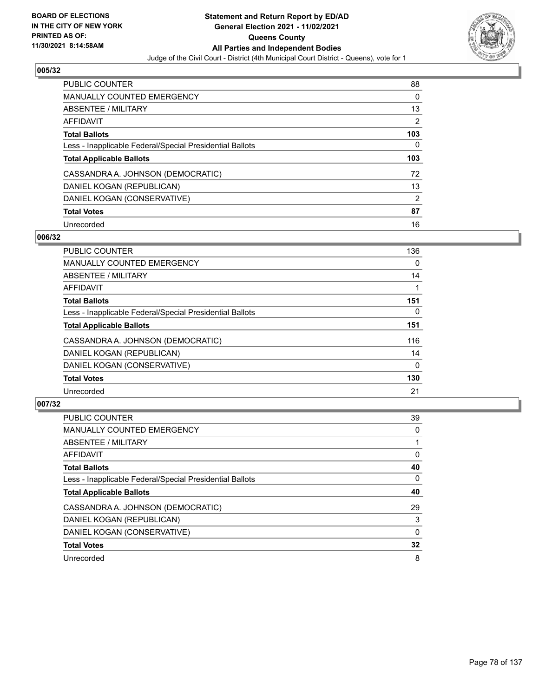

| <b>PUBLIC COUNTER</b>                                    | 88             |
|----------------------------------------------------------|----------------|
| <b>MANUALLY COUNTED EMERGENCY</b>                        | $\Omega$       |
| ABSENTEE / MILITARY                                      | 13             |
| AFFIDAVIT                                                | 2              |
| <b>Total Ballots</b>                                     | 103            |
| Less - Inapplicable Federal/Special Presidential Ballots | 0              |
| <b>Total Applicable Ballots</b>                          | 103            |
| CASSANDRA A. JOHNSON (DEMOCRATIC)                        | 72             |
| DANIEL KOGAN (REPUBLICAN)                                | 13             |
| DANIEL KOGAN (CONSERVATIVE)                              | $\overline{2}$ |
| <b>Total Votes</b>                                       | 87             |
| Unrecorded                                               | 16             |

#### **006/32**

| <b>PUBLIC COUNTER</b>                                    | 136      |
|----------------------------------------------------------|----------|
| MANUALLY COUNTED EMERGENCY                               | 0        |
| ABSENTEE / MILITARY                                      | 14       |
| <b>AFFIDAVIT</b>                                         |          |
| <b>Total Ballots</b>                                     | 151      |
| Less - Inapplicable Federal/Special Presidential Ballots | $\Omega$ |
| <b>Total Applicable Ballots</b>                          | 151      |
| CASSANDRA A. JOHNSON (DEMOCRATIC)                        | 116      |
| DANIEL KOGAN (REPUBLICAN)                                | 14       |
| DANIEL KOGAN (CONSERVATIVE)                              | $\Omega$ |
| <b>Total Votes</b>                                       | 130      |
| Unrecorded                                               | 21       |

| <b>PUBLIC COUNTER</b>                                    | 39       |
|----------------------------------------------------------|----------|
| <b>MANUALLY COUNTED EMERGENCY</b>                        | $\Omega$ |
| ABSENTEE / MILITARY                                      |          |
| AFFIDAVIT                                                | 0        |
| <b>Total Ballots</b>                                     | 40       |
| Less - Inapplicable Federal/Special Presidential Ballots | $\Omega$ |
| <b>Total Applicable Ballots</b>                          | 40       |
| CASSANDRA A. JOHNSON (DEMOCRATIC)                        | 29       |
| DANIEL KOGAN (REPUBLICAN)                                | 3        |
| DANIEL KOGAN (CONSERVATIVE)                              | $\Omega$ |
| <b>Total Votes</b>                                       | 32       |
| Unrecorded                                               | 8        |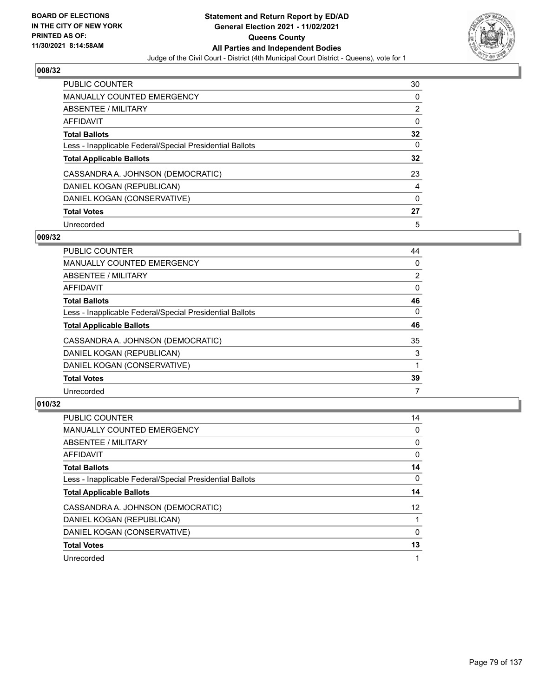

| <b>PUBLIC COUNTER</b>                                    | 30 |
|----------------------------------------------------------|----|
| MANUALLY COUNTED EMERGENCY                               | 0  |
| ABSENTEE / MILITARY                                      | 2  |
| AFFIDAVIT                                                | 0  |
| <b>Total Ballots</b>                                     | 32 |
| Less - Inapplicable Federal/Special Presidential Ballots | 0  |
| <b>Total Applicable Ballots</b>                          | 32 |
| CASSANDRA A. JOHNSON (DEMOCRATIC)                        | 23 |
| DANIEL KOGAN (REPUBLICAN)                                | 4  |
| DANIEL KOGAN (CONSERVATIVE)                              | 0  |
| <b>Total Votes</b>                                       | 27 |
| Unrecorded                                               | 5  |

#### **009/32**

| <b>PUBLIC COUNTER</b>                                    | 44             |
|----------------------------------------------------------|----------------|
| <b>MANUALLY COUNTED EMERGENCY</b>                        | 0              |
| ABSENTEE / MILITARY                                      | $\overline{2}$ |
| <b>AFFIDAVIT</b>                                         | 0              |
| <b>Total Ballots</b>                                     | 46             |
| Less - Inapplicable Federal/Special Presidential Ballots | 0              |
| <b>Total Applicable Ballots</b>                          | 46             |
| CASSANDRA A. JOHNSON (DEMOCRATIC)                        | 35             |
| DANIEL KOGAN (REPUBLICAN)                                | 3              |
| DANIEL KOGAN (CONSERVATIVE)                              |                |
| <b>Total Votes</b>                                       | 39             |
| Unrecorded                                               |                |

| <b>PUBLIC COUNTER</b>                                    | 14              |
|----------------------------------------------------------|-----------------|
| <b>MANUALLY COUNTED EMERGENCY</b>                        | $\Omega$        |
| ABSENTEE / MILITARY                                      | $\Omega$        |
| <b>AFFIDAVIT</b>                                         | 0               |
| <b>Total Ballots</b>                                     | 14              |
| Less - Inapplicable Federal/Special Presidential Ballots | 0               |
| <b>Total Applicable Ballots</b>                          | 14              |
| CASSANDRA A. JOHNSON (DEMOCRATIC)                        | 12 <sup>2</sup> |
| DANIEL KOGAN (REPUBLICAN)                                |                 |
| DANIEL KOGAN (CONSERVATIVE)                              | $\Omega$        |
| <b>Total Votes</b>                                       | 13              |
| Unrecorded                                               |                 |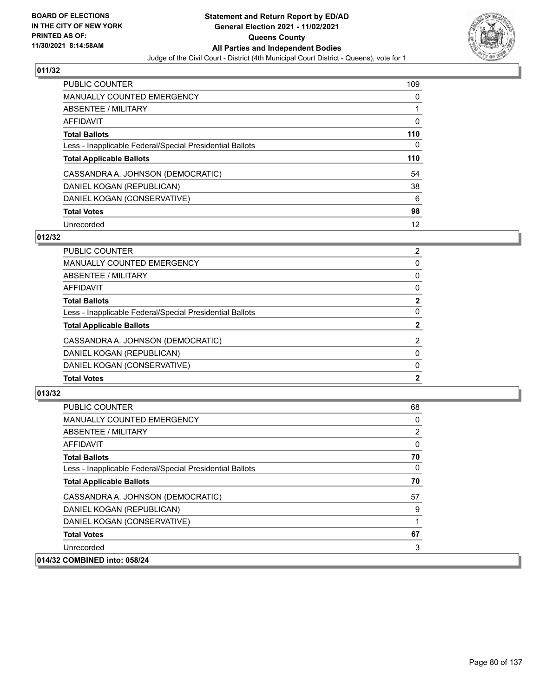

| <b>PUBLIC COUNTER</b>                                    | 109 |
|----------------------------------------------------------|-----|
| <b>MANUALLY COUNTED EMERGENCY</b>                        | 0   |
| ABSENTEE / MILITARY                                      |     |
| AFFIDAVIT                                                | 0   |
| <b>Total Ballots</b>                                     | 110 |
| Less - Inapplicable Federal/Special Presidential Ballots | 0   |
|                                                          |     |
| <b>Total Applicable Ballots</b>                          | 110 |
| CASSANDRA A. JOHNSON (DEMOCRATIC)                        | 54  |
| DANIEL KOGAN (REPUBLICAN)                                | 38  |
| DANIEL KOGAN (CONSERVATIVE)                              | 6   |
| <b>Total Votes</b>                                       | 98  |

### **012/32**

| <b>PUBLIC COUNTER</b>                                    | $\overline{2}$ |
|----------------------------------------------------------|----------------|
| <b>MANUALLY COUNTED EMERGENCY</b>                        | $\Omega$       |
| ABSENTEE / MILITARY                                      | 0              |
| AFFIDAVIT                                                | 0              |
| <b>Total Ballots</b>                                     | $\mathbf{2}$   |
| Less - Inapplicable Federal/Special Presidential Ballots | 0              |
| <b>Total Applicable Ballots</b>                          | $\mathbf{2}$   |
| CASSANDRA A. JOHNSON (DEMOCRATIC)                        | 2              |
| DANIEL KOGAN (REPUBLICAN)                                | 0              |
| DANIEL KOGAN (CONSERVATIVE)                              | $\Omega$       |
| <b>Total Votes</b>                                       | $\mathbf{2}$   |
|                                                          |                |

| <b>PUBLIC COUNTER</b>                                    | 68 |
|----------------------------------------------------------|----|
| MANUALLY COUNTED EMERGENCY                               | 0  |
| <b>ABSENTEE / MILITARY</b>                               | 2  |
| AFFIDAVIT                                                | 0  |
| <b>Total Ballots</b>                                     | 70 |
| Less - Inapplicable Federal/Special Presidential Ballots | 0  |
| <b>Total Applicable Ballots</b>                          | 70 |
| CASSANDRA A. JOHNSON (DEMOCRATIC)                        | 57 |
| DANIEL KOGAN (REPUBLICAN)                                | 9  |
| DANIEL KOGAN (CONSERVATIVE)                              | 1  |
| <b>Total Votes</b>                                       | 67 |
| Unrecorded                                               | 3  |
| 014/32 COMBINED into: 058/24                             |    |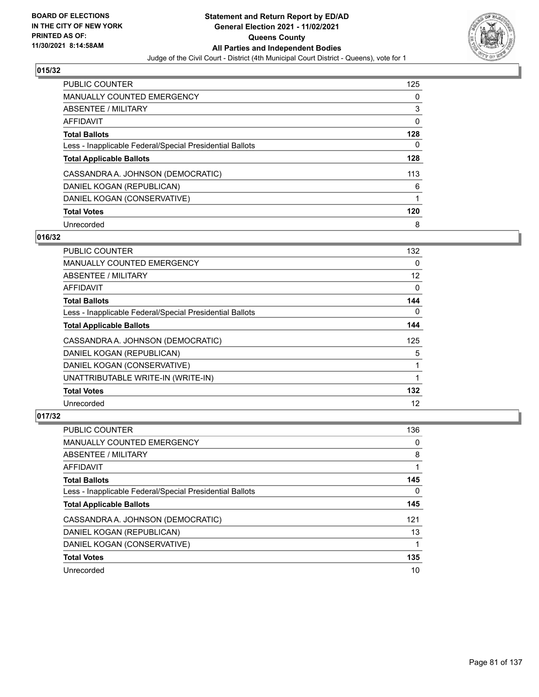

| <b>PUBLIC COUNTER</b>                                    | 125 |
|----------------------------------------------------------|-----|
| <b>MANUALLY COUNTED EMERGENCY</b>                        | 0   |
| ABSENTEE / MILITARY                                      | 3   |
| AFFIDAVIT                                                | 0   |
| <b>Total Ballots</b>                                     | 128 |
| Less - Inapplicable Federal/Special Presidential Ballots | 0   |
| <b>Total Applicable Ballots</b>                          | 128 |
| CASSANDRA A. JOHNSON (DEMOCRATIC)                        | 113 |
| DANIEL KOGAN (REPUBLICAN)                                | 6   |
| DANIEL KOGAN (CONSERVATIVE)                              |     |
| <b>Total Votes</b>                                       | 120 |
| Unrecorded                                               | 8   |

### **016/32**

| <b>PUBLIC COUNTER</b>                                    | 132      |
|----------------------------------------------------------|----------|
| MANUALLY COUNTED EMERGENCY                               | 0        |
| ABSENTEE / MILITARY                                      | 12       |
| <b>AFFIDAVIT</b>                                         | 0        |
| <b>Total Ballots</b>                                     | 144      |
| Less - Inapplicable Federal/Special Presidential Ballots | $\Omega$ |
| <b>Total Applicable Ballots</b>                          | 144      |
| CASSANDRA A. JOHNSON (DEMOCRATIC)                        | 125      |
| DANIEL KOGAN (REPUBLICAN)                                | 5        |
| DANIEL KOGAN (CONSERVATIVE)                              |          |
| UNATTRIBUTABLE WRITE-IN (WRITE-IN)                       |          |
| <b>Total Votes</b>                                       | 132      |
| Unrecorded                                               | 12       |

| <b>PUBLIC COUNTER</b>                                    | 136 |
|----------------------------------------------------------|-----|
| <b>MANUALLY COUNTED EMERGENCY</b>                        | 0   |
| ABSENTEE / MILITARY                                      | 8   |
| AFFIDAVIT                                                |     |
| <b>Total Ballots</b>                                     | 145 |
| Less - Inapplicable Federal/Special Presidential Ballots | 0   |
| <b>Total Applicable Ballots</b>                          | 145 |
| CASSANDRA A. JOHNSON (DEMOCRATIC)                        | 121 |
| DANIEL KOGAN (REPUBLICAN)                                | 13  |
| DANIEL KOGAN (CONSERVATIVE)                              |     |
| <b>Total Votes</b>                                       | 135 |
|                                                          |     |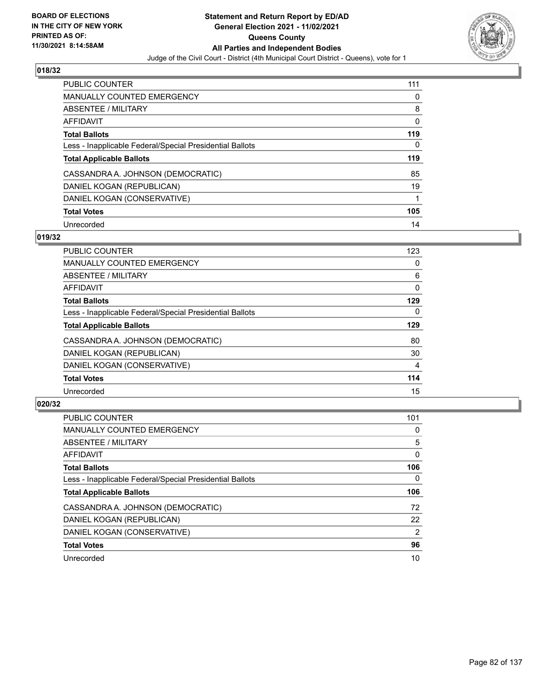

| <b>PUBLIC COUNTER</b>                                    | 111 |
|----------------------------------------------------------|-----|
| <b>MANUALLY COUNTED EMERGENCY</b>                        | 0   |
| ABSENTEE / MILITARY                                      | 8   |
| AFFIDAVIT                                                | 0   |
| <b>Total Ballots</b>                                     | 119 |
| Less - Inapplicable Federal/Special Presidential Ballots | 0   |
| <b>Total Applicable Ballots</b>                          | 119 |
| CASSANDRA A. JOHNSON (DEMOCRATIC)                        | 85  |
| DANIEL KOGAN (REPUBLICAN)                                | 19  |
| DANIEL KOGAN (CONSERVATIVE)                              |     |
| <b>Total Votes</b>                                       | 105 |
| Unrecorded                                               | 14  |

# **019/32**

| <b>PUBLIC COUNTER</b>                                    | 123      |
|----------------------------------------------------------|----------|
| <b>MANUALLY COUNTED EMERGENCY</b>                        | 0        |
| ABSENTEE / MILITARY                                      | 6        |
| <b>AFFIDAVIT</b>                                         | $\Omega$ |
| <b>Total Ballots</b>                                     | 129      |
| Less - Inapplicable Federal/Special Presidential Ballots | 0        |
| <b>Total Applicable Ballots</b>                          | 129      |
| CASSANDRA A. JOHNSON (DEMOCRATIC)                        | 80       |
| DANIEL KOGAN (REPUBLICAN)                                | 30       |
| DANIEL KOGAN (CONSERVATIVE)                              | 4        |
| <b>Total Votes</b>                                       | 114      |
| Unrecorded                                               | 15       |

| <b>PUBLIC COUNTER</b>                                    | 101            |
|----------------------------------------------------------|----------------|
| <b>MANUALLY COUNTED EMERGENCY</b>                        | 0              |
| ABSENTEE / MILITARY                                      | 5              |
| <b>AFFIDAVIT</b>                                         | $\Omega$       |
| <b>Total Ballots</b>                                     | 106            |
| Less - Inapplicable Federal/Special Presidential Ballots | 0              |
| <b>Total Applicable Ballots</b>                          | 106            |
| CASSANDRA A. JOHNSON (DEMOCRATIC)                        | 72             |
| DANIEL KOGAN (REPUBLICAN)                                | 22             |
| DANIEL KOGAN (CONSERVATIVE)                              | $\overline{2}$ |
| <b>Total Votes</b>                                       | 96             |
|                                                          | 10             |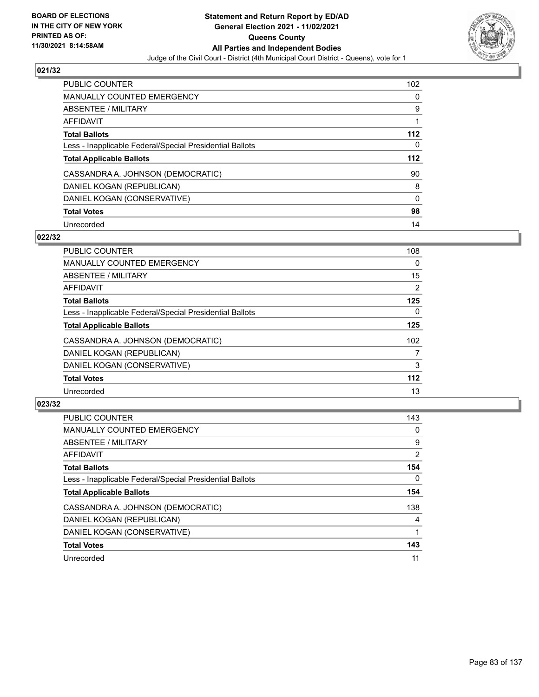

| <b>PUBLIC COUNTER</b>                                    | 102      |
|----------------------------------------------------------|----------|
| MANUALLY COUNTED EMERGENCY                               | $\Omega$ |
| ABSENTEE / MILITARY                                      | 9        |
| AFFIDAVIT                                                |          |
| <b>Total Ballots</b>                                     | $112$    |
| Less - Inapplicable Federal/Special Presidential Ballots | 0        |
| <b>Total Applicable Ballots</b>                          | 112      |
| CASSANDRA A. JOHNSON (DEMOCRATIC)                        | 90       |
| DANIEL KOGAN (REPUBLICAN)                                | 8        |
| DANIEL KOGAN (CONSERVATIVE)                              | $\Omega$ |
| <b>Total Votes</b>                                       | 98       |
| Unrecorded                                               | 14       |

#### **022/32**

| <b>PUBLIC COUNTER</b>                                    | 108              |
|----------------------------------------------------------|------------------|
| <b>MANUALLY COUNTED EMERGENCY</b>                        | 0                |
| ABSENTEE / MILITARY                                      | 15               |
| <b>AFFIDAVIT</b>                                         | $\overline{2}$   |
| <b>Total Ballots</b>                                     | 125              |
| Less - Inapplicable Federal/Special Presidential Ballots | $\Omega$         |
| <b>Total Applicable Ballots</b>                          | 125              |
| CASSANDRA A. JOHNSON (DEMOCRATIC)                        | 102 <sub>2</sub> |
| DANIEL KOGAN (REPUBLICAN)                                | 7                |
| DANIEL KOGAN (CONSERVATIVE)                              | 3                |
| <b>Total Votes</b>                                       | $112$            |
| Unrecorded                                               | 13               |

| <b>PUBLIC COUNTER</b>                                    | 143            |
|----------------------------------------------------------|----------------|
| <b>MANUALLY COUNTED EMERGENCY</b>                        | 0              |
| ABSENTEE / MILITARY                                      | 9              |
| <b>AFFIDAVIT</b>                                         | $\overline{2}$ |
| <b>Total Ballots</b>                                     | 154            |
| Less - Inapplicable Federal/Special Presidential Ballots | $\Omega$       |
| <b>Total Applicable Ballots</b>                          | 154            |
| CASSANDRA A. JOHNSON (DEMOCRATIC)                        | 138            |
| DANIEL KOGAN (REPUBLICAN)                                | 4              |
| DANIEL KOGAN (CONSERVATIVE)                              |                |
| <b>Total Votes</b>                                       | 143            |
| Unrecorded                                               | 11             |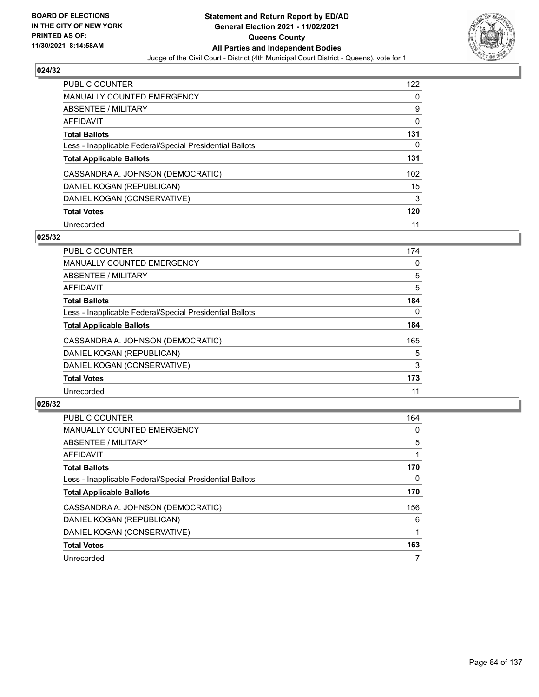

| <b>PUBLIC COUNTER</b>                                    | 122 |
|----------------------------------------------------------|-----|
| <b>MANUALLY COUNTED EMERGENCY</b>                        | 0   |
| ABSENTEE / MILITARY                                      | 9   |
| AFFIDAVIT                                                | 0   |
| <b>Total Ballots</b>                                     | 131 |
| Less - Inapplicable Federal/Special Presidential Ballots | 0   |
| <b>Total Applicable Ballots</b>                          | 131 |
| CASSANDRA A. JOHNSON (DEMOCRATIC)                        | 102 |
| DANIEL KOGAN (REPUBLICAN)                                | 15  |
| DANIEL KOGAN (CONSERVATIVE)                              | 3   |
| <b>Total Votes</b>                                       | 120 |
| Unrecorded                                               | 11  |

#### **025/32**

| <b>PUBLIC COUNTER</b>                                    | 174      |
|----------------------------------------------------------|----------|
| <b>MANUALLY COUNTED EMERGENCY</b>                        | 0        |
| ABSENTEE / MILITARY                                      | 5        |
| <b>AFFIDAVIT</b>                                         | 5        |
| <b>Total Ballots</b>                                     | 184      |
| Less - Inapplicable Federal/Special Presidential Ballots | $\Omega$ |
| <b>Total Applicable Ballots</b>                          | 184      |
| CASSANDRA A. JOHNSON (DEMOCRATIC)                        | 165      |
| DANIEL KOGAN (REPUBLICAN)                                | 5        |
| DANIEL KOGAN (CONSERVATIVE)                              | 3        |
| <b>Total Votes</b>                                       | 173      |
| Unrecorded                                               | 11       |

| <b>PUBLIC COUNTER</b>                                    | 164      |
|----------------------------------------------------------|----------|
| <b>MANUALLY COUNTED EMERGENCY</b>                        | $\Omega$ |
| ABSENTEE / MILITARY                                      | 5        |
| <b>AFFIDAVIT</b>                                         |          |
| <b>Total Ballots</b>                                     | 170      |
| Less - Inapplicable Federal/Special Presidential Ballots | 0        |
| <b>Total Applicable Ballots</b>                          | 170      |
| CASSANDRA A. JOHNSON (DEMOCRATIC)                        | 156      |
| DANIEL KOGAN (REPUBLICAN)                                | 6        |
| DANIEL KOGAN (CONSERVATIVE)                              |          |
| <b>Total Votes</b>                                       | 163      |
| Unrecorded                                               |          |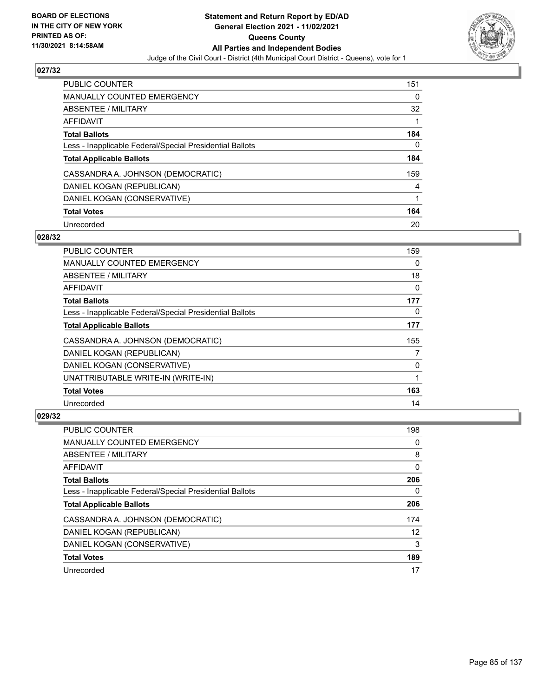

| <b>PUBLIC COUNTER</b>                                    | 151      |
|----------------------------------------------------------|----------|
| <b>MANUALLY COUNTED EMERGENCY</b>                        | $\Omega$ |
| ABSENTEE / MILITARY                                      | 32       |
| AFFIDAVIT                                                |          |
| <b>Total Ballots</b>                                     | 184      |
| Less - Inapplicable Federal/Special Presidential Ballots | 0        |
| <b>Total Applicable Ballots</b>                          | 184      |
| CASSANDRA A. JOHNSON (DEMOCRATIC)                        | 159      |
| DANIEL KOGAN (REPUBLICAN)                                | 4        |
| DANIEL KOGAN (CONSERVATIVE)                              | 1        |
| <b>Total Votes</b>                                       | 164      |
| Unrecorded                                               | 20       |

### **028/32**

| <b>PUBLIC COUNTER</b>                                    | 159      |
|----------------------------------------------------------|----------|
| <b>MANUALLY COUNTED EMERGENCY</b>                        | $\Omega$ |
| ABSENTEE / MILITARY                                      | 18       |
| AFFIDAVIT                                                | 0        |
| <b>Total Ballots</b>                                     | 177      |
| Less - Inapplicable Federal/Special Presidential Ballots | 0        |
| <b>Total Applicable Ballots</b>                          | 177      |
| CASSANDRA A. JOHNSON (DEMOCRATIC)                        | 155      |
| DANIEL KOGAN (REPUBLICAN)                                | 7        |
| DANIEL KOGAN (CONSERVATIVE)                              | 0        |
| UNATTRIBUTABLE WRITE-IN (WRITE-IN)                       |          |
| <b>Total Votes</b>                                       | 163      |
| Unrecorded                                               | 14       |

| <b>PUBLIC COUNTER</b>                                    | 198 |
|----------------------------------------------------------|-----|
| <b>MANUALLY COUNTED EMERGENCY</b>                        | 0   |
| ABSENTEE / MILITARY                                      | 8   |
| AFFIDAVIT                                                | 0   |
| <b>Total Ballots</b>                                     | 206 |
| Less - Inapplicable Federal/Special Presidential Ballots | 0   |
| <b>Total Applicable Ballots</b>                          | 206 |
| CASSANDRA A. JOHNSON (DEMOCRATIC)                        | 174 |
| DANIEL KOGAN (REPUBLICAN)                                | 12  |
| DANIEL KOGAN (CONSERVATIVE)                              | 3   |
| <b>Total Votes</b>                                       | 189 |
| Unrecorded                                               | 17  |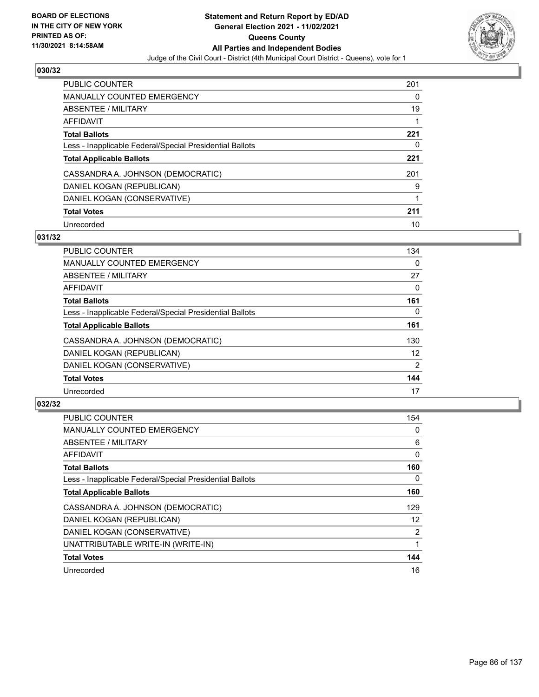

| <b>PUBLIC COUNTER</b>                                    | 201 |
|----------------------------------------------------------|-----|
| <b>MANUALLY COUNTED EMERGENCY</b>                        | 0   |
| ABSENTEE / MILITARY                                      | 19  |
| AFFIDAVIT                                                |     |
| <b>Total Ballots</b>                                     | 221 |
| Less - Inapplicable Federal/Special Presidential Ballots | 0   |
| <b>Total Applicable Ballots</b>                          | 221 |
| CASSANDRA A. JOHNSON (DEMOCRATIC)                        | 201 |
| DANIEL KOGAN (REPUBLICAN)                                | 9   |
| DANIEL KOGAN (CONSERVATIVE)                              |     |
| <b>Total Votes</b>                                       | 211 |
| Unrecorded                                               | 10  |

#### **031/32**

| <b>PUBLIC COUNTER</b>                                    | 134      |
|----------------------------------------------------------|----------|
| <b>MANUALLY COUNTED EMERGENCY</b>                        | 0        |
| ABSENTEE / MILITARY                                      | 27       |
| <b>AFFIDAVIT</b>                                         | 0        |
| <b>Total Ballots</b>                                     | 161      |
| Less - Inapplicable Federal/Special Presidential Ballots | $\Omega$ |
| <b>Total Applicable Ballots</b>                          | 161      |
| CASSANDRA A. JOHNSON (DEMOCRATIC)                        | 130      |
| DANIEL KOGAN (REPUBLICAN)                                | 12       |
| DANIEL KOGAN (CONSERVATIVE)                              | 2        |
| <b>Total Votes</b>                                       | 144      |
| Unrecorded                                               | 17       |

| <b>PUBLIC COUNTER</b>                                    | 154 |
|----------------------------------------------------------|-----|
| <b>MANUALLY COUNTED EMERGENCY</b>                        | 0   |
| ABSENTEE / MILITARY                                      | 6   |
| AFFIDAVIT                                                | 0   |
| <b>Total Ballots</b>                                     | 160 |
| Less - Inapplicable Federal/Special Presidential Ballots | 0   |
| <b>Total Applicable Ballots</b>                          | 160 |
| CASSANDRA A. JOHNSON (DEMOCRATIC)                        | 129 |
| DANIEL KOGAN (REPUBLICAN)                                | 12  |
| DANIEL KOGAN (CONSERVATIVE)                              | 2   |
| UNATTRIBUTABLE WRITE-IN (WRITE-IN)                       |     |
| <b>Total Votes</b>                                       | 144 |
| Unrecorded                                               | 16  |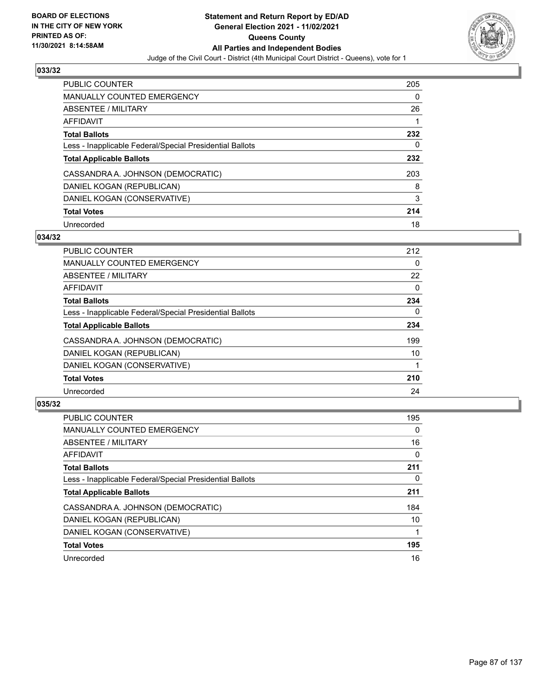

| <b>PUBLIC COUNTER</b>                                    | 205 |
|----------------------------------------------------------|-----|
| MANUALLY COUNTED EMERGENCY                               | 0   |
| ABSENTEE / MILITARY                                      | 26  |
| AFFIDAVIT                                                |     |
| <b>Total Ballots</b>                                     | 232 |
| Less - Inapplicable Federal/Special Presidential Ballots | 0   |
| <b>Total Applicable Ballots</b>                          | 232 |
| CASSANDRA A. JOHNSON (DEMOCRATIC)                        | 203 |
| DANIEL KOGAN (REPUBLICAN)                                | 8   |
| DANIEL KOGAN (CONSERVATIVE)                              | 3   |
|                                                          |     |
| <b>Total Votes</b>                                       | 214 |

#### **034/32**

| <b>PUBLIC COUNTER</b>                                    | 212      |
|----------------------------------------------------------|----------|
| <b>MANUALLY COUNTED EMERGENCY</b>                        | 0        |
| ABSENTEE / MILITARY                                      | 22       |
| <b>AFFIDAVIT</b>                                         | $\Omega$ |
| <b>Total Ballots</b>                                     | 234      |
| Less - Inapplicable Federal/Special Presidential Ballots | $\Omega$ |
| <b>Total Applicable Ballots</b>                          | 234      |
| CASSANDRA A. JOHNSON (DEMOCRATIC)                        | 199      |
| DANIEL KOGAN (REPUBLICAN)                                | 10       |
| DANIEL KOGAN (CONSERVATIVE)                              |          |
| <b>Total Votes</b>                                       | 210      |
| Unrecorded                                               | 24       |

| <b>PUBLIC COUNTER</b>                                    | 195      |
|----------------------------------------------------------|----------|
| <b>MANUALLY COUNTED EMERGENCY</b>                        | $\Omega$ |
| ABSENTEE / MILITARY                                      | 16       |
| <b>AFFIDAVIT</b>                                         | $\Omega$ |
| <b>Total Ballots</b>                                     | 211      |
| Less - Inapplicable Federal/Special Presidential Ballots | 0        |
| <b>Total Applicable Ballots</b>                          | 211      |
| CASSANDRA A. JOHNSON (DEMOCRATIC)                        | 184      |
| DANIEL KOGAN (REPUBLICAN)                                | 10       |
| DANIEL KOGAN (CONSERVATIVE)                              |          |
| <b>Total Votes</b>                                       | 195      |
| Unrecorded                                               | 16       |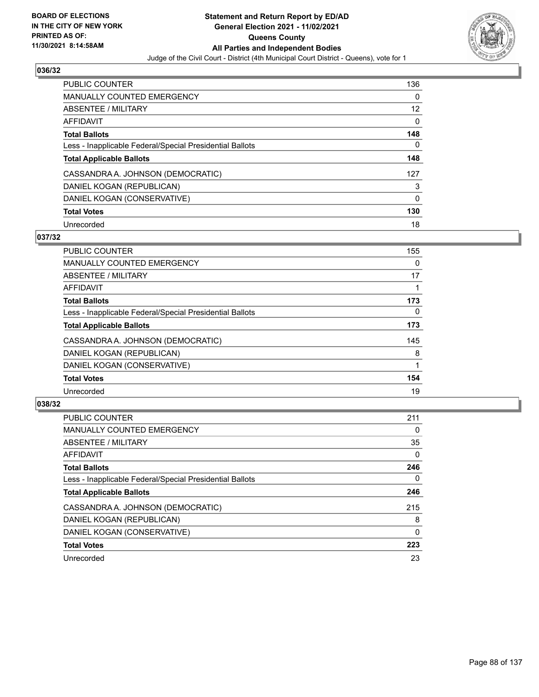

| <b>PUBLIC COUNTER</b>                                    | 136 |
|----------------------------------------------------------|-----|
| <b>MANUALLY COUNTED EMERGENCY</b>                        | 0   |
| ABSENTEE / MILITARY                                      | 12  |
| AFFIDAVIT                                                | 0   |
| <b>Total Ballots</b>                                     | 148 |
| Less - Inapplicable Federal/Special Presidential Ballots | 0   |
| <b>Total Applicable Ballots</b>                          | 148 |
| CASSANDRA A. JOHNSON (DEMOCRATIC)                        | 127 |
| DANIEL KOGAN (REPUBLICAN)                                | 3   |
| DANIEL KOGAN (CONSERVATIVE)                              | 0   |
| <b>Total Votes</b>                                       | 130 |
| Unrecorded                                               | 18  |

#### **037/32**

| <b>PUBLIC COUNTER</b>                                    | 155      |
|----------------------------------------------------------|----------|
| <b>MANUALLY COUNTED EMERGENCY</b>                        | 0        |
| ABSENTEE / MILITARY                                      | 17       |
| <b>AFFIDAVIT</b>                                         |          |
| <b>Total Ballots</b>                                     | 173      |
| Less - Inapplicable Federal/Special Presidential Ballots | $\Omega$ |
| <b>Total Applicable Ballots</b>                          | 173      |
| CASSANDRA A. JOHNSON (DEMOCRATIC)                        | 145      |
| DANIEL KOGAN (REPUBLICAN)                                | 8        |
| DANIEL KOGAN (CONSERVATIVE)                              |          |
| <b>Total Votes</b>                                       | 154      |
| Unrecorded                                               | 19       |

| <b>PUBLIC COUNTER</b>                                    | 211      |
|----------------------------------------------------------|----------|
| <b>MANUALLY COUNTED EMERGENCY</b>                        | 0        |
| ABSENTEE / MILITARY                                      | 35       |
| AFFIDAVIT                                                | $\Omega$ |
| <b>Total Ballots</b>                                     | 246      |
| Less - Inapplicable Federal/Special Presidential Ballots | $\Omega$ |
| <b>Total Applicable Ballots</b>                          | 246      |
| CASSANDRA A. JOHNSON (DEMOCRATIC)                        | 215      |
| DANIEL KOGAN (REPUBLICAN)                                | 8        |
| DANIEL KOGAN (CONSERVATIVE)                              | $\Omega$ |
| <b>Total Votes</b>                                       | 223      |
| Unrecorded                                               | 23       |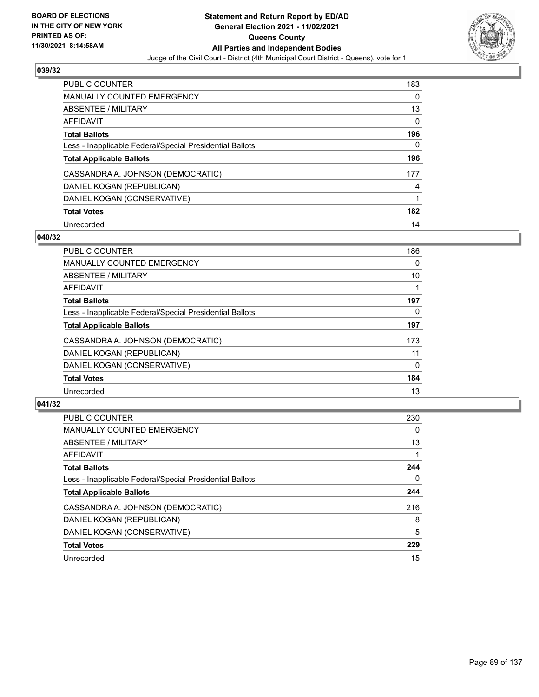

| <b>PUBLIC COUNTER</b>                                    | 183 |
|----------------------------------------------------------|-----|
| <b>MANUALLY COUNTED EMERGENCY</b>                        | 0   |
| ABSENTEE / MILITARY                                      | 13  |
| AFFIDAVIT                                                | 0   |
| <b>Total Ballots</b>                                     | 196 |
| Less - Inapplicable Federal/Special Presidential Ballots | 0   |
| <b>Total Applicable Ballots</b>                          | 196 |
| CASSANDRA A. JOHNSON (DEMOCRATIC)                        | 177 |
| DANIEL KOGAN (REPUBLICAN)                                | 4   |
| DANIEL KOGAN (CONSERVATIVE)                              |     |
| <b>Total Votes</b>                                       | 182 |
| Unrecorded                                               | 14  |

### **040/32**

| <b>PUBLIC COUNTER</b>                                    | 186      |
|----------------------------------------------------------|----------|
| <b>MANUALLY COUNTED EMERGENCY</b>                        | 0        |
| ABSENTEE / MILITARY                                      | 10       |
| <b>AFFIDAVIT</b>                                         |          |
| <b>Total Ballots</b>                                     | 197      |
| Less - Inapplicable Federal/Special Presidential Ballots | $\Omega$ |
| <b>Total Applicable Ballots</b>                          | 197      |
| CASSANDRA A. JOHNSON (DEMOCRATIC)                        | 173      |
| DANIEL KOGAN (REPUBLICAN)                                | 11       |
| DANIEL KOGAN (CONSERVATIVE)                              | $\Omega$ |
| <b>Total Votes</b>                                       | 184      |
| Unrecorded                                               | 13       |

| <b>PUBLIC COUNTER</b>                                    | 230      |
|----------------------------------------------------------|----------|
| <b>MANUALLY COUNTED EMERGENCY</b>                        | $\Omega$ |
| ABSENTEE / MILITARY                                      | 13       |
| <b>AFFIDAVIT</b>                                         |          |
| <b>Total Ballots</b>                                     | 244      |
| Less - Inapplicable Federal/Special Presidential Ballots | 0        |
| <b>Total Applicable Ballots</b>                          | 244      |
| CASSANDRA A. JOHNSON (DEMOCRATIC)                        | 216      |
| DANIEL KOGAN (REPUBLICAN)                                | 8        |
| DANIEL KOGAN (CONSERVATIVE)                              | 5        |
| <b>Total Votes</b>                                       | 229      |
| Unrecorded                                               | 15       |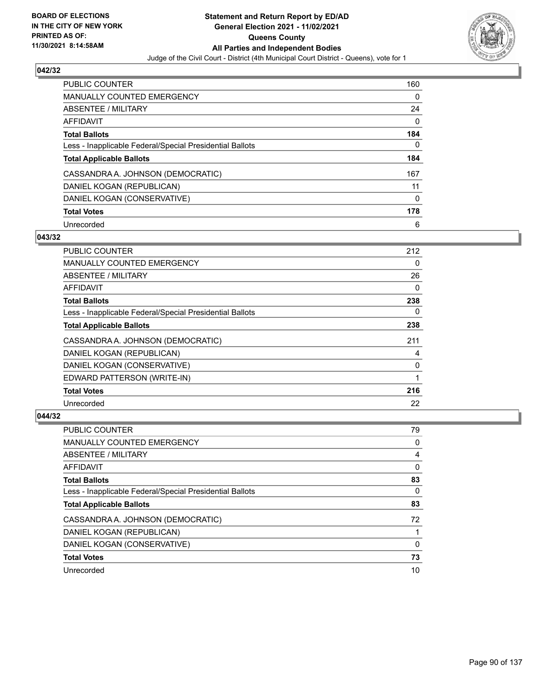

| <b>PUBLIC COUNTER</b>                                    | 160      |
|----------------------------------------------------------|----------|
| <b>MANUALLY COUNTED EMERGENCY</b>                        | $\Omega$ |
| ABSENTEE / MILITARY                                      | 24       |
| AFFIDAVIT                                                | 0        |
| <b>Total Ballots</b>                                     | 184      |
| Less - Inapplicable Federal/Special Presidential Ballots | 0        |
| <b>Total Applicable Ballots</b>                          | 184      |
| CASSANDRA A. JOHNSON (DEMOCRATIC)                        | 167      |
| DANIEL KOGAN (REPUBLICAN)                                | 11       |
| DANIEL KOGAN (CONSERVATIVE)                              | 0        |
| <b>Total Votes</b>                                       | 178      |
| Unrecorded                                               | 6        |

### **043/32**

| <b>PUBLIC COUNTER</b>                                    | 212      |
|----------------------------------------------------------|----------|
| MANUALLY COUNTED EMERGENCY                               | 0        |
| ABSENTEE / MILITARY                                      | 26       |
| <b>AFFIDAVIT</b>                                         | 0        |
| <b>Total Ballots</b>                                     | 238      |
| Less - Inapplicable Federal/Special Presidential Ballots | $\Omega$ |
| <b>Total Applicable Ballots</b>                          | 238      |
| CASSANDRA A. JOHNSON (DEMOCRATIC)                        | 211      |
| DANIEL KOGAN (REPUBLICAN)                                | 4        |
| DANIEL KOGAN (CONSERVATIVE)                              | 0        |
| EDWARD PATTERSON (WRITE-IN)                              |          |
| <b>Total Votes</b>                                       | 216      |
| Unrecorded                                               | 22       |

| PUBLIC COUNTER                                           | 79       |
|----------------------------------------------------------|----------|
| <b>MANUALLY COUNTED EMERGENCY</b>                        | 0        |
| ABSENTEE / MILITARY                                      | 4        |
| AFFIDAVIT                                                | 0        |
| <b>Total Ballots</b>                                     | 83       |
| Less - Inapplicable Federal/Special Presidential Ballots | 0        |
| <b>Total Applicable Ballots</b>                          | 83       |
| CASSANDRA A. JOHNSON (DEMOCRATIC)                        | 72       |
| DANIEL KOGAN (REPUBLICAN)                                |          |
| DANIEL KOGAN (CONSERVATIVE)                              | $\Omega$ |
| <b>Total Votes</b>                                       | 73       |
| Unrecorded                                               | 10       |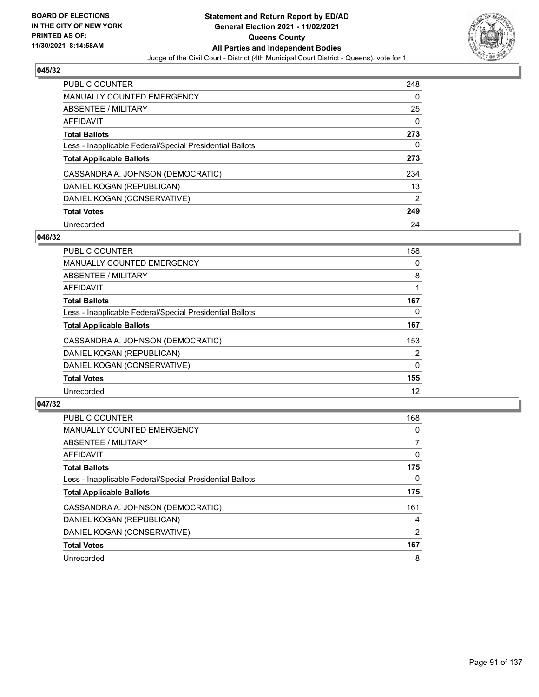

| <b>PUBLIC COUNTER</b>                                    | 248           |
|----------------------------------------------------------|---------------|
| <b>MANUALLY COUNTED EMERGENCY</b>                        | 0             |
| ABSENTEE / MILITARY                                      | 25            |
| AFFIDAVIT                                                | 0             |
| <b>Total Ballots</b>                                     | 273           |
| Less - Inapplicable Federal/Special Presidential Ballots | 0             |
| <b>Total Applicable Ballots</b>                          | 273           |
| CASSANDRA A. JOHNSON (DEMOCRATIC)                        | 234           |
| DANIEL KOGAN (REPUBLICAN)                                | 13            |
| DANIEL KOGAN (CONSERVATIVE)                              | $\mathcal{P}$ |
| <b>Total Votes</b>                                       | 249           |
| Unrecorded                                               | 24            |

#### **046/32**

| <b>PUBLIC COUNTER</b>                                    | 158            |
|----------------------------------------------------------|----------------|
| <b>MANUALLY COUNTED EMERGENCY</b>                        | 0              |
| ABSENTEE / MILITARY                                      | 8              |
| <b>AFFIDAVIT</b>                                         |                |
| <b>Total Ballots</b>                                     | 167            |
| Less - Inapplicable Federal/Special Presidential Ballots | 0              |
| <b>Total Applicable Ballots</b>                          | 167            |
| CASSANDRA A. JOHNSON (DEMOCRATIC)                        | 153            |
| DANIEL KOGAN (REPUBLICAN)                                | $\overline{2}$ |
| DANIEL KOGAN (CONSERVATIVE)                              | $\mathbf{0}$   |
| <b>Total Votes</b>                                       | 155            |
| Unrecorded                                               | 12             |

| PUBLIC COUNTER                                           | 168            |
|----------------------------------------------------------|----------------|
| MANUALLY COUNTED EMERGENCY                               | 0              |
| ABSENTEE / MILITARY                                      | $\overline{7}$ |
| <b>AFFIDAVIT</b>                                         | 0              |
| <b>Total Ballots</b>                                     | 175            |
| Less - Inapplicable Federal/Special Presidential Ballots | $\Omega$       |
| <b>Total Applicable Ballots</b>                          | 175            |
| CASSANDRA A. JOHNSON (DEMOCRATIC)                        | 161            |
| DANIEL KOGAN (REPUBLICAN)                                | 4              |
| DANIEL KOGAN (CONSERVATIVE)                              | 2              |
| <b>Total Votes</b>                                       | 167            |
| Unrecorded                                               | 8              |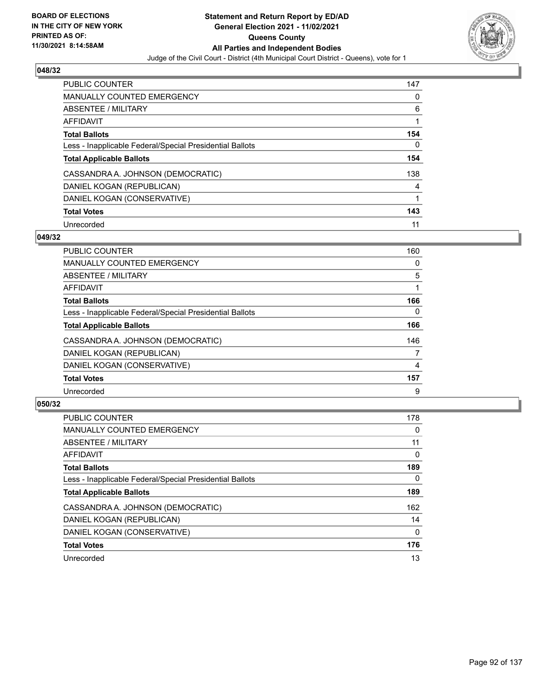

| <b>PUBLIC COUNTER</b>                                    | 147 |
|----------------------------------------------------------|-----|
| MANUALLY COUNTED EMERGENCY                               | 0   |
| ABSENTEE / MILITARY                                      | 6   |
| AFFIDAVIT                                                |     |
| <b>Total Ballots</b>                                     | 154 |
| Less - Inapplicable Federal/Special Presidential Ballots | 0   |
| <b>Total Applicable Ballots</b>                          | 154 |
| CASSANDRA A. JOHNSON (DEMOCRATIC)                        | 138 |
| DANIEL KOGAN (REPUBLICAN)                                | 4   |
| DANIEL KOGAN (CONSERVATIVE)                              |     |
| <b>Total Votes</b>                                       | 143 |
| Unrecorded                                               | 11  |

#### **049/32**

| <b>PUBLIC COUNTER</b>                                    | 160      |
|----------------------------------------------------------|----------|
| <b>MANUALLY COUNTED EMERGENCY</b>                        | 0        |
| ABSENTEE / MILITARY                                      | 5        |
| <b>AFFIDAVIT</b>                                         |          |
| <b>Total Ballots</b>                                     | 166      |
| Less - Inapplicable Federal/Special Presidential Ballots | $\Omega$ |
| <b>Total Applicable Ballots</b>                          | 166      |
| CASSANDRA A. JOHNSON (DEMOCRATIC)                        | 146      |
| DANIEL KOGAN (REPUBLICAN)                                | 7        |
| DANIEL KOGAN (CONSERVATIVE)                              | 4        |
| <b>Total Votes</b>                                       | 157      |
| Unrecorded                                               | 9        |

| <b>PUBLIC COUNTER</b>                                    | 178      |
|----------------------------------------------------------|----------|
| <b>MANUALLY COUNTED EMERGENCY</b>                        | 0        |
| ABSENTEE / MILITARY                                      | 11       |
| <b>AFFIDAVIT</b>                                         | 0        |
| <b>Total Ballots</b>                                     | 189      |
| Less - Inapplicable Federal/Special Presidential Ballots | 0        |
| <b>Total Applicable Ballots</b>                          | 189      |
| CASSANDRA A. JOHNSON (DEMOCRATIC)                        | 162      |
| DANIEL KOGAN (REPUBLICAN)                                | 14       |
| DANIEL KOGAN (CONSERVATIVE)                              | $\Omega$ |
| <b>Total Votes</b>                                       | 176      |
| Unrecorded                                               | 13       |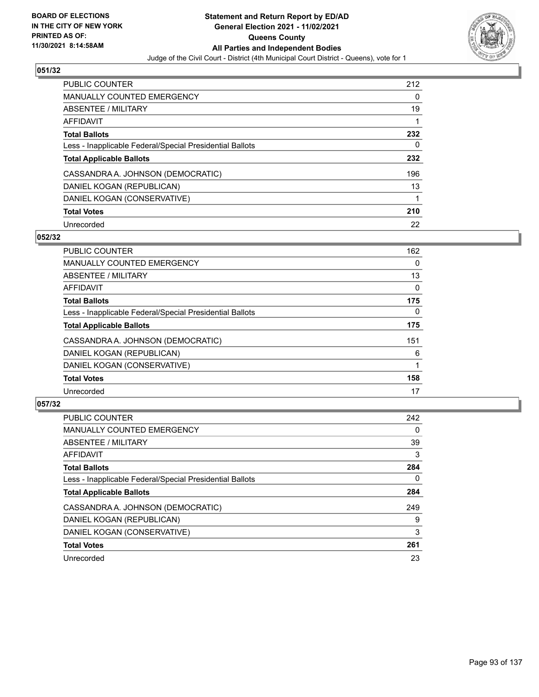

| <b>PUBLIC COUNTER</b>                                    | 212 |
|----------------------------------------------------------|-----|
| <b>MANUALLY COUNTED EMERGENCY</b>                        | 0   |
| ABSENTEE / MILITARY                                      | 19  |
| AFFIDAVIT                                                |     |
| <b>Total Ballots</b>                                     | 232 |
| Less - Inapplicable Federal/Special Presidential Ballots | 0   |
| <b>Total Applicable Ballots</b>                          | 232 |
| CASSANDRA A. JOHNSON (DEMOCRATIC)                        | 196 |
| DANIEL KOGAN (REPUBLICAN)                                | 13  |
| DANIEL KOGAN (CONSERVATIVE)                              |     |
| <b>Total Votes</b>                                       | 210 |
|                                                          |     |

#### **052/32**

| <b>PUBLIC COUNTER</b>                                    | 162      |
|----------------------------------------------------------|----------|
| MANUALLY COUNTED EMERGENCY                               | 0        |
| ABSENTEE / MILITARY                                      | 13       |
| <b>AFFIDAVIT</b>                                         | $\Omega$ |
| <b>Total Ballots</b>                                     | 175      |
| Less - Inapplicable Federal/Special Presidential Ballots | $\Omega$ |
| <b>Total Applicable Ballots</b>                          | 175      |
| CASSANDRA A. JOHNSON (DEMOCRATIC)                        | 151      |
| DANIEL KOGAN (REPUBLICAN)                                | 6        |
| DANIEL KOGAN (CONSERVATIVE)                              |          |
| <b>Total Votes</b>                                       | 158      |
| Unrecorded                                               | 17       |

| <b>PUBLIC COUNTER</b>                                    | 242      |
|----------------------------------------------------------|----------|
| <b>MANUALLY COUNTED EMERGENCY</b>                        | $\Omega$ |
| ABSENTEE / MILITARY                                      | 39       |
| <b>AFFIDAVIT</b>                                         | 3        |
| <b>Total Ballots</b>                                     | 284      |
| Less - Inapplicable Federal/Special Presidential Ballots | 0        |
| <b>Total Applicable Ballots</b>                          | 284      |
| CASSANDRA A. JOHNSON (DEMOCRATIC)                        | 249      |
| DANIEL KOGAN (REPUBLICAN)                                | 9        |
| DANIEL KOGAN (CONSERVATIVE)                              | 3        |
| <b>Total Votes</b>                                       | 261      |
| Unrecorded                                               | 23       |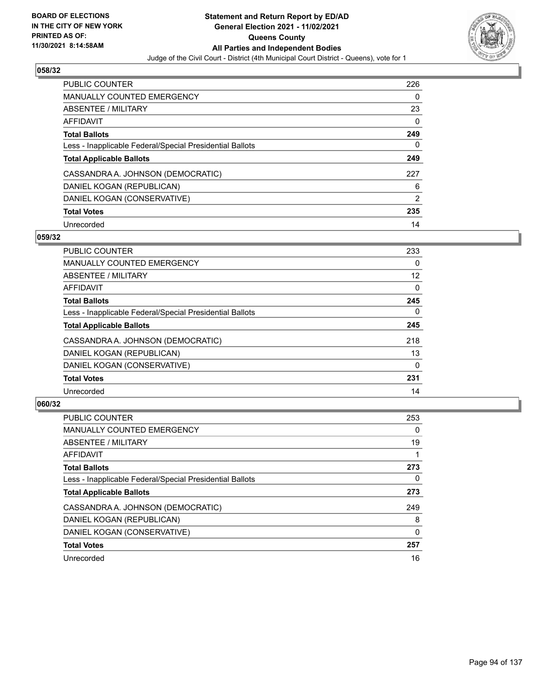

| <b>PUBLIC COUNTER</b>                                    | 226 |
|----------------------------------------------------------|-----|
| <b>MANUALLY COUNTED EMERGENCY</b>                        | 0   |
| ABSENTEE / MILITARY                                      | 23  |
| AFFIDAVIT                                                | 0   |
| <b>Total Ballots</b>                                     | 249 |
| Less - Inapplicable Federal/Special Presidential Ballots | 0   |
| <b>Total Applicable Ballots</b>                          | 249 |
| CASSANDRA A. JOHNSON (DEMOCRATIC)                        | 227 |
| DANIEL KOGAN (REPUBLICAN)                                | 6   |
| DANIEL KOGAN (CONSERVATIVE)                              | 2   |
| <b>Total Votes</b>                                       | 235 |
| Unrecorded                                               | 14  |

#### **059/32**

| <b>PUBLIC COUNTER</b>                                    | 233      |
|----------------------------------------------------------|----------|
| <b>MANUALLY COUNTED EMERGENCY</b>                        | 0        |
| ABSENTEE / MILITARY                                      | 12       |
| <b>AFFIDAVIT</b>                                         | $\Omega$ |
| <b>Total Ballots</b>                                     | 245      |
| Less - Inapplicable Federal/Special Presidential Ballots | $\Omega$ |
| <b>Total Applicable Ballots</b>                          | 245      |
| CASSANDRA A. JOHNSON (DEMOCRATIC)                        | 218      |
| DANIEL KOGAN (REPUBLICAN)                                | 13       |
| DANIEL KOGAN (CONSERVATIVE)                              | $\Omega$ |
| <b>Total Votes</b>                                       | 231      |
| Unrecorded                                               | 14       |

| <b>PUBLIC COUNTER</b>                                    | 253      |
|----------------------------------------------------------|----------|
| <b>MANUALLY COUNTED EMERGENCY</b>                        | $\Omega$ |
| ABSENTEE / MILITARY                                      | 19       |
| <b>AFFIDAVIT</b>                                         |          |
| <b>Total Ballots</b>                                     | 273      |
| Less - Inapplicable Federal/Special Presidential Ballots | 0        |
| <b>Total Applicable Ballots</b>                          | 273      |
| CASSANDRA A. JOHNSON (DEMOCRATIC)                        | 249      |
| DANIEL KOGAN (REPUBLICAN)                                | 8        |
| DANIEL KOGAN (CONSERVATIVE)                              | $\Omega$ |
| <b>Total Votes</b>                                       | 257      |
| Unrecorded                                               | 16       |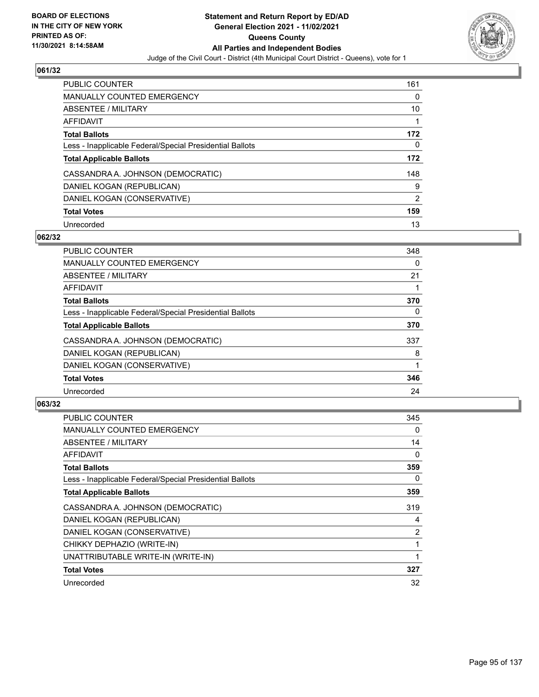

| <b>PUBLIC COUNTER</b>                                    | 161            |
|----------------------------------------------------------|----------------|
| MANUALLY COUNTED EMERGENCY                               | 0              |
| ABSENTEE / MILITARY                                      | 10             |
| AFFIDAVIT                                                |                |
| <b>Total Ballots</b>                                     | 172            |
| Less - Inapplicable Federal/Special Presidential Ballots | 0              |
| <b>Total Applicable Ballots</b>                          | 172            |
| CASSANDRA A. JOHNSON (DEMOCRATIC)                        | 148            |
| DANIEL KOGAN (REPUBLICAN)                                | 9              |
| DANIEL KOGAN (CONSERVATIVE)                              | $\overline{2}$ |
| <b>Total Votes</b>                                       | 159            |
| Unrecorded                                               | 13             |

#### **062/32**

| <b>PUBLIC COUNTER</b>                                    | 348      |
|----------------------------------------------------------|----------|
| <b>MANUALLY COUNTED EMERGENCY</b>                        | 0        |
| ABSENTEE / MILITARY                                      | 21       |
| <b>AFFIDAVIT</b>                                         |          |
| <b>Total Ballots</b>                                     | 370      |
| Less - Inapplicable Federal/Special Presidential Ballots | $\Omega$ |
| <b>Total Applicable Ballots</b>                          | 370      |
| CASSANDRA A. JOHNSON (DEMOCRATIC)                        | 337      |
| DANIEL KOGAN (REPUBLICAN)                                | 8        |
| DANIEL KOGAN (CONSERVATIVE)                              |          |
| <b>Total Votes</b>                                       | 346      |
| Unrecorded                                               | 24       |

| <b>PUBLIC COUNTER</b>                                    | 345 |
|----------------------------------------------------------|-----|
| MANUALLY COUNTED EMERGENCY                               | 0   |
| ABSENTEE / MILITARY                                      | 14  |
| AFFIDAVIT                                                | 0   |
| <b>Total Ballots</b>                                     | 359 |
| Less - Inapplicable Federal/Special Presidential Ballots | 0   |
| <b>Total Applicable Ballots</b>                          | 359 |
| CASSANDRA A. JOHNSON (DEMOCRATIC)                        | 319 |
| DANIEL KOGAN (REPUBLICAN)                                | 4   |
| DANIEL KOGAN (CONSERVATIVE)                              | 2   |
| CHIKKY DEPHAZIO (WRITE-IN)                               |     |
| UNATTRIBUTABLE WRITE-IN (WRITE-IN)                       | 1   |
| <b>Total Votes</b>                                       | 327 |
| Unrecorded                                               | 32  |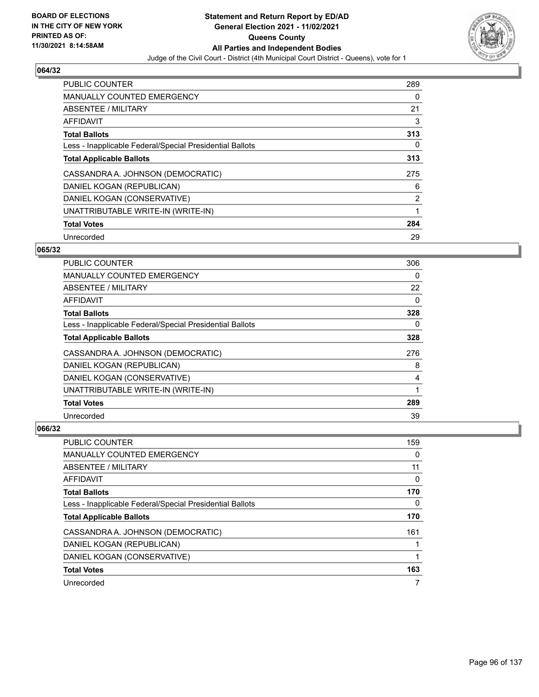

| <b>PUBLIC COUNTER</b>                                    | 289 |
|----------------------------------------------------------|-----|
| <b>MANUALLY COUNTED EMERGENCY</b>                        | 0   |
| ABSENTEE / MILITARY                                      | 21  |
| AFFIDAVIT                                                | 3   |
| <b>Total Ballots</b>                                     | 313 |
| Less - Inapplicable Federal/Special Presidential Ballots | 0   |
| <b>Total Applicable Ballots</b>                          | 313 |
| CASSANDRA A. JOHNSON (DEMOCRATIC)                        | 275 |
| DANIEL KOGAN (REPUBLICAN)                                | 6   |
| DANIEL KOGAN (CONSERVATIVE)                              | 2   |
| UNATTRIBUTABLE WRITE-IN (WRITE-IN)                       | 1   |
| <b>Total Votes</b>                                       | 284 |
| Unrecorded                                               | 29  |

### **065/32**

| <b>PUBLIC COUNTER</b>                                    | 306 |
|----------------------------------------------------------|-----|
| <b>MANUALLY COUNTED EMERGENCY</b>                        | 0   |
| ABSENTEE / MILITARY                                      | 22  |
| AFFIDAVIT                                                | 0   |
| <b>Total Ballots</b>                                     | 328 |
| Less - Inapplicable Federal/Special Presidential Ballots | 0   |
| <b>Total Applicable Ballots</b>                          | 328 |
| CASSANDRA A. JOHNSON (DEMOCRATIC)                        | 276 |
| DANIEL KOGAN (REPUBLICAN)                                | 8   |
| DANIEL KOGAN (CONSERVATIVE)                              | 4   |
| UNATTRIBUTABLE WRITE-IN (WRITE-IN)                       | 1   |
| <b>Total Votes</b>                                       | 289 |
| Unrecorded                                               | 39  |

| <b>PUBLIC COUNTER</b>                                    | 159 |
|----------------------------------------------------------|-----|
| MANUALLY COUNTED EMERGENCY                               | 0   |
| ABSENTEE / MILITARY                                      | 11  |
| AFFIDAVIT                                                | 0   |
| <b>Total Ballots</b>                                     | 170 |
| Less - Inapplicable Federal/Special Presidential Ballots | 0   |
| <b>Total Applicable Ballots</b>                          | 170 |
| CASSANDRA A. JOHNSON (DEMOCRATIC)                        | 161 |
| DANIEL KOGAN (REPUBLICAN)                                |     |
| DANIEL KOGAN (CONSERVATIVE)                              |     |
| <b>Total Votes</b>                                       | 163 |
| Unrecorded                                               |     |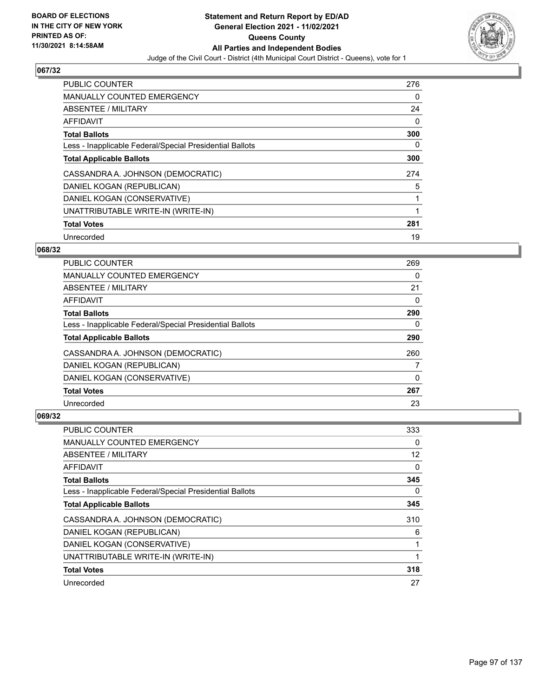

| <b>PUBLIC COUNTER</b>                                    | 276 |
|----------------------------------------------------------|-----|
| <b>MANUALLY COUNTED EMERGENCY</b>                        | 0   |
| ABSENTEE / MILITARY                                      | 24  |
| <b>AFFIDAVIT</b>                                         | 0   |
| <b>Total Ballots</b>                                     | 300 |
| Less - Inapplicable Federal/Special Presidential Ballots | 0   |
| <b>Total Applicable Ballots</b>                          | 300 |
| CASSANDRA A. JOHNSON (DEMOCRATIC)                        | 274 |
| DANIEL KOGAN (REPUBLICAN)                                | 5   |
| DANIEL KOGAN (CONSERVATIVE)                              |     |
| UNATTRIBUTABLE WRITE-IN (WRITE-IN)                       | 1   |
| <b>Total Votes</b>                                       | 281 |
| Unrecorded                                               | 19  |

### **068/32**

| <b>PUBLIC COUNTER</b>                                    | 269 |
|----------------------------------------------------------|-----|
| <b>MANUALLY COUNTED EMERGENCY</b>                        | 0   |
| ABSENTEE / MILITARY                                      | 21  |
| <b>AFFIDAVIT</b>                                         | 0   |
| <b>Total Ballots</b>                                     | 290 |
| Less - Inapplicable Federal/Special Presidential Ballots | 0   |
| <b>Total Applicable Ballots</b>                          | 290 |
| CASSANDRA A. JOHNSON (DEMOCRATIC)                        | 260 |
| DANIEL KOGAN (REPUBLICAN)                                |     |
| DANIEL KOGAN (CONSERVATIVE)                              | 0   |
| <b>Total Votes</b>                                       | 267 |
| Unrecorded                                               | 23  |

| PUBLIC COUNTER                                           | 333 |
|----------------------------------------------------------|-----|
| MANUALLY COUNTED EMERGENCY                               | 0   |
| ABSENTEE / MILITARY                                      | 12  |
| AFFIDAVIT                                                | 0   |
| <b>Total Ballots</b>                                     | 345 |
| Less - Inapplicable Federal/Special Presidential Ballots | 0   |
| <b>Total Applicable Ballots</b>                          | 345 |
| CASSANDRA A. JOHNSON (DEMOCRATIC)                        | 310 |
| DANIEL KOGAN (REPUBLICAN)                                | 6   |
| DANIEL KOGAN (CONSERVATIVE)                              |     |
| UNATTRIBUTABLE WRITE-IN (WRITE-IN)                       |     |
| <b>Total Votes</b>                                       | 318 |
| Unrecorded                                               | 27  |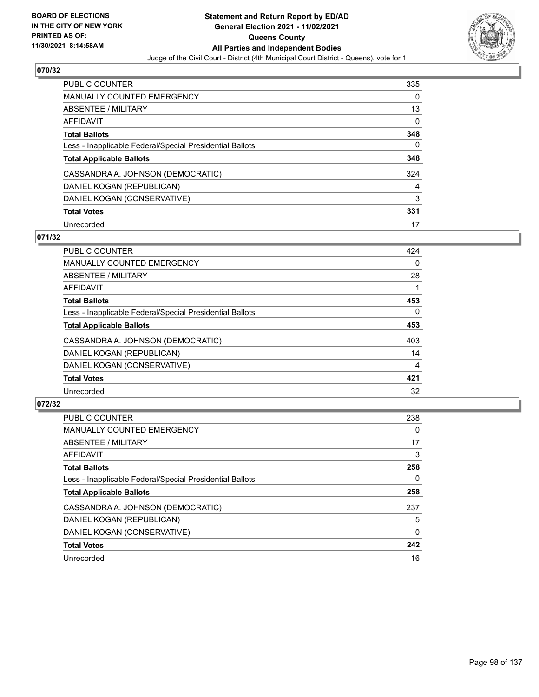

| <b>PUBLIC COUNTER</b>                                    | 335 |
|----------------------------------------------------------|-----|
| <b>MANUALLY COUNTED EMERGENCY</b>                        | 0   |
| ABSENTEE / MILITARY                                      | 13  |
| AFFIDAVIT                                                | 0   |
| <b>Total Ballots</b>                                     | 348 |
| Less - Inapplicable Federal/Special Presidential Ballots | 0   |
| <b>Total Applicable Ballots</b>                          | 348 |
| CASSANDRA A. JOHNSON (DEMOCRATIC)                        | 324 |
| DANIEL KOGAN (REPUBLICAN)                                | 4   |
| DANIEL KOGAN (CONSERVATIVE)                              | 3   |
| <b>Total Votes</b>                                       | 331 |
| Unrecorded                                               | 17  |

#### **071/32**

| <b>PUBLIC COUNTER</b>                                    | 424      |
|----------------------------------------------------------|----------|
| <b>MANUALLY COUNTED EMERGENCY</b>                        | 0        |
| ABSENTEE / MILITARY                                      | 28       |
| <b>AFFIDAVIT</b>                                         |          |
| <b>Total Ballots</b>                                     | 453      |
| Less - Inapplicable Federal/Special Presidential Ballots | $\Omega$ |
| <b>Total Applicable Ballots</b>                          | 453      |
| CASSANDRA A. JOHNSON (DEMOCRATIC)                        | 403      |
| DANIEL KOGAN (REPUBLICAN)                                | 14       |
| DANIEL KOGAN (CONSERVATIVE)                              | 4        |
| <b>Total Votes</b>                                       | 421      |
| Unrecorded                                               | 32       |

| <b>PUBLIC COUNTER</b>                                    | 238      |
|----------------------------------------------------------|----------|
| <b>MANUALLY COUNTED EMERGENCY</b>                        | $\Omega$ |
| ABSENTEE / MILITARY                                      | 17       |
| <b>AFFIDAVIT</b>                                         | 3        |
| <b>Total Ballots</b>                                     | 258      |
| Less - Inapplicable Federal/Special Presidential Ballots | 0        |
| <b>Total Applicable Ballots</b>                          | 258      |
| CASSANDRA A. JOHNSON (DEMOCRATIC)                        | 237      |
| DANIEL KOGAN (REPUBLICAN)                                | 5        |
| DANIEL KOGAN (CONSERVATIVE)                              | $\Omega$ |
| <b>Total Votes</b>                                       | 242      |
| Unrecorded                                               | 16       |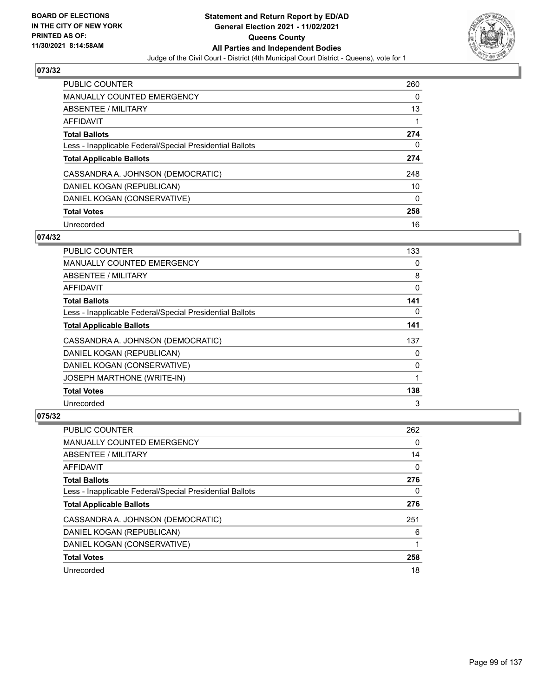

| <b>PUBLIC COUNTER</b>                                    | 260 |
|----------------------------------------------------------|-----|
| <b>MANUALLY COUNTED EMERGENCY</b>                        | 0   |
| ABSENTEE / MILITARY                                      | 13  |
| AFFIDAVIT                                                |     |
| <b>Total Ballots</b>                                     | 274 |
| Less - Inapplicable Federal/Special Presidential Ballots | 0   |
| <b>Total Applicable Ballots</b>                          | 274 |
| CASSANDRA A. JOHNSON (DEMOCRATIC)                        | 248 |
| DANIEL KOGAN (REPUBLICAN)                                | 10  |
| DANIEL KOGAN (CONSERVATIVE)                              | 0   |
| <b>Total Votes</b>                                       | 258 |
|                                                          |     |

#### **074/32**

| PUBLIC COUNTER                                           | 133 |
|----------------------------------------------------------|-----|
| <b>MANUALLY COUNTED EMERGENCY</b>                        | 0   |
| ABSENTEE / MILITARY                                      | 8   |
| AFFIDAVIT                                                | 0   |
| <b>Total Ballots</b>                                     | 141 |
| Less - Inapplicable Federal/Special Presidential Ballots | 0   |
| <b>Total Applicable Ballots</b>                          | 141 |
| CASSANDRA A. JOHNSON (DEMOCRATIC)                        | 137 |
| DANIEL KOGAN (REPUBLICAN)                                | 0   |
| DANIEL KOGAN (CONSERVATIVE)                              | 0   |
| <b>JOSEPH MARTHONE (WRITE-IN)</b>                        |     |
| <b>Total Votes</b>                                       | 138 |
| Unrecorded                                               | 3   |

| <b>PUBLIC COUNTER</b>                                    | 262 |
|----------------------------------------------------------|-----|
| <b>MANUALLY COUNTED EMERGENCY</b>                        | 0   |
| ABSENTEE / MILITARY                                      | 14  |
| AFFIDAVIT                                                | 0   |
| <b>Total Ballots</b>                                     | 276 |
| Less - Inapplicable Federal/Special Presidential Ballots | 0   |
| <b>Total Applicable Ballots</b>                          | 276 |
| CASSANDRA A. JOHNSON (DEMOCRATIC)                        | 251 |
| DANIEL KOGAN (REPUBLICAN)                                | 6   |
| DANIEL KOGAN (CONSERVATIVE)                              |     |
| <b>Total Votes</b>                                       | 258 |
| Unrecorded                                               | 18  |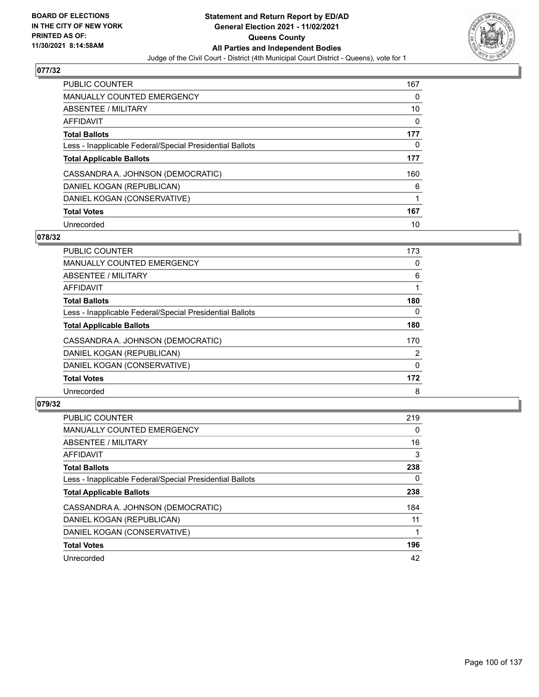

| <b>PUBLIC COUNTER</b>                                    | 167 |
|----------------------------------------------------------|-----|
| <b>MANUALLY COUNTED EMERGENCY</b>                        | 0   |
| ABSENTEE / MILITARY                                      | 10  |
| AFFIDAVIT                                                | 0   |
| <b>Total Ballots</b>                                     | 177 |
| Less - Inapplicable Federal/Special Presidential Ballots | 0   |
| <b>Total Applicable Ballots</b>                          | 177 |
| CASSANDRA A. JOHNSON (DEMOCRATIC)                        | 160 |
| DANIEL KOGAN (REPUBLICAN)                                | 6   |
| DANIEL KOGAN (CONSERVATIVE)                              |     |
| <b>Total Votes</b>                                       | 167 |
| Unrecorded                                               | 10  |

#### **078/32**

| <b>PUBLIC COUNTER</b>                                    | 173      |
|----------------------------------------------------------|----------|
| <b>MANUALLY COUNTED EMERGENCY</b>                        | 0        |
| ABSENTEE / MILITARY                                      | 6        |
| <b>AFFIDAVIT</b>                                         |          |
| <b>Total Ballots</b>                                     | 180      |
| Less - Inapplicable Federal/Special Presidential Ballots | $\Omega$ |
| <b>Total Applicable Ballots</b>                          | 180      |
| CASSANDRA A. JOHNSON (DEMOCRATIC)                        | 170      |
| DANIEL KOGAN (REPUBLICAN)                                | 2        |
| DANIEL KOGAN (CONSERVATIVE)                              | 0        |
| <b>Total Votes</b>                                       | 172      |
| Unrecorded                                               | 8        |

| <b>PUBLIC COUNTER</b>                                    | 219      |
|----------------------------------------------------------|----------|
| <b>MANUALLY COUNTED EMERGENCY</b>                        | $\Omega$ |
| ABSENTEE / MILITARY                                      | 16       |
| AFFIDAVIT                                                | 3        |
| <b>Total Ballots</b>                                     | 238      |
| Less - Inapplicable Federal/Special Presidential Ballots | 0        |
| <b>Total Applicable Ballots</b>                          | 238      |
| CASSANDRA A. JOHNSON (DEMOCRATIC)                        | 184      |
| DANIEL KOGAN (REPUBLICAN)                                | 11       |
| DANIEL KOGAN (CONSERVATIVE)                              |          |
| <b>Total Votes</b>                                       | 196      |
| Unrecorded                                               | 42       |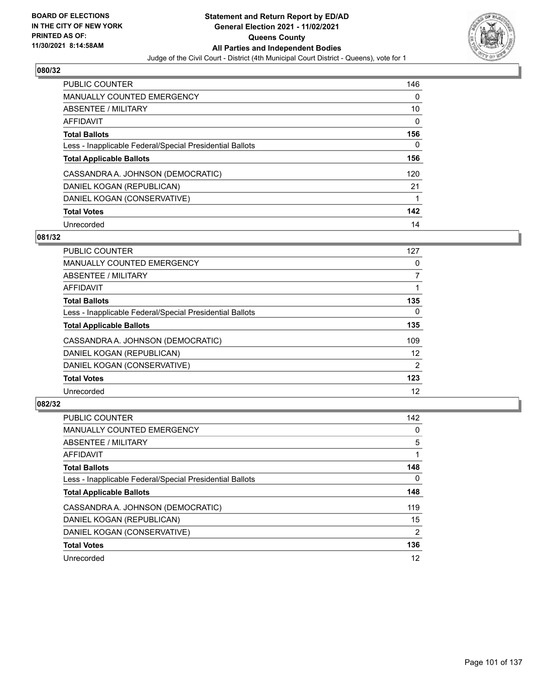

| <b>PUBLIC COUNTER</b>                                    | 146 |
|----------------------------------------------------------|-----|
| <b>MANUALLY COUNTED EMERGENCY</b>                        | 0   |
| ABSENTEE / MILITARY                                      | 10  |
| AFFIDAVIT                                                | 0   |
| <b>Total Ballots</b>                                     | 156 |
| Less - Inapplicable Federal/Special Presidential Ballots | 0   |
| <b>Total Applicable Ballots</b>                          | 156 |
|                                                          |     |
| CASSANDRA A. JOHNSON (DEMOCRATIC)                        | 120 |
| DANIEL KOGAN (REPUBLICAN)                                | 21  |
| DANIEL KOGAN (CONSERVATIVE)                              |     |
| <b>Total Votes</b>                                       | 142 |

#### **081/32**

| <b>PUBLIC COUNTER</b>                                    | 127            |
|----------------------------------------------------------|----------------|
| <b>MANUALLY COUNTED EMERGENCY</b>                        | 0              |
| ABSENTEE / MILITARY                                      | 7              |
| <b>AFFIDAVIT</b>                                         |                |
| <b>Total Ballots</b>                                     | 135            |
| Less - Inapplicable Federal/Special Presidential Ballots | $\Omega$       |
| <b>Total Applicable Ballots</b>                          | 135            |
| CASSANDRA A. JOHNSON (DEMOCRATIC)                        | 109            |
| DANIEL KOGAN (REPUBLICAN)                                | 12             |
| DANIEL KOGAN (CONSERVATIVE)                              | $\overline{2}$ |
| <b>Total Votes</b>                                       | 123            |
| Unrecorded                                               | 12             |

| <b>PUBLIC COUNTER</b>                                    | 142            |
|----------------------------------------------------------|----------------|
| <b>MANUALLY COUNTED EMERGENCY</b>                        | $\Omega$       |
| ABSENTEE / MILITARY                                      | 5              |
| AFFIDAVIT                                                |                |
| <b>Total Ballots</b>                                     | 148            |
| Less - Inapplicable Federal/Special Presidential Ballots | 0              |
| <b>Total Applicable Ballots</b>                          | 148            |
| CASSANDRA A. JOHNSON (DEMOCRATIC)                        | 119            |
| DANIEL KOGAN (REPUBLICAN)                                | 15             |
| DANIEL KOGAN (CONSERVATIVE)                              | $\overline{2}$ |
| <b>Total Votes</b>                                       | 136            |
| Unrecorded                                               | 12             |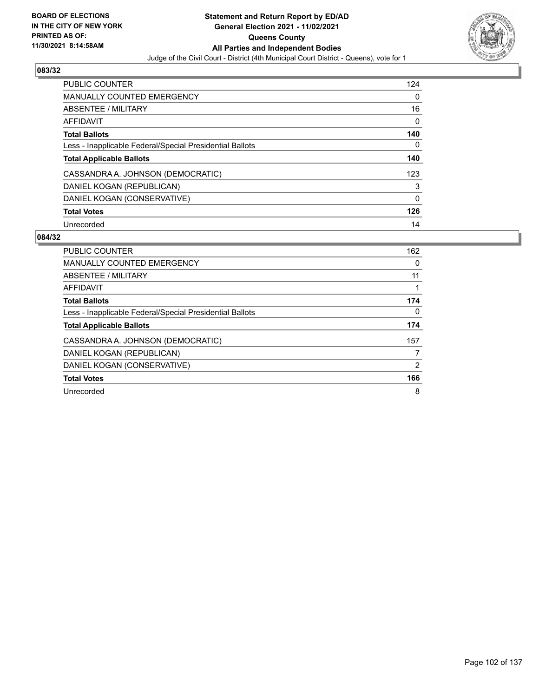

| <b>PUBLIC COUNTER</b>                                    | 124 |
|----------------------------------------------------------|-----|
| <b>MANUALLY COUNTED EMERGENCY</b>                        | 0   |
| ABSENTEE / MILITARY                                      | 16  |
| AFFIDAVIT                                                | 0   |
| <b>Total Ballots</b>                                     | 140 |
| Less - Inapplicable Federal/Special Presidential Ballots | 0   |
| <b>Total Applicable Ballots</b>                          | 140 |
| CASSANDRA A. JOHNSON (DEMOCRATIC)                        | 123 |
| DANIEL KOGAN (REPUBLICAN)                                | 3   |
| DANIEL KOGAN (CONSERVATIVE)                              | 0   |
| <b>Total Votes</b>                                       | 126 |
| Unrecorded                                               | 14  |

| <b>PUBLIC COUNTER</b>                                    | 162 |
|----------------------------------------------------------|-----|
| <b>MANUALLY COUNTED EMERGENCY</b>                        | 0   |
| ABSENTEE / MILITARY                                      | 11  |
| AFFIDAVIT                                                |     |
| <b>Total Ballots</b>                                     | 174 |
| Less - Inapplicable Federal/Special Presidential Ballots | 0   |
| <b>Total Applicable Ballots</b>                          | 174 |
| CASSANDRA A. JOHNSON (DEMOCRATIC)                        | 157 |
| DANIEL KOGAN (REPUBLICAN)                                |     |
| DANIEL KOGAN (CONSERVATIVE)                              | 2   |
| <b>Total Votes</b>                                       | 166 |
| Unrecorded                                               | 8   |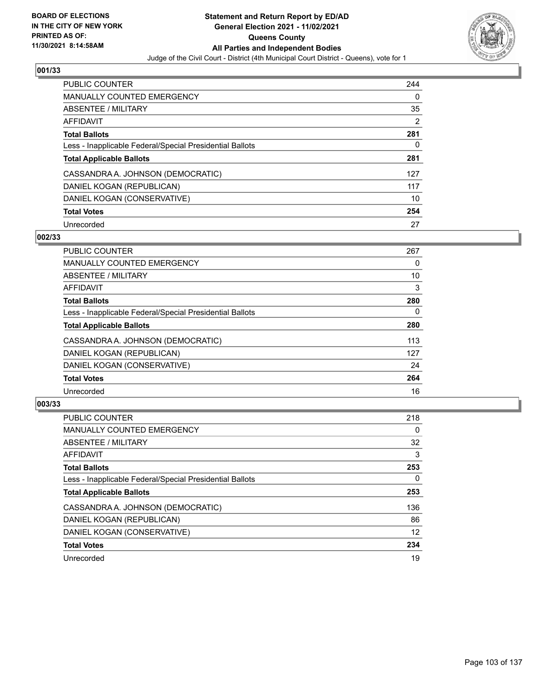

| <b>PUBLIC COUNTER</b>                                    | 244 |
|----------------------------------------------------------|-----|
| <b>MANUALLY COUNTED EMERGENCY</b>                        | 0   |
| ABSENTEE / MILITARY                                      | 35  |
| AFFIDAVIT                                                | 2   |
| <b>Total Ballots</b>                                     | 281 |
| Less - Inapplicable Federal/Special Presidential Ballots | 0   |
| <b>Total Applicable Ballots</b>                          | 281 |
| CASSANDRA A. JOHNSON (DEMOCRATIC)                        | 127 |
| DANIEL KOGAN (REPUBLICAN)                                | 117 |
| DANIEL KOGAN (CONSERVATIVE)                              | 10  |
| <b>Total Votes</b>                                       | 254 |
| Unrecorded                                               | 27  |

# **002/33**

| <b>PUBLIC COUNTER</b>                                    | 267 |
|----------------------------------------------------------|-----|
| <b>MANUALLY COUNTED EMERGENCY</b>                        | 0   |
| ABSENTEE / MILITARY                                      | 10  |
| <b>AFFIDAVIT</b>                                         | 3   |
| <b>Total Ballots</b>                                     | 280 |
| Less - Inapplicable Federal/Special Presidential Ballots | 0   |
| <b>Total Applicable Ballots</b>                          | 280 |
| CASSANDRA A. JOHNSON (DEMOCRATIC)                        | 113 |
| DANIEL KOGAN (REPUBLICAN)                                | 127 |
| DANIEL KOGAN (CONSERVATIVE)                              | 24  |
| <b>Total Votes</b>                                       | 264 |
| Unrecorded                                               | 16  |

| <b>PUBLIC COUNTER</b>                                    | 218 |
|----------------------------------------------------------|-----|
| <b>MANUALLY COUNTED EMERGENCY</b>                        | 0   |
| ABSENTEE / MILITARY                                      | 32  |
| <b>AFFIDAVIT</b>                                         | 3   |
| <b>Total Ballots</b>                                     | 253 |
| Less - Inapplicable Federal/Special Presidential Ballots | 0   |
| <b>Total Applicable Ballots</b>                          | 253 |
| CASSANDRA A. JOHNSON (DEMOCRATIC)                        | 136 |
| DANIEL KOGAN (REPUBLICAN)                                | 86  |
| DANIEL KOGAN (CONSERVATIVE)                              | 12  |
| <b>Total Votes</b>                                       | 234 |
| Unrecorded                                               | 19  |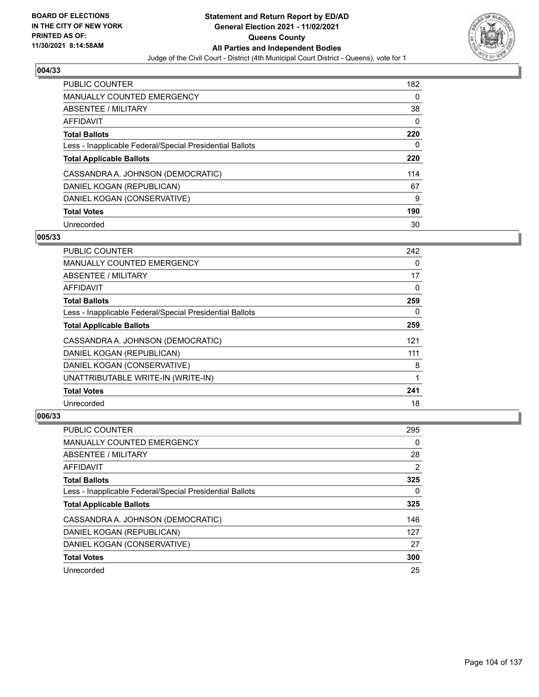

| <b>PUBLIC COUNTER</b>                                    | 182 |
|----------------------------------------------------------|-----|
| <b>MANUALLY COUNTED EMERGENCY</b>                        | 0   |
| ABSENTEE / MILITARY                                      | 38  |
| AFFIDAVIT                                                | 0   |
| <b>Total Ballots</b>                                     | 220 |
| Less - Inapplicable Federal/Special Presidential Ballots | 0   |
| <b>Total Applicable Ballots</b>                          | 220 |
| CASSANDRA A. JOHNSON (DEMOCRATIC)                        | 114 |
| DANIEL KOGAN (REPUBLICAN)                                | 67  |
| DANIEL KOGAN (CONSERVATIVE)                              | 9   |
| <b>Total Votes</b>                                       | 190 |
| Unrecorded                                               | 30  |

#### **005/33**

| <b>PUBLIC COUNTER</b>                                    | 242      |
|----------------------------------------------------------|----------|
| <b>MANUALLY COUNTED EMERGENCY</b>                        | $\Omega$ |
| ABSENTEE / MILITARY                                      | 17       |
| AFFIDAVIT                                                | $\Omega$ |
| <b>Total Ballots</b>                                     | 259      |
| Less - Inapplicable Federal/Special Presidential Ballots | 0        |
| <b>Total Applicable Ballots</b>                          | 259      |
| CASSANDRA A. JOHNSON (DEMOCRATIC)                        | 121      |
| DANIEL KOGAN (REPUBLICAN)                                | 111      |
| DANIEL KOGAN (CONSERVATIVE)                              | 8        |
| UNATTRIBUTABLE WRITE-IN (WRITE-IN)                       |          |
| <b>Total Votes</b>                                       | 241      |
| Unrecorded                                               | 18       |

| <b>PUBLIC COUNTER</b>                                    | 295 |
|----------------------------------------------------------|-----|
| <b>MANUALLY COUNTED EMERGENCY</b>                        | 0   |
| ABSENTEE / MILITARY                                      | 28  |
| AFFIDAVIT                                                | 2   |
| <b>Total Ballots</b>                                     | 325 |
| Less - Inapplicable Federal/Special Presidential Ballots | 0   |
| <b>Total Applicable Ballots</b>                          | 325 |
| CASSANDRA A. JOHNSON (DEMOCRATIC)                        | 146 |
| DANIEL KOGAN (REPUBLICAN)                                | 127 |
| DANIEL KOGAN (CONSERVATIVE)                              | 27  |
| <b>Total Votes</b>                                       | 300 |
| Unrecorded                                               | 25  |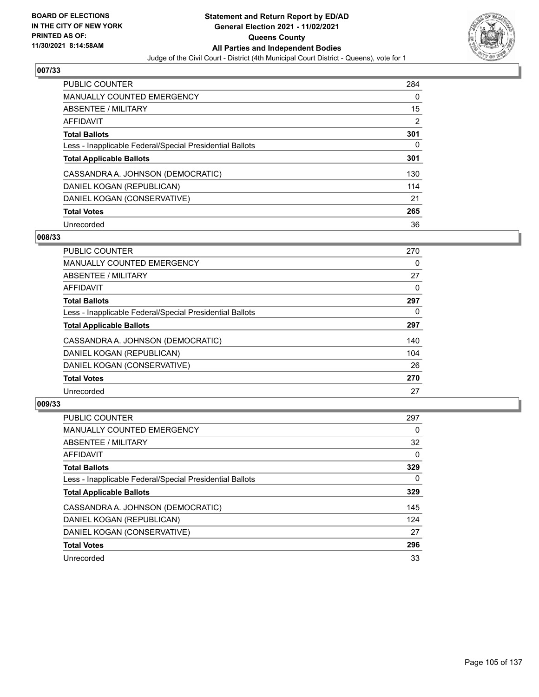

| <b>PUBLIC COUNTER</b>                                    | 284      |
|----------------------------------------------------------|----------|
| <b>MANUALLY COUNTED EMERGENCY</b>                        | $\Omega$ |
| ABSENTEE / MILITARY                                      | 15       |
| AFFIDAVIT                                                | 2        |
| <b>Total Ballots</b>                                     | 301      |
| Less - Inapplicable Federal/Special Presidential Ballots | 0        |
| <b>Total Applicable Ballots</b>                          | 301      |
| CASSANDRA A. JOHNSON (DEMOCRATIC)                        | 130      |
| DANIEL KOGAN (REPUBLICAN)                                | 114      |
| DANIEL KOGAN (CONSERVATIVE)                              | 21       |
| <b>Total Votes</b>                                       | 265      |
| Unrecorded                                               | 36       |

#### **008/33**

| <b>PUBLIC COUNTER</b>                                    | 270      |
|----------------------------------------------------------|----------|
| <b>MANUALLY COUNTED EMERGENCY</b>                        | 0        |
| ABSENTEE / MILITARY                                      | 27       |
| <b>AFFIDAVIT</b>                                         | 0        |
| <b>Total Ballots</b>                                     | 297      |
| Less - Inapplicable Federal/Special Presidential Ballots | $\Omega$ |
| <b>Total Applicable Ballots</b>                          | 297      |
| CASSANDRA A. JOHNSON (DEMOCRATIC)                        | 140      |
| DANIEL KOGAN (REPUBLICAN)                                | 104      |
| DANIEL KOGAN (CONSERVATIVE)                              | 26       |
| <b>Total Votes</b>                                       | 270      |
| Unrecorded                                               | 27       |

| <b>PUBLIC COUNTER</b>                                    | 297      |
|----------------------------------------------------------|----------|
| <b>MANUALLY COUNTED EMERGENCY</b>                        | 0        |
| ABSENTEE / MILITARY                                      | 32       |
| <b>AFFIDAVIT</b>                                         | $\Omega$ |
| <b>Total Ballots</b>                                     | 329      |
| Less - Inapplicable Federal/Special Presidential Ballots | 0        |
| <b>Total Applicable Ballots</b>                          | 329      |
| CASSANDRA A. JOHNSON (DEMOCRATIC)                        | 145      |
| DANIEL KOGAN (REPUBLICAN)                                | 124      |
| DANIEL KOGAN (CONSERVATIVE)                              | 27       |
| <b>Total Votes</b>                                       | 296      |
| Unrecorded                                               | 33       |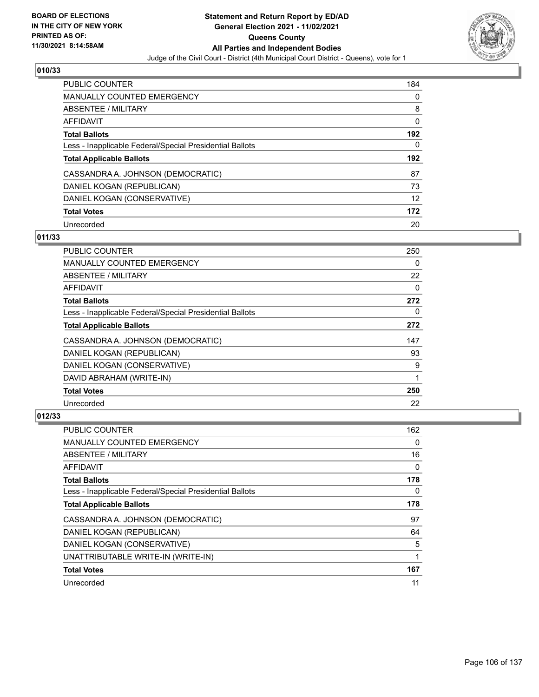

| <b>PUBLIC COUNTER</b>                                    | 184 |
|----------------------------------------------------------|-----|
| <b>MANUALLY COUNTED EMERGENCY</b>                        | 0   |
| ABSENTEE / MILITARY                                      | 8   |
| AFFIDAVIT                                                | 0   |
| <b>Total Ballots</b>                                     | 192 |
| Less - Inapplicable Federal/Special Presidential Ballots | 0   |
|                                                          |     |
| <b>Total Applicable Ballots</b>                          | 192 |
| CASSANDRA A. JOHNSON (DEMOCRATIC)                        | 87  |
| DANIEL KOGAN (REPUBLICAN)                                | 73  |
| DANIEL KOGAN (CONSERVATIVE)                              | 12  |
| <b>Total Votes</b>                                       | 172 |

#### **011/33**

| <b>PUBLIC COUNTER</b>                                    | 250      |
|----------------------------------------------------------|----------|
| <b>MANUALLY COUNTED EMERGENCY</b>                        | 0        |
| ABSENTEE / MILITARY                                      | 22       |
| <b>AFFIDAVIT</b>                                         | $\Omega$ |
| <b>Total Ballots</b>                                     | 272      |
| Less - Inapplicable Federal/Special Presidential Ballots | 0        |
| <b>Total Applicable Ballots</b>                          | 272      |
| CASSANDRA A. JOHNSON (DEMOCRATIC)                        | 147      |
| DANIEL KOGAN (REPUBLICAN)                                | 93       |
| DANIEL KOGAN (CONSERVATIVE)                              | 9        |
| DAVID ABRAHAM (WRITE-IN)                                 | 1        |
| <b>Total Votes</b>                                       | 250      |
| Unrecorded                                               | 22       |

| <b>PUBLIC COUNTER</b>                                    | 162 |
|----------------------------------------------------------|-----|
| MANUALLY COUNTED EMERGENCY                               | 0   |
| ABSENTEE / MILITARY                                      | 16  |
| AFFIDAVIT                                                | 0   |
| <b>Total Ballots</b>                                     | 178 |
| Less - Inapplicable Federal/Special Presidential Ballots | 0   |
| <b>Total Applicable Ballots</b>                          | 178 |
| CASSANDRA A. JOHNSON (DEMOCRATIC)                        | 97  |
| DANIEL KOGAN (REPUBLICAN)                                | 64  |
| DANIEL KOGAN (CONSERVATIVE)                              | 5   |
| UNATTRIBUTABLE WRITE-IN (WRITE-IN)                       | 1   |
| <b>Total Votes</b>                                       | 167 |
| Unrecorded                                               | 11  |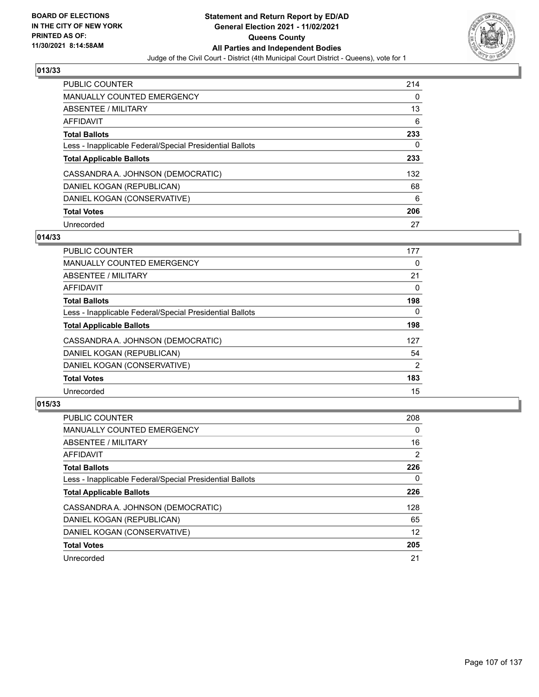

| <b>PUBLIC COUNTER</b>                                    | 214 |
|----------------------------------------------------------|-----|
| <b>MANUALLY COUNTED EMERGENCY</b>                        | 0   |
| ABSENTEE / MILITARY                                      | 13  |
| AFFIDAVIT                                                | 6   |
| <b>Total Ballots</b>                                     | 233 |
| Less - Inapplicable Federal/Special Presidential Ballots | 0   |
| <b>Total Applicable Ballots</b>                          | 233 |
| CASSANDRA A. JOHNSON (DEMOCRATIC)                        | 132 |
| DANIEL KOGAN (REPUBLICAN)                                | 68  |
| DANIEL KOGAN (CONSERVATIVE)                              | 6   |
| <b>Total Votes</b>                                       | 206 |
| Unrecorded                                               | 27  |

#### **014/33**

| <b>PUBLIC COUNTER</b>                                    | 177            |
|----------------------------------------------------------|----------------|
| <b>MANUALLY COUNTED EMERGENCY</b>                        | 0              |
| ABSENTEE / MILITARY                                      | 21             |
| <b>AFFIDAVIT</b>                                         | 0              |
| <b>Total Ballots</b>                                     | 198            |
| Less - Inapplicable Federal/Special Presidential Ballots | $\Omega$       |
| <b>Total Applicable Ballots</b>                          | 198            |
| CASSANDRA A. JOHNSON (DEMOCRATIC)                        | 127            |
| DANIEL KOGAN (REPUBLICAN)                                | 54             |
| DANIEL KOGAN (CONSERVATIVE)                              | $\overline{2}$ |
| <b>Total Votes</b>                                       | 183            |
| Unrecorded                                               | 15             |

| <b>PUBLIC COUNTER</b>                                    | 208      |
|----------------------------------------------------------|----------|
| <b>MANUALLY COUNTED EMERGENCY</b>                        | $\Omega$ |
| ABSENTEE / MILITARY                                      | 16       |
| AFFIDAVIT                                                | 2        |
| <b>Total Ballots</b>                                     | 226      |
| Less - Inapplicable Federal/Special Presidential Ballots | 0        |
| <b>Total Applicable Ballots</b>                          | 226      |
| CASSANDRA A. JOHNSON (DEMOCRATIC)                        | 128      |
| DANIEL KOGAN (REPUBLICAN)                                | 65       |
| DANIEL KOGAN (CONSERVATIVE)                              | 12       |
| <b>Total Votes</b>                                       | 205      |
| Unrecorded                                               | 21       |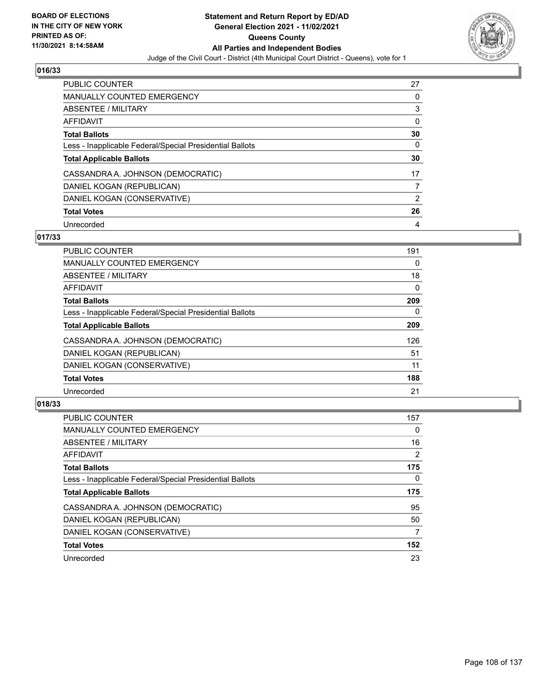

| <b>PUBLIC COUNTER</b>                                    | 27 |
|----------------------------------------------------------|----|
| <b>MANUALLY COUNTED EMERGENCY</b>                        | 0  |
| ABSENTEE / MILITARY                                      | 3  |
| AFFIDAVIT                                                | 0  |
| <b>Total Ballots</b>                                     | 30 |
| Less - Inapplicable Federal/Special Presidential Ballots | 0  |
| <b>Total Applicable Ballots</b>                          | 30 |
| CASSANDRA A. JOHNSON (DEMOCRATIC)                        | 17 |
| DANIEL KOGAN (REPUBLICAN)                                |    |
|                                                          |    |
| DANIEL KOGAN (CONSERVATIVE)                              | 2  |
| <b>Total Votes</b>                                       | 26 |

### **017/33**

| <b>PUBLIC COUNTER</b>                                    | 191      |
|----------------------------------------------------------|----------|
| <b>MANUALLY COUNTED EMERGENCY</b>                        | 0        |
| ABSENTEE / MILITARY                                      | 18       |
| <b>AFFIDAVIT</b>                                         | 0        |
| <b>Total Ballots</b>                                     | 209      |
| Less - Inapplicable Federal/Special Presidential Ballots | $\Omega$ |
| <b>Total Applicable Ballots</b>                          | 209      |
| CASSANDRA A. JOHNSON (DEMOCRATIC)                        | 126      |
| DANIEL KOGAN (REPUBLICAN)                                | 51       |
| DANIEL KOGAN (CONSERVATIVE)                              | 11       |
| <b>Total Votes</b>                                       | 188      |
| Unrecorded                                               | 21       |

| <b>PUBLIC COUNTER</b>                                    | 157            |
|----------------------------------------------------------|----------------|
| <b>MANUALLY COUNTED EMERGENCY</b>                        | $\Omega$       |
| ABSENTEE / MILITARY                                      | 16             |
| <b>AFFIDAVIT</b>                                         | $\overline{2}$ |
| <b>Total Ballots</b>                                     | 175            |
| Less - Inapplicable Federal/Special Presidential Ballots | 0              |
| <b>Total Applicable Ballots</b>                          | 175            |
| CASSANDRA A. JOHNSON (DEMOCRATIC)                        | 95             |
| DANIEL KOGAN (REPUBLICAN)                                | 50             |
| DANIEL KOGAN (CONSERVATIVE)                              | 7              |
| <b>Total Votes</b>                                       | 152            |
| Unrecorded                                               | 23             |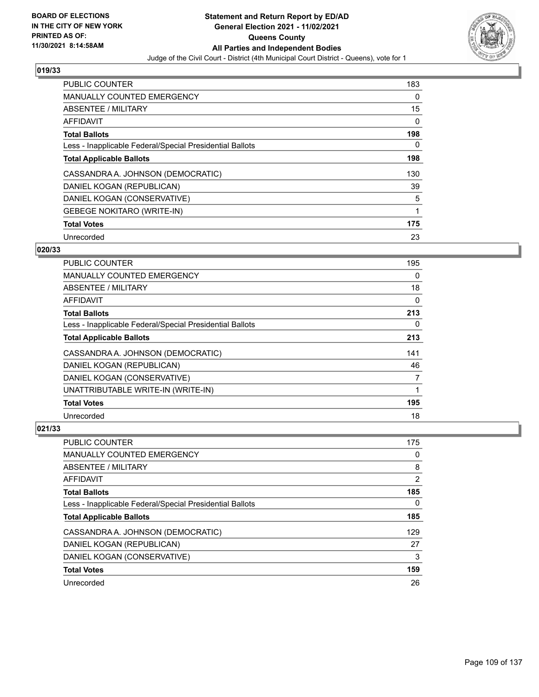

| <b>PUBLIC COUNTER</b>                                    | 183      |
|----------------------------------------------------------|----------|
| <b>MANUALLY COUNTED EMERGENCY</b>                        | $\Omega$ |
| ABSENTEE / MILITARY                                      | 15       |
| <b>AFFIDAVIT</b>                                         | 0        |
| <b>Total Ballots</b>                                     | 198      |
| Less - Inapplicable Federal/Special Presidential Ballots | 0        |
| <b>Total Applicable Ballots</b>                          | 198      |
| CASSANDRA A. JOHNSON (DEMOCRATIC)                        | 130      |
| DANIEL KOGAN (REPUBLICAN)                                | 39       |
| DANIEL KOGAN (CONSERVATIVE)                              | 5        |
| <b>GEBEGE NOKITARO (WRITE-IN)</b>                        | 1        |
| <b>Total Votes</b>                                       | 175      |
| Unrecorded                                               | 23       |

# **020/33**

| <b>PUBLIC COUNTER</b>                                    | 195      |
|----------------------------------------------------------|----------|
| MANUALLY COUNTED EMERGENCY                               | 0        |
| ABSENTEE / MILITARY                                      | 18       |
| AFFIDAVIT                                                | 0        |
| <b>Total Ballots</b>                                     | 213      |
| Less - Inapplicable Federal/Special Presidential Ballots | $\Omega$ |
| <b>Total Applicable Ballots</b>                          | 213      |
| CASSANDRA A. JOHNSON (DEMOCRATIC)                        | 141      |
| DANIEL KOGAN (REPUBLICAN)                                | 46       |
| DANIEL KOGAN (CONSERVATIVE)                              | 7        |
| UNATTRIBUTABLE WRITE-IN (WRITE-IN)                       | 1        |
| <b>Total Votes</b>                                       | 195      |
| Unrecorded                                               | 18       |

| <b>PUBLIC COUNTER</b>                                    | 175 |
|----------------------------------------------------------|-----|
| <b>MANUALLY COUNTED EMERGENCY</b>                        | 0   |
| ABSENTEE / MILITARY                                      | 8   |
| AFFIDAVIT                                                | 2   |
| <b>Total Ballots</b>                                     | 185 |
| Less - Inapplicable Federal/Special Presidential Ballots | 0   |
| <b>Total Applicable Ballots</b>                          | 185 |
| CASSANDRA A. JOHNSON (DEMOCRATIC)                        | 129 |
| DANIEL KOGAN (REPUBLICAN)                                | 27  |
| DANIEL KOGAN (CONSERVATIVE)                              | 3   |
| <b>Total Votes</b>                                       | 159 |
| Unrecorded                                               | 26  |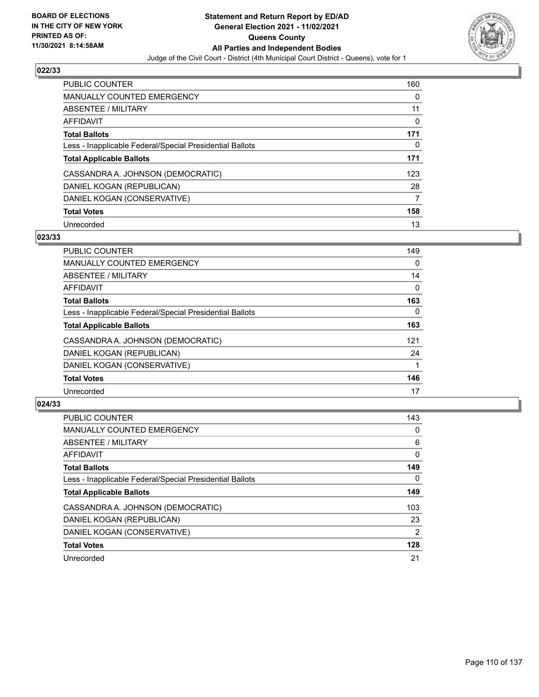

| <b>PUBLIC COUNTER</b>                                    | 160      |
|----------------------------------------------------------|----------|
| <b>MANUALLY COUNTED EMERGENCY</b>                        | $\Omega$ |
| ABSENTEE / MILITARY                                      | 11       |
| AFFIDAVIT                                                | 0        |
| <b>Total Ballots</b>                                     | 171      |
| Less - Inapplicable Federal/Special Presidential Ballots | 0        |
| <b>Total Applicable Ballots</b>                          | 171      |
| CASSANDRA A. JOHNSON (DEMOCRATIC)                        | 123      |
| DANIEL KOGAN (REPUBLICAN)                                | 28       |
| DANIEL KOGAN (CONSERVATIVE)                              | 7        |
| <b>Total Votes</b>                                       | 158      |
| Unrecorded                                               | 13       |

## **023/33**

| <b>PUBLIC COUNTER</b>                                    | 149      |
|----------------------------------------------------------|----------|
| <b>MANUALLY COUNTED EMERGENCY</b>                        | 0        |
| ABSENTEE / MILITARY                                      | 14       |
| <b>AFFIDAVIT</b>                                         | $\Omega$ |
| <b>Total Ballots</b>                                     | 163      |
| Less - Inapplicable Federal/Special Presidential Ballots | $\Omega$ |
| <b>Total Applicable Ballots</b>                          | 163      |
| CASSANDRA A. JOHNSON (DEMOCRATIC)                        | 121      |
| DANIEL KOGAN (REPUBLICAN)                                | 24       |
| DANIEL KOGAN (CONSERVATIVE)                              |          |
| <b>Total Votes</b>                                       | 146      |
| Unrecorded                                               | 17       |

| <b>PUBLIC COUNTER</b>                                    | 143            |
|----------------------------------------------------------|----------------|
| <b>MANUALLY COUNTED EMERGENCY</b>                        | $\Omega$       |
| ABSENTEE / MILITARY                                      | 6              |
| AFFIDAVIT                                                | 0              |
| <b>Total Ballots</b>                                     | 149            |
| Less - Inapplicable Federal/Special Presidential Ballots | 0              |
| <b>Total Applicable Ballots</b>                          | 149            |
| CASSANDRA A. JOHNSON (DEMOCRATIC)                        | 103            |
| DANIEL KOGAN (REPUBLICAN)                                | 23             |
| DANIEL KOGAN (CONSERVATIVE)                              | $\overline{2}$ |
| <b>Total Votes</b>                                       | 128            |
| Unrecorded                                               | 21             |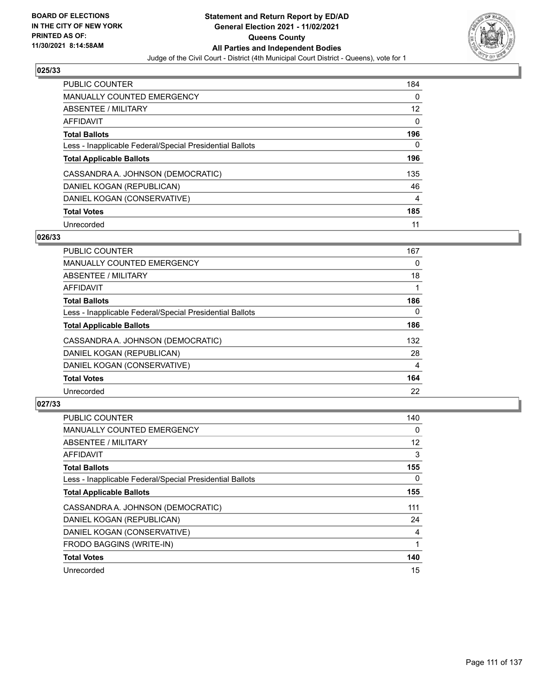

| <b>PUBLIC COUNTER</b>                                    | 184            |
|----------------------------------------------------------|----------------|
| MANUALLY COUNTED EMERGENCY                               | $\Omega$       |
| ABSENTEE / MILITARY                                      | 12             |
| AFFIDAVIT                                                | $\Omega$       |
| <b>Total Ballots</b>                                     | 196            |
| Less - Inapplicable Federal/Special Presidential Ballots | 0              |
| <b>Total Applicable Ballots</b>                          | 196            |
| CASSANDRA A. JOHNSON (DEMOCRATIC)                        | 135            |
| DANIEL KOGAN (REPUBLICAN)                                | 46             |
| DANIEL KOGAN (CONSERVATIVE)                              | $\overline{4}$ |
| <b>Total Votes</b>                                       | 185            |
| Unrecorded                                               | 11             |

## **026/33**

| <b>PUBLIC COUNTER</b>                                    | 167      |
|----------------------------------------------------------|----------|
| MANUALLY COUNTED EMERGENCY                               | 0        |
| ABSENTEE / MILITARY                                      | 18       |
| <b>AFFIDAVIT</b>                                         |          |
| <b>Total Ballots</b>                                     | 186      |
| Less - Inapplicable Federal/Special Presidential Ballots | $\Omega$ |
| <b>Total Applicable Ballots</b>                          | 186      |
| CASSANDRA A. JOHNSON (DEMOCRATIC)                        | 132      |
| DANIEL KOGAN (REPUBLICAN)                                | 28       |
| DANIEL KOGAN (CONSERVATIVE)                              | 4        |
| <b>Total Votes</b>                                       | 164      |
| Unrecorded                                               | 22       |

| <b>PUBLIC COUNTER</b>                                    | 140               |
|----------------------------------------------------------|-------------------|
| MANUALLY COUNTED EMERGENCY                               | 0                 |
| ABSENTEE / MILITARY                                      | $12 \overline{ }$ |
| AFFIDAVIT                                                | 3                 |
| <b>Total Ballots</b>                                     | 155               |
| Less - Inapplicable Federal/Special Presidential Ballots | 0                 |
| <b>Total Applicable Ballots</b>                          | 155               |
| CASSANDRA A. JOHNSON (DEMOCRATIC)                        | 111               |
| DANIEL KOGAN (REPUBLICAN)                                | 24                |
| DANIEL KOGAN (CONSERVATIVE)                              | 4                 |
| FRODO BAGGINS (WRITE-IN)                                 |                   |
| <b>Total Votes</b>                                       | 140               |
| Unrecorded                                               | 15                |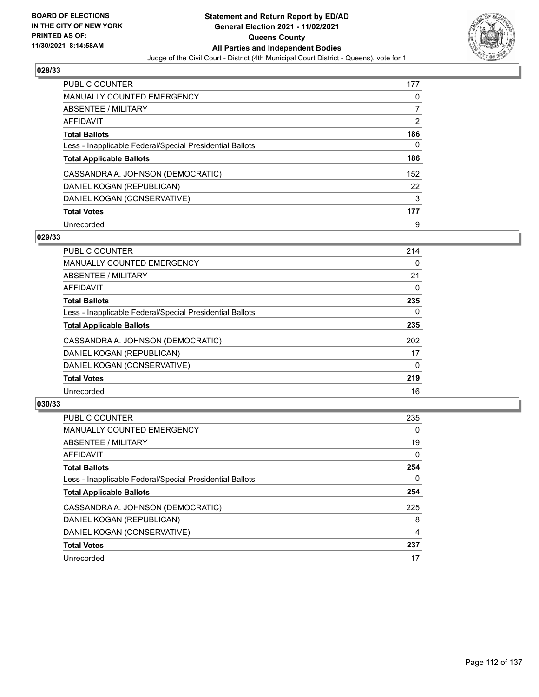

| <b>PUBLIC COUNTER</b>                                    | 177 |
|----------------------------------------------------------|-----|
| <b>MANUALLY COUNTED EMERGENCY</b>                        | 0   |
| ABSENTEE / MILITARY                                      |     |
| AFFIDAVIT                                                | 2   |
| <b>Total Ballots</b>                                     | 186 |
| Less - Inapplicable Federal/Special Presidential Ballots | 0   |
| <b>Total Applicable Ballots</b>                          | 186 |
| CASSANDRA A. JOHNSON (DEMOCRATIC)                        | 152 |
| DANIEL KOGAN (REPUBLICAN)                                | 22  |
| DANIEL KOGAN (CONSERVATIVE)                              | 3   |
| <b>Total Votes</b>                                       | 177 |
| Unrecorded                                               | 9   |

## **029/33**

| <b>PUBLIC COUNTER</b>                                    | 214      |
|----------------------------------------------------------|----------|
| <b>MANUALLY COUNTED EMERGENCY</b>                        | 0        |
| ABSENTEE / MILITARY                                      | 21       |
| <b>AFFIDAVIT</b>                                         | 0        |
| <b>Total Ballots</b>                                     | 235      |
| Less - Inapplicable Federal/Special Presidential Ballots | $\Omega$ |
| <b>Total Applicable Ballots</b>                          | 235      |
| CASSANDRA A. JOHNSON (DEMOCRATIC)                        | 202      |
| DANIEL KOGAN (REPUBLICAN)                                | 17       |
| DANIEL KOGAN (CONSERVATIVE)                              | $\Omega$ |
| <b>Total Votes</b>                                       | 219      |
| Unrecorded                                               | 16       |

| <b>PUBLIC COUNTER</b>                                    | 235            |
|----------------------------------------------------------|----------------|
| <b>MANUALLY COUNTED EMERGENCY</b>                        | $\Omega$       |
| ABSENTEE / MILITARY                                      | 19             |
| <b>AFFIDAVIT</b>                                         | $\Omega$       |
| <b>Total Ballots</b>                                     | 254            |
| Less - Inapplicable Federal/Special Presidential Ballots | 0              |
| <b>Total Applicable Ballots</b>                          | 254            |
| CASSANDRA A. JOHNSON (DEMOCRATIC)                        | 225            |
| DANIEL KOGAN (REPUBLICAN)                                | 8              |
| DANIEL KOGAN (CONSERVATIVE)                              | $\overline{4}$ |
| <b>Total Votes</b>                                       | 237            |
| Unrecorded                                               | 17             |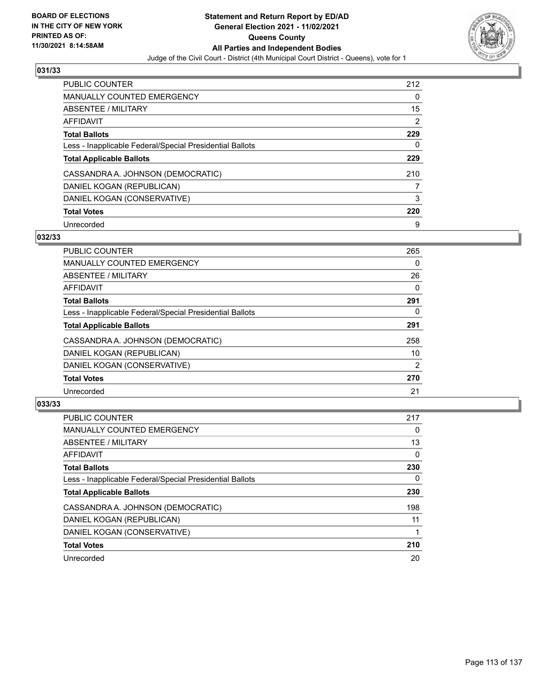

| <b>PUBLIC COUNTER</b>                                    | 212 |
|----------------------------------------------------------|-----|
| <b>MANUALLY COUNTED EMERGENCY</b>                        | 0   |
| ABSENTEE / MILITARY                                      | 15  |
| AFFIDAVIT                                                | 2   |
| <b>Total Ballots</b>                                     | 229 |
| Less - Inapplicable Federal/Special Presidential Ballots | 0   |
| <b>Total Applicable Ballots</b>                          | 229 |
| CASSANDRA A. JOHNSON (DEMOCRATIC)                        | 210 |
| DANIEL KOGAN (REPUBLICAN)                                |     |
| DANIEL KOGAN (CONSERVATIVE)                              | 3   |
| <b>Total Votes</b>                                       | 220 |
| Unrecorded                                               | 9   |

## **032/33**

| PUBLIC COUNTER                                           | 265            |
|----------------------------------------------------------|----------------|
| <b>MANUALLY COUNTED EMERGENCY</b>                        | 0              |
| ABSENTEE / MILITARY                                      | 26             |
| AFFIDAVIT                                                | $\Omega$       |
| <b>Total Ballots</b>                                     | 291            |
| Less - Inapplicable Federal/Special Presidential Ballots | $\Omega$       |
| <b>Total Applicable Ballots</b>                          | 291            |
| CASSANDRA A. JOHNSON (DEMOCRATIC)                        | 258            |
| DANIEL KOGAN (REPUBLICAN)                                | 10             |
| DANIEL KOGAN (CONSERVATIVE)                              | $\overline{2}$ |
| <b>Total Votes</b>                                       | 270            |
| Unrecorded                                               | 21             |

| <b>PUBLIC COUNTER</b>                                    | 217      |
|----------------------------------------------------------|----------|
| <b>MANUALLY COUNTED EMERGENCY</b>                        | 0        |
| ABSENTEE / MILITARY                                      | 13       |
| <b>AFFIDAVIT</b>                                         | $\Omega$ |
| <b>Total Ballots</b>                                     | 230      |
| Less - Inapplicable Federal/Special Presidential Ballots | 0        |
| <b>Total Applicable Ballots</b>                          | 230      |
| CASSANDRA A. JOHNSON (DEMOCRATIC)                        | 198      |
| DANIEL KOGAN (REPUBLICAN)                                | 11       |
| DANIEL KOGAN (CONSERVATIVE)                              |          |
| <b>Total Votes</b>                                       | 210      |
| Unrecorded                                               | 20       |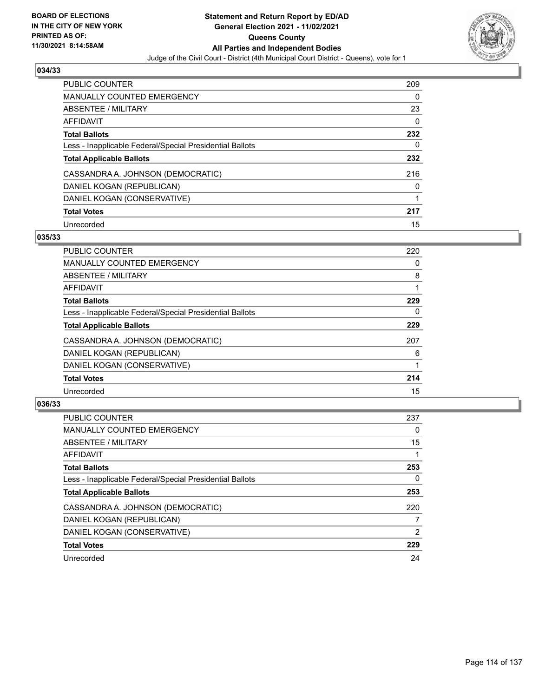

| <b>PUBLIC COUNTER</b>                                    | 209 |
|----------------------------------------------------------|-----|
| <b>MANUALLY COUNTED EMERGENCY</b>                        | 0   |
| ABSENTEE / MILITARY                                      | 23  |
| AFFIDAVIT                                                | 0   |
| <b>Total Ballots</b>                                     | 232 |
| Less - Inapplicable Federal/Special Presidential Ballots | 0   |
| <b>Total Applicable Ballots</b>                          | 232 |
| CASSANDRA A. JOHNSON (DEMOCRATIC)                        | 216 |
| DANIEL KOGAN (REPUBLICAN)                                | 0   |
| DANIEL KOGAN (CONSERVATIVE)                              |     |
| <b>Total Votes</b>                                       | 217 |
| Unrecorded                                               | 15  |

## **035/33**

| <b>PUBLIC COUNTER</b>                                    | 220 |
|----------------------------------------------------------|-----|
| <b>MANUALLY COUNTED EMERGENCY</b>                        | 0   |
| ABSENTEE / MILITARY                                      | 8   |
| <b>AFFIDAVIT</b>                                         |     |
| <b>Total Ballots</b>                                     | 229 |
| Less - Inapplicable Federal/Special Presidential Ballots | 0   |
| <b>Total Applicable Ballots</b>                          | 229 |
| CASSANDRA A. JOHNSON (DEMOCRATIC)                        | 207 |
| DANIEL KOGAN (REPUBLICAN)                                | 6   |
| DANIEL KOGAN (CONSERVATIVE)                              |     |
| <b>Total Votes</b>                                       | 214 |
| Unrecorded                                               | 15  |

| <b>PUBLIC COUNTER</b>                                    | 237            |
|----------------------------------------------------------|----------------|
| <b>MANUALLY COUNTED EMERGENCY</b>                        | 0              |
| ABSENTEE / MILITARY                                      | 15             |
| <b>AFFIDAVIT</b>                                         |                |
| <b>Total Ballots</b>                                     | 253            |
| Less - Inapplicable Federal/Special Presidential Ballots | 0              |
| <b>Total Applicable Ballots</b>                          | 253            |
| CASSANDRA A. JOHNSON (DEMOCRATIC)                        | 220            |
| DANIEL KOGAN (REPUBLICAN)                                | 7              |
| DANIEL KOGAN (CONSERVATIVE)                              | $\overline{2}$ |
| <b>Total Votes</b>                                       | 229            |
| Unrecorded                                               | 24             |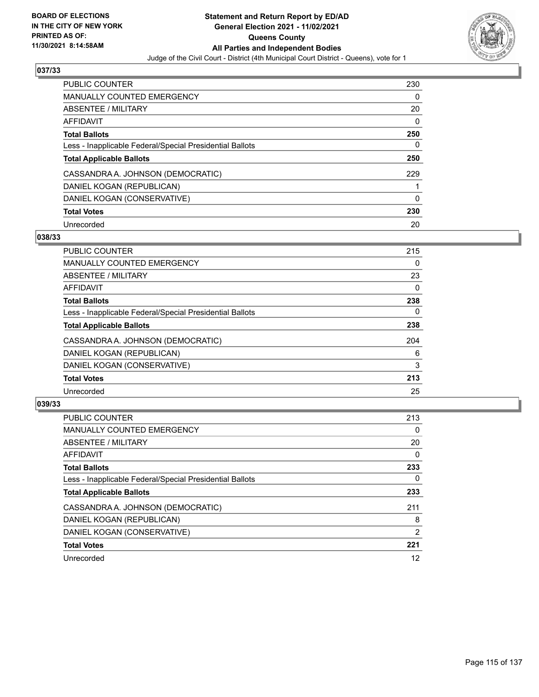

| <b>PUBLIC COUNTER</b>                                    | 230      |
|----------------------------------------------------------|----------|
| <b>MANUALLY COUNTED EMERGENCY</b>                        | $\Omega$ |
| ABSENTEE / MILITARY                                      | 20       |
| AFFIDAVIT                                                | $\Omega$ |
| <b>Total Ballots</b>                                     | 250      |
| Less - Inapplicable Federal/Special Presidential Ballots | 0        |
| <b>Total Applicable Ballots</b>                          | 250      |
| CASSANDRA A. JOHNSON (DEMOCRATIC)                        | 229      |
| DANIEL KOGAN (REPUBLICAN)                                |          |
| DANIEL KOGAN (CONSERVATIVE)                              | $\Omega$ |
| <b>Total Votes</b>                                       | 230      |
| Unrecorded                                               | 20       |

## **038/33**

| <b>PUBLIC COUNTER</b>                                    | 215 |
|----------------------------------------------------------|-----|
| <b>MANUALLY COUNTED EMERGENCY</b>                        | 0   |
| ABSENTEE / MILITARY                                      | 23  |
| <b>AFFIDAVIT</b>                                         | 0   |
| <b>Total Ballots</b>                                     | 238 |
| Less - Inapplicable Federal/Special Presidential Ballots | 0   |
| <b>Total Applicable Ballots</b>                          | 238 |
| CASSANDRA A. JOHNSON (DEMOCRATIC)                        | 204 |
| DANIEL KOGAN (REPUBLICAN)                                | 6   |
| DANIEL KOGAN (CONSERVATIVE)                              | 3   |
| <b>Total Votes</b>                                       | 213 |
| Unrecorded                                               | 25  |

| <b>PUBLIC COUNTER</b>                                    | 213      |
|----------------------------------------------------------|----------|
| <b>MANUALLY COUNTED EMERGENCY</b>                        | 0        |
| ABSENTEE / MILITARY                                      | 20       |
| <b>AFFIDAVIT</b>                                         | $\Omega$ |
| <b>Total Ballots</b>                                     | 233      |
| Less - Inapplicable Federal/Special Presidential Ballots | 0        |
| <b>Total Applicable Ballots</b>                          | 233      |
| CASSANDRA A. JOHNSON (DEMOCRATIC)                        | 211      |
| DANIEL KOGAN (REPUBLICAN)                                | 8        |
| DANIEL KOGAN (CONSERVATIVE)                              | 2        |
| <b>Total Votes</b>                                       | 221      |
| Unrecorded                                               | 12       |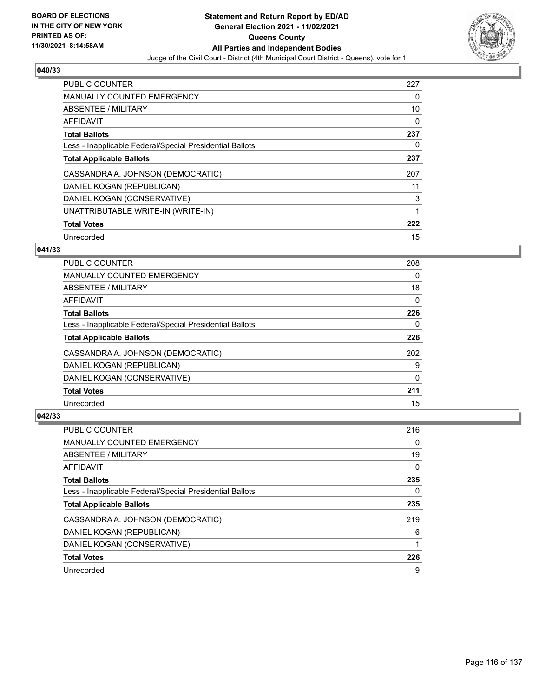

| <b>PUBLIC COUNTER</b>                                    | 227 |
|----------------------------------------------------------|-----|
| <b>MANUALLY COUNTED EMERGENCY</b>                        | 0   |
| ABSENTEE / MILITARY                                      | 10  |
| AFFIDAVIT                                                | 0   |
| <b>Total Ballots</b>                                     | 237 |
| Less - Inapplicable Federal/Special Presidential Ballots | 0   |
| <b>Total Applicable Ballots</b>                          | 237 |
| CASSANDRA A. JOHNSON (DEMOCRATIC)                        | 207 |
| DANIEL KOGAN (REPUBLICAN)                                | 11  |
| DANIEL KOGAN (CONSERVATIVE)                              | 3   |
| UNATTRIBUTABLE WRITE-IN (WRITE-IN)                       | 1   |
| <b>Total Votes</b>                                       | 222 |
| Unrecorded                                               | 15  |

# **041/33**

| <b>PUBLIC COUNTER</b>                                    | 208      |
|----------------------------------------------------------|----------|
| <b>MANUALLY COUNTED EMERGENCY</b>                        | 0        |
| ABSENTEE / MILITARY                                      | 18       |
| AFFIDAVIT                                                | 0        |
| <b>Total Ballots</b>                                     | 226      |
| Less - Inapplicable Federal/Special Presidential Ballots | 0        |
| <b>Total Applicable Ballots</b>                          | 226      |
| CASSANDRA A. JOHNSON (DEMOCRATIC)                        | 202      |
| DANIEL KOGAN (REPUBLICAN)                                | 9        |
| DANIEL KOGAN (CONSERVATIVE)                              | $\Omega$ |
| <b>Total Votes</b>                                       | 211      |
| Unrecorded                                               | 15       |

| PUBLIC COUNTER                                           | 216 |
|----------------------------------------------------------|-----|
| <b>MANUALLY COUNTED EMERGENCY</b>                        | 0   |
| ABSENTEE / MILITARY                                      | 19  |
| AFFIDAVIT                                                | 0   |
| <b>Total Ballots</b>                                     | 235 |
| Less - Inapplicable Federal/Special Presidential Ballots | 0   |
| <b>Total Applicable Ballots</b>                          | 235 |
| CASSANDRA A. JOHNSON (DEMOCRATIC)                        | 219 |
| DANIEL KOGAN (REPUBLICAN)                                | 6   |
| DANIEL KOGAN (CONSERVATIVE)                              | 1   |
| <b>Total Votes</b>                                       | 226 |
| Unrecorded                                               | 9   |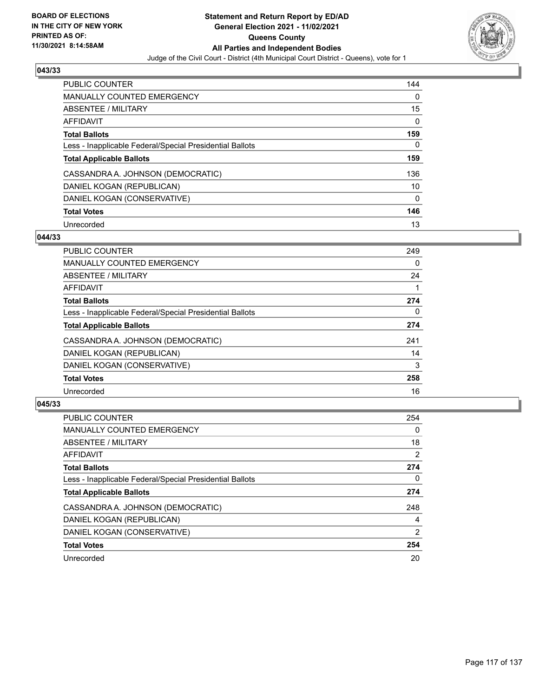

| <b>PUBLIC COUNTER</b>                                    | 144 |
|----------------------------------------------------------|-----|
| MANUALLY COUNTED EMERGENCY                               | 0   |
| ABSENTEE / MILITARY                                      | 15  |
| AFFIDAVIT                                                | 0   |
| <b>Total Ballots</b>                                     | 159 |
| Less - Inapplicable Federal/Special Presidential Ballots | 0   |
| <b>Total Applicable Ballots</b>                          | 159 |
| CASSANDRA A. JOHNSON (DEMOCRATIC)                        | 136 |
| DANIEL KOGAN (REPUBLICAN)                                | 10  |
| DANIEL KOGAN (CONSERVATIVE)                              | 0   |
|                                                          |     |
| <b>Total Votes</b>                                       | 146 |

# **044/33**

| <b>PUBLIC COUNTER</b>                                    | 249      |
|----------------------------------------------------------|----------|
| <b>MANUALLY COUNTED EMERGENCY</b>                        | $\Omega$ |
| ABSENTEE / MILITARY                                      | 24       |
| <b>AFFIDAVIT</b>                                         |          |
| <b>Total Ballots</b>                                     | 274      |
| Less - Inapplicable Federal/Special Presidential Ballots | $\Omega$ |
| <b>Total Applicable Ballots</b>                          | 274      |
| CASSANDRA A. JOHNSON (DEMOCRATIC)                        | 241      |
| DANIEL KOGAN (REPUBLICAN)                                | 14       |
| DANIEL KOGAN (CONSERVATIVE)                              | 3        |
| <b>Total Votes</b>                                       | 258      |
| Unrecorded                                               | 16       |

| <b>PUBLIC COUNTER</b>                                    | 254            |
|----------------------------------------------------------|----------------|
| <b>MANUALLY COUNTED EMERGENCY</b>                        | $\Omega$       |
| ABSENTEE / MILITARY                                      | 18             |
| AFFIDAVIT                                                | 2              |
| <b>Total Ballots</b>                                     | 274            |
| Less - Inapplicable Federal/Special Presidential Ballots | 0              |
| <b>Total Applicable Ballots</b>                          | 274            |
| CASSANDRA A. JOHNSON (DEMOCRATIC)                        | 248            |
| DANIEL KOGAN (REPUBLICAN)                                | 4              |
| DANIEL KOGAN (CONSERVATIVE)                              | $\overline{2}$ |
| <b>Total Votes</b>                                       | 254            |
| Unrecorded                                               | 20             |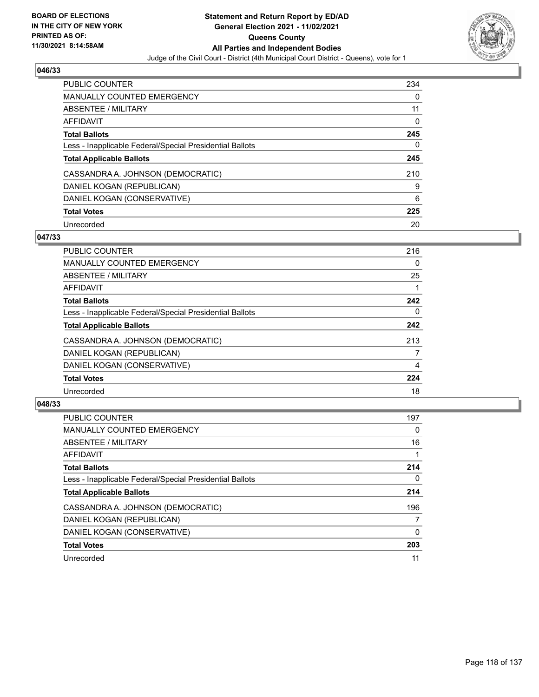

| <b>PUBLIC COUNTER</b>                                    | 234 |
|----------------------------------------------------------|-----|
| <b>MANUALLY COUNTED EMERGENCY</b>                        | 0   |
| ABSENTEE / MILITARY                                      | 11  |
| AFFIDAVIT                                                | 0   |
| <b>Total Ballots</b>                                     | 245 |
| Less - Inapplicable Federal/Special Presidential Ballots | 0   |
| <b>Total Applicable Ballots</b>                          | 245 |
| CASSANDRA A. JOHNSON (DEMOCRATIC)                        | 210 |
| DANIEL KOGAN (REPUBLICAN)                                | 9   |
| DANIEL KOGAN (CONSERVATIVE)                              | 6   |
| <b>Total Votes</b>                                       | 225 |
| Unrecorded                                               | 20  |

## **047/33**

| <b>PUBLIC COUNTER</b>                                    | 216 |
|----------------------------------------------------------|-----|
| <b>MANUALLY COUNTED EMERGENCY</b>                        | 0   |
| ABSENTEE / MILITARY                                      | 25  |
| <b>AFFIDAVIT</b>                                         |     |
| <b>Total Ballots</b>                                     | 242 |
| Less - Inapplicable Federal/Special Presidential Ballots | 0   |
| <b>Total Applicable Ballots</b>                          | 242 |
| CASSANDRA A. JOHNSON (DEMOCRATIC)                        | 213 |
| DANIEL KOGAN (REPUBLICAN)                                | 7   |
| DANIEL KOGAN (CONSERVATIVE)                              | 4   |
| <b>Total Votes</b>                                       | 224 |
| Unrecorded                                               | 18  |

| <b>PUBLIC COUNTER</b>                                    | 197      |
|----------------------------------------------------------|----------|
| <b>MANUALLY COUNTED EMERGENCY</b>                        | $\Omega$ |
| ABSENTEE / MILITARY                                      | 16       |
| <b>AFFIDAVIT</b>                                         |          |
| <b>Total Ballots</b>                                     | 214      |
| Less - Inapplicable Federal/Special Presidential Ballots | 0        |
| <b>Total Applicable Ballots</b>                          | 214      |
| CASSANDRA A. JOHNSON (DEMOCRATIC)                        | 196      |
| DANIEL KOGAN (REPUBLICAN)                                | 7        |
| DANIEL KOGAN (CONSERVATIVE)                              | 0        |
| <b>Total Votes</b>                                       | 203      |
| Unrecorded                                               | 11       |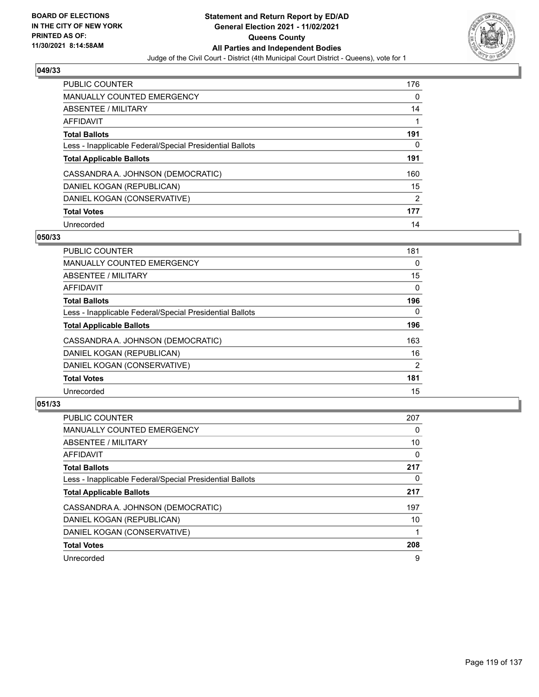

| <b>PUBLIC COUNTER</b>                                    | 176            |
|----------------------------------------------------------|----------------|
| <b>MANUALLY COUNTED EMERGENCY</b>                        | 0              |
| ABSENTEE / MILITARY                                      | 14             |
| AFFIDAVIT                                                |                |
| <b>Total Ballots</b>                                     | 191            |
| Less - Inapplicable Federal/Special Presidential Ballots | 0              |
| <b>Total Applicable Ballots</b>                          | 191            |
| CASSANDRA A. JOHNSON (DEMOCRATIC)                        | 160            |
| DANIEL KOGAN (REPUBLICAN)                                | 15             |
| DANIEL KOGAN (CONSERVATIVE)                              | $\overline{2}$ |
| <b>Total Votes</b>                                       | 177            |
| Unrecorded                                               | 14             |

## **050/33**

| <b>PUBLIC COUNTER</b>                                    | 181            |
|----------------------------------------------------------|----------------|
| <b>MANUALLY COUNTED EMERGENCY</b>                        | 0              |
| ABSENTEE / MILITARY                                      | 15             |
| <b>AFFIDAVIT</b>                                         | $\Omega$       |
| <b>Total Ballots</b>                                     | 196            |
| Less - Inapplicable Federal/Special Presidential Ballots | $\Omega$       |
| <b>Total Applicable Ballots</b>                          | 196            |
| CASSANDRA A. JOHNSON (DEMOCRATIC)                        | 163            |
| DANIEL KOGAN (REPUBLICAN)                                | 16             |
| DANIEL KOGAN (CONSERVATIVE)                              | $\overline{2}$ |
| <b>Total Votes</b>                                       | 181            |
| Unrecorded                                               | 15             |

| <b>PUBLIC COUNTER</b>                                    | 207      |
|----------------------------------------------------------|----------|
| MANUALLY COUNTED EMERGENCY                               | 0        |
| ABSENTEE / MILITARY                                      | 10       |
| <b>AFFIDAVIT</b>                                         | 0        |
| <b>Total Ballots</b>                                     | 217      |
| Less - Inapplicable Federal/Special Presidential Ballots | $\Omega$ |
| <b>Total Applicable Ballots</b>                          | 217      |
| CASSANDRA A. JOHNSON (DEMOCRATIC)                        | 197      |
| DANIEL KOGAN (REPUBLICAN)                                | 10       |
| DANIEL KOGAN (CONSERVATIVE)                              |          |
| <b>Total Votes</b>                                       | 208      |
| Unrecorded                                               | 9        |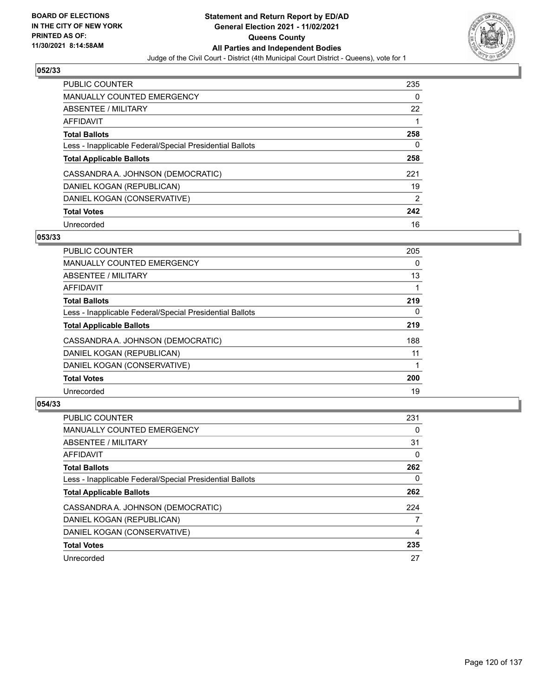

| <b>PUBLIC COUNTER</b>                                    | 235           |
|----------------------------------------------------------|---------------|
| <b>MANUALLY COUNTED EMERGENCY</b>                        | 0             |
| ABSENTEE / MILITARY                                      | 22            |
| AFFIDAVIT                                                |               |
| <b>Total Ballots</b>                                     | 258           |
| Less - Inapplicable Federal/Special Presidential Ballots | 0             |
| <b>Total Applicable Ballots</b>                          | 258           |
| CASSANDRA A. JOHNSON (DEMOCRATIC)                        | 221           |
|                                                          |               |
| DANIEL KOGAN (REPUBLICAN)                                | 19            |
| DANIEL KOGAN (CONSERVATIVE)                              | $\mathcal{P}$ |
| <b>Total Votes</b>                                       | 242           |

## **053/33**

| <b>PUBLIC COUNTER</b>                                    | 205 |
|----------------------------------------------------------|-----|
| <b>MANUALLY COUNTED EMERGENCY</b>                        | 0   |
| ABSENTEE / MILITARY                                      | 13  |
| <b>AFFIDAVIT</b>                                         |     |
| <b>Total Ballots</b>                                     | 219 |
| Less - Inapplicable Federal/Special Presidential Ballots | 0   |
| <b>Total Applicable Ballots</b>                          | 219 |
| CASSANDRA A. JOHNSON (DEMOCRATIC)                        | 188 |
| DANIEL KOGAN (REPUBLICAN)                                | 11  |
| DANIEL KOGAN (CONSERVATIVE)                              |     |
| <b>Total Votes</b>                                       | 200 |
| Unrecorded                                               | 19  |

| <b>PUBLIC COUNTER</b>                                    | 231 |
|----------------------------------------------------------|-----|
| <b>MANUALLY COUNTED EMERGENCY</b>                        | 0   |
| ABSENTEE / MILITARY                                      | 31  |
| <b>AFFIDAVIT</b>                                         | 0   |
| <b>Total Ballots</b>                                     | 262 |
| Less - Inapplicable Federal/Special Presidential Ballots | 0   |
| <b>Total Applicable Ballots</b>                          | 262 |
| CASSANDRA A. JOHNSON (DEMOCRATIC)                        | 224 |
| DANIEL KOGAN (REPUBLICAN)                                | 7   |
| DANIEL KOGAN (CONSERVATIVE)                              | 4   |
| <b>Total Votes</b>                                       | 235 |
| Unrecorded                                               | 27  |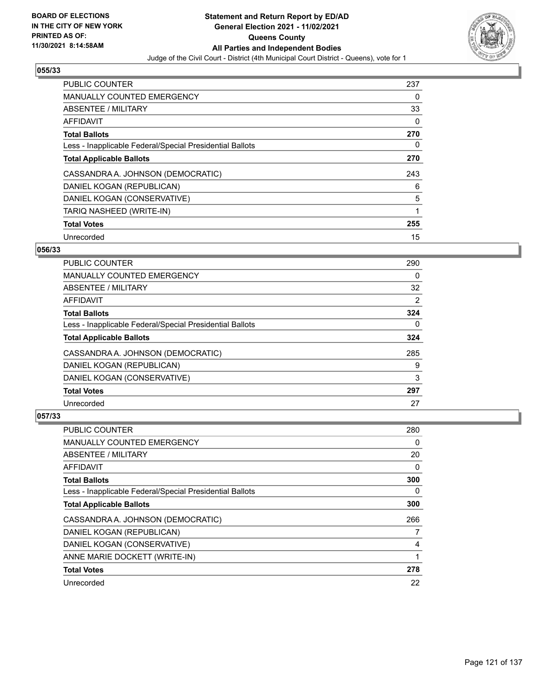

| <b>PUBLIC COUNTER</b>                                    | 237 |
|----------------------------------------------------------|-----|
| <b>MANUALLY COUNTED EMERGENCY</b>                        | 0   |
| ABSENTEE / MILITARY                                      | 33  |
| <b>AFFIDAVIT</b>                                         | 0   |
| <b>Total Ballots</b>                                     | 270 |
| Less - Inapplicable Federal/Special Presidential Ballots | 0   |
| <b>Total Applicable Ballots</b>                          | 270 |
| CASSANDRA A. JOHNSON (DEMOCRATIC)                        | 243 |
| DANIEL KOGAN (REPUBLICAN)                                | 6   |
| DANIEL KOGAN (CONSERVATIVE)                              | 5   |
| TARIQ NASHEED (WRITE-IN)                                 | 1   |
| <b>Total Votes</b>                                       | 255 |
| Unrecorded                                               | 15  |

# **056/33**

| <b>PUBLIC COUNTER</b>                                    | 290            |
|----------------------------------------------------------|----------------|
| <b>MANUALLY COUNTED EMERGENCY</b>                        | 0              |
| ABSENTEE / MILITARY                                      | 32             |
| <b>AFFIDAVIT</b>                                         | $\overline{2}$ |
| <b>Total Ballots</b>                                     | 324            |
| Less - Inapplicable Federal/Special Presidential Ballots | 0              |
| <b>Total Applicable Ballots</b>                          | 324            |
| CASSANDRA A. JOHNSON (DEMOCRATIC)                        | 285            |
| DANIEL KOGAN (REPUBLICAN)                                | 9              |
| DANIEL KOGAN (CONSERVATIVE)                              | 3              |
| <b>Total Votes</b>                                       | 297            |
| Unrecorded                                               | 27             |

| <b>PUBLIC COUNTER</b>                                    | 280 |
|----------------------------------------------------------|-----|
| MANUALLY COUNTED EMERGENCY                               | 0   |
| ABSENTEE / MILITARY                                      | 20  |
| AFFIDAVIT                                                | 0   |
| <b>Total Ballots</b>                                     | 300 |
| Less - Inapplicable Federal/Special Presidential Ballots | 0   |
| <b>Total Applicable Ballots</b>                          | 300 |
| CASSANDRA A. JOHNSON (DEMOCRATIC)                        | 266 |
| DANIEL KOGAN (REPUBLICAN)                                | 7   |
| DANIEL KOGAN (CONSERVATIVE)                              | 4   |
| ANNE MARIE DOCKETT (WRITE-IN)                            | 1   |
| <b>Total Votes</b>                                       | 278 |
| Unrecorded                                               | 22  |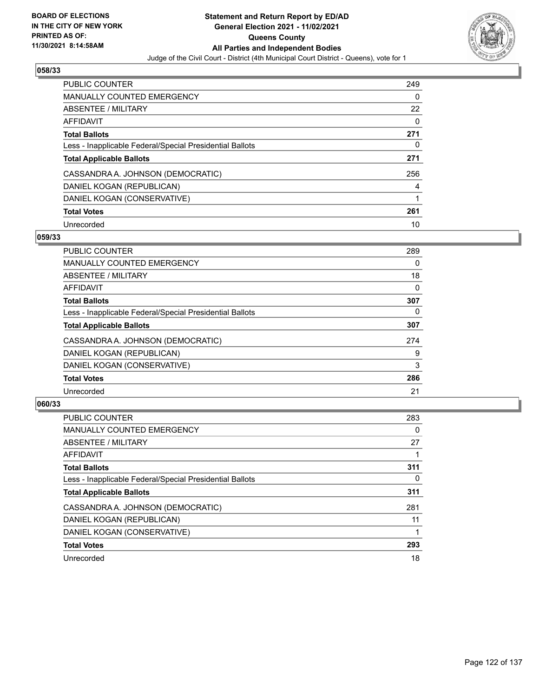

| <b>PUBLIC COUNTER</b>                                    | 249 |
|----------------------------------------------------------|-----|
| <b>MANUALLY COUNTED EMERGENCY</b>                        | 0   |
| ABSENTEE / MILITARY                                      | 22  |
| AFFIDAVIT                                                | 0   |
| <b>Total Ballots</b>                                     | 271 |
| Less - Inapplicable Federal/Special Presidential Ballots | 0   |
| <b>Total Applicable Ballots</b>                          | 271 |
| CASSANDRA A. JOHNSON (DEMOCRATIC)                        | 256 |
| DANIEL KOGAN (REPUBLICAN)                                | 4   |
| DANIEL KOGAN (CONSERVATIVE)                              |     |
| <b>Total Votes</b>                                       | 261 |
| Unrecorded                                               | 10  |

## **059/33**

| <b>PUBLIC COUNTER</b>                                    | 289      |
|----------------------------------------------------------|----------|
| <b>MANUALLY COUNTED EMERGENCY</b>                        | 0        |
| ABSENTEE / MILITARY                                      | 18       |
| <b>AFFIDAVIT</b>                                         | 0        |
| <b>Total Ballots</b>                                     | 307      |
| Less - Inapplicable Federal/Special Presidential Ballots | $\Omega$ |
| <b>Total Applicable Ballots</b>                          | 307      |
| CASSANDRA A. JOHNSON (DEMOCRATIC)                        | 274      |
| DANIEL KOGAN (REPUBLICAN)                                | 9        |
| DANIEL KOGAN (CONSERVATIVE)                              | 3        |
| <b>Total Votes</b>                                       | 286      |
| Unrecorded                                               | 21       |

| <b>PUBLIC COUNTER</b>                                    | 283      |
|----------------------------------------------------------|----------|
| <b>MANUALLY COUNTED EMERGENCY</b>                        | $\Omega$ |
| ABSENTEE / MILITARY                                      | 27       |
| <b>AFFIDAVIT</b>                                         |          |
| <b>Total Ballots</b>                                     | 311      |
| Less - Inapplicable Federal/Special Presidential Ballots | 0        |
| <b>Total Applicable Ballots</b>                          | 311      |
| CASSANDRA A. JOHNSON (DEMOCRATIC)                        | 281      |
| DANIEL KOGAN (REPUBLICAN)                                | 11       |
| DANIEL KOGAN (CONSERVATIVE)                              |          |
| <b>Total Votes</b>                                       | 293      |
| Unrecorded                                               | 18       |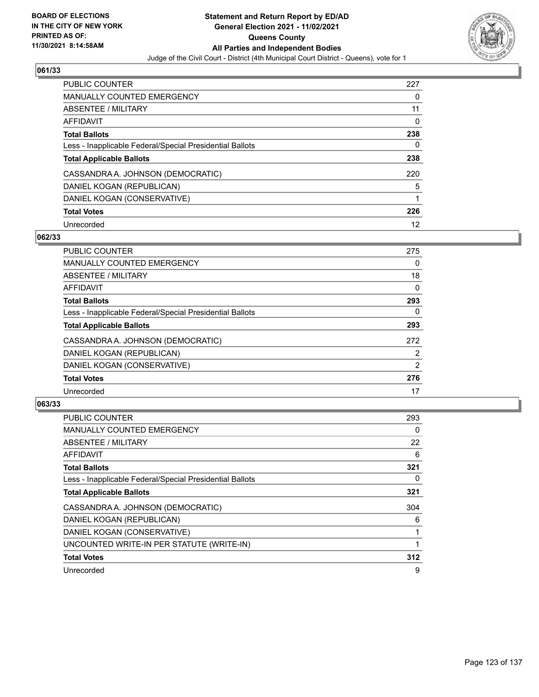

| <b>PUBLIC COUNTER</b>                                    | 227 |
|----------------------------------------------------------|-----|
| <b>MANUALLY COUNTED EMERGENCY</b>                        | 0   |
| ABSENTEE / MILITARY                                      | 11  |
| AFFIDAVIT                                                | 0   |
| <b>Total Ballots</b>                                     | 238 |
| Less - Inapplicable Federal/Special Presidential Ballots | 0   |
| <b>Total Applicable Ballots</b>                          | 238 |
| CASSANDRA A. JOHNSON (DEMOCRATIC)                        | 220 |
| DANIEL KOGAN (REPUBLICAN)                                | 5   |
| DANIEL KOGAN (CONSERVATIVE)                              |     |
| <b>Total Votes</b>                                       | 226 |
| Unrecorded                                               | 12  |

# **062/33**

| <b>PUBLIC COUNTER</b>                                    | 275 |
|----------------------------------------------------------|-----|
| <b>MANUALLY COUNTED EMERGENCY</b>                        | 0   |
| ABSENTEE / MILITARY                                      | 18  |
| <b>AFFIDAVIT</b>                                         | 0   |
| <b>Total Ballots</b>                                     | 293 |
| Less - Inapplicable Federal/Special Presidential Ballots | 0   |
| <b>Total Applicable Ballots</b>                          | 293 |
| CASSANDRA A. JOHNSON (DEMOCRATIC)                        | 272 |
| DANIEL KOGAN (REPUBLICAN)                                | 2   |
| DANIEL KOGAN (CONSERVATIVE)                              | 2   |
| <b>Total Votes</b>                                       | 276 |
| Unrecorded                                               | 17  |

| <b>PUBLIC COUNTER</b>                                    | 293 |
|----------------------------------------------------------|-----|
| <b>MANUALLY COUNTED EMERGENCY</b>                        | 0   |
| ABSENTEE / MILITARY                                      | 22  |
| AFFIDAVIT                                                | 6   |
| <b>Total Ballots</b>                                     | 321 |
| Less - Inapplicable Federal/Special Presidential Ballots | 0   |
| <b>Total Applicable Ballots</b>                          | 321 |
| CASSANDRA A. JOHNSON (DEMOCRATIC)                        | 304 |
| DANIEL KOGAN (REPUBLICAN)                                | 6   |
| DANIEL KOGAN (CONSERVATIVE)                              |     |
| UNCOUNTED WRITE-IN PER STATUTE (WRITE-IN)                |     |
| <b>Total Votes</b>                                       | 312 |
| Unrecorded                                               | 9   |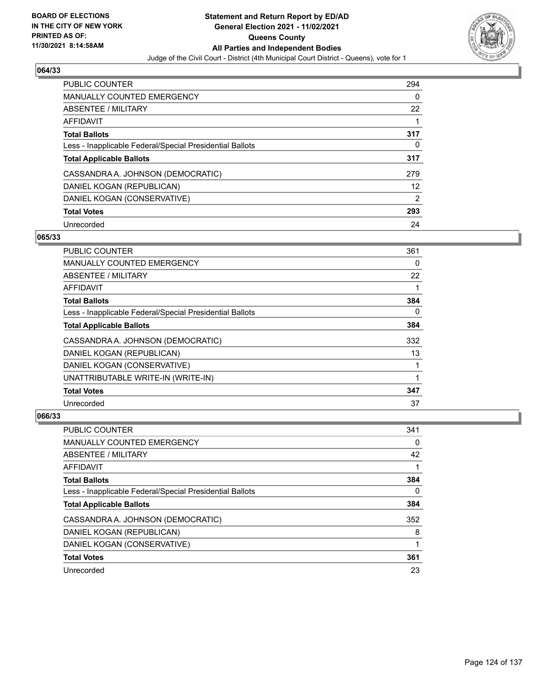

| <b>PUBLIC COUNTER</b>                                    | 294            |
|----------------------------------------------------------|----------------|
| MANUALLY COUNTED EMERGENCY                               | 0              |
| ABSENTEE / MILITARY                                      | 22             |
| AFFIDAVIT                                                |                |
| <b>Total Ballots</b>                                     | 317            |
| Less - Inapplicable Federal/Special Presidential Ballots | 0              |
| <b>Total Applicable Ballots</b>                          | 317            |
| CASSANDRA A. JOHNSON (DEMOCRATIC)                        | 279            |
| DANIEL KOGAN (REPUBLICAN)                                | 12             |
| DANIEL KOGAN (CONSERVATIVE)                              | $\overline{2}$ |
| <b>Total Votes</b>                                       | 293            |
| Unrecorded                                               | 24             |

## **065/33**

| PUBLIC COUNTER                                           | 361      |
|----------------------------------------------------------|----------|
| MANUALLY COUNTED EMERGENCY                               | 0        |
| ABSENTEE / MILITARY                                      | 22       |
| AFFIDAVIT                                                |          |
| <b>Total Ballots</b>                                     | 384      |
| Less - Inapplicable Federal/Special Presidential Ballots | $\Omega$ |
| <b>Total Applicable Ballots</b>                          | 384      |
| CASSANDRA A. JOHNSON (DEMOCRATIC)                        | 332      |
| DANIEL KOGAN (REPUBLICAN)                                | 13       |
| DANIEL KOGAN (CONSERVATIVE)                              |          |
| UNATTRIBUTABLE WRITE-IN (WRITE-IN)                       |          |
| <b>Total Votes</b>                                       | 347      |
| Unrecorded                                               | 37       |

| <b>PUBLIC COUNTER</b>                                    | 341 |
|----------------------------------------------------------|-----|
| <b>MANUALLY COUNTED EMERGENCY</b>                        | 0   |
| ABSENTEE / MILITARY                                      | 42  |
| AFFIDAVIT                                                |     |
| <b>Total Ballots</b>                                     | 384 |
| Less - Inapplicable Federal/Special Presidential Ballots | 0   |
| <b>Total Applicable Ballots</b>                          | 384 |
| CASSANDRA A. JOHNSON (DEMOCRATIC)                        | 352 |
| DANIEL KOGAN (REPUBLICAN)                                | 8   |
| DANIEL KOGAN (CONSERVATIVE)                              |     |
| <b>Total Votes</b>                                       | 361 |
| Unrecorded                                               | 23  |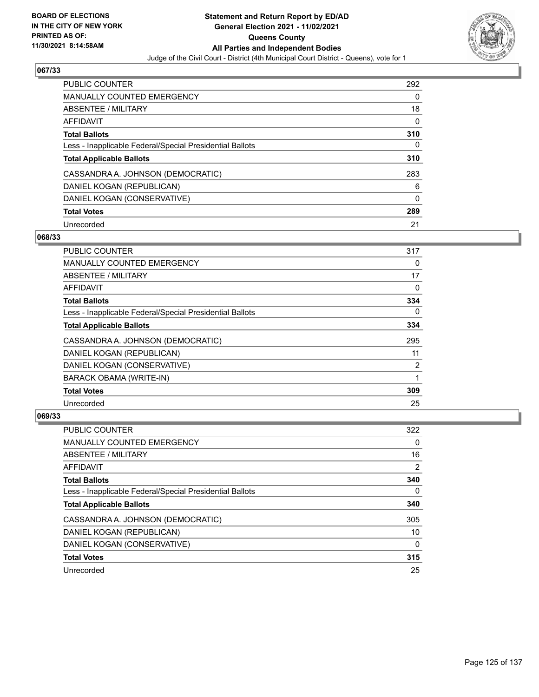

| <b>PUBLIC COUNTER</b>                                    | 292 |
|----------------------------------------------------------|-----|
| <b>MANUALLY COUNTED EMERGENCY</b>                        | 0   |
| ABSENTEE / MILITARY                                      | 18  |
| AFFIDAVIT                                                | 0   |
| <b>Total Ballots</b>                                     | 310 |
| Less - Inapplicable Federal/Special Presidential Ballots | 0   |
| <b>Total Applicable Ballots</b>                          | 310 |
| CASSANDRA A. JOHNSON (DEMOCRATIC)                        | 283 |
| DANIEL KOGAN (REPUBLICAN)                                | 6   |
| DANIEL KOGAN (CONSERVATIVE)                              | 0   |
| <b>Total Votes</b>                                       | 289 |
| Unrecorded                                               | 21  |

## **068/33**

| <b>PUBLIC COUNTER</b>                                    | 317            |
|----------------------------------------------------------|----------------|
| MANUALLY COUNTED EMERGENCY                               | 0              |
| ABSENTEE / MILITARY                                      | 17             |
| AFFIDAVIT                                                | $\Omega$       |
| <b>Total Ballots</b>                                     | 334            |
| Less - Inapplicable Federal/Special Presidential Ballots | 0              |
| <b>Total Applicable Ballots</b>                          | 334            |
| CASSANDRA A. JOHNSON (DEMOCRATIC)                        | 295            |
| DANIEL KOGAN (REPUBLICAN)                                | 11             |
| DANIEL KOGAN (CONSERVATIVE)                              | $\overline{2}$ |
| <b>BARACK OBAMA (WRITE-IN)</b>                           | 1              |
| <b>Total Votes</b>                                       | 309            |
| Unrecorded                                               | 25             |

| <b>PUBLIC COUNTER</b>                                    | 322      |
|----------------------------------------------------------|----------|
| <b>MANUALLY COUNTED EMERGENCY</b>                        | 0        |
| ABSENTEE / MILITARY                                      | 16       |
| AFFIDAVIT                                                | 2        |
| <b>Total Ballots</b>                                     | 340      |
| Less - Inapplicable Federal/Special Presidential Ballots | 0        |
| <b>Total Applicable Ballots</b>                          | 340      |
| CASSANDRA A. JOHNSON (DEMOCRATIC)                        | 305      |
| DANIEL KOGAN (REPUBLICAN)                                | 10       |
| DANIEL KOGAN (CONSERVATIVE)                              | $\Omega$ |
| <b>Total Votes</b>                                       | 315      |
| Unrecorded                                               | 25       |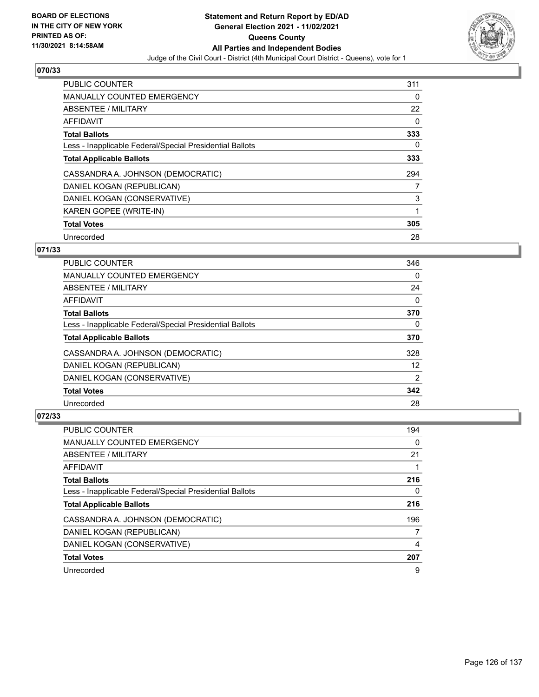

| <b>PUBLIC COUNTER</b>                                    | 311      |
|----------------------------------------------------------|----------|
| <b>MANUALLY COUNTED EMERGENCY</b>                        | 0        |
| ABSENTEE / MILITARY                                      | 22       |
| <b>AFFIDAVIT</b>                                         | $\Omega$ |
| <b>Total Ballots</b>                                     | 333      |
| Less - Inapplicable Federal/Special Presidential Ballots | 0        |
| <b>Total Applicable Ballots</b>                          | 333      |
| CASSANDRA A. JOHNSON (DEMOCRATIC)                        | 294      |
| DANIEL KOGAN (REPUBLICAN)                                | 7        |
| DANIEL KOGAN (CONSERVATIVE)                              | 3        |
| KAREN GOPEE (WRITE-IN)                                   | 1        |
| <b>Total Votes</b>                                       | 305      |
| Unrecorded                                               | 28       |

# **071/33**

| <b>PUBLIC COUNTER</b>                                    | 346            |
|----------------------------------------------------------|----------------|
| <b>MANUALLY COUNTED EMERGENCY</b>                        | 0              |
| ABSENTEE / MILITARY                                      | 24             |
| AFFIDAVIT                                                | $\Omega$       |
| <b>Total Ballots</b>                                     | 370            |
| Less - Inapplicable Federal/Special Presidential Ballots | $\Omega$       |
| <b>Total Applicable Ballots</b>                          | 370            |
| CASSANDRA A. JOHNSON (DEMOCRATIC)                        | 328            |
| DANIEL KOGAN (REPUBLICAN)                                | 12             |
| DANIEL KOGAN (CONSERVATIVE)                              | $\overline{2}$ |
| <b>Total Votes</b>                                       | 342            |
| Unrecorded                                               | 28             |

| <b>PUBLIC COUNTER</b>                                    | 194 |
|----------------------------------------------------------|-----|
| MANUALLY COUNTED EMERGENCY                               | 0   |
| ABSENTEE / MILITARY                                      | 21  |
| AFFIDAVIT                                                |     |
| <b>Total Ballots</b>                                     | 216 |
| Less - Inapplicable Federal/Special Presidential Ballots | 0   |
| <b>Total Applicable Ballots</b>                          | 216 |
| CASSANDRA A. JOHNSON (DEMOCRATIC)                        | 196 |
| DANIEL KOGAN (REPUBLICAN)                                |     |
| DANIEL KOGAN (CONSERVATIVE)                              | 4   |
| <b>Total Votes</b>                                       | 207 |
| Unrecorded                                               | 9   |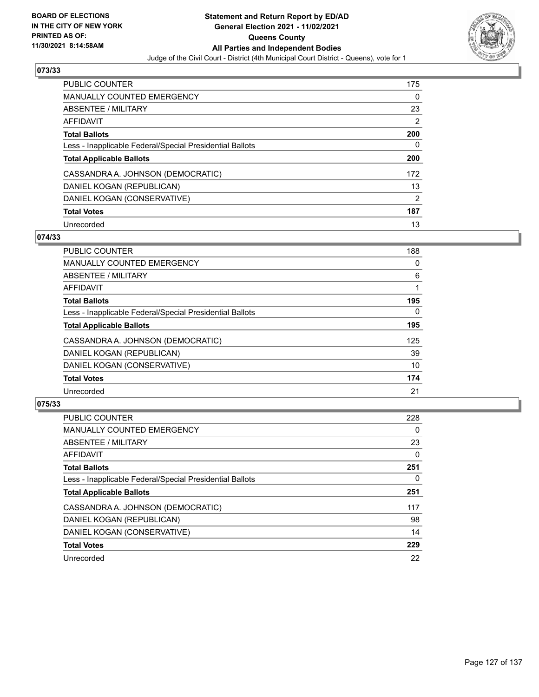

| <b>PUBLIC COUNTER</b>                                    | 175           |
|----------------------------------------------------------|---------------|
| <b>MANUALLY COUNTED EMERGENCY</b>                        | 0             |
| ABSENTEE / MILITARY                                      | 23            |
| AFFIDAVIT                                                | 2             |
| <b>Total Ballots</b>                                     | 200           |
| Less - Inapplicable Federal/Special Presidential Ballots | 0             |
| <b>Total Applicable Ballots</b>                          | 200           |
| CASSANDRA A. JOHNSON (DEMOCRATIC)                        | 172           |
| DANIEL KOGAN (REPUBLICAN)                                | 13            |
| DANIEL KOGAN (CONSERVATIVE)                              | $\mathcal{P}$ |
|                                                          |               |
| <b>Total Votes</b>                                       | 187           |

## **074/33**

| <b>PUBLIC COUNTER</b>                                    | 188      |
|----------------------------------------------------------|----------|
| <b>MANUALLY COUNTED EMERGENCY</b>                        | 0        |
| ABSENTEE / MILITARY                                      | 6        |
| <b>AFFIDAVIT</b>                                         |          |
| <b>Total Ballots</b>                                     | 195      |
| Less - Inapplicable Federal/Special Presidential Ballots | $\Omega$ |
| <b>Total Applicable Ballots</b>                          | 195      |
| CASSANDRA A. JOHNSON (DEMOCRATIC)                        | 125      |
| DANIEL KOGAN (REPUBLICAN)                                | 39       |
| DANIEL KOGAN (CONSERVATIVE)                              | 10       |
| <b>Total Votes</b>                                       | 174      |
| Unrecorded                                               | 21       |

| <b>PUBLIC COUNTER</b>                                    | 228      |
|----------------------------------------------------------|----------|
| <b>MANUALLY COUNTED EMERGENCY</b>                        | $\Omega$ |
| ABSENTEE / MILITARY                                      | 23       |
| <b>AFFIDAVIT</b>                                         | 0        |
| <b>Total Ballots</b>                                     | 251      |
| Less - Inapplicable Federal/Special Presidential Ballots | 0        |
| <b>Total Applicable Ballots</b>                          | 251      |
| CASSANDRA A. JOHNSON (DEMOCRATIC)                        | 117      |
| DANIEL KOGAN (REPUBLICAN)                                | 98       |
| DANIEL KOGAN (CONSERVATIVE)                              | 14       |
| <b>Total Votes</b>                                       | 229      |
| Unrecorded                                               | 22       |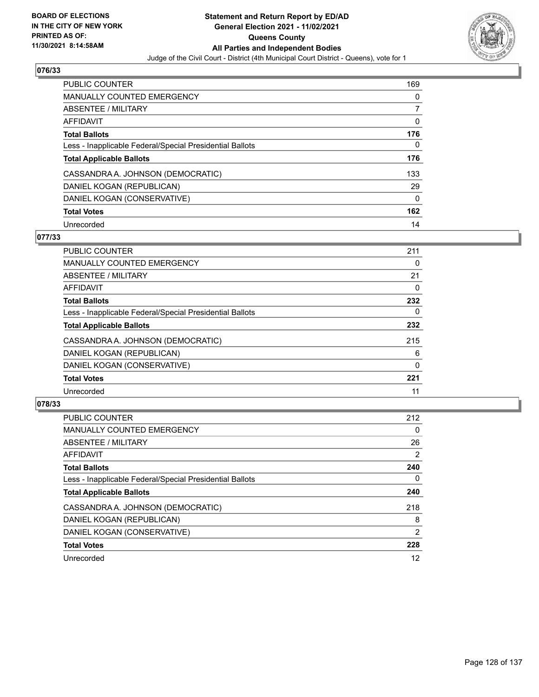

| <b>PUBLIC COUNTER</b>                                    | 169 |
|----------------------------------------------------------|-----|
| <b>MANUALLY COUNTED EMERGENCY</b>                        | 0   |
| ABSENTEE / MILITARY                                      | 7   |
| AFFIDAVIT                                                | 0   |
| <b>Total Ballots</b>                                     | 176 |
| Less - Inapplicable Federal/Special Presidential Ballots | 0   |
| <b>Total Applicable Ballots</b>                          | 176 |
| CASSANDRA A. JOHNSON (DEMOCRATIC)                        | 133 |
| DANIEL KOGAN (REPUBLICAN)                                | 29  |
| DANIEL KOGAN (CONSERVATIVE)                              | 0   |
| <b>Total Votes</b>                                       | 162 |
|                                                          |     |

## **077/33**

| <b>PUBLIC COUNTER</b>                                    | 211      |
|----------------------------------------------------------|----------|
| MANUALLY COUNTED EMERGENCY                               | 0        |
| ABSENTEE / MILITARY                                      | 21       |
| <b>AFFIDAVIT</b>                                         | 0        |
| <b>Total Ballots</b>                                     | 232      |
| Less - Inapplicable Federal/Special Presidential Ballots | 0        |
| <b>Total Applicable Ballots</b>                          | 232      |
| CASSANDRA A. JOHNSON (DEMOCRATIC)                        | 215      |
| DANIEL KOGAN (REPUBLICAN)                                | 6        |
| DANIEL KOGAN (CONSERVATIVE)                              | $\Omega$ |
| <b>Total Votes</b>                                       | 221      |
| Unrecorded                                               | 11       |

| <b>PUBLIC COUNTER</b>                                    | 212            |
|----------------------------------------------------------|----------------|
| <b>MANUALLY COUNTED EMERGENCY</b>                        | 0              |
| ABSENTEE / MILITARY                                      | 26             |
| <b>AFFIDAVIT</b>                                         | $\overline{2}$ |
| <b>Total Ballots</b>                                     | 240            |
| Less - Inapplicable Federal/Special Presidential Ballots | 0              |
| <b>Total Applicable Ballots</b>                          | 240            |
| CASSANDRA A. JOHNSON (DEMOCRATIC)                        | 218            |
| DANIEL KOGAN (REPUBLICAN)                                | 8              |
| DANIEL KOGAN (CONSERVATIVE)                              | $\overline{2}$ |
| <b>Total Votes</b>                                       | 228            |
| Unrecorded                                               | 12             |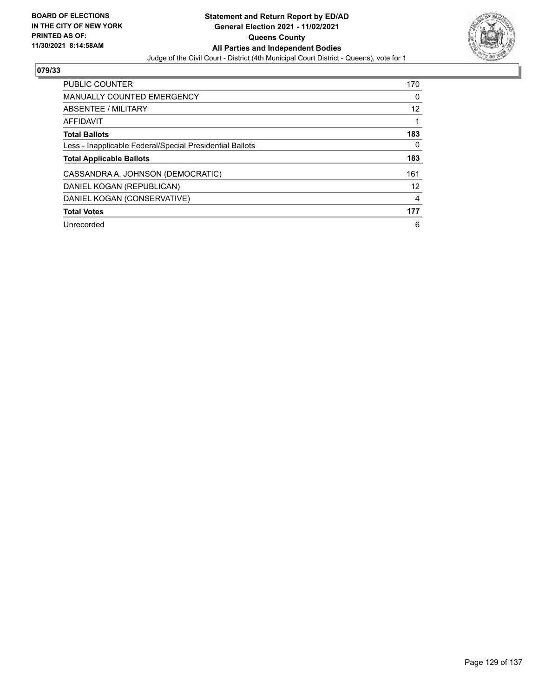

| <b>PUBLIC COUNTER</b>                                    | 170 |
|----------------------------------------------------------|-----|
| <b>MANUALLY COUNTED EMERGENCY</b>                        | 0   |
| ABSENTEE / MILITARY                                      | 12  |
| AFFIDAVIT                                                |     |
| <b>Total Ballots</b>                                     | 183 |
| Less - Inapplicable Federal/Special Presidential Ballots | 0   |
| <b>Total Applicable Ballots</b>                          | 183 |
| CASSANDRA A. JOHNSON (DEMOCRATIC)                        | 161 |
| DANIEL KOGAN (REPUBLICAN)                                | 12  |
| DANIEL KOGAN (CONSERVATIVE)                              | 4   |
| <b>Total Votes</b>                                       | 177 |
| Unrecorded                                               | 6   |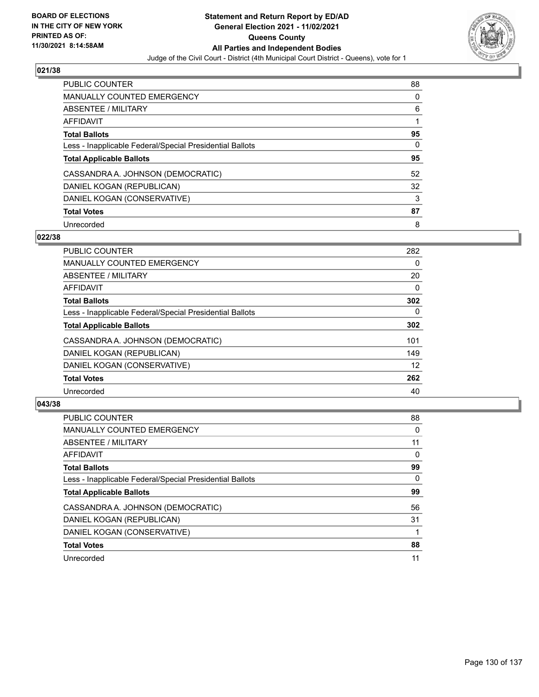

| <b>PUBLIC COUNTER</b>                                    | 88 |
|----------------------------------------------------------|----|
| <b>MANUALLY COUNTED EMERGENCY</b>                        | 0  |
| ABSENTEE / MILITARY                                      | 6  |
| AFFIDAVIT                                                |    |
| <b>Total Ballots</b>                                     | 95 |
| Less - Inapplicable Federal/Special Presidential Ballots | 0  |
| <b>Total Applicable Ballots</b>                          | 95 |
| CASSANDRA A. JOHNSON (DEMOCRATIC)                        | 52 |
| DANIEL KOGAN (REPUBLICAN)                                | 32 |
| DANIEL KOGAN (CONSERVATIVE)                              | 3  |
| <b>Total Votes</b>                                       | 87 |
| Unrecorded                                               | 8  |

## **022/38**

| <b>PUBLIC COUNTER</b>                                    | 282      |
|----------------------------------------------------------|----------|
| <b>MANUALLY COUNTED EMERGENCY</b>                        | 0        |
| ABSENTEE / MILITARY                                      | 20       |
| <b>AFFIDAVIT</b>                                         | $\Omega$ |
| <b>Total Ballots</b>                                     | 302      |
| Less - Inapplicable Federal/Special Presidential Ballots | $\Omega$ |
| <b>Total Applicable Ballots</b>                          | 302      |
| CASSANDRA A. JOHNSON (DEMOCRATIC)                        | 101      |
| DANIEL KOGAN (REPUBLICAN)                                | 149      |
| DANIEL KOGAN (CONSERVATIVE)                              | 12       |
| <b>Total Votes</b>                                       | 262      |
| Unrecorded                                               | 40       |

| <b>PUBLIC COUNTER</b>                                    | 88       |
|----------------------------------------------------------|----------|
| <b>MANUALLY COUNTED EMERGENCY</b>                        | 0        |
| ABSENTEE / MILITARY                                      | 11       |
| AFFIDAVIT                                                | 0        |
| <b>Total Ballots</b>                                     | 99       |
| Less - Inapplicable Federal/Special Presidential Ballots | $\Omega$ |
| <b>Total Applicable Ballots</b>                          | 99       |
| CASSANDRA A. JOHNSON (DEMOCRATIC)                        | 56       |
| DANIEL KOGAN (REPUBLICAN)                                | 31       |
| DANIEL KOGAN (CONSERVATIVE)                              |          |
| <b>Total Votes</b>                                       | 88       |
| Unrecorded                                               | 11       |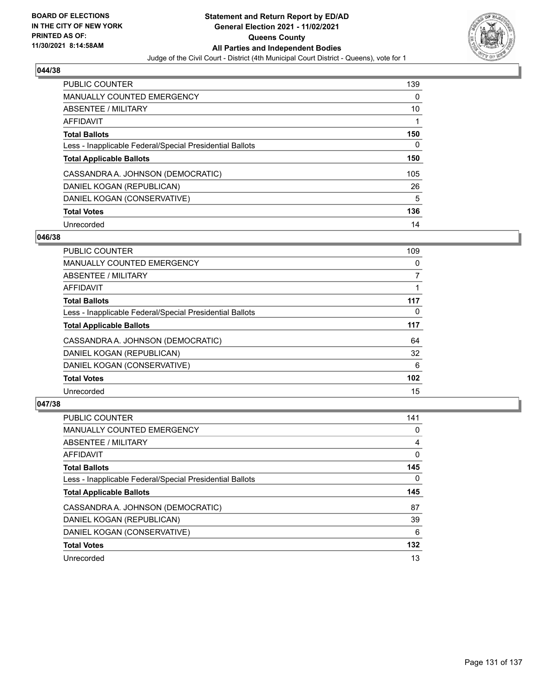

| <b>PUBLIC COUNTER</b>                                    | 139 |
|----------------------------------------------------------|-----|
| <b>MANUALLY COUNTED EMERGENCY</b>                        | 0   |
| ABSENTEE / MILITARY                                      | 10  |
| AFFIDAVIT                                                |     |
| <b>Total Ballots</b>                                     | 150 |
| Less - Inapplicable Federal/Special Presidential Ballots | 0   |
| <b>Total Applicable Ballots</b>                          | 150 |
| CASSANDRA A. JOHNSON (DEMOCRATIC)                        | 105 |
| DANIEL KOGAN (REPUBLICAN)                                | 26  |
| DANIEL KOGAN (CONSERVATIVE)                              | 5   |
| <b>Total Votes</b>                                       | 136 |
| Unrecorded                                               | 14  |

## **046/38**

| <b>PUBLIC COUNTER</b>                                    | 109      |
|----------------------------------------------------------|----------|
| <b>MANUALLY COUNTED EMERGENCY</b>                        | 0        |
| ABSENTEE / MILITARY                                      | 7        |
| <b>AFFIDAVIT</b>                                         |          |
| <b>Total Ballots</b>                                     | 117      |
| Less - Inapplicable Federal/Special Presidential Ballots | $\Omega$ |
| <b>Total Applicable Ballots</b>                          | 117      |
| CASSANDRA A. JOHNSON (DEMOCRATIC)                        | 64       |
| DANIEL KOGAN (REPUBLICAN)                                | 32       |
| DANIEL KOGAN (CONSERVATIVE)                              | 6        |
| <b>Total Votes</b>                                       | 102      |
| Unrecorded                                               | 15       |

| <b>PUBLIC COUNTER</b>                                    | 141       |
|----------------------------------------------------------|-----------|
| <b>MANUALLY COUNTED EMERGENCY</b>                        | 0         |
| ABSENTEE / MILITARY                                      | 4         |
| <b>AFFIDAVIT</b>                                         | 0         |
| <b>Total Ballots</b>                                     | 145       |
| Less - Inapplicable Federal/Special Presidential Ballots | 0         |
|                                                          |           |
| <b>Total Applicable Ballots</b>                          |           |
| CASSANDRA A. JOHNSON (DEMOCRATIC)                        | 145<br>87 |
| DANIEL KOGAN (REPUBLICAN)                                | 39        |
| DANIEL KOGAN (CONSERVATIVE)                              | 6         |
| <b>Total Votes</b>                                       | 132       |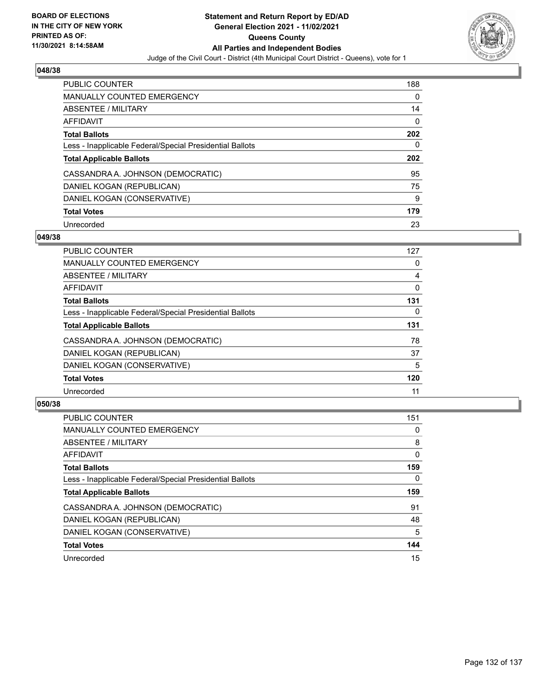

| <b>PUBLIC COUNTER</b>                                    | 188 |
|----------------------------------------------------------|-----|
| <b>MANUALLY COUNTED EMERGENCY</b>                        | 0   |
| ABSENTEE / MILITARY                                      | 14  |
| <b>AFFIDAVIT</b>                                         | 0   |
| <b>Total Ballots</b>                                     | 202 |
| Less - Inapplicable Federal/Special Presidential Ballots | 0   |
|                                                          |     |
| <b>Total Applicable Ballots</b>                          | 202 |
| CASSANDRA A. JOHNSON (DEMOCRATIC)                        | 95  |
| DANIEL KOGAN (REPUBLICAN)                                | 75  |
| DANIEL KOGAN (CONSERVATIVE)                              | 9   |
| <b>Total Votes</b>                                       | 179 |

## **049/38**

| <b>PUBLIC COUNTER</b>                                    | 127      |
|----------------------------------------------------------|----------|
| <b>MANUALLY COUNTED EMERGENCY</b>                        | 0        |
| ABSENTEE / MILITARY                                      | 4        |
| <b>AFFIDAVIT</b>                                         | 0        |
| <b>Total Ballots</b>                                     | 131      |
| Less - Inapplicable Federal/Special Presidential Ballots | $\Omega$ |
| <b>Total Applicable Ballots</b>                          | 131      |
| CASSANDRA A. JOHNSON (DEMOCRATIC)                        | 78       |
| DANIEL KOGAN (REPUBLICAN)                                | 37       |
| DANIEL KOGAN (CONSERVATIVE)                              | 5        |
| <b>Total Votes</b>                                       | 120      |
| Unrecorded                                               | 11       |

| <b>PUBLIC COUNTER</b>                                    | 151      |
|----------------------------------------------------------|----------|
| <b>MANUALLY COUNTED EMERGENCY</b>                        | 0        |
| ABSENTEE / MILITARY                                      | 8        |
| <b>AFFIDAVIT</b>                                         | $\Omega$ |
| <b>Total Ballots</b>                                     | 159      |
| Less - Inapplicable Federal/Special Presidential Ballots | 0        |
| <b>Total Applicable Ballots</b>                          | 159      |
| CASSANDRA A. JOHNSON (DEMOCRATIC)                        | 91       |
| DANIEL KOGAN (REPUBLICAN)                                | 48       |
| DANIEL KOGAN (CONSERVATIVE)                              | 5        |
|                                                          |          |
| <b>Total Votes</b>                                       | 144      |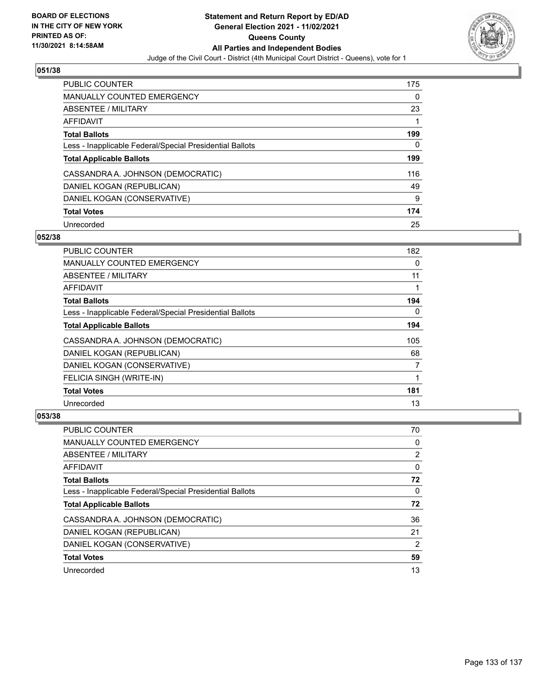

| <b>PUBLIC COUNTER</b>                                    | 175 |
|----------------------------------------------------------|-----|
| <b>MANUALLY COUNTED EMERGENCY</b>                        | 0   |
| ABSENTEE / MILITARY                                      | 23  |
| AFFIDAVIT                                                |     |
| <b>Total Ballots</b>                                     | 199 |
| Less - Inapplicable Federal/Special Presidential Ballots | 0   |
| <b>Total Applicable Ballots</b>                          | 199 |
| CASSANDRA A. JOHNSON (DEMOCRATIC)                        | 116 |
| DANIEL KOGAN (REPUBLICAN)                                | 49  |
| DANIEL KOGAN (CONSERVATIVE)                              | 9   |
| <b>Total Votes</b>                                       | 174 |
|                                                          |     |

## **052/38**

| <b>PUBLIC COUNTER</b>                                    | 182      |
|----------------------------------------------------------|----------|
| MANUALLY COUNTED EMERGENCY                               | 0        |
| ABSENTEE / MILITARY                                      | 11       |
| AFFIDAVIT                                                |          |
| <b>Total Ballots</b>                                     | 194      |
| Less - Inapplicable Federal/Special Presidential Ballots | $\Omega$ |
| <b>Total Applicable Ballots</b>                          | 194      |
| CASSANDRA A. JOHNSON (DEMOCRATIC)                        | 105      |
| DANIEL KOGAN (REPUBLICAN)                                | 68       |
| DANIEL KOGAN (CONSERVATIVE)                              | 7        |
| FELICIA SINGH (WRITE-IN)                                 |          |
| <b>Total Votes</b>                                       | 181      |
| Unrecorded                                               | 13       |

| <b>PUBLIC COUNTER</b>                                    | 70 |
|----------------------------------------------------------|----|
| <b>MANUALLY COUNTED EMERGENCY</b>                        | 0  |
| ABSENTEE / MILITARY                                      | 2  |
| AFFIDAVIT                                                | 0  |
| <b>Total Ballots</b>                                     | 72 |
| Less - Inapplicable Federal/Special Presidential Ballots | 0  |
| <b>Total Applicable Ballots</b>                          | 72 |
| CASSANDRA A. JOHNSON (DEMOCRATIC)                        | 36 |
| DANIEL KOGAN (REPUBLICAN)                                | 21 |
| DANIEL KOGAN (CONSERVATIVE)                              | 2  |
| <b>Total Votes</b>                                       | 59 |
| Unrecorded                                               | 13 |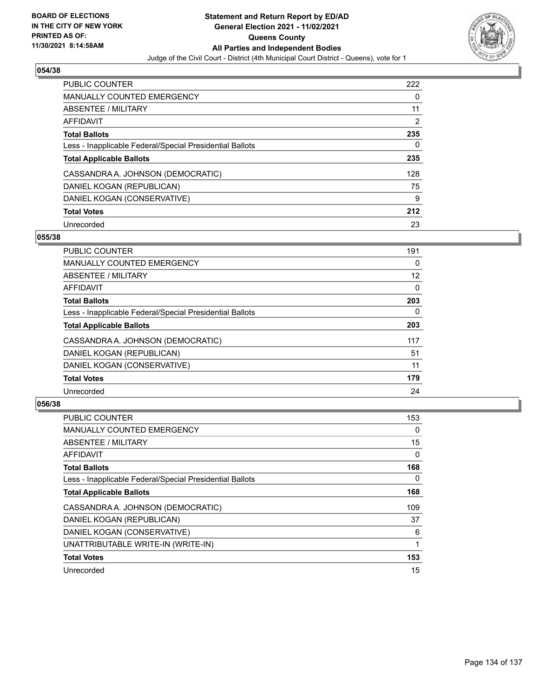

| <b>PUBLIC COUNTER</b>                                    | 222 |
|----------------------------------------------------------|-----|
| <b>MANUALLY COUNTED EMERGENCY</b>                        | 0   |
| ABSENTEE / MILITARY                                      | 11  |
| AFFIDAVIT                                                | 2   |
| <b>Total Ballots</b>                                     | 235 |
| Less - Inapplicable Federal/Special Presidential Ballots | 0   |
| <b>Total Applicable Ballots</b>                          | 235 |
| CASSANDRA A. JOHNSON (DEMOCRATIC)                        | 128 |
| DANIEL KOGAN (REPUBLICAN)                                | 75  |
| DANIEL KOGAN (CONSERVATIVE)                              | 9   |
| <b>Total Votes</b>                                       | 212 |
| Unrecorded                                               | 23  |

## **055/38**

| <b>PUBLIC COUNTER</b>                                    | 191      |
|----------------------------------------------------------|----------|
| <b>MANUALLY COUNTED EMERGENCY</b>                        | 0        |
| ABSENTEE / MILITARY                                      | 12       |
| <b>AFFIDAVIT</b>                                         | 0        |
| <b>Total Ballots</b>                                     | 203      |
| Less - Inapplicable Federal/Special Presidential Ballots | $\Omega$ |
| <b>Total Applicable Ballots</b>                          | 203      |
| CASSANDRA A. JOHNSON (DEMOCRATIC)                        | 117      |
| DANIEL KOGAN (REPUBLICAN)                                | 51       |
| DANIEL KOGAN (CONSERVATIVE)                              | 11       |
| <b>Total Votes</b>                                       | 179      |
| Unrecorded                                               | 24       |

| <b>PUBLIC COUNTER</b>                                    | 153 |
|----------------------------------------------------------|-----|
| MANUALLY COUNTED EMERGENCY                               | 0   |
| ABSENTEE / MILITARY                                      | 15  |
| AFFIDAVIT                                                | 0   |
| <b>Total Ballots</b>                                     | 168 |
| Less - Inapplicable Federal/Special Presidential Ballots | 0   |
| <b>Total Applicable Ballots</b>                          | 168 |
| CASSANDRA A. JOHNSON (DEMOCRATIC)                        | 109 |
| DANIEL KOGAN (REPUBLICAN)                                | 37  |
| DANIEL KOGAN (CONSERVATIVE)                              | 6   |
| UNATTRIBUTABLE WRITE-IN (WRITE-IN)                       |     |
| <b>Total Votes</b>                                       | 153 |
| Unrecorded                                               | 15  |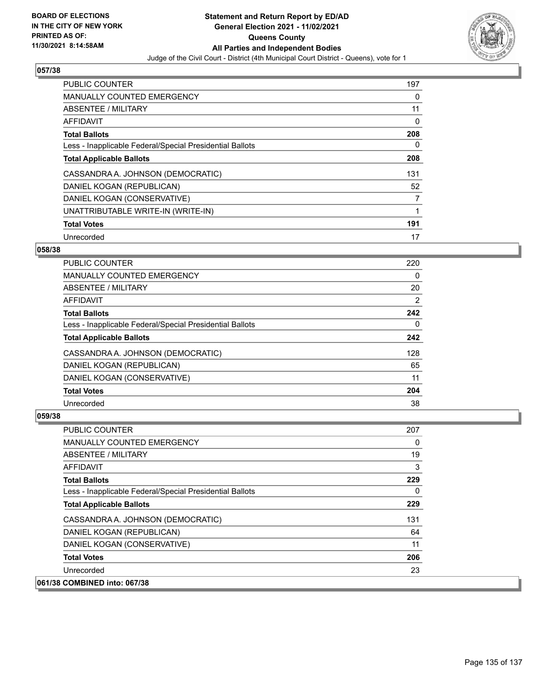

| <b>PUBLIC COUNTER</b>                                    | 197 |
|----------------------------------------------------------|-----|
| <b>MANUALLY COUNTED EMERGENCY</b>                        | 0   |
| ABSENTEE / MILITARY                                      | 11  |
| <b>AFFIDAVIT</b>                                         | 0   |
| <b>Total Ballots</b>                                     | 208 |
| Less - Inapplicable Federal/Special Presidential Ballots | 0   |
| <b>Total Applicable Ballots</b>                          | 208 |
| CASSANDRA A. JOHNSON (DEMOCRATIC)                        | 131 |
| DANIEL KOGAN (REPUBLICAN)                                | 52  |
| DANIEL KOGAN (CONSERVATIVE)                              | 7   |
| UNATTRIBUTABLE WRITE-IN (WRITE-IN)                       | 1   |
| <b>Total Votes</b>                                       | 191 |
| Unrecorded                                               | 17  |

# **058/38**

| <b>PUBLIC COUNTER</b>                                    | 220 |
|----------------------------------------------------------|-----|
| <b>MANUALLY COUNTED EMERGENCY</b>                        | 0   |
| ABSENTEE / MILITARY                                      | 20  |
| AFFIDAVIT                                                | 2   |
| <b>Total Ballots</b>                                     | 242 |
| Less - Inapplicable Federal/Special Presidential Ballots | 0   |
| <b>Total Applicable Ballots</b>                          | 242 |
| CASSANDRA A. JOHNSON (DEMOCRATIC)                        | 128 |
| DANIEL KOGAN (REPUBLICAN)                                | 65  |
| DANIEL KOGAN (CONSERVATIVE)                              | 11  |
| <b>Total Votes</b>                                       | 204 |
| Unrecorded                                               | 38  |

| <b>PUBLIC COUNTER</b>                                    | 207      |
|----------------------------------------------------------|----------|
| <b>MANUALLY COUNTED EMERGENCY</b>                        | $\Omega$ |
| ABSENTEE / MILITARY                                      | 19       |
| AFFIDAVIT                                                | 3        |
| <b>Total Ballots</b>                                     | 229      |
| Less - Inapplicable Federal/Special Presidential Ballots | $\Omega$ |
| <b>Total Applicable Ballots</b>                          | 229      |
| CASSANDRA A. JOHNSON (DEMOCRATIC)                        | 131      |
| DANIEL KOGAN (REPUBLICAN)                                | 64       |
| DANIEL KOGAN (CONSERVATIVE)                              | 11       |
| <b>Total Votes</b>                                       | 206      |
| Unrecorded                                               | 23       |
| 061/38 COMBINED into: 067/38                             |          |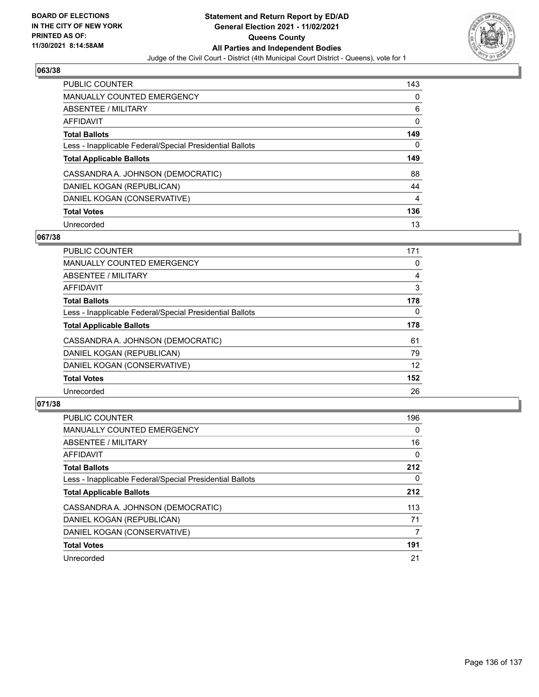

| <b>PUBLIC COUNTER</b>                                    | 143            |
|----------------------------------------------------------|----------------|
| <b>MANUALLY COUNTED EMERGENCY</b>                        | 0              |
| ABSENTEE / MILITARY                                      | 6              |
| <b>AFFIDAVIT</b>                                         | 0              |
| <b>Total Ballots</b>                                     | 149            |
| Less - Inapplicable Federal/Special Presidential Ballots | 0              |
| <b>Total Applicable Ballots</b>                          | 149            |
| CASSANDRA A. JOHNSON (DEMOCRATIC)                        | 88             |
| DANIEL KOGAN (REPUBLICAN)                                | 44             |
| DANIEL KOGAN (CONSERVATIVE)                              | $\overline{4}$ |
| <b>Total Votes</b>                                       | 136            |
| Unrecorded                                               | 13             |

## **067/38**

| <b>PUBLIC COUNTER</b>                                    | 171      |
|----------------------------------------------------------|----------|
| <b>MANUALLY COUNTED EMERGENCY</b>                        | 0        |
| ABSENTEE / MILITARY                                      | 4        |
| <b>AFFIDAVIT</b>                                         | 3        |
| <b>Total Ballots</b>                                     | 178      |
| Less - Inapplicable Federal/Special Presidential Ballots | $\Omega$ |
| <b>Total Applicable Ballots</b>                          | 178      |
| CASSANDRA A. JOHNSON (DEMOCRATIC)                        | 61       |
| DANIEL KOGAN (REPUBLICAN)                                | 79       |
| DANIEL KOGAN (CONSERVATIVE)                              | 12       |
| <b>Total Votes</b>                                       | 152      |
| Unrecorded                                               | 26       |

| <b>PUBLIC COUNTER</b>                                    | 196      |
|----------------------------------------------------------|----------|
| MANUALLY COUNTED EMERGENCY                               | $\Omega$ |
| ABSENTEE / MILITARY                                      | 16       |
| <b>AFFIDAVIT</b>                                         | $\Omega$ |
| <b>Total Ballots</b>                                     | 212      |
| Less - Inapplicable Federal/Special Presidential Ballots | 0        |
| <b>Total Applicable Ballots</b>                          | 212      |
| CASSANDRA A. JOHNSON (DEMOCRATIC)                        | 113      |
| DANIEL KOGAN (REPUBLICAN)                                | 71       |
| DANIEL KOGAN (CONSERVATIVE)                              | 7        |
| <b>Total Votes</b>                                       | 191      |
| Unrecorded                                               | 21       |